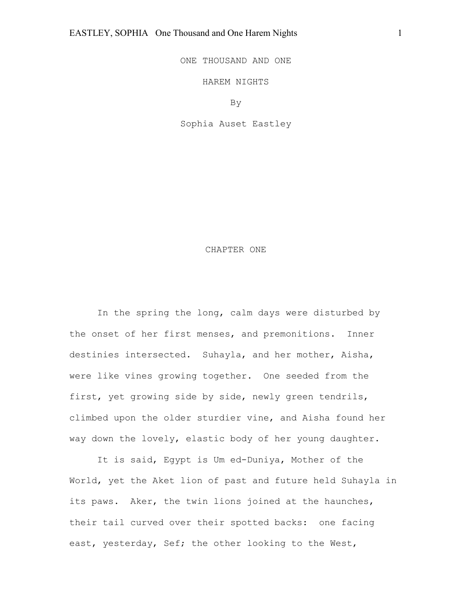ONE THOUSAND AND ONE

HAREM NIGHTS

By

Sophia Auset Eastley

#### CHAPTER ONE

In the spring the long, calm days were disturbed by the onset of her first menses, and premonitions. Inner destinies intersected. Suhayla, and her mother, Aisha, were like vines growing together. One seeded from the first, yet growing side by side, newly green tendrils, climbed upon the older sturdier vine, and Aisha found her way down the lovely, elastic body of her young daughter.

It is said, Egypt is Um ed-Duniya, Mother of the World, yet the Aket lion of past and future held Suhayla in its paws. Aker, the twin lions joined at the haunches, their tail curved over their spotted backs: one facing east, yesterday, Sef; the other looking to the West,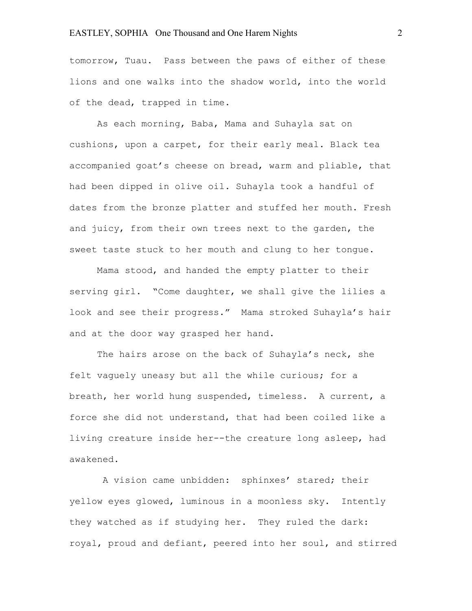tomorrow, Tuau. Pass between the paws of either of these lions and one walks into the shadow world, into the world of the dead, trapped in time.

As each morning, Baba, Mama and Suhayla sat on cushions, upon a carpet, for their early meal. Black tea accompanied goat's cheese on bread, warm and pliable, that had been dipped in olive oil. Suhayla took a handful of dates from the bronze platter and stuffed her mouth. Fresh and juicy, from their own trees next to the garden, the sweet taste stuck to her mouth and clung to her tongue.

Mama stood, and handed the empty platter to their serving girl. "Come daughter, we shall give the lilies a look and see their progress." Mama stroked Suhayla's hair and at the door way grasped her hand.

The hairs arose on the back of Suhayla's neck, she felt vaguely uneasy but all the while curious; for a breath, her world hung suspended, timeless. A current, a force she did not understand, that had been coiled like a living creature inside her--the creature long asleep, had awakened.

A vision came unbidden: sphinxes' stared; their yellow eyes glowed, luminous in a moonless sky. Intently they watched as if studying her. They ruled the dark: royal, proud and defiant, peered into her soul, and stirred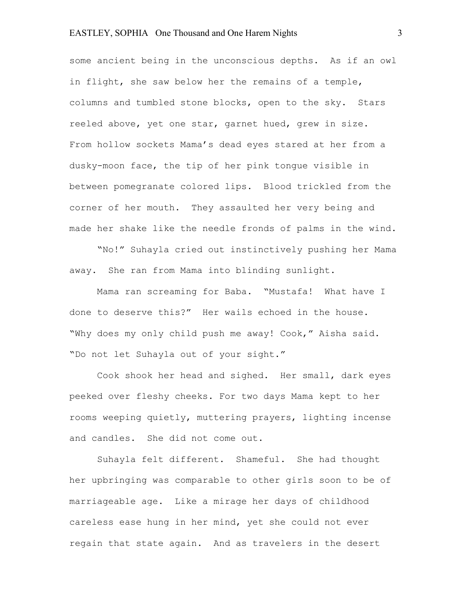some ancient being in the unconscious depths. As if an owl in flight, she saw below her the remains of a temple, columns and tumbled stone blocks, open to the sky. Stars reeled above, yet one star, garnet hued, grew in size. From hollow sockets Mama's dead eyes stared at her from a dusky-moon face, the tip of her pink tongue visible in between pomegranate colored lips. Blood trickled from the corner of her mouth. They assaulted her very being and made her shake like the needle fronds of palms in the wind.

"No!" Suhayla cried out instinctively pushing her Mama away. She ran from Mama into blinding sunlight.

Mama ran screaming for Baba. "Mustafa! What have I done to deserve this?" Her wails echoed in the house. "Why does my only child push me away! Cook," Aisha said. "Do not let Suhayla out of your sight."

Cook shook her head and sighed. Her small, dark eyes peeked over fleshy cheeks. For two days Mama kept to her rooms weeping quietly, muttering prayers, lighting incense and candles. She did not come out.

Suhayla felt different. Shameful. She had thought her upbringing was comparable to other girls soon to be of marriageable age. Like a mirage her days of childhood careless ease hung in her mind, yet she could not ever regain that state again. And as travelers in the desert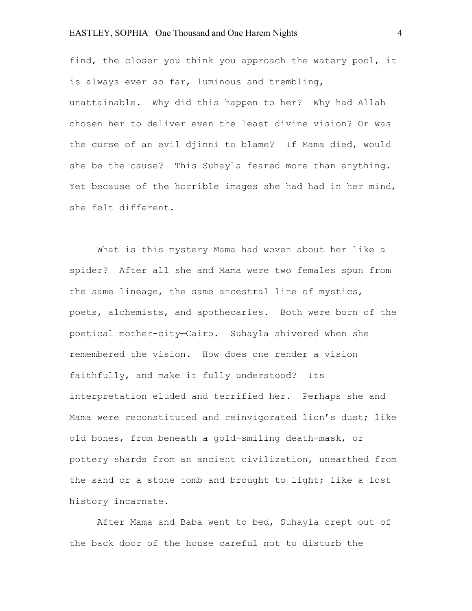find, the closer you think you approach the watery pool, it is always ever so far, luminous and trembling, unattainable. Why did this happen to her? Why had Allah chosen her to deliver even the least divine vision? Or was the curse of an evil djinni to blame? If Mama died, would she be the cause? This Suhayla feared more than anything. Yet because of the horrible images she had had in her mind, she felt different.

What is this mystery Mama had woven about her like a spider? After all she and Mama were two females spun from the same lineage, the same ancestral line of mystics, poets, alchemists, and apothecaries. Both were born of the poetical mother-city—Cairo. Suhayla shivered when she remembered the vision. How does one render a vision faithfully, and make it fully understood? Its interpretation eluded and terrified her. Perhaps she and Mama were reconstituted and reinvigorated lion's dust; like old bones, from beneath a gold-smiling death-mask, or pottery shards from an ancient civilization, unearthed from the sand or a stone tomb and brought to light; like a lost history incarnate.

After Mama and Baba went to bed, Suhayla crept out of the back door of the house careful not to disturb the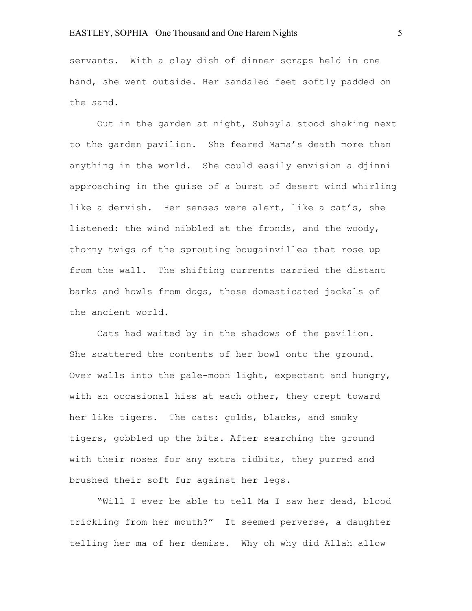servants. With a clay dish of dinner scraps held in one hand, she went outside. Her sandaled feet softly padded on the sand.

Out in the garden at night, Suhayla stood shaking next to the garden pavilion. She feared Mama's death more than anything in the world. She could easily envision a djinni approaching in the guise of a burst of desert wind whirling like a dervish. Her senses were alert, like a cat's, she listened: the wind nibbled at the fronds, and the woody, thorny twigs of the sprouting bougainvillea that rose up from the wall. The shifting currents carried the distant barks and howls from dogs, those domesticated jackals of the ancient world.

Cats had waited by in the shadows of the pavilion. She scattered the contents of her bowl onto the ground. Over walls into the pale-moon light, expectant and hungry, with an occasional hiss at each other, they crept toward her like tigers. The cats: golds, blacks, and smoky tigers, gobbled up the bits. After searching the ground with their noses for any extra tidbits, they purred and brushed their soft fur against her legs.

"Will I ever be able to tell Ma I saw her dead, blood trickling from her mouth?" It seemed perverse, a daughter telling her ma of her demise. Why oh why did Allah allow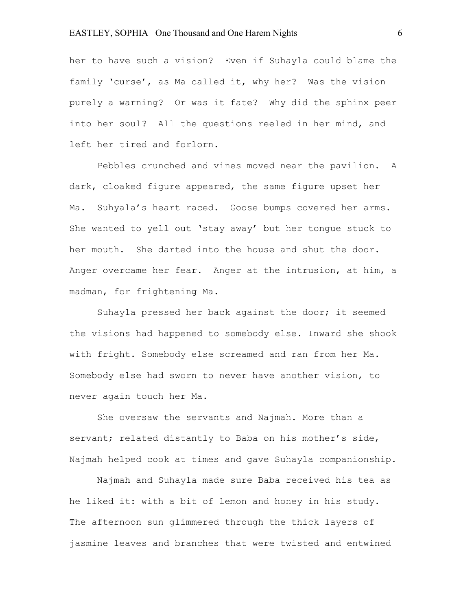her to have such a vision? Even if Suhayla could blame the family 'curse', as Ma called it, why her? Was the vision purely a warning? Or was it fate? Why did the sphinx peer into her soul? All the questions reeled in her mind, and left her tired and forlorn.

Pebbles crunched and vines moved near the pavilion. A dark, cloaked figure appeared, the same figure upset her Ma. Suhyala's heart raced. Goose bumps covered her arms. She wanted to yell out 'stay away' but her tongue stuck to her mouth. She darted into the house and shut the door. Anger overcame her fear. Anger at the intrusion, at him, a madman, for frightening Ma.

Suhayla pressed her back against the door; it seemed the visions had happened to somebody else. Inward she shook with fright. Somebody else screamed and ran from her Ma. Somebody else had sworn to never have another vision, to never again touch her Ma.

She oversaw the servants and Najmah. More than a servant; related distantly to Baba on his mother's side, Najmah helped cook at times and gave Suhayla companionship.

Najmah and Suhayla made sure Baba received his tea as he liked it: with a bit of lemon and honey in his study. The afternoon sun glimmered through the thick layers of jasmine leaves and branches that were twisted and entwined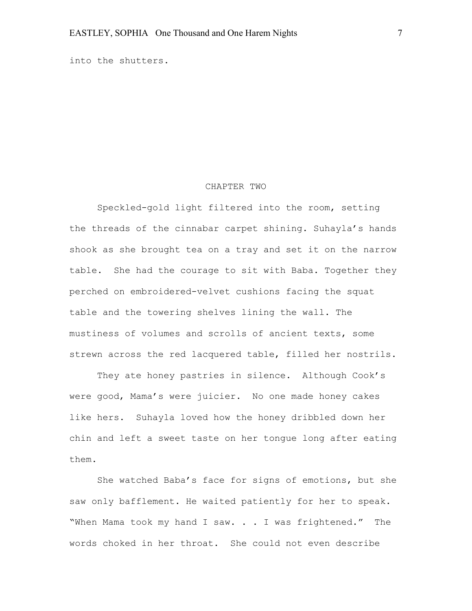into the shutters.

#### CHAPTER TWO

Speckled-gold light filtered into the room, setting the threads of the cinnabar carpet shining. Suhayla's hands shook as she brought tea on a tray and set it on the narrow table. She had the courage to sit with Baba. Together they perched on embroidered-velvet cushions facing the squat table and the towering shelves lining the wall. The mustiness of volumes and scrolls of ancient texts, some strewn across the red lacquered table, filled her nostrils.

They ate honey pastries in silence. Although Cook's were good, Mama's were juicier. No one made honey cakes like hers. Suhayla loved how the honey dribbled down her chin and left a sweet taste on her tongue long after eating them.

She watched Baba's face for signs of emotions, but she saw only bafflement. He waited patiently for her to speak. "When Mama took my hand I saw. . . I was frightened." The words choked in her throat. She could not even describe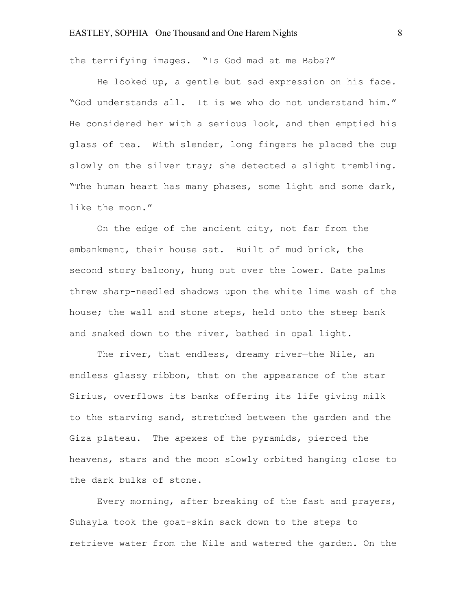the terrifying images. "Is God mad at me Baba?"

He looked up, a gentle but sad expression on his face. "God understands all. It is we who do not understand him." He considered her with a serious look, and then emptied his glass of tea. With slender, long fingers he placed the cup slowly on the silver tray; she detected a slight trembling. "The human heart has many phases, some light and some dark, like the moon."

On the edge of the ancient city, not far from the embankment, their house sat. Built of mud brick, the second story balcony, hung out over the lower. Date palms threw sharp-needled shadows upon the white lime wash of the house; the wall and stone steps, held onto the steep bank and snaked down to the river, bathed in opal light.

The river, that endless, dreamy river-the Nile, an endless glassy ribbon, that on the appearance of the star Sirius, overflows its banks offering its life giving milk to the starving sand, stretched between the garden and the Giza plateau. The apexes of the pyramids, pierced the heavens, stars and the moon slowly orbited hanging close to the dark bulks of stone.

Every morning, after breaking of the fast and prayers, Suhayla took the goat-skin sack down to the steps to retrieve water from the Nile and watered the garden. On the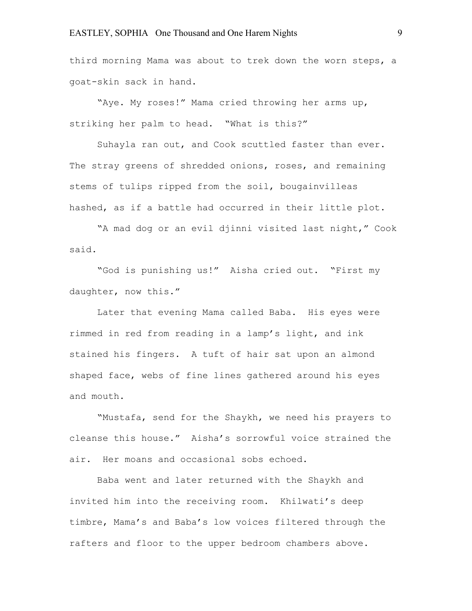third morning Mama was about to trek down the worn steps, a goat-skin sack in hand.

"Aye. My roses!" Mama cried throwing her arms up, striking her palm to head. "What is this?"

Suhayla ran out, and Cook scuttled faster than ever. The stray greens of shredded onions, roses, and remaining stems of tulips ripped from the soil, bougainvilleas hashed, as if a battle had occurred in their little plot.

"A mad dog or an evil djinni visited last night," Cook said.

"God is punishing us!" Aisha cried out. "First my daughter, now this."

Later that evening Mama called Baba. His eyes were rimmed in red from reading in a lamp's light, and ink stained his fingers. A tuft of hair sat upon an almond shaped face, webs of fine lines gathered around his eyes and mouth.

"Mustafa, send for the Shaykh, we need his prayers to cleanse this house." Aisha's sorrowful voice strained the air. Her moans and occasional sobs echoed.

Baba went and later returned with the Shaykh and invited him into the receiving room. Khilwati's deep timbre, Mama's and Baba's low voices filtered through the rafters and floor to the upper bedroom chambers above.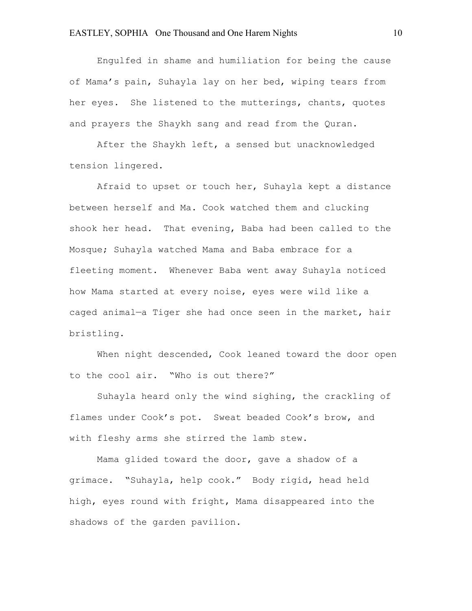Engulfed in shame and humiliation for being the cause of Mama's pain, Suhayla lay on her bed, wiping tears from her eyes. She listened to the mutterings, chants, quotes and prayers the Shaykh sang and read from the Quran.

After the Shaykh left, a sensed but unacknowledged tension lingered.

Afraid to upset or touch her, Suhayla kept a distance between herself and Ma. Cook watched them and clucking shook her head. That evening, Baba had been called to the Mosque; Suhayla watched Mama and Baba embrace for a fleeting moment. Whenever Baba went away Suhayla noticed how Mama started at every noise, eyes were wild like a caged animal—a Tiger she had once seen in the market, hair bristling.

When night descended, Cook leaned toward the door open to the cool air. "Who is out there?"

Suhayla heard only the wind sighing, the crackling of flames under Cook's pot. Sweat beaded Cook's brow, and with fleshy arms she stirred the lamb stew.

Mama glided toward the door, gave a shadow of a grimace. "Suhayla, help cook." Body rigid, head held high, eyes round with fright, Mama disappeared into the shadows of the garden pavilion.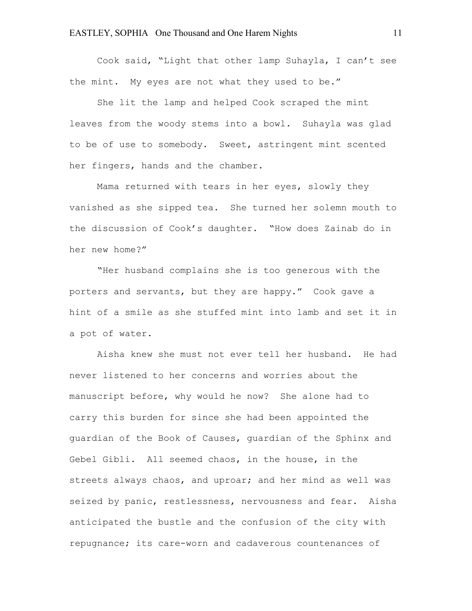Cook said, "Light that other lamp Suhayla, I can't see the mint. My eyes are not what they used to be."

She lit the lamp and helped Cook scraped the mint leaves from the woody stems into a bowl. Suhayla was glad to be of use to somebody. Sweet, astringent mint scented her fingers, hands and the chamber.

Mama returned with tears in her eyes, slowly they vanished as she sipped tea. She turned her solemn mouth to the discussion of Cook's daughter. "How does Zainab do in her new home?"

"Her husband complains she is too generous with the porters and servants, but they are happy." Cook gave a hint of a smile as she stuffed mint into lamb and set it in a pot of water.

Aisha knew she must not ever tell her husband. He had never listened to her concerns and worries about the manuscript before, why would he now? She alone had to carry this burden for since she had been appointed the guardian of the Book of Causes, guardian of the Sphinx and Gebel Gibli. All seemed chaos, in the house, in the streets always chaos, and uproar; and her mind as well was seized by panic, restlessness, nervousness and fear. Aisha anticipated the bustle and the confusion of the city with repugnance; its care-worn and cadaverous countenances of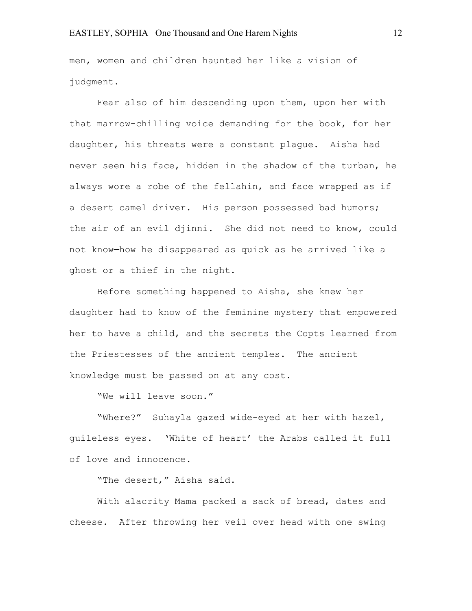men, women and children haunted her like a vision of judgment.

Fear also of him descending upon them, upon her with that marrow-chilling voice demanding for the book, for her daughter, his threats were a constant plague. Aisha had never seen his face, hidden in the shadow of the turban, he always wore a robe of the fellahin, and face wrapped as if a desert camel driver. His person possessed bad humors; the air of an evil djinni. She did not need to know, could not know—how he disappeared as quick as he arrived like a ghost or a thief in the night.

Before something happened to Aisha, she knew her daughter had to know of the feminine mystery that empowered her to have a child, and the secrets the Copts learned from the Priestesses of the ancient temples. The ancient knowledge must be passed on at any cost.

"We will leave soon."

"Where?" Suhayla gazed wide-eyed at her with hazel, guileless eyes. 'White of heart' the Arabs called it—full of love and innocence.

"The desert," Aisha said.

With alacrity Mama packed a sack of bread, dates and cheese. After throwing her veil over head with one swing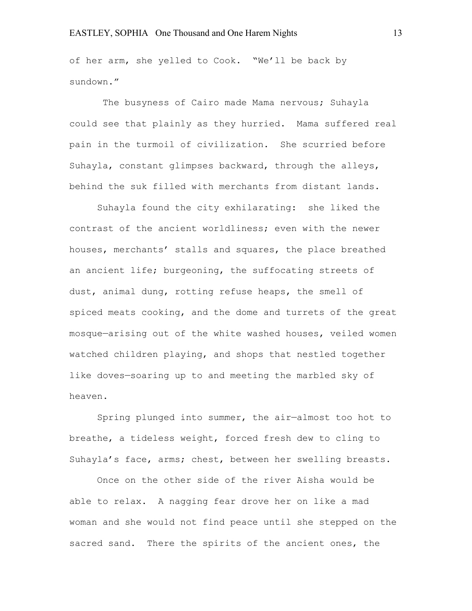of her arm, she yelled to Cook. "We'll be back by sundown."

The busyness of Cairo made Mama nervous; Suhayla could see that plainly as they hurried. Mama suffered real pain in the turmoil of civilization. She scurried before Suhayla, constant glimpses backward, through the alleys, behind the suk filled with merchants from distant lands.

Suhayla found the city exhilarating: she liked the contrast of the ancient worldliness; even with the newer houses, merchants' stalls and squares, the place breathed an ancient life; burgeoning, the suffocating streets of dust, animal dung, rotting refuse heaps, the smell of spiced meats cooking, and the dome and turrets of the great mosque—arising out of the white washed houses, veiled women watched children playing, and shops that nestled together like doves—soaring up to and meeting the marbled sky of heaven.

Spring plunged into summer, the air—almost too hot to breathe, a tideless weight, forced fresh dew to cling to Suhayla's face, arms; chest, between her swelling breasts.

Once on the other side of the river Aisha would be able to relax. A nagging fear drove her on like a mad woman and she would not find peace until she stepped on the sacred sand. There the spirits of the ancient ones, the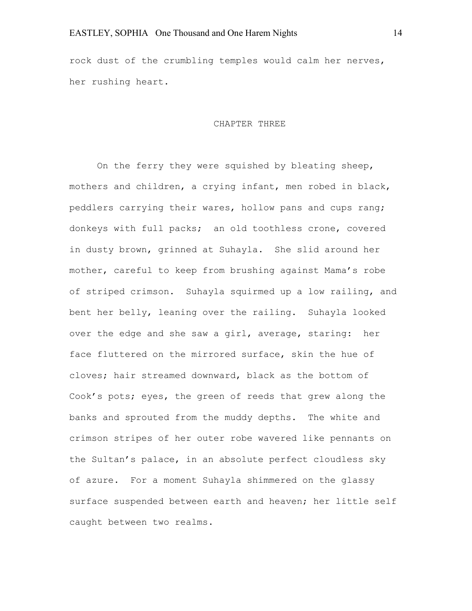rock dust of the crumbling temples would calm her nerves, her rushing heart.

#### CHAPTER THREE

On the ferry they were squished by bleating sheep, mothers and children, a crying infant, men robed in black, peddlers carrying their wares, hollow pans and cups rang; donkeys with full packs; an old toothless crone, covered in dusty brown, grinned at Suhayla. She slid around her mother, careful to keep from brushing against Mama's robe of striped crimson. Suhayla squirmed up a low railing, and bent her belly, leaning over the railing. Suhayla looked over the edge and she saw a girl, average, staring: her face fluttered on the mirrored surface, skin the hue of cloves; hair streamed downward, black as the bottom of Cook's pots; eyes, the green of reeds that grew along the banks and sprouted from the muddy depths. The white and crimson stripes of her outer robe wavered like pennants on the Sultan's palace, in an absolute perfect cloudless sky of azure. For a moment Suhayla shimmered on the glassy surface suspended between earth and heaven; her little self caught between two realms.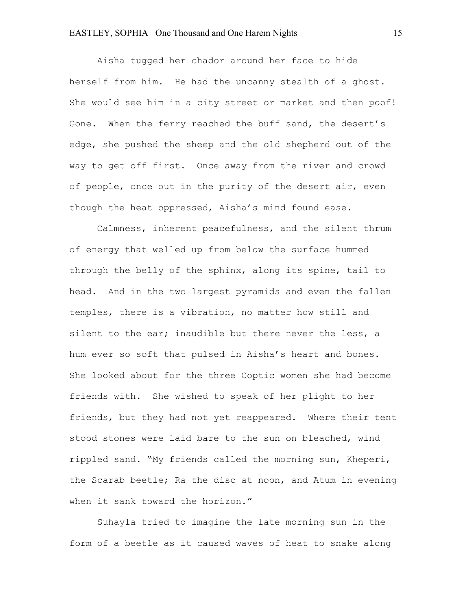Aisha tugged her chador around her face to hide herself from him. He had the uncanny stealth of a ghost. She would see him in a city street or market and then poof! Gone. When the ferry reached the buff sand, the desert's edge, she pushed the sheep and the old shepherd out of the way to get off first. Once away from the river and crowd of people, once out in the purity of the desert air, even though the heat oppressed, Aisha's mind found ease.

Calmness, inherent peacefulness, and the silent thrum of energy that welled up from below the surface hummed through the belly of the sphinx, along its spine, tail to head. And in the two largest pyramids and even the fallen temples, there is a vibration, no matter how still and silent to the ear; inaudible but there never the less, a hum ever so soft that pulsed in Aisha's heart and bones. She looked about for the three Coptic women she had become friends with. She wished to speak of her plight to her friends, but they had not yet reappeared. Where their tent stood stones were laid bare to the sun on bleached, wind rippled sand. "My friends called the morning sun, Kheperi, the Scarab beetle; Ra the disc at noon, and Atum in evening when it sank toward the horizon."

Suhayla tried to imagine the late morning sun in the form of a beetle as it caused waves of heat to snake along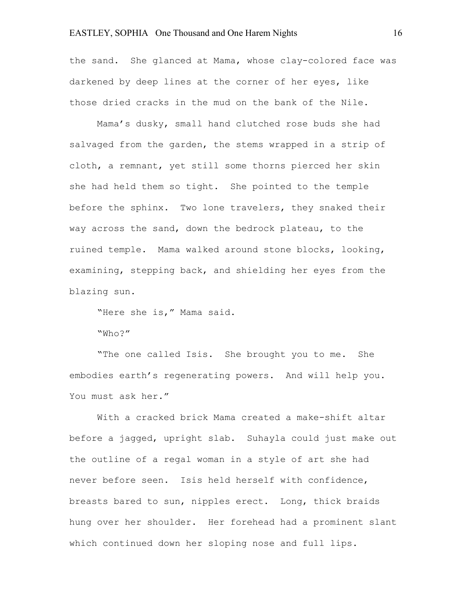the sand. She glanced at Mama, whose clay-colored face was darkened by deep lines at the corner of her eyes, like those dried cracks in the mud on the bank of the Nile.

Mama's dusky, small hand clutched rose buds she had salvaged from the garden, the stems wrapped in a strip of cloth, a remnant, yet still some thorns pierced her skin she had held them so tight. She pointed to the temple before the sphinx. Two lone travelers, they snaked their way across the sand, down the bedrock plateau, to the ruined temple. Mama walked around stone blocks, looking, examining, stepping back, and shielding her eyes from the blazing sun.

"Here she is," Mama said.

"Who?"

"The one called Isis. She brought you to me. She embodies earth's regenerating powers. And will help you. You must ask her."

With a cracked brick Mama created a make-shift altar before a jagged, upright slab. Suhayla could just make out the outline of a regal woman in a style of art she had never before seen. Isis held herself with confidence, breasts bared to sun, nipples erect. Long, thick braids hung over her shoulder. Her forehead had a prominent slant which continued down her sloping nose and full lips.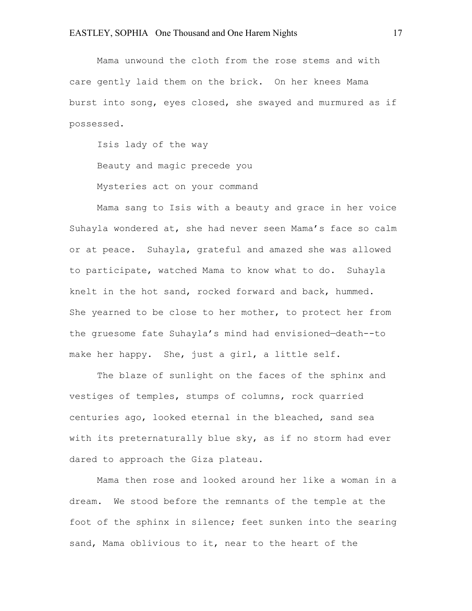Mama unwound the cloth from the rose stems and with care gently laid them on the brick. On her knees Mama burst into song, eyes closed, she swayed and murmured as if possessed.

Isis lady of the way

Beauty and magic precede you

Mysteries act on your command

Mama sang to Isis with a beauty and grace in her voice Suhayla wondered at, she had never seen Mama's face so calm or at peace. Suhayla, grateful and amazed she was allowed to participate, watched Mama to know what to do. Suhayla knelt in the hot sand, rocked forward and back, hummed. She yearned to be close to her mother, to protect her from the gruesome fate Suhayla's mind had envisioned—death--to make her happy. She, just a girl, a little self.

The blaze of sunlight on the faces of the sphinx and vestiges of temples, stumps of columns, rock quarried centuries ago, looked eternal in the bleached, sand sea with its preternaturally blue sky, as if no storm had ever dared to approach the Giza plateau.

Mama then rose and looked around her like a woman in a dream. We stood before the remnants of the temple at the foot of the sphinx in silence; feet sunken into the searing sand, Mama oblivious to it, near to the heart of the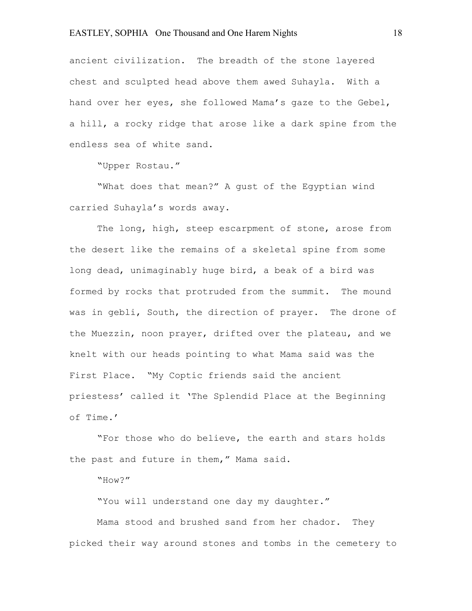ancient civilization. The breadth of the stone layered chest and sculpted head above them awed Suhayla. With a hand over her eyes, she followed Mama's gaze to the Gebel, a hill, a rocky ridge that arose like a dark spine from the endless sea of white sand.

"Upper Rostau."

"What does that mean?" A gust of the Egyptian wind carried Suhayla's words away.

The long, high, steep escarpment of stone, arose from the desert like the remains of a skeletal spine from some long dead, unimaginably huge bird, a beak of a bird was formed by rocks that protruded from the summit. The mound was in gebli, South, the direction of prayer. The drone of the Muezzin, noon prayer, drifted over the plateau, and we knelt with our heads pointing to what Mama said was the First Place. "My Coptic friends said the ancient priestess' called it 'The Splendid Place at the Beginning of Time.'

"For those who do believe, the earth and stars holds the past and future in them," Mama said.

"How?"

"You will understand one day my daughter."

Mama stood and brushed sand from her chador. They picked their way around stones and tombs in the cemetery to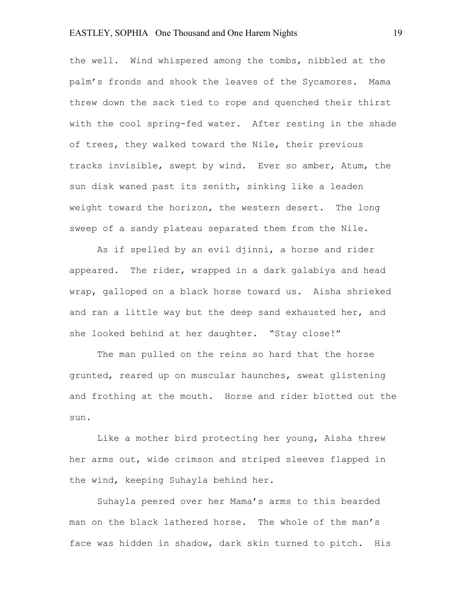the well. Wind whispered among the tombs, nibbled at the palm's fronds and shook the leaves of the Sycamores. Mama threw down the sack tied to rope and quenched their thirst with the cool spring-fed water. After resting in the shade of trees, they walked toward the Nile, their previous tracks invisible, swept by wind. Ever so amber, Atum, the sun disk waned past its zenith, sinking like a leaden weight toward the horizon, the western desert. The long sweep of a sandy plateau separated them from the Nile.

As if spelled by an evil djinni, a horse and rider appeared. The rider, wrapped in a dark galabiya and head wrap, galloped on a black horse toward us. Aisha shrieked and ran a little way but the deep sand exhausted her, and she looked behind at her daughter. "Stay close!"

The man pulled on the reins so hard that the horse grunted, reared up on muscular haunches, sweat glistening and frothing at the mouth. Horse and rider blotted out the sun.

Like a mother bird protecting her young, Aisha threw her arms out, wide crimson and striped sleeves flapped in the wind, keeping Suhayla behind her.

Suhayla peered over her Mama's arms to this bearded man on the black lathered horse. The whole of the man's face was hidden in shadow, dark skin turned to pitch. His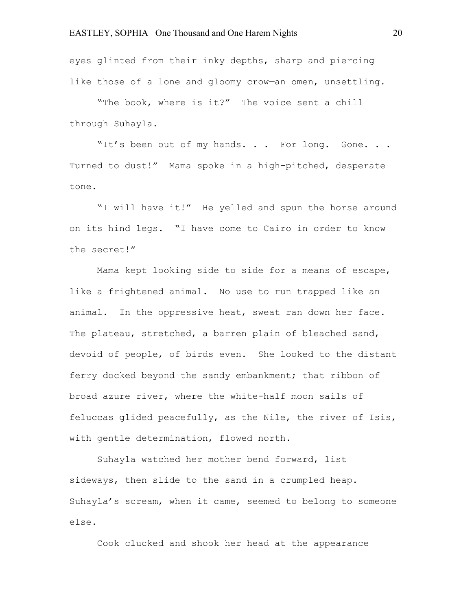eyes glinted from their inky depths, sharp and piercing like those of a lone and gloomy crow—an omen, unsettling.

"The book, where is it?" The voice sent a chill through Suhayla.

"It's been out of my hands. . . For long. Gone. . . Turned to dust!" Mama spoke in a high-pitched, desperate tone.

"I will have it!" He yelled and spun the horse around on its hind legs. "I have come to Cairo in order to know the secret!"

Mama kept looking side to side for a means of escape, like a frightened animal. No use to run trapped like an animal. In the oppressive heat, sweat ran down her face. The plateau, stretched, a barren plain of bleached sand, devoid of people, of birds even. She looked to the distant ferry docked beyond the sandy embankment; that ribbon of broad azure river, where the white-half moon sails of feluccas glided peacefully, as the Nile, the river of Isis, with gentle determination, flowed north.

Suhayla watched her mother bend forward, list sideways, then slide to the sand in a crumpled heap. Suhayla's scream, when it came, seemed to belong to someone else.

Cook clucked and shook her head at the appearance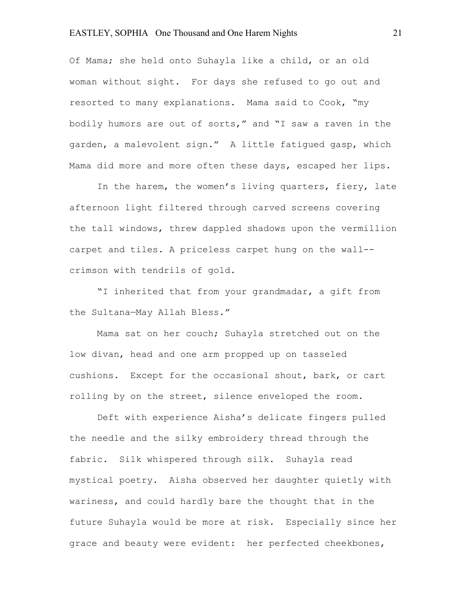Of Mama; she held onto Suhayla like a child, or an old woman without sight. For days she refused to go out and resorted to many explanations. Mama said to Cook, "my bodily humors are out of sorts," and "I saw a raven in the garden, a malevolent sign." A little fatigued gasp, which Mama did more and more often these days, escaped her lips.

In the harem, the women's living quarters, fiery, late afternoon light filtered through carved screens covering the tall windows, threw dappled shadows upon the vermillion carpet and tiles. A priceless carpet hung on the wall- crimson with tendrils of gold.

"I inherited that from your grandmadar, a gift from the Sultana—May Allah Bless."

Mama sat on her couch; Suhayla stretched out on the low divan, head and one arm propped up on tasseled cushions. Except for the occasional shout, bark, or cart rolling by on the street, silence enveloped the room.

Deft with experience Aisha's delicate fingers pulled the needle and the silky embroidery thread through the fabric. Silk whispered through silk. Suhayla read mystical poetry. Aisha observed her daughter quietly with wariness, and could hardly bare the thought that in the future Suhayla would be more at risk. Especially since her grace and beauty were evident: her perfected cheekbones,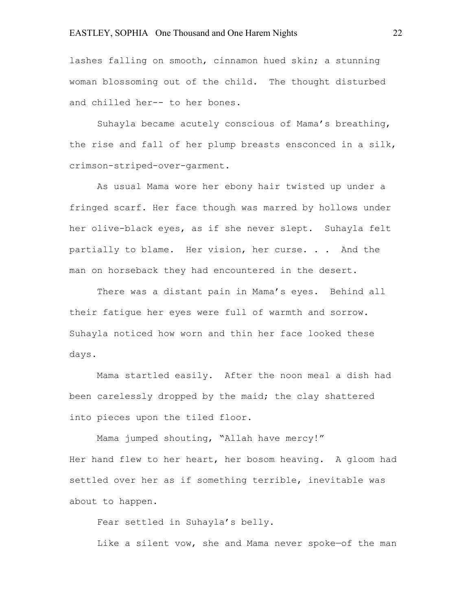lashes falling on smooth, cinnamon hued skin; a stunning woman blossoming out of the child. The thought disturbed and chilled her-- to her bones.

Suhayla became acutely conscious of Mama's breathing, the rise and fall of her plump breasts ensconced in a silk, crimson-striped-over-garment.

As usual Mama wore her ebony hair twisted up under a fringed scarf. Her face though was marred by hollows under her olive-black eyes, as if she never slept. Suhayla felt partially to blame. Her vision, her curse. . . And the man on horseback they had encountered in the desert.

There was a distant pain in Mama's eyes. Behind all their fatigue her eyes were full of warmth and sorrow. Suhayla noticed how worn and thin her face looked these days.

Mama startled easily. After the noon meal a dish had been carelessly dropped by the maid; the clay shattered into pieces upon the tiled floor.

Mama jumped shouting, "Allah have mercy!" Her hand flew to her heart, her bosom heaving. A gloom had settled over her as if something terrible, inevitable was about to happen.

Fear settled in Suhayla's belly.

Like a silent vow, she and Mama never spoke—of the man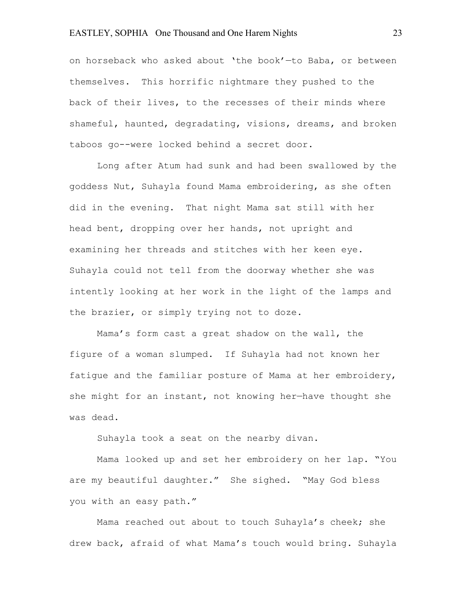on horseback who asked about 'the book'—to Baba, or between themselves. This horrific nightmare they pushed to the back of their lives, to the recesses of their minds where shameful, haunted, degradating, visions, dreams, and broken taboos go--were locked behind a secret door.

Long after Atum had sunk and had been swallowed by the goddess Nut, Suhayla found Mama embroidering, as she often did in the evening. That night Mama sat still with her head bent, dropping over her hands, not upright and examining her threads and stitches with her keen eye. Suhayla could not tell from the doorway whether she was intently looking at her work in the light of the lamps and the brazier, or simply trying not to doze.

Mama's form cast a great shadow on the wall, the figure of a woman slumped. If Suhayla had not known her fatigue and the familiar posture of Mama at her embroidery, she might for an instant, not knowing her—have thought she was dead.

Suhayla took a seat on the nearby divan.

Mama looked up and set her embroidery on her lap. "You are my beautiful daughter." She sighed. "May God bless you with an easy path."

Mama reached out about to touch Suhayla's cheek; she drew back, afraid of what Mama's touch would bring. Suhayla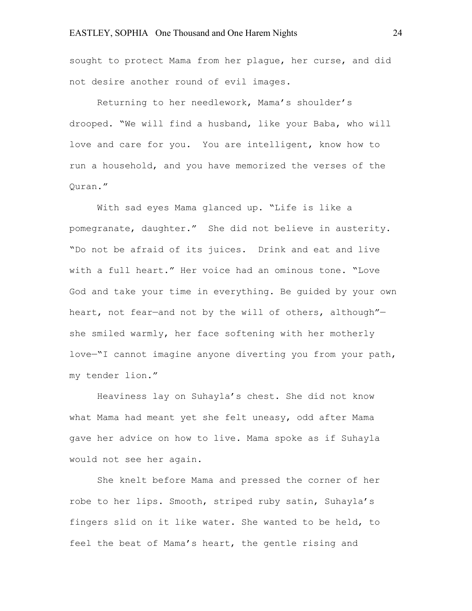sought to protect Mama from her plague, her curse, and did not desire another round of evil images.

Returning to her needlework, Mama's shoulder's drooped. "We will find a husband, like your Baba, who will love and care for you. You are intelligent, know how to run a household, and you have memorized the verses of the Quran."

With sad eyes Mama glanced up. "Life is like a pomegranate, daughter." She did not believe in austerity. "Do not be afraid of its juices. Drink and eat and live with a full heart." Her voice had an ominous tone. "Love God and take your time in everything. Be guided by your own heart, not fear-and not by the will of others, although"she smiled warmly, her face softening with her motherly love—"I cannot imagine anyone diverting you from your path, my tender lion."

Heaviness lay on Suhayla's chest. She did not know what Mama had meant yet she felt uneasy, odd after Mama gave her advice on how to live. Mama spoke as if Suhayla would not see her again.

She knelt before Mama and pressed the corner of her robe to her lips. Smooth, striped ruby satin, Suhayla's fingers slid on it like water. She wanted to be held, to feel the beat of Mama's heart, the gentle rising and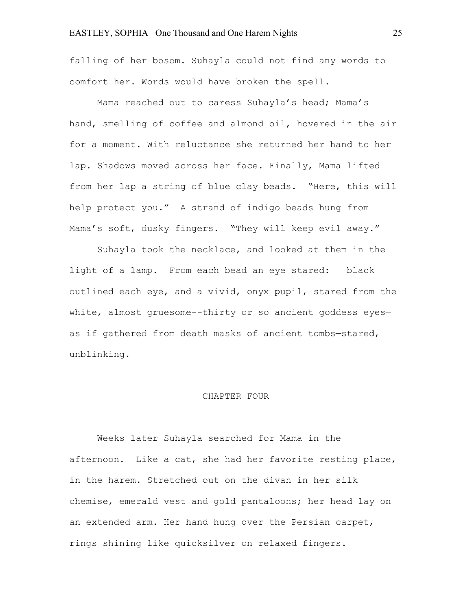falling of her bosom. Suhayla could not find any words to comfort her. Words would have broken the spell.

Mama reached out to caress Suhayla's head; Mama's hand, smelling of coffee and almond oil, hovered in the air for a moment. With reluctance she returned her hand to her lap. Shadows moved across her face. Finally, Mama lifted from her lap a string of blue clay beads. "Here, this will help protect you." A strand of indigo beads hung from Mama's soft, dusky fingers. "They will keep evil away."

Suhayla took the necklace, and looked at them in the light of a lamp. From each bead an eye stared: black outlined each eye, and a vivid, onyx pupil, stared from the white, almost gruesome--thirty or so ancient goddess eyesas if gathered from death masks of ancient tombs—stared, unblinking.

#### CHAPTER FOUR

Weeks later Suhayla searched for Mama in the afternoon. Like a cat, she had her favorite resting place, in the harem. Stretched out on the divan in her silk chemise, emerald vest and gold pantaloons; her head lay on an extended arm. Her hand hung over the Persian carpet, rings shining like quicksilver on relaxed fingers.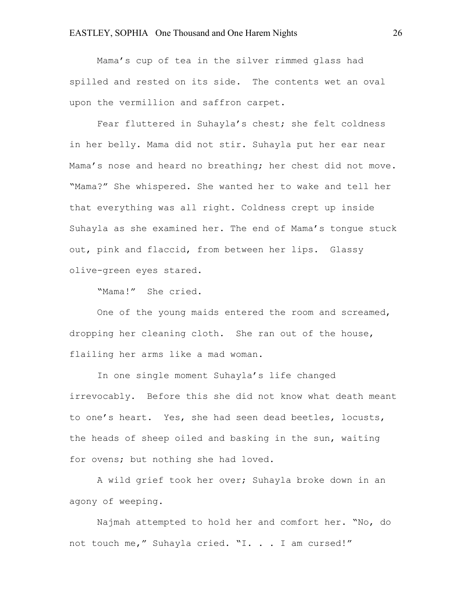Mama's cup of tea in the silver rimmed glass had spilled and rested on its side. The contents wet an oval upon the vermillion and saffron carpet.

Fear fluttered in Suhayla's chest; she felt coldness in her belly. Mama did not stir. Suhayla put her ear near Mama's nose and heard no breathing; her chest did not move. "Mama?" She whispered. She wanted her to wake and tell her that everything was all right. Coldness crept up inside Suhayla as she examined her. The end of Mama's tongue stuck out, pink and flaccid, from between her lips. Glassy olive-green eyes stared.

"Mama!" She cried.

One of the young maids entered the room and screamed, dropping her cleaning cloth. She ran out of the house, flailing her arms like a mad woman.

In one single moment Suhayla's life changed irrevocably. Before this she did not know what death meant to one's heart. Yes, she had seen dead beetles, locusts, the heads of sheep oiled and basking in the sun, waiting for ovens; but nothing she had loved.

A wild grief took her over; Suhayla broke down in an agony of weeping.

Najmah attempted to hold her and comfort her. "No, do not touch me," Suhayla cried. "I. . . I am cursed!"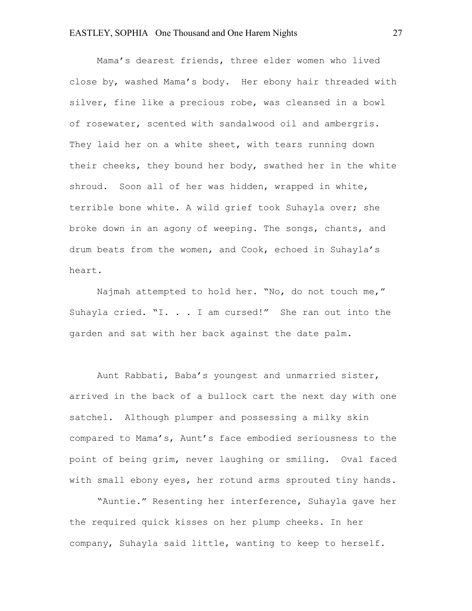Mama's dearest friends, three elder women who lived close by, washed Mama's body. Her ebony hair threaded with silver, fine like a precious robe, was cleansed in a bowl of rosewater, scented with sandalwood oil and ambergris. They laid her on a white sheet, with tears running down their cheeks, they bound her body, swathed her in the white shroud. Soon all of her was hidden, wrapped in white, terrible bone white. A wild grief took Suhayla over; she broke down in an agony of weeping. The songs, chants, and drum beats from the women, and Cook, echoed in Suhayla's heart.

Najmah attempted to hold her. "No, do not touch me," Suhayla cried. "I. . . I am cursed!" She ran out into the garden and sat with her back against the date palm.

Aunt Rabbati, Baba's youngest and unmarried sister, arrived in the back of a bullock cart the next day with one satchel. Although plumper and possessing a milky skin compared to Mama's, Aunt's face embodied seriousness to the point of being grim, never laughing or smiling. Oval faced with small ebony eyes, her rotund arms sprouted tiny hands.

"Auntie." Resenting her interference, Suhayla gave her the required quick kisses on her plump cheeks. In her company, Suhayla said little, wanting to keep to herself.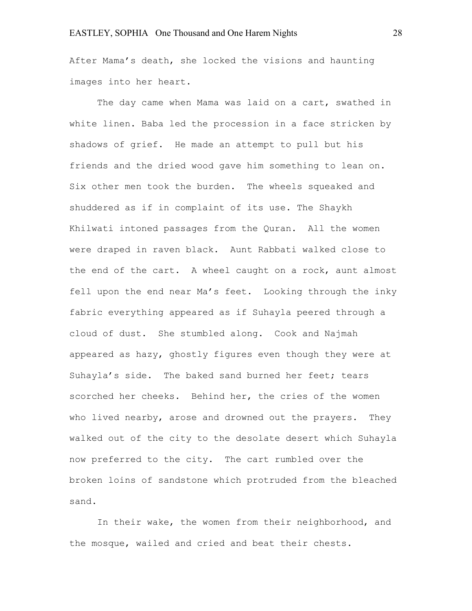After Mama's death, she locked the visions and haunting images into her heart.

The day came when Mama was laid on a cart, swathed in white linen. Baba led the procession in a face stricken by shadows of grief. He made an attempt to pull but his friends and the dried wood gave him something to lean on. Six other men took the burden. The wheels squeaked and shuddered as if in complaint of its use. The Shaykh Khilwati intoned passages from the Quran. All the women were draped in raven black. Aunt Rabbati walked close to the end of the cart. A wheel caught on a rock, aunt almost fell upon the end near Ma's feet. Looking through the inky fabric everything appeared as if Suhayla peered through a cloud of dust. She stumbled along. Cook and Najmah appeared as hazy, ghostly figures even though they were at Suhayla's side. The baked sand burned her feet; tears scorched her cheeks. Behind her, the cries of the women who lived nearby, arose and drowned out the prayers. They walked out of the city to the desolate desert which Suhayla now preferred to the city. The cart rumbled over the broken loins of sandstone which protruded from the bleached sand.

In their wake, the women from their neighborhood, and the mosque, wailed and cried and beat their chests.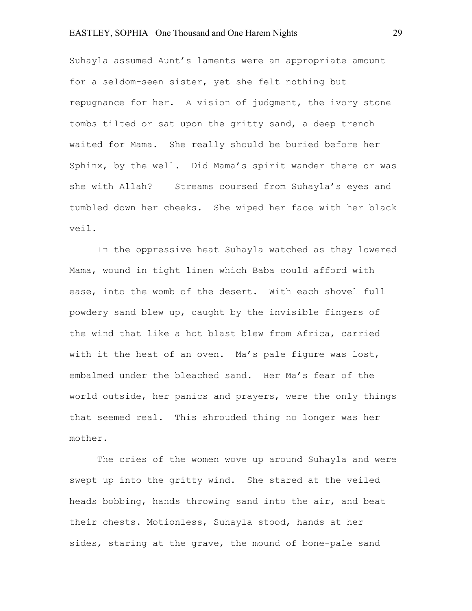Suhayla assumed Aunt's laments were an appropriate amount for a seldom-seen sister, yet she felt nothing but repugnance for her. A vision of judgment, the ivory stone tombs tilted or sat upon the gritty sand, a deep trench waited for Mama. She really should be buried before her Sphinx, by the well. Did Mama's spirit wander there or was she with Allah? Streams coursed from Suhayla's eyes and tumbled down her cheeks. She wiped her face with her black veil.

In the oppressive heat Suhayla watched as they lowered Mama, wound in tight linen which Baba could afford with ease, into the womb of the desert. With each shovel full powdery sand blew up, caught by the invisible fingers of the wind that like a hot blast blew from Africa, carried with it the heat of an oven. Ma's pale figure was lost, embalmed under the bleached sand. Her Ma's fear of the world outside, her panics and prayers, were the only things that seemed real. This shrouded thing no longer was her mother.

The cries of the women wove up around Suhayla and were swept up into the gritty wind. She stared at the veiled heads bobbing, hands throwing sand into the air, and beat their chests. Motionless, Suhayla stood, hands at her sides, staring at the grave, the mound of bone-pale sand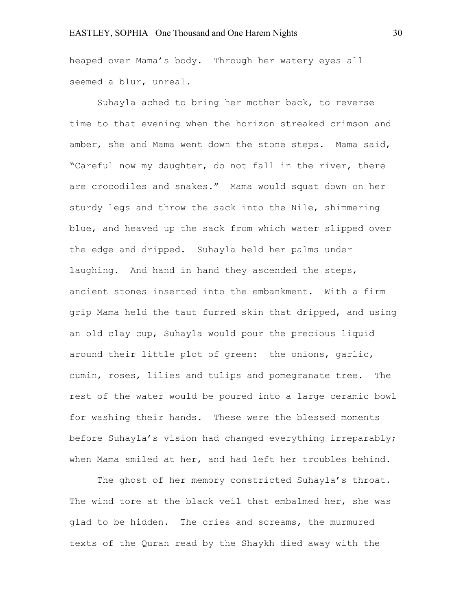heaped over Mama's body. Through her watery eyes all seemed a blur, unreal.

Suhayla ached to bring her mother back, to reverse time to that evening when the horizon streaked crimson and amber, she and Mama went down the stone steps. Mama said, "Careful now my daughter, do not fall in the river, there are crocodiles and snakes." Mama would squat down on her sturdy legs and throw the sack into the Nile, shimmering blue, and heaved up the sack from which water slipped over the edge and dripped. Suhayla held her palms under laughing. And hand in hand they ascended the steps, ancient stones inserted into the embankment. With a firm grip Mama held the taut furred skin that dripped, and using an old clay cup, Suhayla would pour the precious liquid around their little plot of green: the onions, garlic, cumin, roses, lilies and tulips and pomegranate tree. The rest of the water would be poured into a large ceramic bowl for washing their hands. These were the blessed moments before Suhayla's vision had changed everything irreparably; when Mama smiled at her, and had left her troubles behind.

The ghost of her memory constricted Suhayla's throat. The wind tore at the black veil that embalmed her, she was glad to be hidden. The cries and screams, the murmured texts of the Quran read by the Shaykh died away with the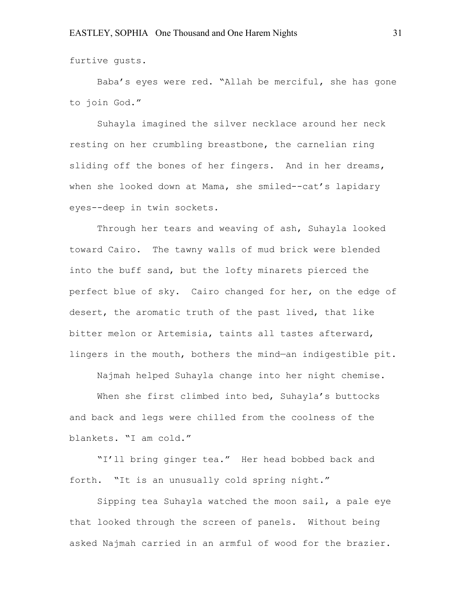furtive gusts.

Baba's eyes were red. "Allah be merciful, she has gone to join God."

Suhayla imagined the silver necklace around her neck resting on her crumbling breastbone, the carnelian ring sliding off the bones of her fingers. And in her dreams, when she looked down at Mama, she smiled--cat's lapidary eyes--deep in twin sockets.

Through her tears and weaving of ash, Suhayla looked toward Cairo. The tawny walls of mud brick were blended into the buff sand, but the lofty minarets pierced the perfect blue of sky. Cairo changed for her, on the edge of desert, the aromatic truth of the past lived, that like bitter melon or Artemisia, taints all tastes afterward, lingers in the mouth, bothers the mind—an indigestible pit.

Najmah helped Suhayla change into her night chemise.

When she first climbed into bed, Suhayla's buttocks and back and legs were chilled from the coolness of the blankets. "I am cold."

"I'll bring ginger tea." Her head bobbed back and forth. "It is an unusually cold spring night."

Sipping tea Suhayla watched the moon sail, a pale eye that looked through the screen of panels. Without being asked Najmah carried in an armful of wood for the brazier.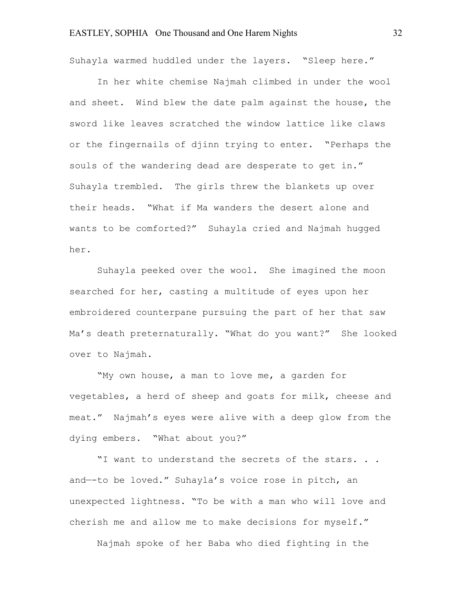Suhayla warmed huddled under the layers. "Sleep here."

In her white chemise Najmah climbed in under the wool and sheet. Wind blew the date palm against the house, the sword like leaves scratched the window lattice like claws or the fingernails of djinn trying to enter. "Perhaps the souls of the wandering dead are desperate to get in." Suhayla trembled. The girls threw the blankets up over their heads. "What if Ma wanders the desert alone and wants to be comforted?" Suhayla cried and Najmah hugged her.

Suhayla peeked over the wool. She imagined the moon searched for her, casting a multitude of eyes upon her embroidered counterpane pursuing the part of her that saw Ma's death preternaturally. "What do you want?" She looked over to Najmah.

"My own house, a man to love me, a garden for vegetables, a herd of sheep and goats for milk, cheese and meat." Najmah's eyes were alive with a deep glow from the dying embers. "What about you?"

"I want to understand the secrets of the stars. . . and—-to be loved." Suhayla's voice rose in pitch, an unexpected lightness. "To be with a man who will love and cherish me and allow me to make decisions for myself."

Najmah spoke of her Baba who died fighting in the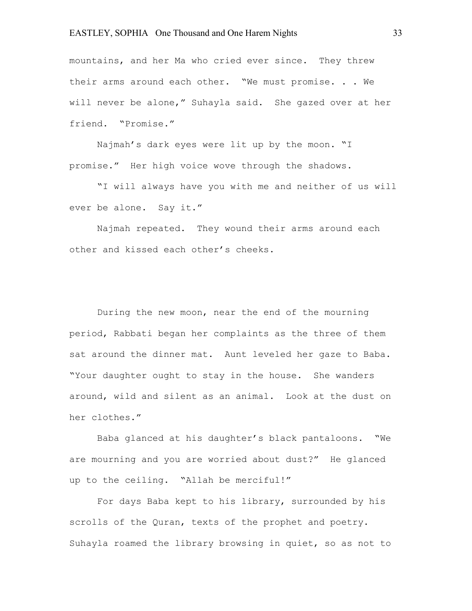mountains, and her Ma who cried ever since. They threw their arms around each other. "We must promise. . . We will never be alone," Suhayla said. She gazed over at her friend. "Promise."

Najmah's dark eyes were lit up by the moon. "I promise." Her high voice wove through the shadows.

"I will always have you with me and neither of us will ever be alone. Say it."

Najmah repeated. They wound their arms around each other and kissed each other's cheeks.

During the new moon, near the end of the mourning period, Rabbati began her complaints as the three of them sat around the dinner mat. Aunt leveled her gaze to Baba. "Your daughter ought to stay in the house. She wanders around, wild and silent as an animal. Look at the dust on her clothes."

Baba glanced at his daughter's black pantaloons. "We are mourning and you are worried about dust?" He glanced up to the ceiling. "Allah be merciful!"

For days Baba kept to his library, surrounded by his scrolls of the Quran, texts of the prophet and poetry. Suhayla roamed the library browsing in quiet, so as not to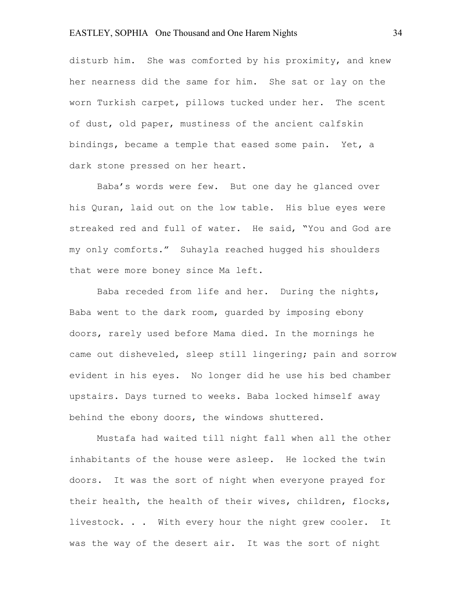disturb him. She was comforted by his proximity, and knew her nearness did the same for him. She sat or lay on the worn Turkish carpet, pillows tucked under her. The scent of dust, old paper, mustiness of the ancient calfskin bindings, became a temple that eased some pain. Yet, a dark stone pressed on her heart.

Baba's words were few. But one day he glanced over his Quran, laid out on the low table. His blue eyes were streaked red and full of water. He said, "You and God are my only comforts." Suhayla reached hugged his shoulders that were more boney since Ma left.

Baba receded from life and her. During the nights, Baba went to the dark room, guarded by imposing ebony doors, rarely used before Mama died. In the mornings he came out disheveled, sleep still lingering; pain and sorrow evident in his eyes. No longer did he use his bed chamber upstairs. Days turned to weeks. Baba locked himself away behind the ebony doors, the windows shuttered.

Mustafa had waited till night fall when all the other inhabitants of the house were asleep. He locked the twin doors. It was the sort of night when everyone prayed for their health, the health of their wives, children, flocks, livestock. . . With every hour the night grew cooler. It was the way of the desert air. It was the sort of night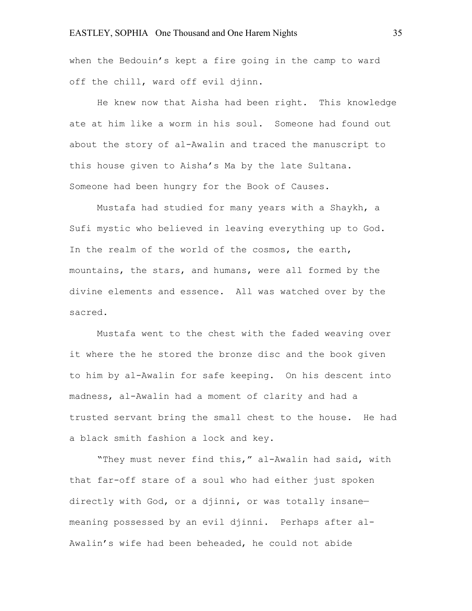when the Bedouin's kept a fire going in the camp to ward off the chill, ward off evil djinn.

He knew now that Aisha had been right. This knowledge ate at him like a worm in his soul. Someone had found out about the story of al-Awalin and traced the manuscript to this house given to Aisha's Ma by the late Sultana. Someone had been hungry for the Book of Causes.

Mustafa had studied for many years with a Shaykh, a Sufi mystic who believed in leaving everything up to God. In the realm of the world of the cosmos, the earth, mountains, the stars, and humans, were all formed by the divine elements and essence. All was watched over by the sacred.

Mustafa went to the chest with the faded weaving over it where the he stored the bronze disc and the book given to him by al-Awalin for safe keeping. On his descent into madness, al-Awalin had a moment of clarity and had a trusted servant bring the small chest to the house. He had a black smith fashion a lock and key.

"They must never find this," al-Awalin had said, with that far-off stare of a soul who had either just spoken directly with God, or a djinni, or was totally insane meaning possessed by an evil djinni. Perhaps after al-Awalin's wife had been beheaded, he could not abide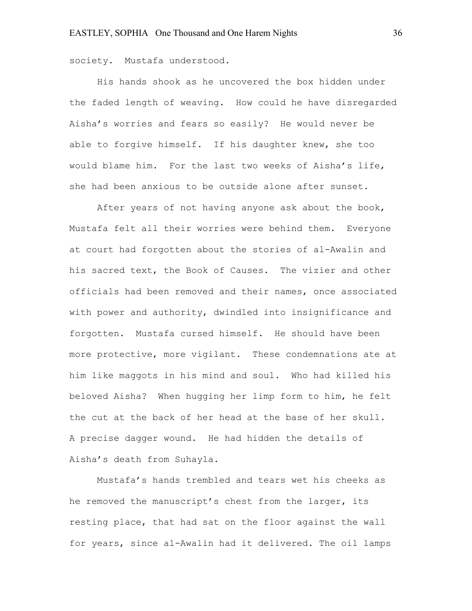society. Mustafa understood.

His hands shook as he uncovered the box hidden under the faded length of weaving. How could he have disregarded Aisha's worries and fears so easily? He would never be able to forgive himself. If his daughter knew, she too would blame him. For the last two weeks of Aisha's life, she had been anxious to be outside alone after sunset.

After years of not having anyone ask about the book, Mustafa felt all their worries were behind them. Everyone at court had forgotten about the stories of al-Awalin and his sacred text, the Book of Causes. The vizier and other officials had been removed and their names, once associated with power and authority, dwindled into insignificance and forgotten. Mustafa cursed himself. He should have been more protective, more vigilant. These condemnations ate at him like maggots in his mind and soul. Who had killed his beloved Aisha? When hugging her limp form to him, he felt the cut at the back of her head at the base of her skull. A precise dagger wound. He had hidden the details of Aisha's death from Suhayla.

Mustafa's hands trembled and tears wet his cheeks as he removed the manuscript's chest from the larger, its resting place, that had sat on the floor against the wall for years, since al-Awalin had it delivered. The oil lamps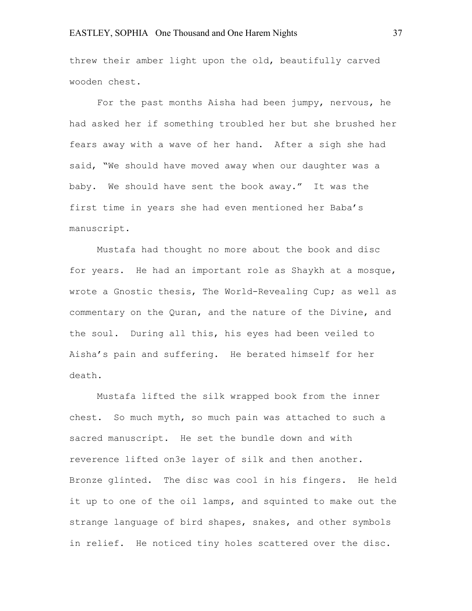### EASTLEY, SOPHIA One Thousand and One Harem Nights 37

threw their amber light upon the old, beautifully carved wooden chest.

For the past months Aisha had been jumpy, nervous, he had asked her if something troubled her but she brushed her fears away with a wave of her hand. After a sigh she had said, "We should have moved away when our daughter was a baby. We should have sent the book away." It was the first time in years she had even mentioned her Baba's manuscript.

Mustafa had thought no more about the book and disc for years. He had an important role as Shaykh at a mosque, wrote a Gnostic thesis, The World-Revealing Cup; as well as commentary on the Quran, and the nature of the Divine, and the soul. During all this, his eyes had been veiled to Aisha's pain and suffering. He berated himself for her death.

Mustafa lifted the silk wrapped book from the inner chest. So much myth, so much pain was attached to such a sacred manuscript. He set the bundle down and with reverence lifted on3e layer of silk and then another. Bronze glinted. The disc was cool in his fingers. He held it up to one of the oil lamps, and squinted to make out the strange language of bird shapes, snakes, and other symbols in relief. He noticed tiny holes scattered over the disc.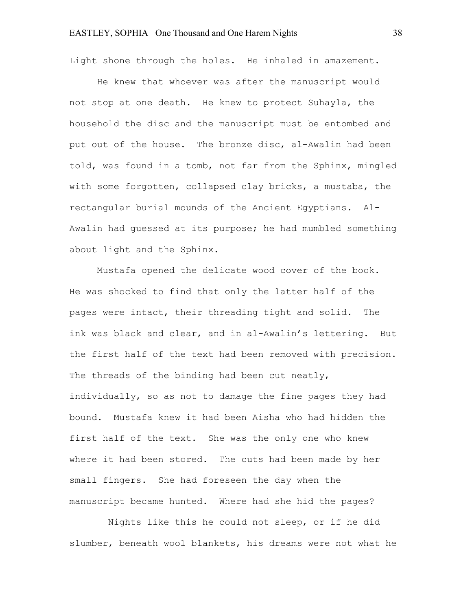Light shone through the holes. He inhaled in amazement.

He knew that whoever was after the manuscript would not stop at one death. He knew to protect Suhayla, the household the disc and the manuscript must be entombed and put out of the house. The bronze disc, al-Awalin had been told, was found in a tomb, not far from the Sphinx, mingled with some forgotten, collapsed clay bricks, a mustaba, the rectangular burial mounds of the Ancient Egyptians. Al-Awalin had guessed at its purpose; he had mumbled something about light and the Sphinx.

Mustafa opened the delicate wood cover of the book. He was shocked to find that only the latter half of the pages were intact, their threading tight and solid. The ink was black and clear, and in al-Awalin's lettering. But the first half of the text had been removed with precision. The threads of the binding had been cut neatly, individually, so as not to damage the fine pages they had bound. Mustafa knew it had been Aisha who had hidden the first half of the text. She was the only one who knew where it had been stored. The cuts had been made by her small fingers. She had foreseen the day when the manuscript became hunted. Where had she hid the pages?

 Nights like this he could not sleep, or if he did slumber, beneath wool blankets, his dreams were not what he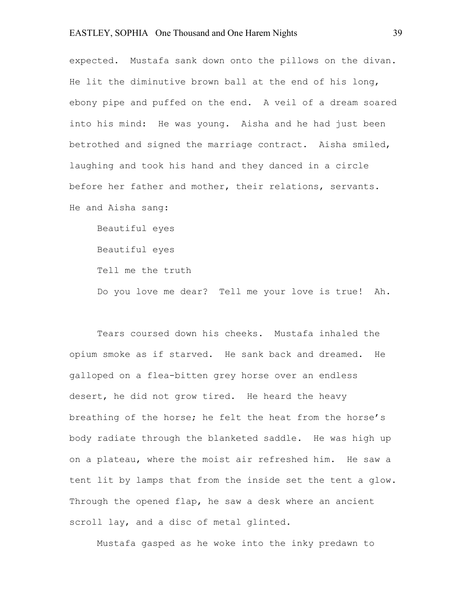# EASTLEY, SOPHIA One Thousand and One Harem Nights 39

expected. Mustafa sank down onto the pillows on the divan. He lit the diminutive brown ball at the end of his long, ebony pipe and puffed on the end. A veil of a dream soared into his mind: He was young. Aisha and he had just been betrothed and signed the marriage contract. Aisha smiled, laughing and took his hand and they danced in a circle before her father and mother, their relations, servants. He and Aisha sang:

Beautiful eyes Beautiful eyes Tell me the truth Do you love me dear? Tell me your love is true! Ah.

Tears coursed down his cheeks. Mustafa inhaled the opium smoke as if starved. He sank back and dreamed. He galloped on a flea-bitten grey horse over an endless desert, he did not grow tired. He heard the heavy breathing of the horse; he felt the heat from the horse's body radiate through the blanketed saddle. He was high up on a plateau, where the moist air refreshed him. He saw a tent lit by lamps that from the inside set the tent a glow. Through the opened flap, he saw a desk where an ancient scroll lay, and a disc of metal glinted.

Mustafa gasped as he woke into the inky predawn to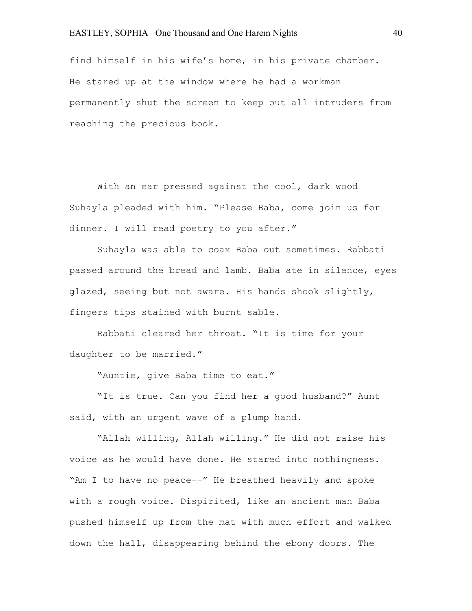find himself in his wife's home, in his private chamber. He stared up at the window where he had a workman permanently shut the screen to keep out all intruders from reaching the precious book.

With an ear pressed against the cool, dark wood Suhayla pleaded with him. "Please Baba, come join us for dinner. I will read poetry to you after."

Suhayla was able to coax Baba out sometimes. Rabbati passed around the bread and lamb. Baba ate in silence, eyes glazed, seeing but not aware. His hands shook slightly, fingers tips stained with burnt sable.

Rabbati cleared her throat. "It is time for your daughter to be married."

"Auntie, give Baba time to eat."

"It is true. Can you find her a good husband?" Aunt said, with an urgent wave of a plump hand.

"Allah willing, Allah willing." He did not raise his voice as he would have done. He stared into nothingness. "Am I to have no peace--" He breathed heavily and spoke with a rough voice. Dispirited, like an ancient man Baba pushed himself up from the mat with much effort and walked down the hall, disappearing behind the ebony doors. The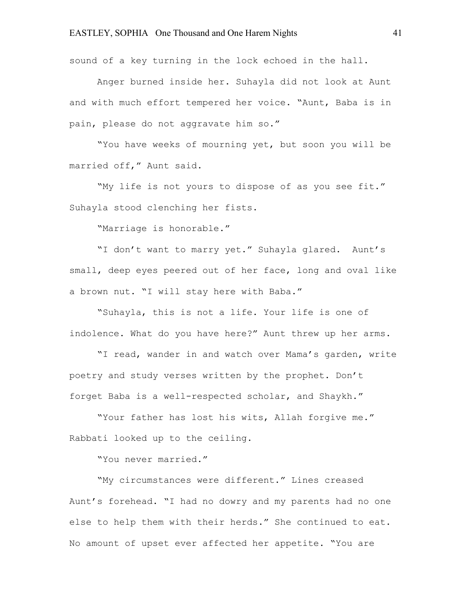sound of a key turning in the lock echoed in the hall.

Anger burned inside her. Suhayla did not look at Aunt and with much effort tempered her voice. "Aunt, Baba is in pain, please do not aggravate him so."

"You have weeks of mourning yet, but soon you will be married off," Aunt said.

"My life is not yours to dispose of as you see fit." Suhayla stood clenching her fists.

"Marriage is honorable."

"I don't want to marry yet." Suhayla glared. Aunt's small, deep eyes peered out of her face, long and oval like a brown nut. "I will stay here with Baba."

"Suhayla, this is not a life. Your life is one of indolence. What do you have here?" Aunt threw up her arms.

"I read, wander in and watch over Mama's garden, write poetry and study verses written by the prophet. Don't forget Baba is a well-respected scholar, and Shaykh."

"Your father has lost his wits, Allah forgive me." Rabbati looked up to the ceiling.

"You never married."

"My circumstances were different." Lines creased Aunt's forehead. "I had no dowry and my parents had no one else to help them with their herds." She continued to eat. No amount of upset ever affected her appetite. "You are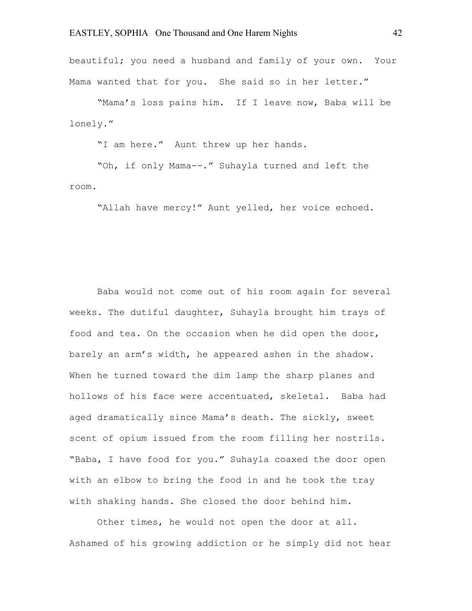beautiful; you need a husband and family of your own. Your Mama wanted that for you. She said so in her letter."

"Mama's loss pains him. If I leave now, Baba will be lonely."

"I am here." Aunt threw up her hands.

"Oh, if only Mama--." Suhayla turned and left the room.

"Allah have mercy!" Aunt yelled, her voice echoed.

Baba would not come out of his room again for several weeks. The dutiful daughter, Suhayla brought him trays of food and tea. On the occasion when he did open the door, barely an arm's width, he appeared ashen in the shadow. When he turned toward the dim lamp the sharp planes and hollows of his face were accentuated, skeletal. Baba had aged dramatically since Mama's death. The sickly, sweet scent of opium issued from the room filling her nostrils. "Baba, I have food for you." Suhayla coaxed the door open with an elbow to bring the food in and he took the tray with shaking hands. She closed the door behind him.

Other times, he would not open the door at all. Ashamed of his growing addiction or he simply did not hear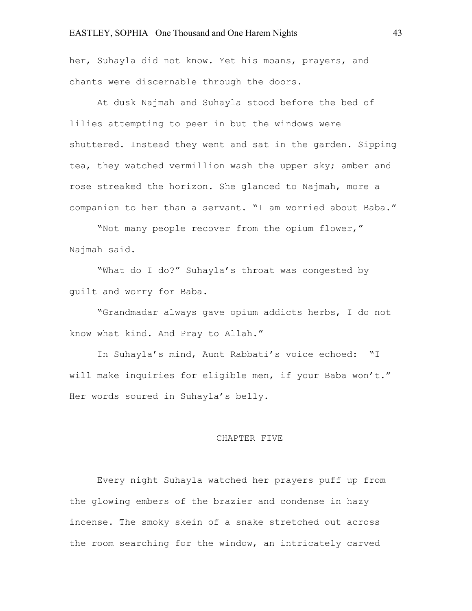#### EASTLEY, SOPHIA One Thousand and One Harem Nights 43

her, Suhayla did not know. Yet his moans, prayers, and chants were discernable through the doors.

At dusk Najmah and Suhayla stood before the bed of lilies attempting to peer in but the windows were shuttered. Instead they went and sat in the garden. Sipping tea, they watched vermillion wash the upper sky; amber and rose streaked the horizon. She glanced to Najmah, more a companion to her than a servant. "I am worried about Baba."

"Not many people recover from the opium flower," Najmah said.

"What do I do?" Suhayla's throat was congested by guilt and worry for Baba.

"Grandmadar always gave opium addicts herbs, I do not know what kind. And Pray to Allah."

In Suhayla's mind, Aunt Rabbati's voice echoed: "I will make inquiries for eligible men, if your Baba won't." Her words soured in Suhayla's belly.

#### CHAPTER FIVE

Every night Suhayla watched her prayers puff up from the glowing embers of the brazier and condense in hazy incense. The smoky skein of a snake stretched out across the room searching for the window, an intricately carved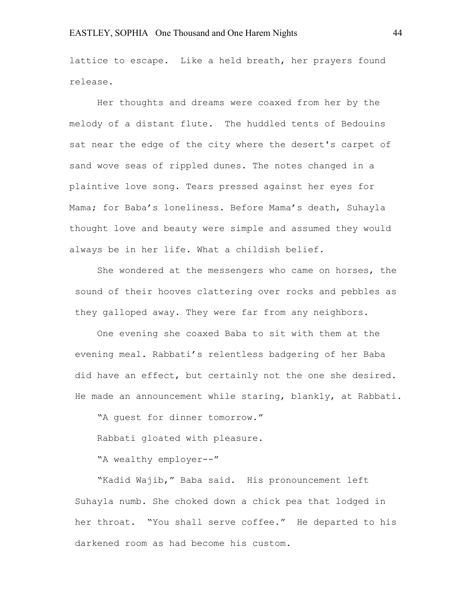lattice to escape. Like a held breath, her prayers found release.

Her thoughts and dreams were coaxed from her by the melody of a distant flute. The huddled tents of Bedouins sat near the edge of the city where the desert's carpet of sand wove seas of rippled dunes. The notes changed in a plaintive love song. Tears pressed against her eyes for Mama; for Baba's loneliness. Before Mama's death, Suhayla thought love and beauty were simple and assumed they would always be in her life. What a childish belief.

She wondered at the messengers who came on horses, the sound of their hooves clattering over rocks and pebbles as they galloped away. They were far from any neighbors.

One evening she coaxed Baba to sit with them at the evening meal. Rabbati's relentless badgering of her Baba did have an effect, but certainly not the one she desired. He made an announcement while staring, blankly, at Rabbati.

"A guest for dinner tomorrow."

Rabbati gloated with pleasure.

"A wealthy employer--"

"Kadid Wajib," Baba said. His pronouncement left Suhayla numb. She choked down a chick pea that lodged in her throat. "You shall serve coffee." He departed to his darkened room as had become his custom.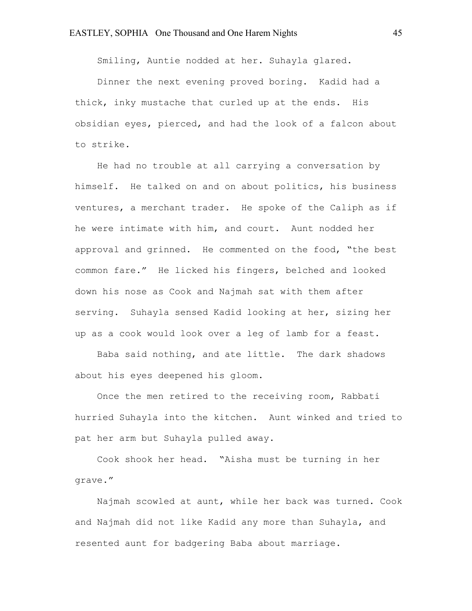Smiling, Auntie nodded at her. Suhayla glared.

Dinner the next evening proved boring. Kadid had a thick, inky mustache that curled up at the ends. His obsidian eyes, pierced, and had the look of a falcon about to strike.

He had no trouble at all carrying a conversation by himself. He talked on and on about politics, his business ventures, a merchant trader. He spoke of the Caliph as if he were intimate with him, and court. Aunt nodded her approval and grinned. He commented on the food, "the best common fare." He licked his fingers, belched and looked down his nose as Cook and Najmah sat with them after serving. Suhayla sensed Kadid looking at her, sizing her up as a cook would look over a leg of lamb for a feast.

Baba said nothing, and ate little. The dark shadows about his eyes deepened his gloom.

Once the men retired to the receiving room, Rabbati hurried Suhayla into the kitchen. Aunt winked and tried to pat her arm but Suhayla pulled away.

Cook shook her head. "Aisha must be turning in her grave."

Najmah scowled at aunt, while her back was turned. Cook and Najmah did not like Kadid any more than Suhayla, and resented aunt for badgering Baba about marriage.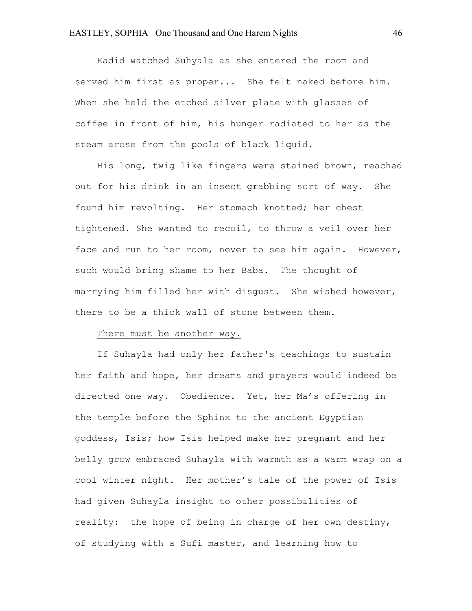Kadid watched Suhyala as she entered the room and served him first as proper... She felt naked before him. When she held the etched silver plate with glasses of coffee in front of him, his hunger radiated to her as the steam arose from the pools of black liquid.

His long, twig like fingers were stained brown, reached out for his drink in an insect grabbing sort of way. She found him revolting. Her stomach knotted; her chest tightened. She wanted to recoil, to throw a veil over her face and run to her room, never to see him again. However, such would bring shame to her Baba. The thought of marrying him filled her with disgust. She wished however, there to be a thick wall of stone between them.

# There must be another way.

If Suhayla had only her father's teachings to sustain her faith and hope, her dreams and prayers would indeed be directed one way. Obedience. Yet, her Ma's offering in the temple before the Sphinx to the ancient Egyptian goddess, Isis; how Isis helped make her pregnant and her belly grow embraced Suhayla with warmth as a warm wrap on a cool winter night. Her mother's tale of the power of Isis had given Suhayla insight to other possibilities of reality: the hope of being in charge of her own destiny, of studying with a Sufi master, and learning how to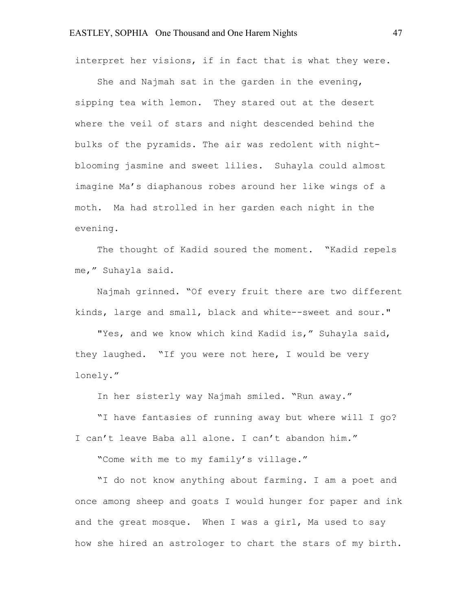interpret her visions, if in fact that is what they were.

She and Najmah sat in the garden in the evening, sipping tea with lemon. They stared out at the desert where the veil of stars and night descended behind the bulks of the pyramids. The air was redolent with nightblooming jasmine and sweet lilies. Suhayla could almost imagine Ma's diaphanous robes around her like wings of a moth. Ma had strolled in her garden each night in the evening.

The thought of Kadid soured the moment. "Kadid repels me," Suhayla said.

Najmah grinned. "Of every fruit there are two different kinds, large and small, black and white--sweet and sour."

"Yes, and we know which kind Kadid is," Suhayla said, they laughed. "If you were not here, I would be very lonely."

In her sisterly way Najmah smiled. "Run away."

"I have fantasies of running away but where will I go? I can't leave Baba all alone. I can't abandon him."

"Come with me to my family's village."

"I do not know anything about farming. I am a poet and once among sheep and goats I would hunger for paper and ink and the great mosque. When I was a girl, Ma used to say how she hired an astrologer to chart the stars of my birth.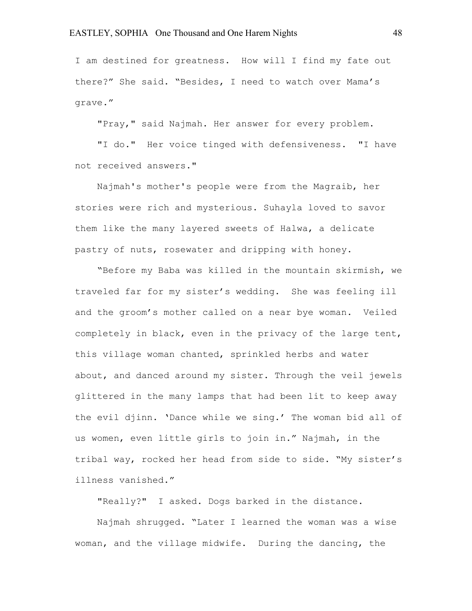I am destined for greatness. How will I find my fate out there?" She said. "Besides, I need to watch over Mama's grave."

"Pray," said Najmah. Her answer for every problem.

"I do." Her voice tinged with defensiveness. "I have not received answers."

Najmah's mother's people were from the Magraib, her stories were rich and mysterious. Suhayla loved to savor them like the many layered sweets of Halwa, a delicate pastry of nuts, rosewater and dripping with honey.

"Before my Baba was killed in the mountain skirmish, we traveled far for my sister's wedding. She was feeling ill and the groom's mother called on a near bye woman. Veiled completely in black, even in the privacy of the large tent, this village woman chanted, sprinkled herbs and water about, and danced around my sister. Through the veil jewels glittered in the many lamps that had been lit to keep away the evil djinn. 'Dance while we sing.' The woman bid all of us women, even little girls to join in." Najmah, in the tribal way, rocked her head from side to side. "My sister's illness vanished."

"Really?" I asked. Dogs barked in the distance.

Najmah shrugged. "Later I learned the woman was a wise woman, and the village midwife. During the dancing, the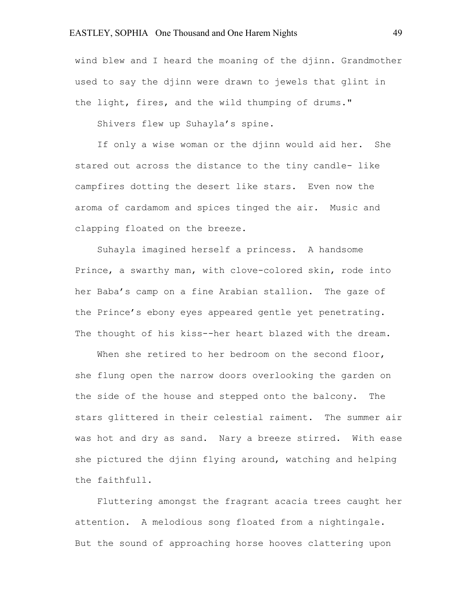# EASTLEY, SOPHIA One Thousand and One Harem Nights 49

wind blew and I heard the moaning of the djinn. Grandmother used to say the djinn were drawn to jewels that glint in the light, fires, and the wild thumping of drums."

Shivers flew up Suhayla's spine.

If only a wise woman or the djinn would aid her. She stared out across the distance to the tiny candle- like campfires dotting the desert like stars. Even now the aroma of cardamom and spices tinged the air. Music and clapping floated on the breeze.

Suhayla imagined herself a princess. A handsome Prince, a swarthy man, with clove-colored skin, rode into her Baba's camp on a fine Arabian stallion. The gaze of the Prince's ebony eyes appeared gentle yet penetrating. The thought of his kiss--her heart blazed with the dream.

When she retired to her bedroom on the second floor, she flung open the narrow doors overlooking the garden on the side of the house and stepped onto the balcony. The stars glittered in their celestial raiment. The summer air was hot and dry as sand. Nary a breeze stirred. With ease she pictured the djinn flying around, watching and helping the faithfull.

Fluttering amongst the fragrant acacia trees caught her attention. A melodious song floated from a nightingale. But the sound of approaching horse hooves clattering upon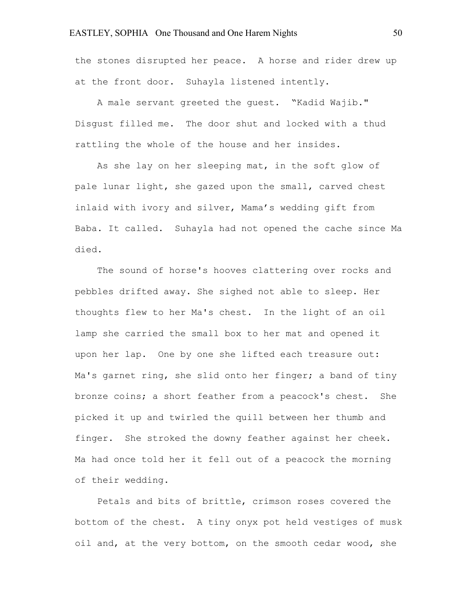the stones disrupted her peace. A horse and rider drew up at the front door. Suhayla listened intently.

A male servant greeted the guest. "Kadid Wajib." Disgust filled me. The door shut and locked with a thud rattling the whole of the house and her insides.

As she lay on her sleeping mat, in the soft glow of pale lunar light, she gazed upon the small, carved chest inlaid with ivory and silver, Mama's wedding gift from Baba. It called. Suhayla had not opened the cache since Ma died.

The sound of horse's hooves clattering over rocks and pebbles drifted away. She sighed not able to sleep. Her thoughts flew to her Ma's chest. In the light of an oil lamp she carried the small box to her mat and opened it upon her lap. One by one she lifted each treasure out: Ma's garnet ring, she slid onto her finger; a band of tiny bronze coins; a short feather from a peacock's chest. She picked it up and twirled the quill between her thumb and finger. She stroked the downy feather against her cheek. Ma had once told her it fell out of a peacock the morning of their wedding.

Petals and bits of brittle, crimson roses covered the bottom of the chest. A tiny onyx pot held vestiges of musk oil and, at the very bottom, on the smooth cedar wood, she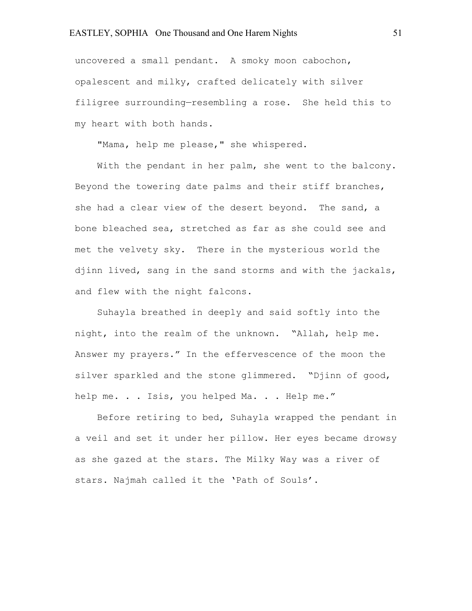uncovered a small pendant. A smoky moon cabochon, opalescent and milky, crafted delicately with silver filigree surrounding—resembling a rose. She held this to my heart with both hands.

"Mama, help me please," she whispered.

With the pendant in her palm, she went to the balcony. Beyond the towering date palms and their stiff branches, she had a clear view of the desert beyond. The sand, a bone bleached sea, stretched as far as she could see and met the velvety sky. There in the mysterious world the djinn lived, sang in the sand storms and with the jackals, and flew with the night falcons.

Suhayla breathed in deeply and said softly into the night, into the realm of the unknown. "Allah, help me. Answer my prayers." In the effervescence of the moon the silver sparkled and the stone glimmered. "Djinn of good, help me. . . Isis, you helped Ma. . . Help me."

Before retiring to bed, Suhayla wrapped the pendant in a veil and set it under her pillow. Her eyes became drowsy as she gazed at the stars. The Milky Way was a river of stars. Najmah called it the 'Path of Souls'.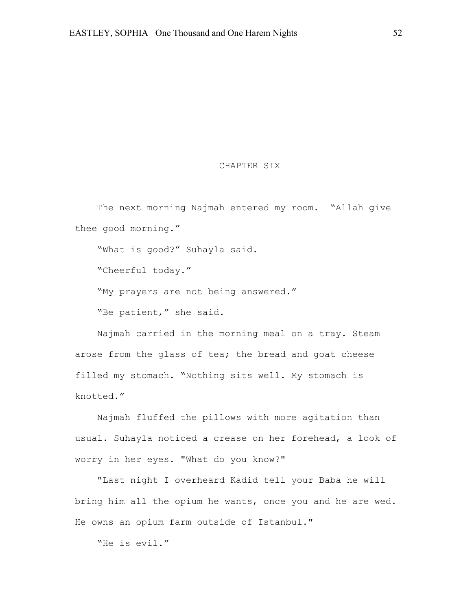# CHAPTER SIX

The next morning Najmah entered my room. "Allah give thee good morning."

"What is good?" Suhayla said.

"Cheerful today."

"My prayers are not being answered."

"Be patient," she said.

Najmah carried in the morning meal on a tray. Steam arose from the glass of tea; the bread and goat cheese filled my stomach. "Nothing sits well. My stomach is knotted."

Najmah fluffed the pillows with more agitation than usual. Suhayla noticed a crease on her forehead, a look of worry in her eyes. "What do you know?"

"Last night I overheard Kadid tell your Baba he will bring him all the opium he wants, once you and he are wed. He owns an opium farm outside of Istanbul."

"He is evil."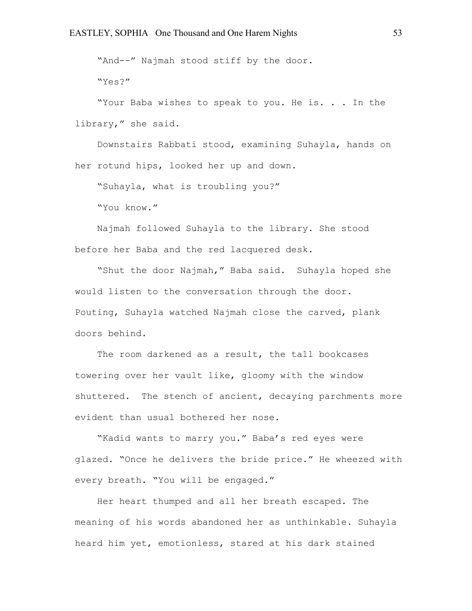"And--" Najmah stood stiff by the door.

"Yes?"

"Your Baba wishes to speak to you. He is. . . In the library," she said.

Downstairs Rabbati stood, examining Suhayla, hands on her rotund hips, looked her up and down.

"Suhayla, what is troubling you?"

"You know."

Najmah followed Suhayla to the library. She stood before her Baba and the red lacquered desk.

"Shut the door Najmah," Baba said. Suhayla hoped she would listen to the conversation through the door. Pouting, Suhayla watched Najmah close the carved, plank doors behind.

The room darkened as a result, the tall bookcases towering over her vault like, gloomy with the window shuttered. The stench of ancient, decaying parchments more evident than usual bothered her nose.

"Kadid wants to marry you." Baba's red eyes were glazed. "Once he delivers the bride price." He wheezed with every breath. "You will be engaged."

Her heart thumped and all her breath escaped. The meaning of his words abandoned her as unthinkable. Suhayla heard him yet, emotionless, stared at his dark stained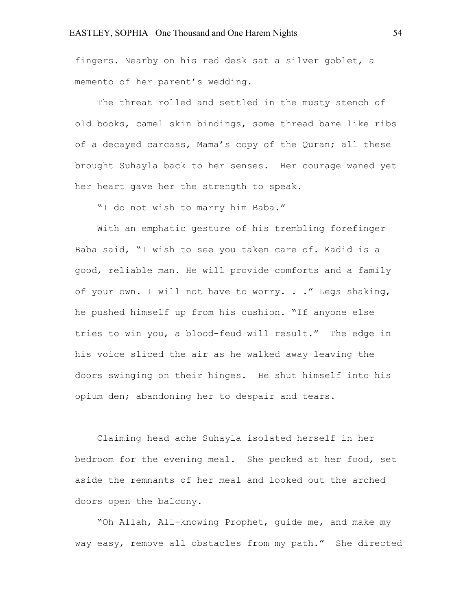fingers. Nearby on his red desk sat a silver goblet, a memento of her parent's wedding.

The threat rolled and settled in the musty stench of old books, camel skin bindings, some thread bare like ribs of a decayed carcass, Mama's copy of the Quran; all these brought Suhayla back to her senses. Her courage waned yet her heart gave her the strength to speak.

"I do not wish to marry him Baba."

With an emphatic gesture of his trembling forefinger Baba said, "I wish to see you taken care of. Kadid is a good, reliable man. He will provide comforts and a family of your own. I will not have to worry. . ." Legs shaking, he pushed himself up from his cushion. "If anyone else tries to win you, a blood-feud will result." The edge in his voice sliced the air as he walked away leaving the doors swinging on their hinges. He shut himself into his opium den; abandoning her to despair and tears.

Claiming head ache Suhayla isolated herself in her bedroom for the evening meal. She pecked at her food, set aside the remnants of her meal and looked out the arched doors open the balcony.

"Oh Allah, All-knowing Prophet, guide me, and make my way easy, remove all obstacles from my path." She directed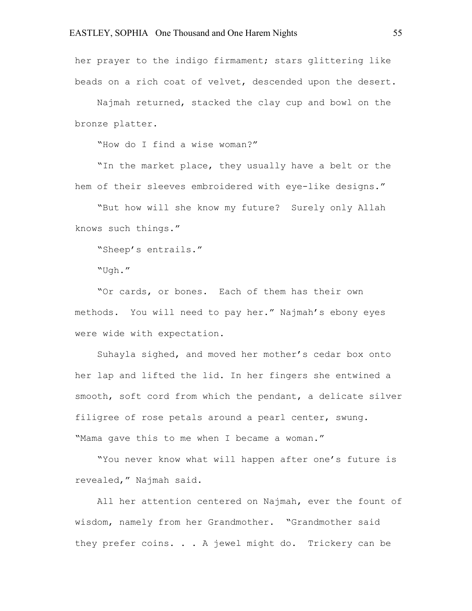her prayer to the indigo firmament; stars glittering like beads on a rich coat of velvet, descended upon the desert.

Najmah returned, stacked the clay cup and bowl on the bronze platter.

"How do I find a wise woman?"

"In the market place, they usually have a belt or the hem of their sleeves embroidered with eye-like designs."

"But how will she know my future? Surely only Allah knows such things."

"Sheep's entrails."

"Ugh."

"Or cards, or bones. Each of them has their own methods. You will need to pay her." Najmah's ebony eyes were wide with expectation.

Suhayla sighed, and moved her mother's cedar box onto her lap and lifted the lid. In her fingers she entwined a smooth, soft cord from which the pendant, a delicate silver filigree of rose petals around a pearl center, swung. "Mama gave this to me when I became a woman."

"You never know what will happen after one's future is revealed," Najmah said.

All her attention centered on Najmah, ever the fount of wisdom, namely from her Grandmother. "Grandmother said they prefer coins. . . A jewel might do. Trickery can be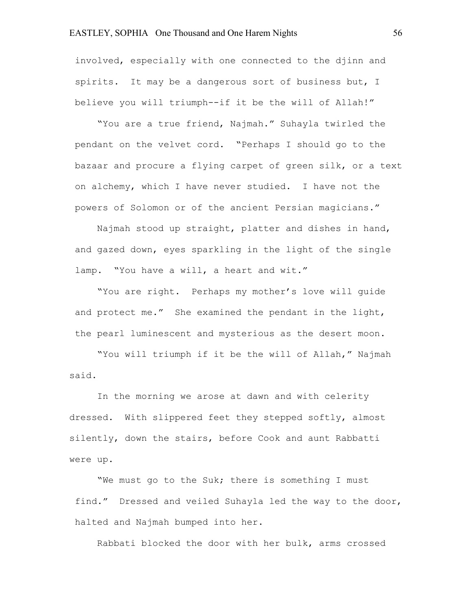# EASTLEY, SOPHIA One Thousand and One Harem Nights 56

involved, especially with one connected to the djinn and spirits. It may be a dangerous sort of business but, I believe you will triumph--if it be the will of Allah!"

"You are a true friend, Najmah." Suhayla twirled the pendant on the velvet cord. "Perhaps I should go to the bazaar and procure a flying carpet of green silk, or a text on alchemy, which I have never studied. I have not the powers of Solomon or of the ancient Persian magicians."

Najmah stood up straight, platter and dishes in hand, and gazed down, eyes sparkling in the light of the single lamp. "You have a will, a heart and wit."

"You are right. Perhaps my mother's love will guide and protect me." She examined the pendant in the light, the pearl luminescent and mysterious as the desert moon.

"You will triumph if it be the will of Allah," Najmah said.

In the morning we arose at dawn and with celerity dressed. With slippered feet they stepped softly, almost silently, down the stairs, before Cook and aunt Rabbatti were up.

"We must go to the Suk; there is something I must find." Dressed and veiled Suhayla led the way to the door, halted and Najmah bumped into her.

Rabbati blocked the door with her bulk, arms crossed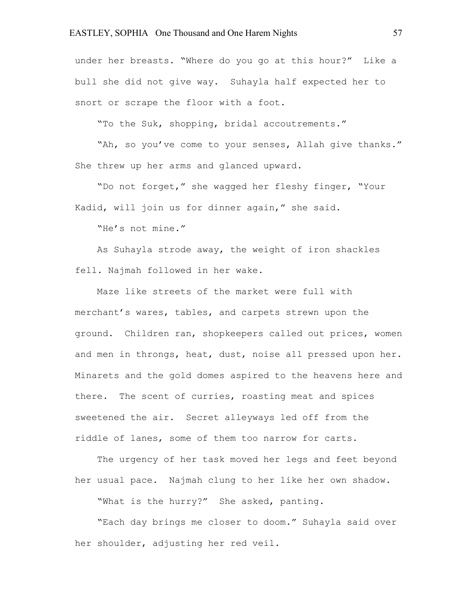# EASTLEY, SOPHIA One Thousand and One Harem Nights 57

under her breasts. "Where do you go at this hour?" Like a bull she did not give way. Suhayla half expected her to snort or scrape the floor with a foot.

"To the Suk, shopping, bridal accoutrements."

"Ah, so you've come to your senses, Allah give thanks." She threw up her arms and glanced upward.

"Do not forget," she wagged her fleshy finger, "Your Kadid, will join us for dinner again," she said.

"He's not mine."

As Suhayla strode away, the weight of iron shackles fell. Najmah followed in her wake.

Maze like streets of the market were full with merchant's wares, tables, and carpets strewn upon the ground. Children ran, shopkeepers called out prices, women and men in throngs, heat, dust, noise all pressed upon her. Minarets and the gold domes aspired to the heavens here and there. The scent of curries, roasting meat and spices sweetened the air. Secret alleyways led off from the riddle of lanes, some of them too narrow for carts.

The urgency of her task moved her legs and feet beyond her usual pace. Najmah clung to her like her own shadow.

"What is the hurry?" She asked, panting.

"Each day brings me closer to doom." Suhayla said over her shoulder, adjusting her red veil.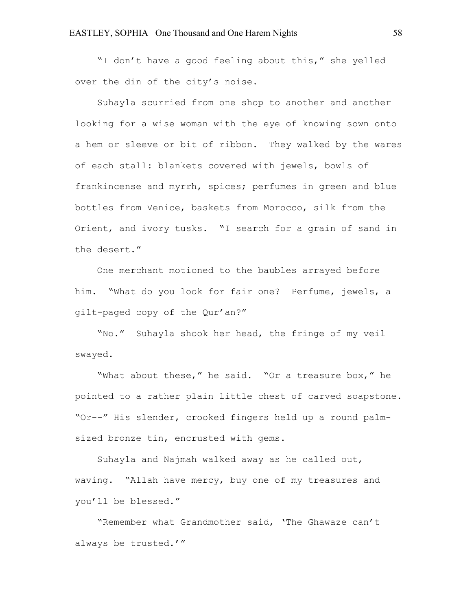"I don't have a good feeling about this," she yelled over the din of the city's noise.

Suhayla scurried from one shop to another and another looking for a wise woman with the eye of knowing sown onto a hem or sleeve or bit of ribbon. They walked by the wares of each stall: blankets covered with jewels, bowls of frankincense and myrrh, spices; perfumes in green and blue bottles from Venice, baskets from Morocco, silk from the Orient, and ivory tusks. "I search for a grain of sand in the desert."

One merchant motioned to the baubles arrayed before him. "What do you look for fair one? Perfume, jewels, a gilt-paged copy of the Qur'an?"

"No." Suhayla shook her head, the fringe of my veil swayed.

"What about these," he said. "Or a treasure box," he pointed to a rather plain little chest of carved soapstone. "Or--" His slender, crooked fingers held up a round palmsized bronze tin, encrusted with gems.

Suhayla and Najmah walked away as he called out, waving. "Allah have mercy, buy one of my treasures and you'll be blessed."

"Remember what Grandmother said, 'The Ghawaze can't always be trusted.'"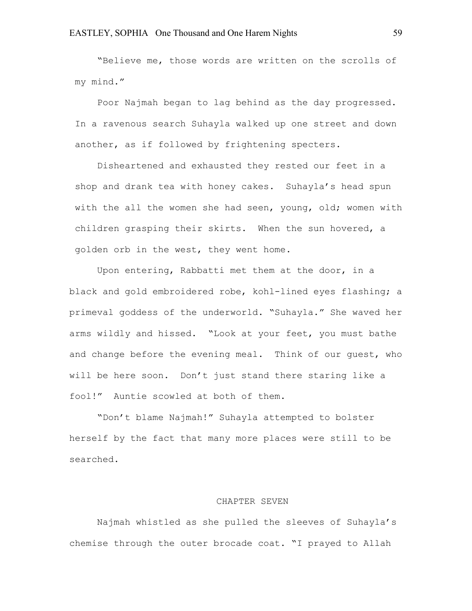"Believe me, those words are written on the scrolls of my mind."

Poor Najmah began to lag behind as the day progressed. In a ravenous search Suhayla walked up one street and down another, as if followed by frightening specters.

Disheartened and exhausted they rested our feet in a shop and drank tea with honey cakes. Suhayla's head spun with the all the women she had seen, young, old; women with children grasping their skirts. When the sun hovered, a golden orb in the west, they went home.

Upon entering, Rabbatti met them at the door, in a black and gold embroidered robe, kohl-lined eyes flashing; a primeval goddess of the underworld. "Suhayla." She waved her arms wildly and hissed. "Look at your feet, you must bathe and change before the evening meal. Think of our guest, who will be here soon. Don't just stand there staring like a fool!" Auntie scowled at both of them.

"Don't blame Najmah!" Suhayla attempted to bolster herself by the fact that many more places were still to be searched.

#### CHAPTER SEVEN

Najmah whistled as she pulled the sleeves of Suhayla's chemise through the outer brocade coat. "I prayed to Allah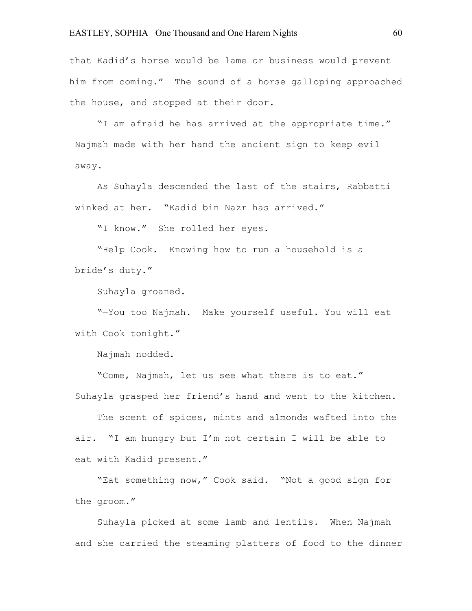# EASTLEY, SOPHIA One Thousand and One Harem Nights 60

that Kadid's horse would be lame or business would prevent him from coming." The sound of a horse galloping approached the house, and stopped at their door.

"I am afraid he has arrived at the appropriate time." Najmah made with her hand the ancient sign to keep evil away.

As Suhayla descended the last of the stairs, Rabbatti winked at her. "Kadid bin Nazr has arrived."

"I know." She rolled her eyes.

"Help Cook. Knowing how to run a household is a bride's duty."

Suhayla groaned.

"—You too Najmah. Make yourself useful. You will eat with Cook tonight."

Najmah nodded.

"Come, Najmah, let us see what there is to eat." Suhayla grasped her friend's hand and went to the kitchen.

The scent of spices, mints and almonds wafted into the air. "I am hungry but I'm not certain I will be able to eat with Kadid present."

"Eat something now," Cook said. "Not a good sign for the groom."

Suhayla picked at some lamb and lentils. When Najmah and she carried the steaming platters of food to the dinner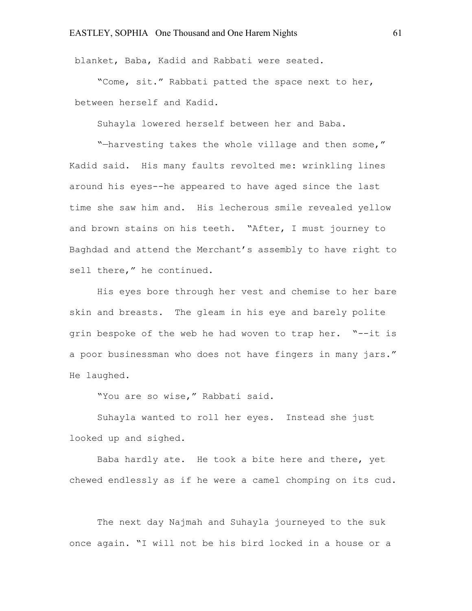blanket, Baba, Kadid and Rabbati were seated.

"Come, sit." Rabbati patted the space next to her, between herself and Kadid.

Suhayla lowered herself between her and Baba.

"—harvesting takes the whole village and then some," Kadid said. His many faults revolted me: wrinkling lines around his eyes--he appeared to have aged since the last time she saw him and. His lecherous smile revealed yellow and brown stains on his teeth. "After, I must journey to Baghdad and attend the Merchant's assembly to have right to sell there," he continued.

His eyes bore through her vest and chemise to her bare skin and breasts. The gleam in his eye and barely polite grin bespoke of the web he had woven to trap her. "--it is a poor businessman who does not have fingers in many jars." He laughed.

"You are so wise," Rabbati said.

Suhayla wanted to roll her eyes. Instead she just looked up and sighed.

Baba hardly ate. He took a bite here and there, yet chewed endlessly as if he were a camel chomping on its cud.

The next day Najmah and Suhayla journeyed to the suk once again. "I will not be his bird locked in a house or a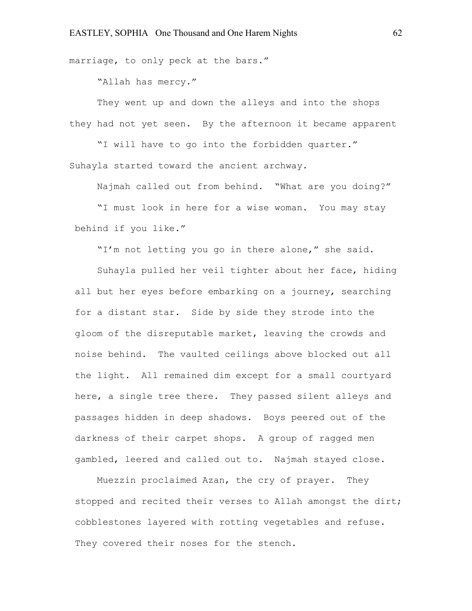marriage, to only peck at the bars."

"Allah has mercy."

They went up and down the alleys and into the shops they had not yet seen. By the afternoon it became apparent

"I will have to go into the forbidden quarter." Suhayla started toward the ancient archway.

Najmah called out from behind. "What are you doing?"

"I must look in here for a wise woman. You may stay behind if you like."

"I'm not letting you go in there alone," she said.

Suhayla pulled her veil tighter about her face, hiding all but her eyes before embarking on a journey, searching for a distant star. Side by side they strode into the gloom of the disreputable market, leaving the crowds and noise behind. The vaulted ceilings above blocked out all the light. All remained dim except for a small courtyard here, a single tree there. They passed silent alleys and passages hidden in deep shadows. Boys peered out of the darkness of their carpet shops. A group of ragged men gambled, leered and called out to. Najmah stayed close.

Muezzin proclaimed Azan, the cry of prayer. They stopped and recited their verses to Allah amongst the dirt; cobblestones layered with rotting vegetables and refuse. They covered their noses for the stench.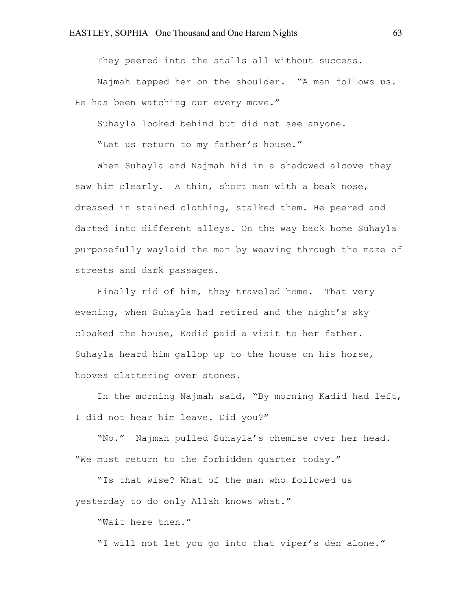They peered into the stalls all without success.

Najmah tapped her on the shoulder. "A man follows us. He has been watching our every move."

Suhayla looked behind but did not see anyone.

"Let us return to my father's house."

When Suhayla and Najmah hid in a shadowed alcove they saw him clearly. A thin, short man with a beak nose, dressed in stained clothing, stalked them. He peered and darted into different alleys. On the way back home Suhayla purposefully waylaid the man by weaving through the maze of streets and dark passages.

Finally rid of him, they traveled home. That very evening, when Suhayla had retired and the night's sky cloaked the house, Kadid paid a visit to her father. Suhayla heard him gallop up to the house on his horse, hooves clattering over stones.

In the morning Najmah said, "By morning Kadid had left, I did not hear him leave. Did you?"

"No." Najmah pulled Suhayla's chemise over her head. "We must return to the forbidden quarter today."

"Is that wise? What of the man who followed us yesterday to do only Allah knows what."

"Wait here then."

"I will not let you go into that viper's den alone."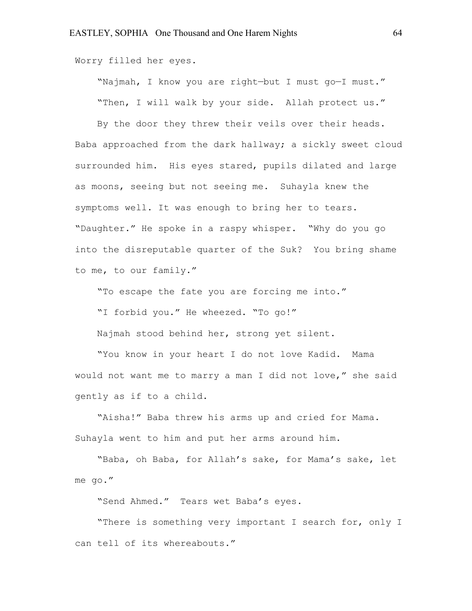Worry filled her eyes.

"Najmah, I know you are right—but I must go—I must." "Then, I will walk by your side. Allah protect us."

By the door they threw their veils over their heads. Baba approached from the dark hallway; a sickly sweet cloud surrounded him. His eyes stared, pupils dilated and large as moons, seeing but not seeing me. Suhayla knew the symptoms well. It was enough to bring her to tears. "Daughter." He spoke in a raspy whisper. "Why do you go into the disreputable quarter of the Suk? You bring shame to me, to our family."

"To escape the fate you are forcing me into."

"I forbid you." He wheezed. "To go!"

Najmah stood behind her, strong yet silent.

"You know in your heart I do not love Kadid. Mama would not want me to marry a man I did not love," she said gently as if to a child.

"Aisha!" Baba threw his arms up and cried for Mama. Suhayla went to him and put her arms around him.

"Baba, oh Baba, for Allah's sake, for Mama's sake, let me go."

"Send Ahmed." Tears wet Baba's eyes.

"There is something very important I search for, only I can tell of its whereabouts."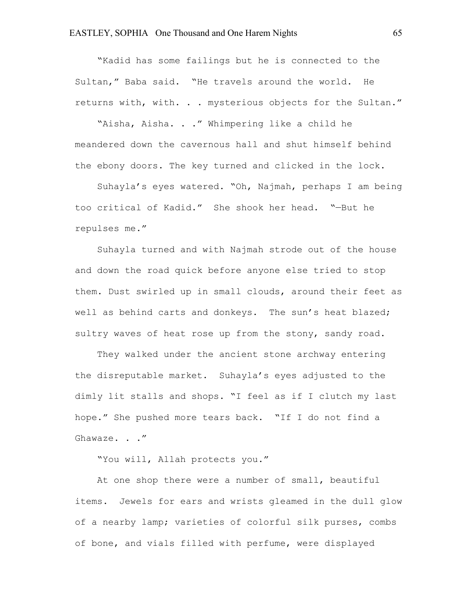"Kadid has some failings but he is connected to the Sultan," Baba said. "He travels around the world. He returns with, with. . . mysterious objects for the Sultan."

"Aisha, Aisha. . ." Whimpering like a child he meandered down the cavernous hall and shut himself behind the ebony doors. The key turned and clicked in the lock.

Suhayla's eyes watered. "Oh, Najmah, perhaps I am being too critical of Kadid." She shook her head. "—But he repulses me."

Suhayla turned and with Najmah strode out of the house and down the road quick before anyone else tried to stop them. Dust swirled up in small clouds, around their feet as well as behind carts and donkeys. The sun's heat blazed; sultry waves of heat rose up from the stony, sandy road.

They walked under the ancient stone archway entering the disreputable market. Suhayla's eyes adjusted to the dimly lit stalls and shops. "I feel as if I clutch my last hope." She pushed more tears back. "If I do not find a Ghawaze. . ."

"You will, Allah protects you."

At one shop there were a number of small, beautiful items. Jewels for ears and wrists gleamed in the dull glow of a nearby lamp; varieties of colorful silk purses, combs of bone, and vials filled with perfume, were displayed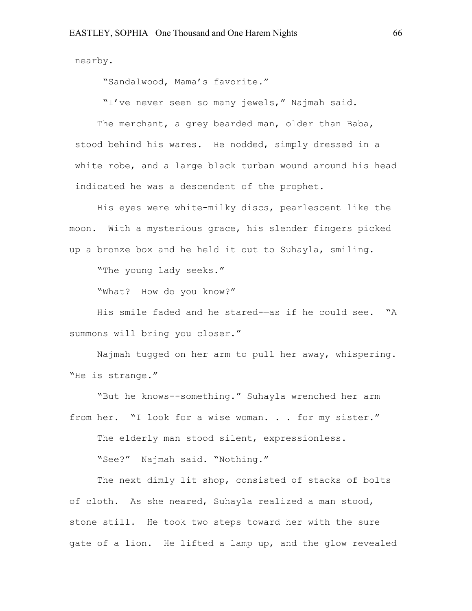nearby.

"Sandalwood, Mama's favorite."

"I've never seen so many jewels," Najmah said.

The merchant, a grey bearded man, older than Baba, stood behind his wares. He nodded, simply dressed in a white robe, and a large black turban wound around his head indicated he was a descendent of the prophet.

His eyes were white-milky discs, pearlescent like the moon. With a mysterious grace, his slender fingers picked up a bronze box and he held it out to Suhayla, smiling.

"The young lady seeks."

"What? How do you know?"

His smile faded and he stared-—as if he could see. "A summons will bring you closer."

Najmah tugged on her arm to pull her away, whispering. "He is strange."

"But he knows--something." Suhayla wrenched her arm from her. "I look for a wise woman. . . for my sister."

The elderly man stood silent, expressionless.

"See?" Najmah said. "Nothing."

The next dimly lit shop, consisted of stacks of bolts of cloth. As she neared, Suhayla realized a man stood, stone still. He took two steps toward her with the sure gate of a lion. He lifted a lamp up, and the glow revealed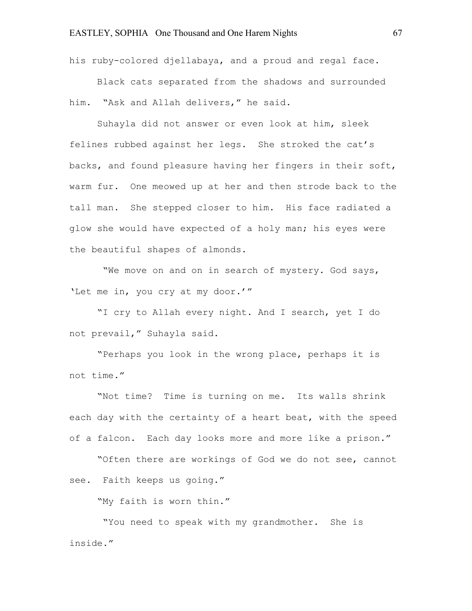his ruby-colored djellabaya, and a proud and regal face.

Black cats separated from the shadows and surrounded him. "Ask and Allah delivers," he said.

Suhayla did not answer or even look at him, sleek felines rubbed against her legs. She stroked the cat's backs, and found pleasure having her fingers in their soft, warm fur. One meowed up at her and then strode back to the tall man. She stepped closer to him. His face radiated a glow she would have expected of a holy man; his eyes were the beautiful shapes of almonds.

"We move on and on in search of mystery. God says, 'Let me in, you cry at my door.'"

"I cry to Allah every night. And I search, yet I do not prevail," Suhayla said.

"Perhaps you look in the wrong place, perhaps it is not time."

"Not time? Time is turning on me. Its walls shrink each day with the certainty of a heart beat, with the speed of a falcon. Each day looks more and more like a prison."

"Often there are workings of God we do not see, cannot see. Faith keeps us going."

"My faith is worn thin."

"You need to speak with my grandmother. She is inside."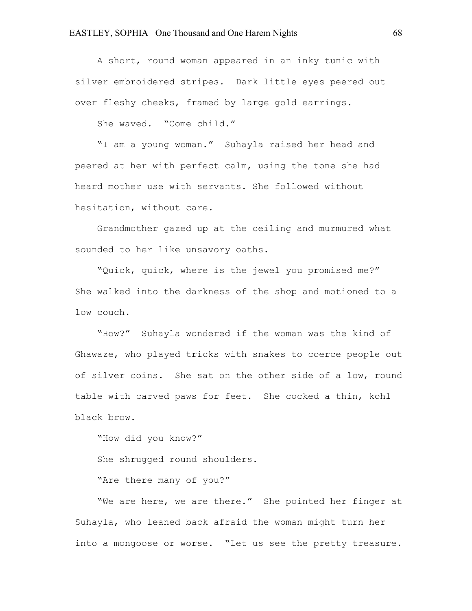A short, round woman appeared in an inky tunic with silver embroidered stripes. Dark little eyes peered out over fleshy cheeks, framed by large gold earrings.

She waved. "Come child."

"I am a young woman." Suhayla raised her head and peered at her with perfect calm, using the tone she had heard mother use with servants. She followed without hesitation, without care.

Grandmother gazed up at the ceiling and murmured what sounded to her like unsavory oaths.

"Quick, quick, where is the jewel you promised me?" She walked into the darkness of the shop and motioned to a low couch.

"How?" Suhayla wondered if the woman was the kind of Ghawaze, who played tricks with snakes to coerce people out of silver coins. She sat on the other side of a low, round table with carved paws for feet. She cocked a thin, kohl black brow.

"How did you know?"

She shrugged round shoulders.

"Are there many of you?"

"We are here, we are there." She pointed her finger at Suhayla, who leaned back afraid the woman might turn her into a mongoose or worse. "Let us see the pretty treasure.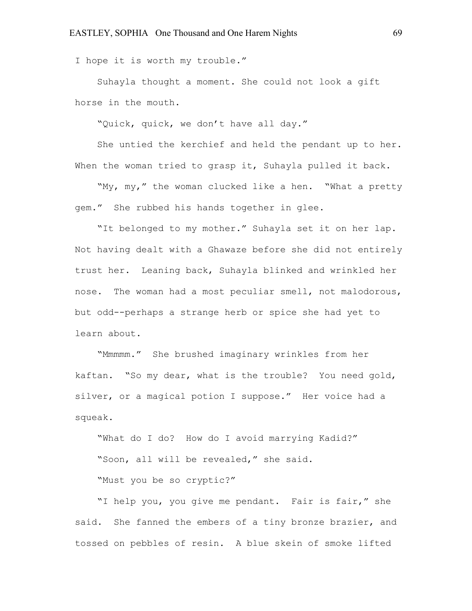I hope it is worth my trouble."

Suhayla thought a moment. She could not look a gift horse in the mouth.

"Quick, quick, we don't have all day."

She untied the kerchief and held the pendant up to her. When the woman tried to grasp it, Suhayla pulled it back.

"My, my," the woman clucked like a hen. "What a pretty gem." She rubbed his hands together in glee.

"It belonged to my mother." Suhayla set it on her lap. Not having dealt with a Ghawaze before she did not entirely trust her. Leaning back, Suhayla blinked and wrinkled her nose. The woman had a most peculiar smell, not malodorous, but odd--perhaps a strange herb or spice she had yet to learn about.

"Mmmmm." She brushed imaginary wrinkles from her kaftan. "So my dear, what is the trouble? You need gold, silver, or a magical potion I suppose." Her voice had a squeak.

"What do I do? How do I avoid marrying Kadid?"

"Soon, all will be revealed," she said.

"Must you be so cryptic?"

"I help you, you give me pendant. Fair is fair," she said. She fanned the embers of a tiny bronze brazier, and tossed on pebbles of resin. A blue skein of smoke lifted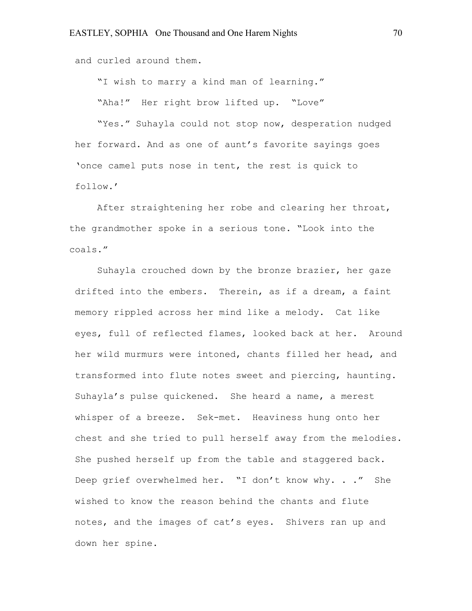and curled around them.

"I wish to marry a kind man of learning."

"Aha!" Her right brow lifted up. "Love"

"Yes." Suhayla could not stop now, desperation nudged her forward. And as one of aunt's favorite sayings goes 'once camel puts nose in tent, the rest is quick to follow.'

After straightening her robe and clearing her throat, the grandmother spoke in a serious tone. "Look into the coals."

Suhayla crouched down by the bronze brazier, her gaze drifted into the embers. Therein, as if a dream, a faint memory rippled across her mind like a melody. Cat like eyes, full of reflected flames, looked back at her. Around her wild murmurs were intoned, chants filled her head, and transformed into flute notes sweet and piercing, haunting. Suhayla's pulse quickened. She heard a name, a merest whisper of a breeze. Sek-met. Heaviness hung onto her chest and she tried to pull herself away from the melodies. She pushed herself up from the table and staggered back. Deep grief overwhelmed her. "I don't know why. . ." She wished to know the reason behind the chants and flute notes, and the images of cat's eyes. Shivers ran up and down her spine.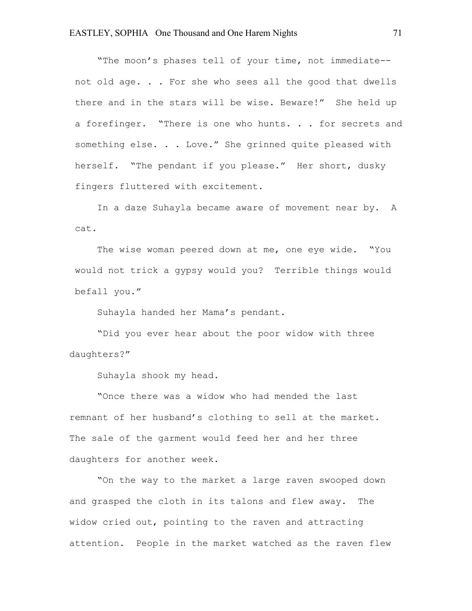"The moon's phases tell of your time, not immediate- not old age. . . For she who sees all the good that dwells there and in the stars will be wise. Beware!" She held up a forefinger. "There is one who hunts. . . for secrets and something else. . . Love." She grinned quite pleased with herself. "The pendant if you please." Her short, dusky fingers fluttered with excitement.

In a daze Suhayla became aware of movement near by. A cat.

The wise woman peered down at me, one eye wide. "You would not trick a gypsy would you? Terrible things would befall you."

Suhayla handed her Mama's pendant.

"Did you ever hear about the poor widow with three daughters?"

Suhayla shook my head.

"Once there was a widow who had mended the last remnant of her husband's clothing to sell at the market. The sale of the garment would feed her and her three daughters for another week.

"On the way to the market a large raven swooped down and grasped the cloth in its talons and flew away. The widow cried out, pointing to the raven and attracting attention. People in the market watched as the raven flew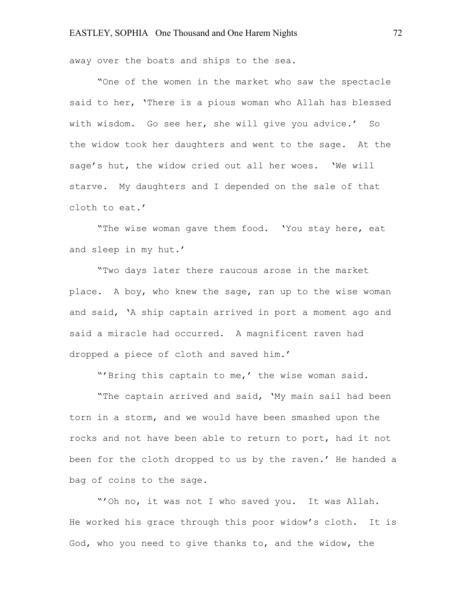away over the boats and ships to the sea.

"One of the women in the market who saw the spectacle said to her, 'There is a pious woman who Allah has blessed with wisdom. Go see her, she will give you advice.' So the widow took her daughters and went to the sage. At the sage's hut, the widow cried out all her woes. 'We will starve. My daughters and I depended on the sale of that cloth to eat.'

"The wise woman gave them food. 'You stay here, eat and sleep in my hut.'

"Two days later there raucous arose in the market place. A boy, who knew the sage, ran up to the wise woman and said, 'A ship captain arrived in port a moment ago and said a miracle had occurred. A magnificent raven had dropped a piece of cloth and saved him.'

"'Bring this captain to me,' the wise woman said.

"The captain arrived and said, 'My main sail had been torn in a storm, and we would have been smashed upon the rocks and not have been able to return to port, had it not been for the cloth dropped to us by the raven.' He handed a bag of coins to the sage.

"'Oh no, it was not I who saved you. It was Allah. He worked his grace through this poor widow's cloth. It is God, who you need to give thanks to, and the widow, the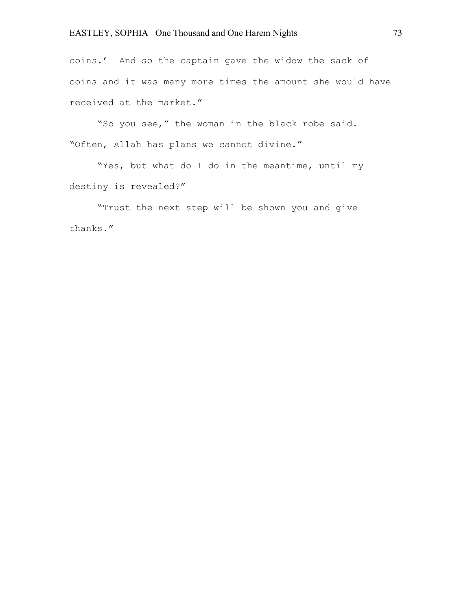coins.' And so the captain gave the widow the sack of coins and it was many more times the amount she would have received at the market."

"So you see," the woman in the black robe said. "Often, Allah has plans we cannot divine."

"Yes, but what do I do in the meantime, until my destiny is revealed?"

"Trust the next step will be shown you and give thanks."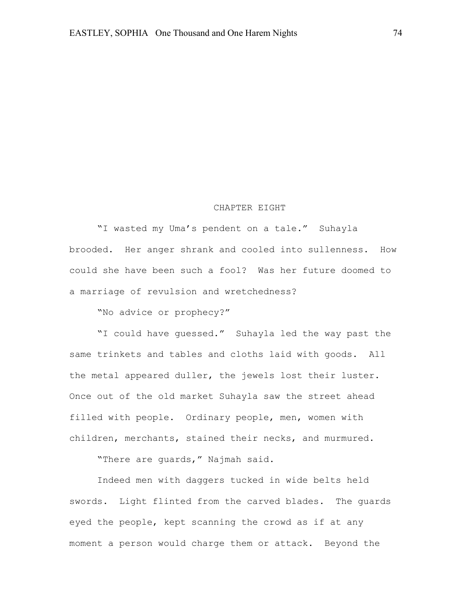#### CHAPTER EIGHT

"I wasted my Uma's pendent on a tale." Suhayla brooded. Her anger shrank and cooled into sullenness. How could she have been such a fool? Was her future doomed to a marriage of revulsion and wretchedness?

"No advice or prophecy?"

"I could have guessed." Suhayla led the way past the same trinkets and tables and cloths laid with goods. All the metal appeared duller, the jewels lost their luster. Once out of the old market Suhayla saw the street ahead filled with people. Ordinary people, men, women with children, merchants, stained their necks, and murmured.

"There are guards," Najmah said.

Indeed men with daggers tucked in wide belts held swords. Light flinted from the carved blades. The guards eyed the people, kept scanning the crowd as if at any moment a person would charge them or attack. Beyond the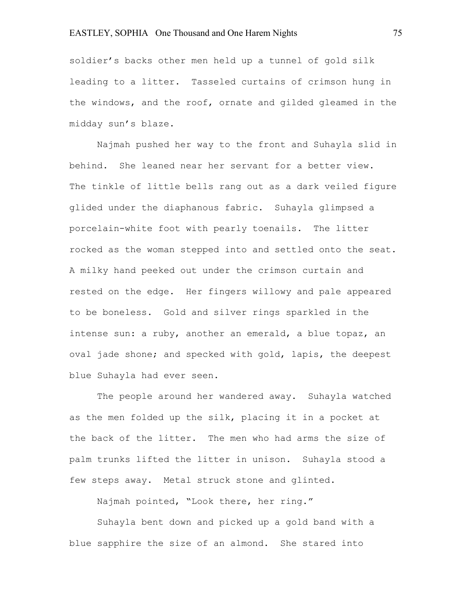soldier's backs other men held up a tunnel of gold silk leading to a litter. Tasseled curtains of crimson hung in the windows, and the roof, ornate and gilded gleamed in the midday sun's blaze.

Najmah pushed her way to the front and Suhayla slid in behind. She leaned near her servant for a better view. The tinkle of little bells rang out as a dark veiled figure glided under the diaphanous fabric. Suhayla glimpsed a porcelain-white foot with pearly toenails. The litter rocked as the woman stepped into and settled onto the seat. A milky hand peeked out under the crimson curtain and rested on the edge. Her fingers willowy and pale appeared to be boneless. Gold and silver rings sparkled in the intense sun: a ruby, another an emerald, a blue topaz, an oval jade shone; and specked with gold, lapis, the deepest blue Suhayla had ever seen.

The people around her wandered away. Suhayla watched as the men folded up the silk, placing it in a pocket at the back of the litter. The men who had arms the size of palm trunks lifted the litter in unison. Suhayla stood a few steps away. Metal struck stone and glinted.

Najmah pointed, "Look there, her ring."

Suhayla bent down and picked up a gold band with a blue sapphire the size of an almond. She stared into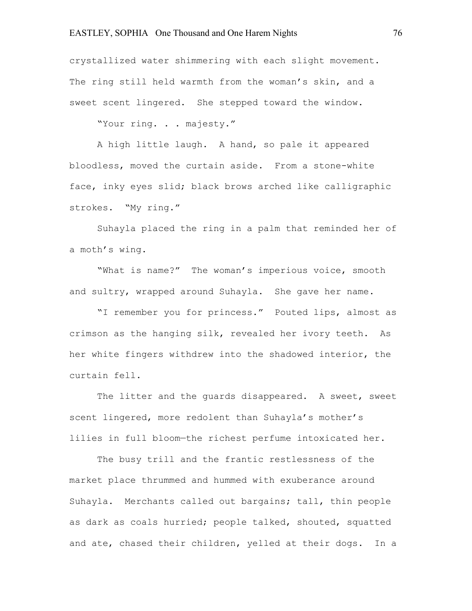crystallized water shimmering with each slight movement. The ring still held warmth from the woman's skin, and a sweet scent lingered. She stepped toward the window.

"Your ring. . . majesty."

A high little laugh. A hand, so pale it appeared bloodless, moved the curtain aside. From a stone-white face, inky eyes slid; black brows arched like calligraphic strokes. "My ring."

Suhayla placed the ring in a palm that reminded her of a moth's wing.

"What is name?" The woman's imperious voice, smooth and sultry, wrapped around Suhayla. She gave her name.

"I remember you for princess." Pouted lips, almost as crimson as the hanging silk, revealed her ivory teeth. As her white fingers withdrew into the shadowed interior, the curtain fell.

The litter and the quards disappeared. A sweet, sweet scent lingered, more redolent than Suhayla's mother's lilies in full bloom—the richest perfume intoxicated her.

The busy trill and the frantic restlessness of the market place thrummed and hummed with exuberance around Suhayla. Merchants called out bargains; tall, thin people as dark as coals hurried; people talked, shouted, squatted and ate, chased their children, yelled at their dogs. In a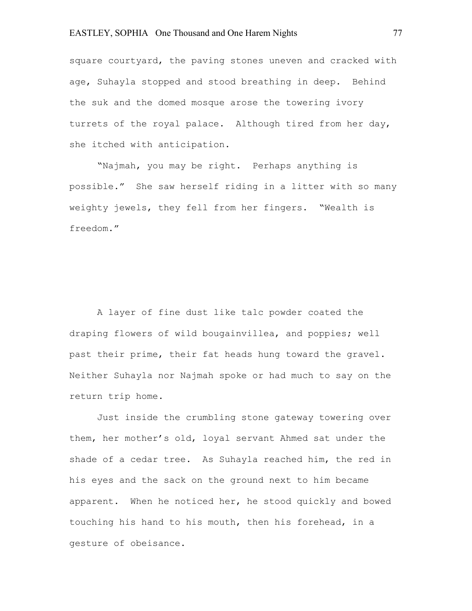square courtyard, the paving stones uneven and cracked with age, Suhayla stopped and stood breathing in deep. Behind the suk and the domed mosque arose the towering ivory turrets of the royal palace. Although tired from her day, she itched with anticipation.

"Najmah, you may be right. Perhaps anything is possible." She saw herself riding in a litter with so many weighty jewels, they fell from her fingers. "Wealth is freedom."

A layer of fine dust like talc powder coated the draping flowers of wild bougainvillea, and poppies; well past their prime, their fat heads hung toward the gravel. Neither Suhayla nor Najmah spoke or had much to say on the return trip home.

Just inside the crumbling stone gateway towering over them, her mother's old, loyal servant Ahmed sat under the shade of a cedar tree. As Suhayla reached him, the red in his eyes and the sack on the ground next to him became apparent. When he noticed her, he stood quickly and bowed touching his hand to his mouth, then his forehead, in a gesture of obeisance.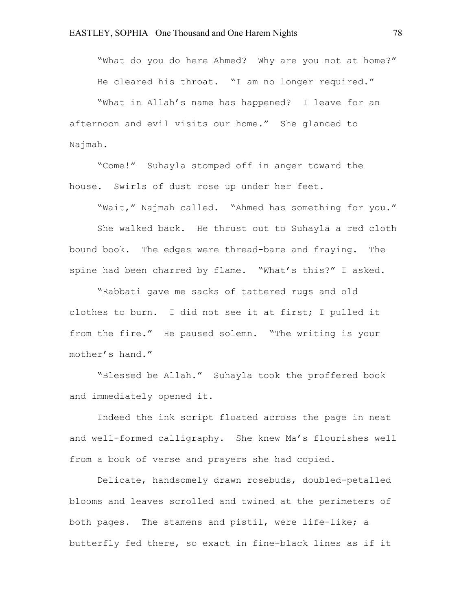"What do you do here Ahmed? Why are you not at home?" He cleared his throat. "I am no longer required."

"What in Allah's name has happened? I leave for an afternoon and evil visits our home." She glanced to Najmah.

"Come!" Suhayla stomped off in anger toward the house. Swirls of dust rose up under her feet.

"Wait," Najmah called. "Ahmed has something for you."

She walked back. He thrust out to Suhayla a red cloth bound book. The edges were thread-bare and fraying. The spine had been charred by flame. "What's this?" I asked.

"Rabbati gave me sacks of tattered rugs and old clothes to burn. I did not see it at first; I pulled it from the fire." He paused solemn. "The writing is your mother's hand."

"Blessed be Allah." Suhayla took the proffered book and immediately opened it.

Indeed the ink script floated across the page in neat and well-formed calligraphy. She knew Ma's flourishes well from a book of verse and prayers she had copied.

Delicate, handsomely drawn rosebuds, doubled-petalled blooms and leaves scrolled and twined at the perimeters of both pages. The stamens and pistil, were life-like; a butterfly fed there, so exact in fine-black lines as if it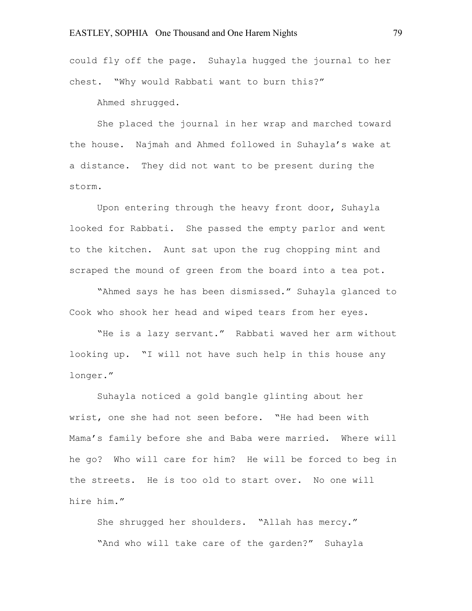could fly off the page. Suhayla hugged the journal to her chest. "Why would Rabbati want to burn this?"

Ahmed shrugged.

She placed the journal in her wrap and marched toward the house. Najmah and Ahmed followed in Suhayla's wake at a distance. They did not want to be present during the storm.

Upon entering through the heavy front door, Suhayla looked for Rabbati. She passed the empty parlor and went to the kitchen. Aunt sat upon the rug chopping mint and scraped the mound of green from the board into a tea pot.

"Ahmed says he has been dismissed." Suhayla glanced to Cook who shook her head and wiped tears from her eyes.

"He is a lazy servant." Rabbati waved her arm without looking up. "I will not have such help in this house any longer."

Suhayla noticed a gold bangle glinting about her wrist, one she had not seen before. "He had been with Mama's family before she and Baba were married. Where will he go? Who will care for him? He will be forced to beg in the streets. He is too old to start over. No one will hire him."

She shrugged her shoulders. "Allah has mercy." "And who will take care of the garden?" Suhayla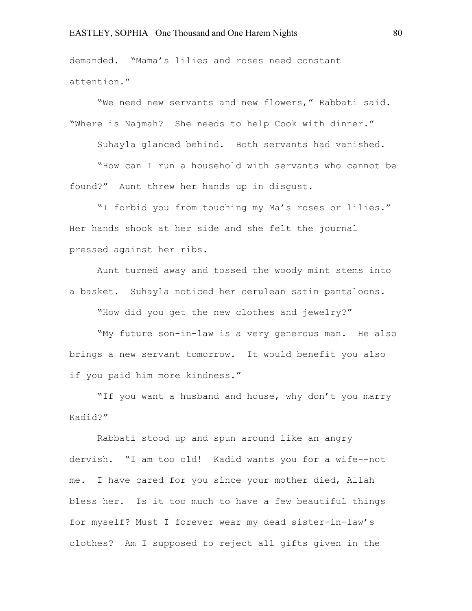demanded. "Mama's lilies and roses need constant attention."

"We need new servants and new flowers," Rabbati said. "Where is Najmah? She needs to help Cook with dinner."

Suhayla glanced behind. Both servants had vanished.

"How can I run a household with servants who cannot be found?" Aunt threw her hands up in disgust.

"I forbid you from touching my Ma's roses or lilies." Her hands shook at her side and she felt the journal pressed against her ribs.

Aunt turned away and tossed the woody mint stems into a basket. Suhayla noticed her cerulean satin pantaloons.

"How did you get the new clothes and jewelry?"

"My future son-in-law is a very generous man. He also brings a new servant tomorrow. It would benefit you also if you paid him more kindness."

"If you want a husband and house, why don't you marry Kadid?"

Rabbati stood up and spun around like an angry dervish. "I am too old! Kadid wants you for a wife--not me. I have cared for you since your mother died, Allah bless her. Is it too much to have a few beautiful things for myself? Must I forever wear my dead sister-in-law's clothes? Am I supposed to reject all gifts given in the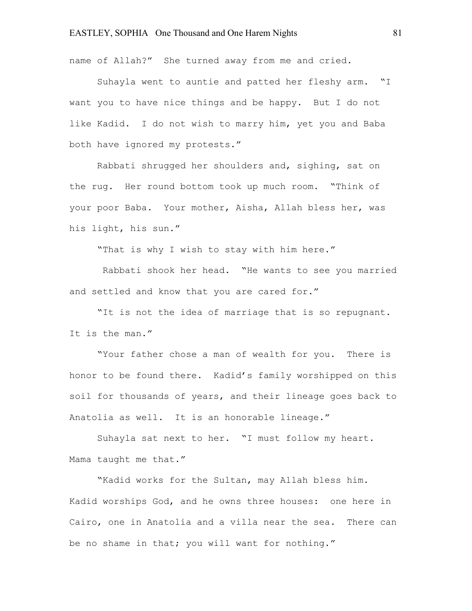name of Allah?" She turned away from me and cried.

Suhayla went to auntie and patted her fleshy arm. "I want you to have nice things and be happy. But I do not like Kadid. I do not wish to marry him, yet you and Baba both have ignored my protests."

Rabbati shrugged her shoulders and, sighing, sat on the rug. Her round bottom took up much room. "Think of your poor Baba. Your mother, Aisha, Allah bless her, was his light, his sun."

"That is why I wish to stay with him here."

Rabbati shook her head. "He wants to see you married and settled and know that you are cared for."

"It is not the idea of marriage that is so repugnant. It is the man."

"Your father chose a man of wealth for you. There is honor to be found there. Kadid's family worshipped on this soil for thousands of years, and their lineage goes back to Anatolia as well. It is an honorable lineage."

Suhayla sat next to her. "I must follow my heart. Mama taught me that."

"Kadid works for the Sultan, may Allah bless him. Kadid worships God, and he owns three houses: one here in Cairo, one in Anatolia and a villa near the sea. There can be no shame in that; you will want for nothing."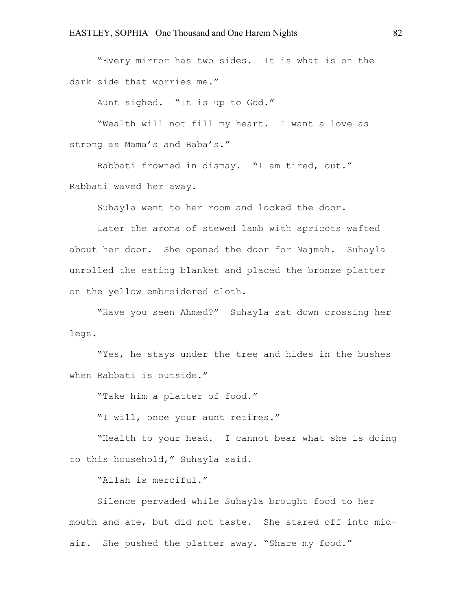"Every mirror has two sides. It is what is on the dark side that worries me."

Aunt sighed. "It is up to God."

"Wealth will not fill my heart. I want a love as strong as Mama's and Baba's."

Rabbati frowned in dismay. "I am tired, out." Rabbati waved her away.

Suhayla went to her room and locked the door.

Later the aroma of stewed lamb with apricots wafted about her door. She opened the door for Najmah. Suhayla unrolled the eating blanket and placed the bronze platter on the yellow embroidered cloth.

"Have you seen Ahmed?" Suhayla sat down crossing her legs.

"Yes, he stays under the tree and hides in the bushes when Rabbati is outside."

"Take him a platter of food."

"I will, once your aunt retires."

"Health to your head. I cannot bear what she is doing to this household," Suhayla said.

"Allah is merciful."

Silence pervaded while Suhayla brought food to her mouth and ate, but did not taste. She stared off into midair. She pushed the platter away. "Share my food."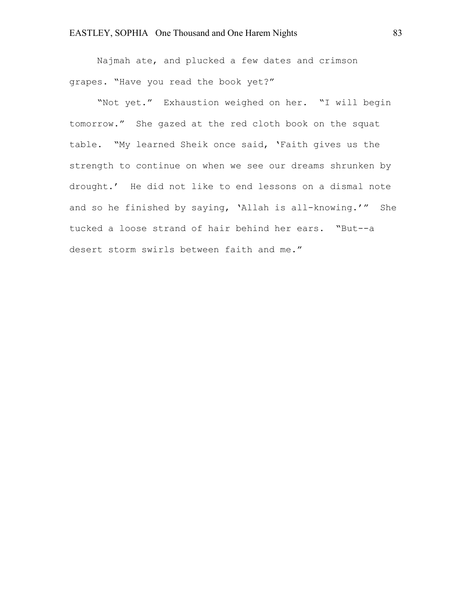Najmah ate, and plucked a few dates and crimson grapes. "Have you read the book yet?"

"Not yet." Exhaustion weighed on her. "I will begin tomorrow." She gazed at the red cloth book on the squat table. "My learned Sheik once said, 'Faith gives us the strength to continue on when we see our dreams shrunken by drought.' He did not like to end lessons on a dismal note and so he finished by saying, 'Allah is all-knowing.'" She tucked a loose strand of hair behind her ears. "But--a desert storm swirls between faith and me."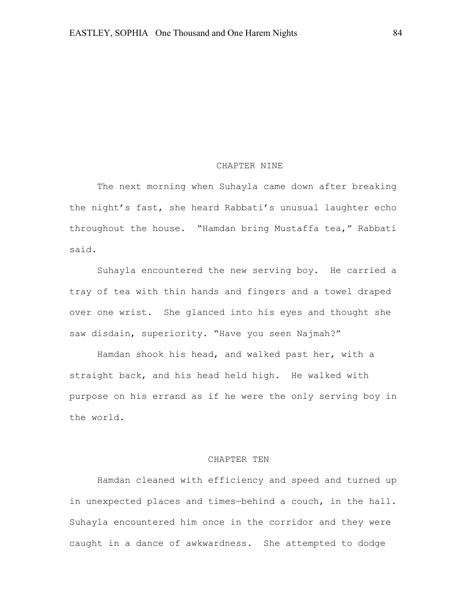#### CHAPTER NINE

The next morning when Suhayla came down after breaking the night's fast, she heard Rabbati's unusual laughter echo throughout the house. "Hamdan bring Mustaffa tea," Rabbati said.

Suhayla encountered the new serving boy. He carried a tray of tea with thin hands and fingers and a towel draped over one wrist. She glanced into his eyes and thought she saw disdain, superiority. "Have you seen Najmah?"

Hamdan shook his head, and walked past her, with a straight back, and his head held high. He walked with purpose on his errand as if he were the only serving boy in the world.

### CHAPTER TEN

Hamdan cleaned with efficiency and speed and turned up in unexpected places and times—behind a couch, in the hall. Suhayla encountered him once in the corridor and they were caught in a dance of awkwardness. She attempted to dodge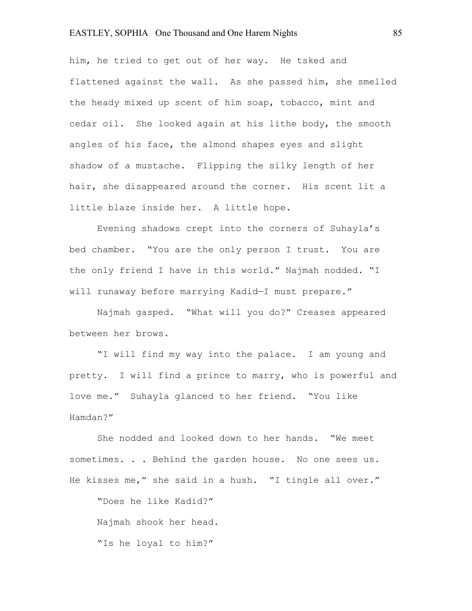him, he tried to get out of her way. He tsked and flattened against the wall. As she passed him, she smelled the heady mixed up scent of him soap, tobacco, mint and cedar oil. She looked again at his lithe body, the smooth angles of his face, the almond shapes eyes and slight shadow of a mustache. Flipping the silky length of her hair, she disappeared around the corner. His scent lit a little blaze inside her. A little hope.

Evening shadows crept into the corners of Suhayla's bed chamber. "You are the only person I trust. You are the only friend I have in this world." Najmah nodded. "I will runaway before marrying Kadid—I must prepare."

Najmah gasped. "What will you do?" Creases appeared between her brows.

"I will find my way into the palace. I am young and pretty. I will find a prince to marry, who is powerful and love me." Suhayla glanced to her friend. "You like Hamdan?"

She nodded and looked down to her hands. "We meet sometimes. . . Behind the garden house. No one sees us. He kisses me," she said in a hush. "I tingle all over."

"Does he like Kadid?" Najmah shook her head. "Is he loyal to him?"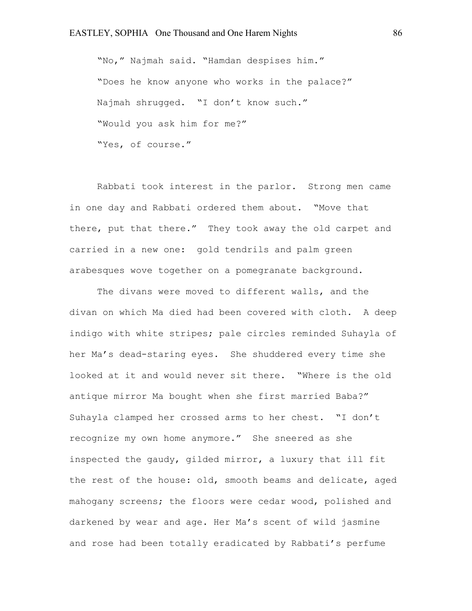"No," Najmah said. "Hamdan despises him." "Does he know anyone who works in the palace?" Najmah shrugged. "I don't know such." "Would you ask him for me?" "Yes, of course."

Rabbati took interest in the parlor. Strong men came in one day and Rabbati ordered them about. "Move that there, put that there." They took away the old carpet and carried in a new one: gold tendrils and palm green arabesques wove together on a pomegranate background.

The divans were moved to different walls, and the divan on which Ma died had been covered with cloth. A deep indigo with white stripes; pale circles reminded Suhayla of her Ma's dead-staring eyes. She shuddered every time she looked at it and would never sit there. "Where is the old antique mirror Ma bought when she first married Baba?" Suhayla clamped her crossed arms to her chest. "I don't recognize my own home anymore." She sneered as she inspected the gaudy, gilded mirror, a luxury that ill fit the rest of the house: old, smooth beams and delicate, aged mahogany screens; the floors were cedar wood, polished and darkened by wear and age. Her Ma's scent of wild jasmine and rose had been totally eradicated by Rabbati's perfume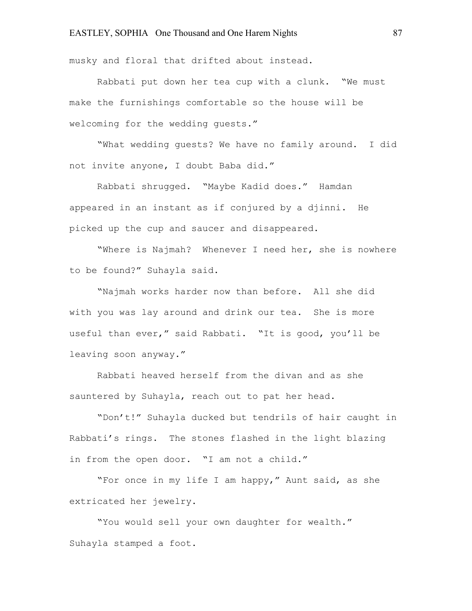musky and floral that drifted about instead.

Rabbati put down her tea cup with a clunk. "We must make the furnishings comfortable so the house will be welcoming for the wedding guests."

"What wedding guests? We have no family around. I did not invite anyone, I doubt Baba did."

Rabbati shrugged. "Maybe Kadid does." Hamdan appeared in an instant as if conjured by a djinni. He picked up the cup and saucer and disappeared.

"Where is Najmah? Whenever I need her, she is nowhere to be found?" Suhayla said.

"Najmah works harder now than before. All she did with you was lay around and drink our tea. She is more useful than ever," said Rabbati. "It is good, you'll be leaving soon anyway."

Rabbati heaved herself from the divan and as she sauntered by Suhayla, reach out to pat her head.

"Don't!" Suhayla ducked but tendrils of hair caught in Rabbati's rings. The stones flashed in the light blazing in from the open door. "I am not a child."

"For once in my life I am happy," Aunt said, as she extricated her jewelry.

"You would sell your own daughter for wealth." Suhayla stamped a foot.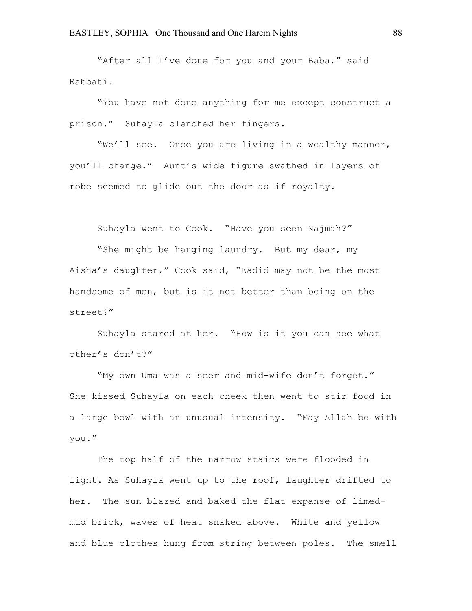"After all I've done for you and your Baba," said Rabbati.

"You have not done anything for me except construct a prison." Suhayla clenched her fingers.

"We'll see. Once you are living in a wealthy manner, you'll change." Aunt's wide figure swathed in layers of robe seemed to glide out the door as if royalty.

Suhayla went to Cook. "Have you seen Najmah?"

"She might be hanging laundry. But my dear, my Aisha's daughter," Cook said, "Kadid may not be the most handsome of men, but is it not better than being on the street?"

Suhayla stared at her. "How is it you can see what other's don't?"

"My own Uma was a seer and mid-wife don't forget." She kissed Suhayla on each cheek then went to stir food in a large bowl with an unusual intensity. "May Allah be with you."

The top half of the narrow stairs were flooded in light. As Suhayla went up to the roof, laughter drifted to her. The sun blazed and baked the flat expanse of limedmud brick, waves of heat snaked above. White and yellow and blue clothes hung from string between poles. The smell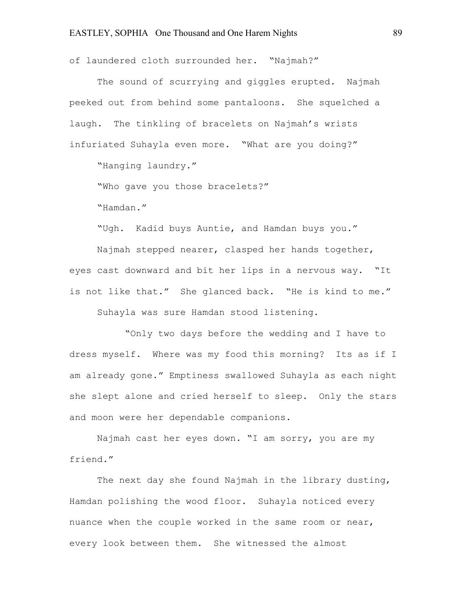of laundered cloth surrounded her. "Najmah?"

The sound of scurrying and giggles erupted. Najmah peeked out from behind some pantaloons. She squelched a laugh. The tinkling of bracelets on Najmah's wrists infuriated Suhayla even more. "What are you doing?"

"Hanging laundry."

"Who gave you those bracelets?"

"Hamdan."

"Ugh. Kadid buys Auntie, and Hamdan buys you."

Najmah stepped nearer, clasped her hands together, eyes cast downward and bit her lips in a nervous way. "It is not like that." She glanced back. "He is kind to me."

Suhayla was sure Hamdan stood listening.

"Only two days before the wedding and I have to dress myself. Where was my food this morning? Its as if I am already gone." Emptiness swallowed Suhayla as each night she slept alone and cried herself to sleep. Only the stars and moon were her dependable companions.

Najmah cast her eyes down. "I am sorry, you are my friend."

The next day she found Najmah in the library dusting, Hamdan polishing the wood floor. Suhayla noticed every nuance when the couple worked in the same room or near, every look between them. She witnessed the almost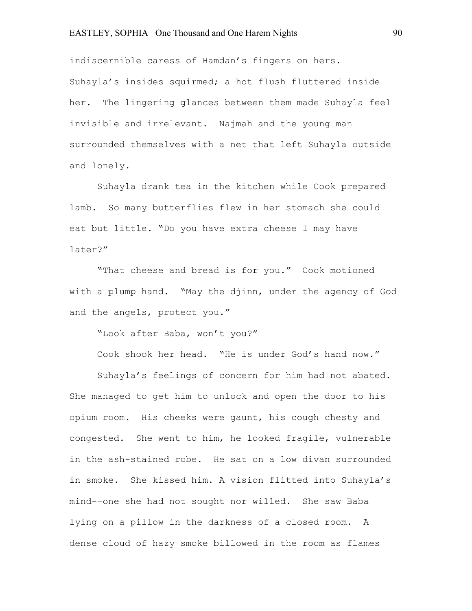indiscernible caress of Hamdan's fingers on hers. Suhayla's insides squirmed; a hot flush fluttered inside her. The lingering glances between them made Suhayla feel invisible and irrelevant. Najmah and the young man surrounded themselves with a net that left Suhayla outside and lonely.

Suhayla drank tea in the kitchen while Cook prepared lamb. So many butterflies flew in her stomach she could eat but little. "Do you have extra cheese I may have later?"

"That cheese and bread is for you." Cook motioned with a plump hand. "May the djinn, under the agency of God and the angels, protect you."

"Look after Baba, won't you?"

Cook shook her head. "He is under God's hand now."

Suhayla's feelings of concern for him had not abated. She managed to get him to unlock and open the door to his opium room. His cheeks were gaunt, his cough chesty and congested. She went to him, he looked fragile, vulnerable in the ash-stained robe. He sat on a low divan surrounded in smoke. She kissed him. A vision flitted into Suhayla's mind-–one she had not sought nor willed. She saw Baba lying on a pillow in the darkness of a closed room. A dense cloud of hazy smoke billowed in the room as flames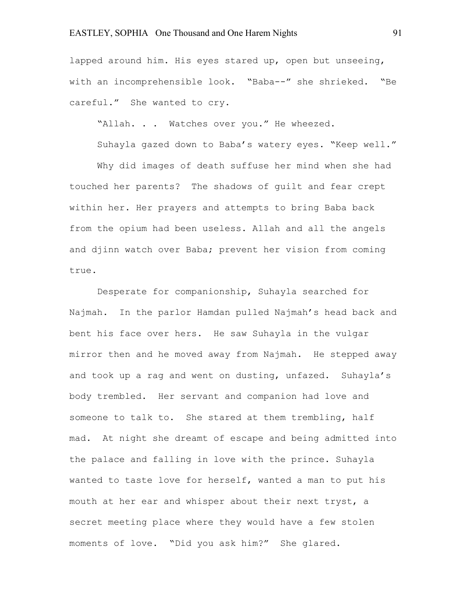lapped around him. His eyes stared up, open but unseeing, with an incomprehensible look. "Baba--" she shrieked. "Be careful." She wanted to cry.

"Allah. . . Watches over you." He wheezed.

Suhayla gazed down to Baba's watery eyes. "Keep well."

Why did images of death suffuse her mind when she had touched her parents? The shadows of guilt and fear crept within her. Her prayers and attempts to bring Baba back from the opium had been useless. Allah and all the angels and djinn watch over Baba; prevent her vision from coming true.

Desperate for companionship, Suhayla searched for Najmah. In the parlor Hamdan pulled Najmah's head back and bent his face over hers. He saw Suhayla in the vulgar mirror then and he moved away from Najmah. He stepped away and took up a rag and went on dusting, unfazed. Suhayla's body trembled. Her servant and companion had love and someone to talk to. She stared at them trembling, half mad. At night she dreamt of escape and being admitted into the palace and falling in love with the prince. Suhayla wanted to taste love for herself, wanted a man to put his mouth at her ear and whisper about their next tryst, a secret meeting place where they would have a few stolen moments of love. "Did you ask him?" She glared.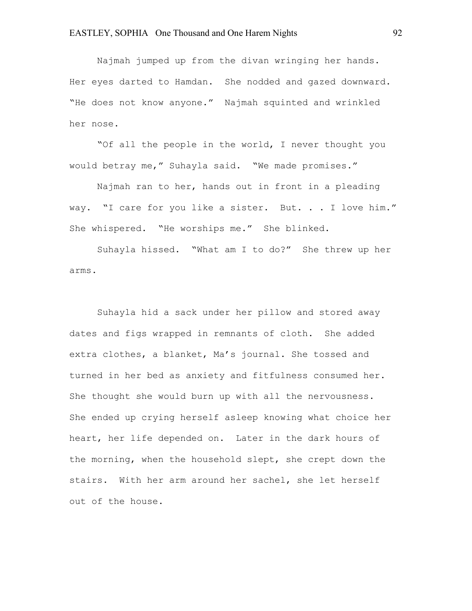Najmah jumped up from the divan wringing her hands. Her eyes darted to Hamdan. She nodded and gazed downward. "He does not know anyone." Najmah squinted and wrinkled her nose.

"Of all the people in the world, I never thought you would betray me," Suhayla said. "We made promises."

Najmah ran to her, hands out in front in a pleading way. "I care for you like a sister. But. . . I love him." She whispered. "He worships me." She blinked.

Suhayla hissed. "What am I to do?" She threw up her arms.

Suhayla hid a sack under her pillow and stored away dates and figs wrapped in remnants of cloth. She added extra clothes, a blanket, Ma's journal. She tossed and turned in her bed as anxiety and fitfulness consumed her. She thought she would burn up with all the nervousness. She ended up crying herself asleep knowing what choice her heart, her life depended on. Later in the dark hours of the morning, when the household slept, she crept down the stairs. With her arm around her sachel, she let herself out of the house.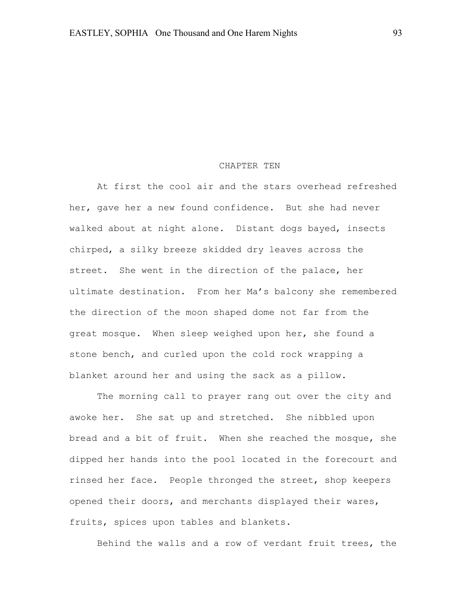#### CHAPTER TEN

At first the cool air and the stars overhead refreshed her, gave her a new found confidence. But she had never walked about at night alone. Distant dogs bayed, insects chirped, a silky breeze skidded dry leaves across the street. She went in the direction of the palace, her ultimate destination. From her Ma's balcony she remembered the direction of the moon shaped dome not far from the great mosque. When sleep weighed upon her, she found a stone bench, and curled upon the cold rock wrapping a blanket around her and using the sack as a pillow.

The morning call to prayer rang out over the city and awoke her. She sat up and stretched. She nibbled upon bread and a bit of fruit. When she reached the mosque, she dipped her hands into the pool located in the forecourt and rinsed her face. People thronged the street, shop keepers opened their doors, and merchants displayed their wares, fruits, spices upon tables and blankets.

Behind the walls and a row of verdant fruit trees, the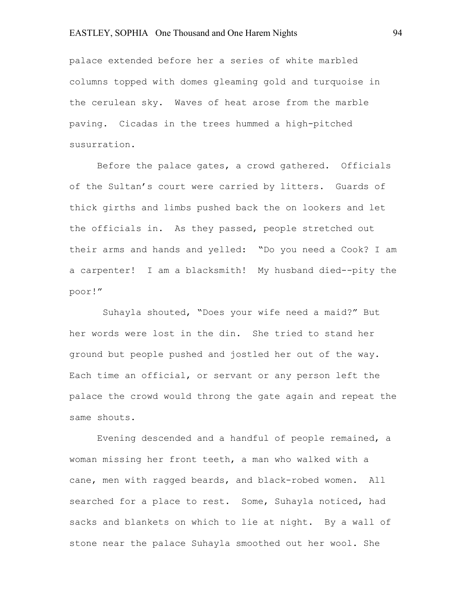palace extended before her a series of white marbled columns topped with domes gleaming gold and turquoise in the cerulean sky. Waves of heat arose from the marble paving. Cicadas in the trees hummed a high-pitched susurration.

Before the palace gates, a crowd gathered. Officials of the Sultan's court were carried by litters. Guards of thick girths and limbs pushed back the on lookers and let the officials in. As they passed, people stretched out their arms and hands and yelled: "Do you need a Cook? I am a carpenter! I am a blacksmith! My husband died--pity the poor!"

Suhayla shouted, "Does your wife need a maid?" But her words were lost in the din. She tried to stand her ground but people pushed and jostled her out of the way. Each time an official, or servant or any person left the palace the crowd would throng the gate again and repeat the same shouts.

Evening descended and a handful of people remained, a woman missing her front teeth, a man who walked with a cane, men with ragged beards, and black-robed women. All searched for a place to rest. Some, Suhayla noticed, had sacks and blankets on which to lie at night. By a wall of stone near the palace Suhayla smoothed out her wool. She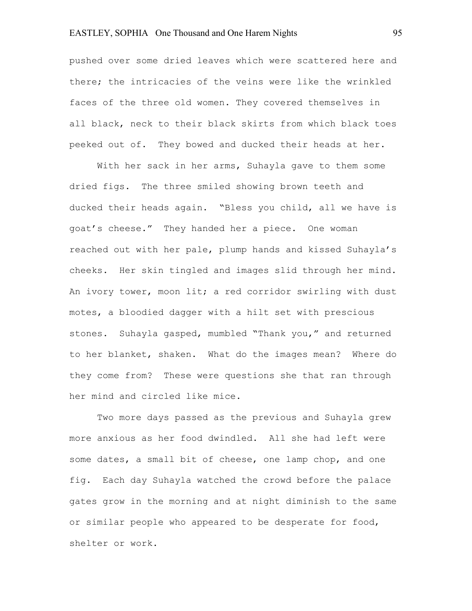pushed over some dried leaves which were scattered here and there; the intricacies of the veins were like the wrinkled faces of the three old women. They covered themselves in all black, neck to their black skirts from which black toes peeked out of. They bowed and ducked their heads at her.

With her sack in her arms, Suhayla gave to them some dried figs. The three smiled showing brown teeth and ducked their heads again. "Bless you child, all we have is goat's cheese." They handed her a piece. One woman reached out with her pale, plump hands and kissed Suhayla's cheeks. Her skin tingled and images slid through her mind. An ivory tower, moon lit; a red corridor swirling with dust motes, a bloodied dagger with a hilt set with prescious stones. Suhayla gasped, mumbled "Thank you," and returned to her blanket, shaken. What do the images mean? Where do they come from? These were questions she that ran through her mind and circled like mice.

Two more days passed as the previous and Suhayla grew more anxious as her food dwindled. All she had left were some dates, a small bit of cheese, one lamp chop, and one fig. Each day Suhayla watched the crowd before the palace gates grow in the morning and at night diminish to the same or similar people who appeared to be desperate for food, shelter or work.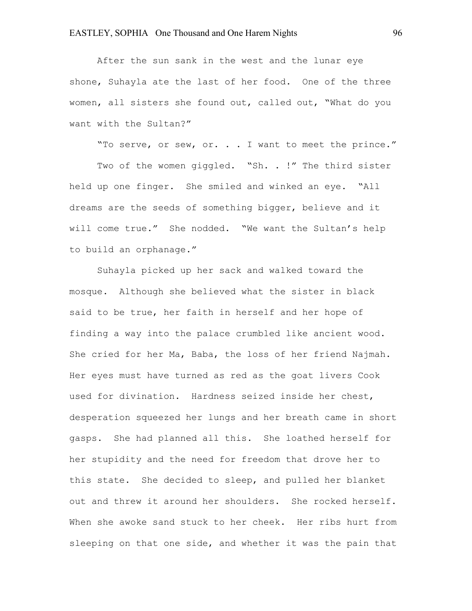After the sun sank in the west and the lunar eye shone, Suhayla ate the last of her food. One of the three women, all sisters she found out, called out, "What do you want with the Sultan?"

"To serve, or sew, or. . . I want to meet the prince."

Two of the women giggled. "Sh. . !" The third sister held up one finger. She smiled and winked an eye. "All dreams are the seeds of something bigger, believe and it will come true." She nodded. "We want the Sultan's help to build an orphanage."

Suhayla picked up her sack and walked toward the mosque. Although she believed what the sister in black said to be true, her faith in herself and her hope of finding a way into the palace crumbled like ancient wood. She cried for her Ma, Baba, the loss of her friend Najmah. Her eyes must have turned as red as the goat livers Cook used for divination. Hardness seized inside her chest, desperation squeezed her lungs and her breath came in short gasps. She had planned all this. She loathed herself for her stupidity and the need for freedom that drove her to this state. She decided to sleep, and pulled her blanket out and threw it around her shoulders. She rocked herself. When she awoke sand stuck to her cheek. Her ribs hurt from sleeping on that one side, and whether it was the pain that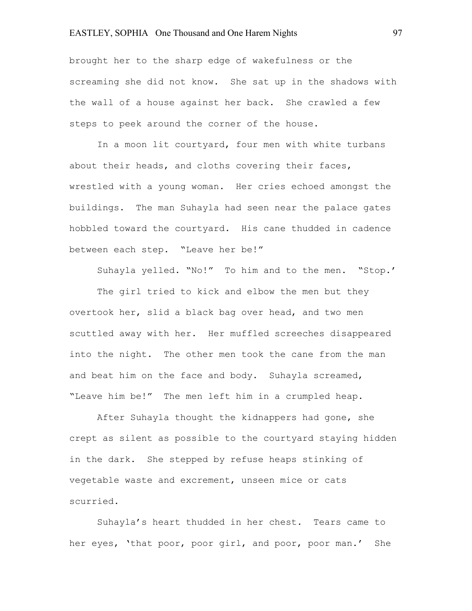brought her to the sharp edge of wakefulness or the screaming she did not know. She sat up in the shadows with the wall of a house against her back. She crawled a few steps to peek around the corner of the house.

In a moon lit courtyard, four men with white turbans about their heads, and cloths covering their faces, wrestled with a young woman. Her cries echoed amongst the buildings. The man Suhayla had seen near the palace gates hobbled toward the courtyard. His cane thudded in cadence between each step. "Leave her be!"

Suhayla yelled. "No!" To him and to the men. "Stop.'

The girl tried to kick and elbow the men but they overtook her, slid a black bag over head, and two men scuttled away with her. Her muffled screeches disappeared into the night. The other men took the cane from the man and beat him on the face and body. Suhayla screamed, "Leave him be!" The men left him in a crumpled heap.

After Suhayla thought the kidnappers had gone, she crept as silent as possible to the courtyard staying hidden in the dark. She stepped by refuse heaps stinking of vegetable waste and excrement, unseen mice or cats scurried.

Suhayla's heart thudded in her chest. Tears came to her eyes, 'that poor, poor girl, and poor, poor man.' She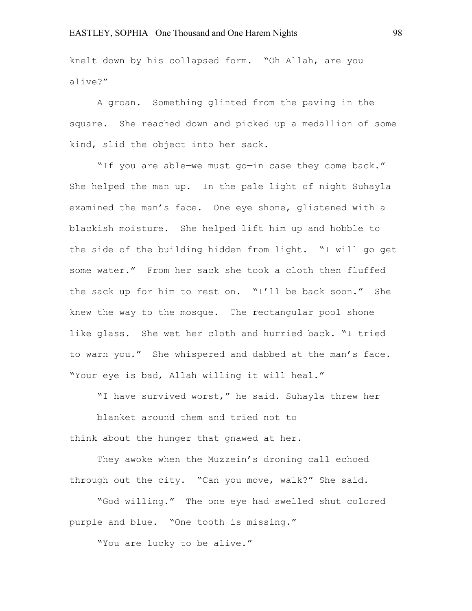knelt down by his collapsed form. "Oh Allah, are you alive?"

A groan. Something glinted from the paving in the square. She reached down and picked up a medallion of some kind, slid the object into her sack.

"If you are able—we must go—in case they come back." She helped the man up. In the pale light of night Suhayla examined the man's face. One eye shone, glistened with a blackish moisture. She helped lift him up and hobble to the side of the building hidden from light. "I will go get some water." From her sack she took a cloth then fluffed the sack up for him to rest on. "I'll be back soon." She knew the way to the mosque. The rectangular pool shone like glass. She wet her cloth and hurried back. "I tried to warn you." She whispered and dabbed at the man's face. "Your eye is bad, Allah willing it will heal."

"I have survived worst," he said. Suhayla threw her

blanket around them and tried not to think about the hunger that gnawed at her.

They awoke when the Muzzein's droning call echoed through out the city. "Can you move, walk?" She said.

"God willing." The one eye had swelled shut colored purple and blue. "One tooth is missing."

"You are lucky to be alive."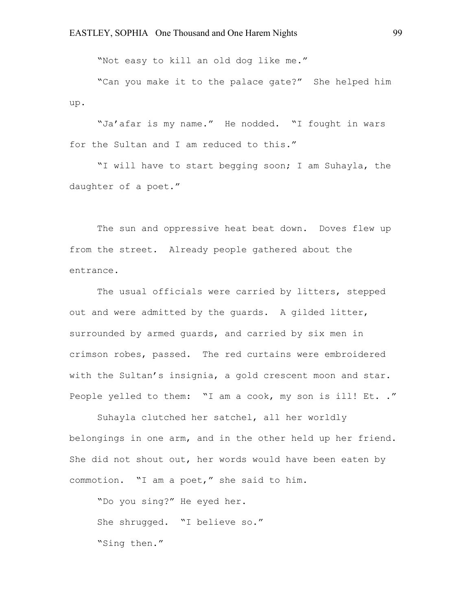"Not easy to kill an old dog like me."

"Can you make it to the palace gate?" She helped him up.

"Ja'afar is my name." He nodded. "I fought in wars for the Sultan and I am reduced to this."

"I will have to start begging soon; I am Suhayla, the daughter of a poet."

The sun and oppressive heat beat down. Doves flew up from the street. Already people gathered about the entrance.

The usual officials were carried by litters, stepped out and were admitted by the guards. A gilded litter, surrounded by armed guards, and carried by six men in crimson robes, passed. The red curtains were embroidered with the Sultan's insignia, a gold crescent moon and star. People yelled to them: "I am a cook, my son is ill! Et. ."

Suhayla clutched her satchel, all her worldly belongings in one arm, and in the other held up her friend. She did not shout out, her words would have been eaten by commotion. "I am a poet," she said to him.

"Do you sing?" He eyed her. She shrugged. "I believe so." "Sing then."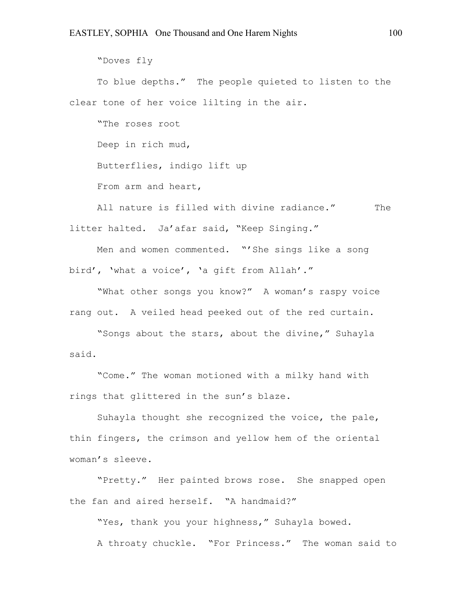"Doves fly

To blue depths." The people quieted to listen to the clear tone of her voice lilting in the air.

"The roses root Deep in rich mud, Butterflies, indigo lift up From arm and heart,

All nature is filled with divine radiance." The litter halted. Ja'afar said, "Keep Singing."

Men and women commented. "'She sings like a song bird', 'what a voice', 'a gift from Allah'."

"What other songs you know?" A woman's raspy voice rang out. A veiled head peeked out of the red curtain.

"Songs about the stars, about the divine," Suhayla said.

"Come." The woman motioned with a milky hand with rings that glittered in the sun's blaze.

Suhayla thought she recognized the voice, the pale, thin fingers, the crimson and yellow hem of the oriental woman's sleeve.

"Pretty." Her painted brows rose. She snapped open the fan and aired herself. "A handmaid?"

"Yes, thank you your highness," Suhayla bowed.

A throaty chuckle. "For Princess." The woman said to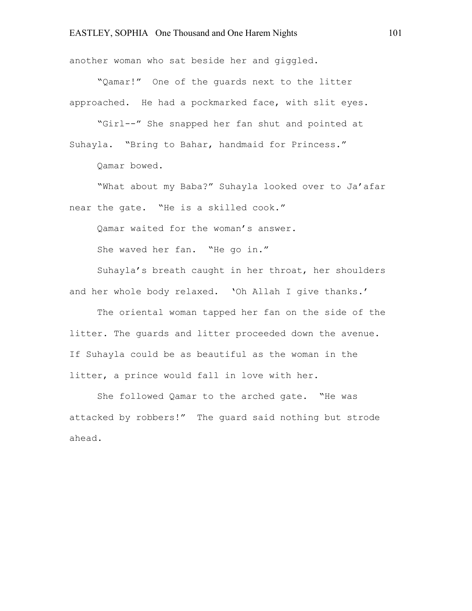another woman who sat beside her and giggled.

"Qamar!" One of the guards next to the litter approached. He had a pockmarked face, with slit eyes.

"Girl--" She snapped her fan shut and pointed at Suhayla. "Bring to Bahar, handmaid for Princess."

Qamar bowed.

"What about my Baba?" Suhayla looked over to Ja'afar near the gate. "He is a skilled cook."

Qamar waited for the woman's answer.

She waved her fan. "He go in."

Suhayla's breath caught in her throat, her shoulders and her whole body relaxed. 'Oh Allah I give thanks.'

The oriental woman tapped her fan on the side of the litter. The guards and litter proceeded down the avenue. If Suhayla could be as beautiful as the woman in the litter, a prince would fall in love with her.

She followed Qamar to the arched gate. "He was attacked by robbers!" The guard said nothing but strode ahead.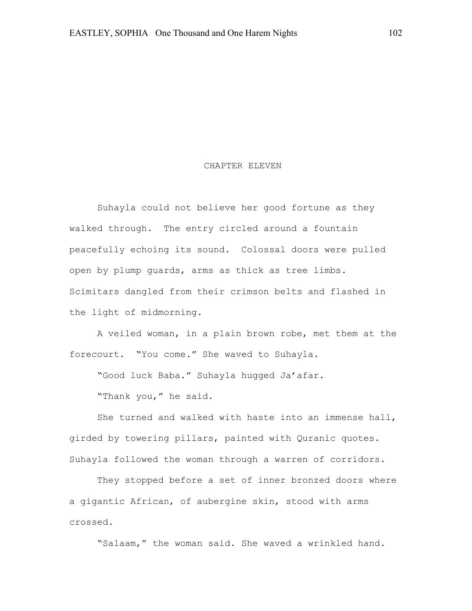#### CHAPTER ELEVEN

Suhayla could not believe her good fortune as they walked through. The entry circled around a fountain peacefully echoing its sound. Colossal doors were pulled open by plump guards, arms as thick as tree limbs. Scimitars dangled from their crimson belts and flashed in the light of midmorning.

A veiled woman, in a plain brown robe, met them at the forecourt. "You come." She waved to Suhayla.

"Good luck Baba." Suhayla hugged Ja'afar.

"Thank you," he said.

She turned and walked with haste into an immense hall, girded by towering pillars, painted with Quranic quotes. Suhayla followed the woman through a warren of corridors.

They stopped before a set of inner bronzed doors where a gigantic African, of aubergine skin, stood with arms crossed.

"Salaam," the woman said. She waved a wrinkled hand.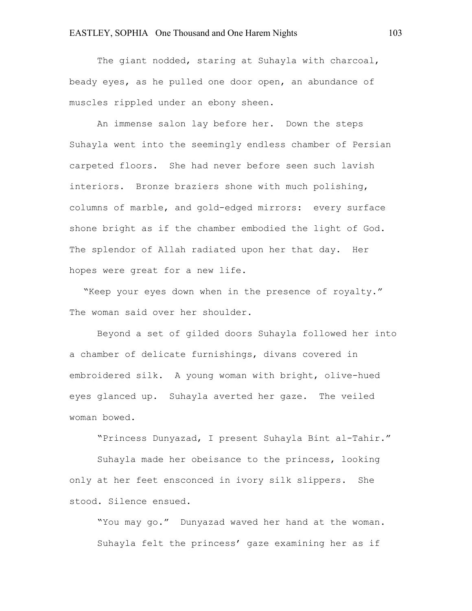The giant nodded, staring at Suhayla with charcoal, beady eyes, as he pulled one door open, an abundance of muscles rippled under an ebony sheen.

An immense salon lay before her. Down the steps Suhayla went into the seemingly endless chamber of Persian carpeted floors. She had never before seen such lavish interiors. Bronze braziers shone with much polishing, columns of marble, and gold-edged mirrors: every surface shone bright as if the chamber embodied the light of God. The splendor of Allah radiated upon her that day. Her hopes were great for a new life.

"Keep your eyes down when in the presence of royalty." The woman said over her shoulder.

Beyond a set of gilded doors Suhayla followed her into a chamber of delicate furnishings, divans covered in embroidered silk. A young woman with bright, olive-hued eyes glanced up. Suhayla averted her gaze. The veiled woman bowed.

"Princess Dunyazad, I present Suhayla Bint al-Tahir."

Suhayla made her obeisance to the princess, looking only at her feet ensconced in ivory silk slippers. She stood. Silence ensued.

"You may go." Dunyazad waved her hand at the woman. Suhayla felt the princess' gaze examining her as if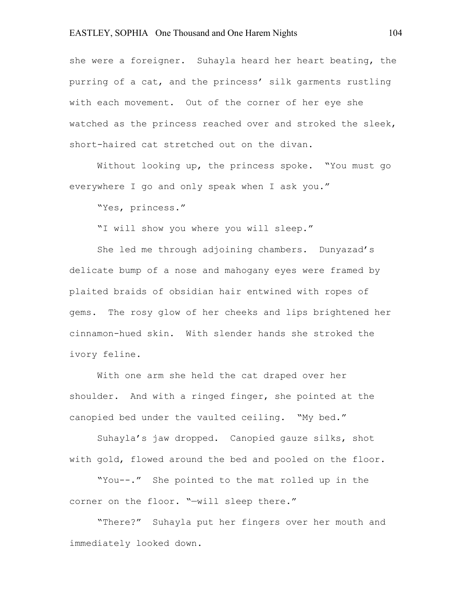she were a foreigner. Suhayla heard her heart beating, the purring of a cat, and the princess' silk garments rustling with each movement. Out of the corner of her eye she watched as the princess reached over and stroked the sleek, short-haired cat stretched out on the divan.

Without looking up, the princess spoke. "You must go everywhere I go and only speak when I ask you."

"Yes, princess."

"I will show you where you will sleep."

She led me through adjoining chambers. Dunyazad's delicate bump of a nose and mahogany eyes were framed by plaited braids of obsidian hair entwined with ropes of gems. The rosy glow of her cheeks and lips brightened her cinnamon-hued skin. With slender hands she stroked the ivory feline.

With one arm she held the cat draped over her shoulder. And with a ringed finger, she pointed at the canopied bed under the vaulted ceiling. "My bed."

Suhayla's jaw dropped. Canopied gauze silks, shot with gold, flowed around the bed and pooled on the floor.

"You--." She pointed to the mat rolled up in the corner on the floor. "—will sleep there."

"There?" Suhayla put her fingers over her mouth and immediately looked down.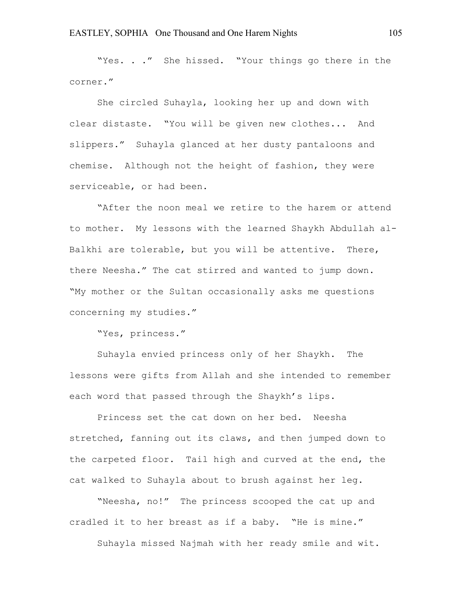"Yes. . ." She hissed. "Your things go there in the corner."

She circled Suhayla, looking her up and down with clear distaste. "You will be given new clothes... And slippers." Suhayla glanced at her dusty pantaloons and chemise. Although not the height of fashion, they were serviceable, or had been.

"After the noon meal we retire to the harem or attend to mother. My lessons with the learned Shaykh Abdullah al-Balkhi are tolerable, but you will be attentive. There, there Neesha." The cat stirred and wanted to jump down. "My mother or the Sultan occasionally asks me questions concerning my studies."

"Yes, princess."

Suhayla envied princess only of her Shaykh. The lessons were gifts from Allah and she intended to remember each word that passed through the Shaykh's lips.

Princess set the cat down on her bed. Neesha stretched, fanning out its claws, and then jumped down to the carpeted floor. Tail high and curved at the end, the cat walked to Suhayla about to brush against her leg.

"Neesha, no!" The princess scooped the cat up and cradled it to her breast as if a baby. "He is mine."

Suhayla missed Najmah with her ready smile and wit.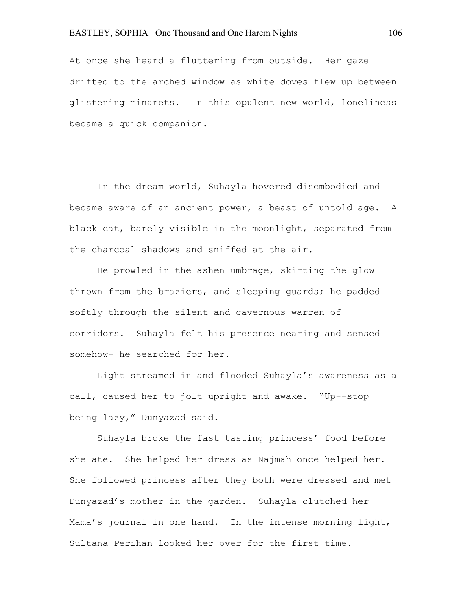At once she heard a fluttering from outside. Her gaze drifted to the arched window as white doves flew up between glistening minarets. In this opulent new world, loneliness became a quick companion.

In the dream world, Suhayla hovered disembodied and became aware of an ancient power, a beast of untold age. A black cat, barely visible in the moonlight, separated from the charcoal shadows and sniffed at the air.

He prowled in the ashen umbrage, skirting the glow thrown from the braziers, and sleeping guards; he padded softly through the silent and cavernous warren of corridors. Suhayla felt his presence nearing and sensed somehow-—he searched for her.

Light streamed in and flooded Suhayla's awareness as a call, caused her to jolt upright and awake. "Up--stop being lazy," Dunyazad said.

Suhayla broke the fast tasting princess' food before she ate. She helped her dress as Najmah once helped her. She followed princess after they both were dressed and met Dunyazad's mother in the garden. Suhayla clutched her Mama's journal in one hand. In the intense morning light, Sultana Perihan looked her over for the first time.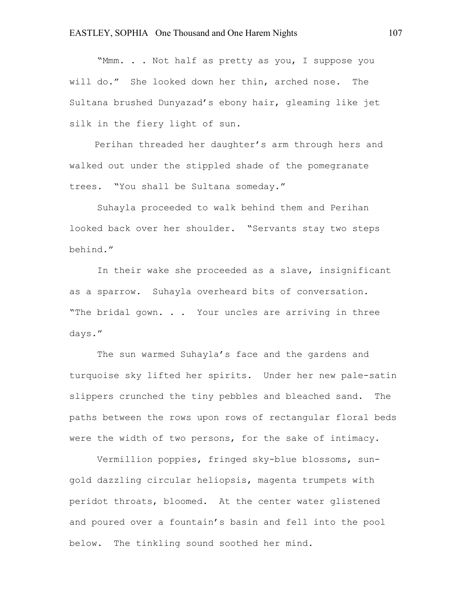"Mmm. . . Not half as pretty as you, I suppose you will do." She looked down her thin, arched nose. The Sultana brushed Dunyazad's ebony hair, gleaming like jet silk in the fiery light of sun.

 Perihan threaded her daughter's arm through hers and walked out under the stippled shade of the pomegranate trees. "You shall be Sultana someday."

Suhayla proceeded to walk behind them and Perihan looked back over her shoulder. "Servants stay two steps behind."

In their wake she proceeded as a slave, insignificant as a sparrow. Suhayla overheard bits of conversation. "The bridal gown. . . Your uncles are arriving in three days."

The sun warmed Suhayla's face and the gardens and turquoise sky lifted her spirits. Under her new pale-satin slippers crunched the tiny pebbles and bleached sand. The paths between the rows upon rows of rectangular floral beds were the width of two persons, for the sake of intimacy.

Vermillion poppies, fringed sky-blue blossoms, sungold dazzling circular heliopsis, magenta trumpets with peridot throats, bloomed. At the center water glistened and poured over a fountain's basin and fell into the pool below. The tinkling sound soothed her mind.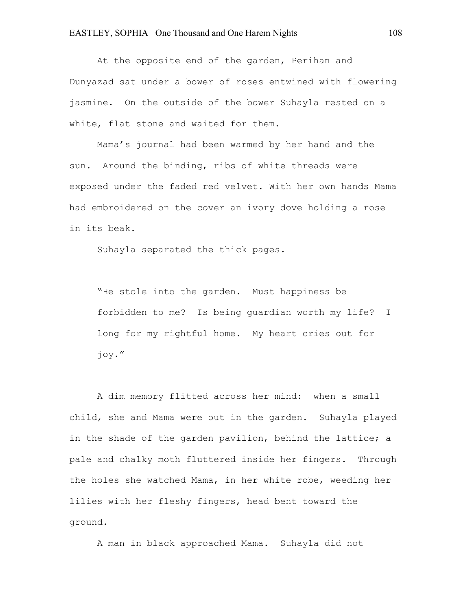At the opposite end of the garden, Perihan and Dunyazad sat under a bower of roses entwined with flowering jasmine. On the outside of the bower Suhayla rested on a white, flat stone and waited for them.

Mama's journal had been warmed by her hand and the sun. Around the binding, ribs of white threads were exposed under the faded red velvet. With her own hands Mama had embroidered on the cover an ivory dove holding a rose in its beak.

Suhayla separated the thick pages.

"He stole into the garden. Must happiness be forbidden to me? Is being guardian worth my life? I long for my rightful home. My heart cries out for joy."

A dim memory flitted across her mind: when a small child, she and Mama were out in the garden. Suhayla played in the shade of the garden pavilion, behind the lattice; a pale and chalky moth fluttered inside her fingers. Through the holes she watched Mama, in her white robe, weeding her lilies with her fleshy fingers, head bent toward the ground.

A man in black approached Mama. Suhayla did not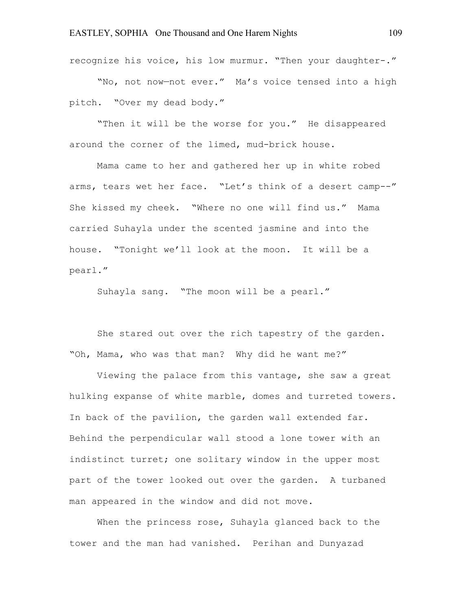recognize his voice, his low murmur. "Then your daughter-."

"No, not now—not ever." Ma's voice tensed into a high pitch. "Over my dead body."

"Then it will be the worse for you." He disappeared around the corner of the limed, mud-brick house.

Mama came to her and gathered her up in white robed arms, tears wet her face. "Let's think of a desert camp--" She kissed my cheek. "Where no one will find us." Mama carried Suhayla under the scented jasmine and into the house. "Tonight we'll look at the moon. It will be a pearl."

Suhayla sang. "The moon will be a pearl."

She stared out over the rich tapestry of the garden. "Oh, Mama, who was that man? Why did he want me?"

Viewing the palace from this vantage, she saw a great hulking expanse of white marble, domes and turreted towers. In back of the pavilion, the garden wall extended far. Behind the perpendicular wall stood a lone tower with an indistinct turret; one solitary window in the upper most part of the tower looked out over the garden. A turbaned man appeared in the window and did not move.

When the princess rose, Suhayla glanced back to the tower and the man had vanished. Perihan and Dunyazad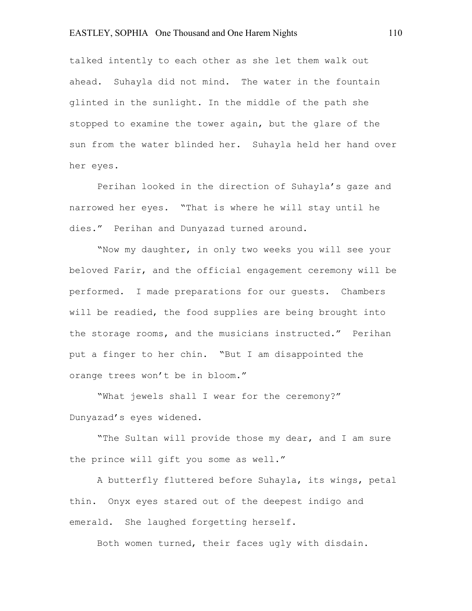## EASTLEY, SOPHIA One Thousand and One Harem Nights 110

talked intently to each other as she let them walk out ahead. Suhayla did not mind. The water in the fountain glinted in the sunlight. In the middle of the path she stopped to examine the tower again, but the glare of the sun from the water blinded her. Suhayla held her hand over her eyes.

Perihan looked in the direction of Suhayla's gaze and narrowed her eyes. "That is where he will stay until he dies." Perihan and Dunyazad turned around.

"Now my daughter, in only two weeks you will see your beloved Farir, and the official engagement ceremony will be performed. I made preparations for our guests. Chambers will be readied, the food supplies are being brought into the storage rooms, and the musicians instructed." Perihan put a finger to her chin. "But I am disappointed the orange trees won't be in bloom."

"What jewels shall I wear for the ceremony?" Dunyazad's eyes widened.

"The Sultan will provide those my dear, and I am sure the prince will gift you some as well."

A butterfly fluttered before Suhayla, its wings, petal thin. Onyx eyes stared out of the deepest indigo and emerald. She laughed forgetting herself.

Both women turned, their faces ugly with disdain.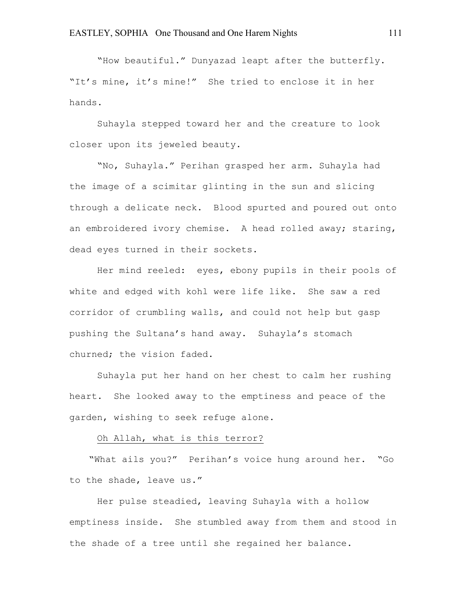"How beautiful." Dunyazad leapt after the butterfly. "It's mine, it's mine!" She tried to enclose it in her hands.

Suhayla stepped toward her and the creature to look closer upon its jeweled beauty.

"No, Suhayla." Perihan grasped her arm. Suhayla had the image of a scimitar glinting in the sun and slicing through a delicate neck. Blood spurted and poured out onto an embroidered ivory chemise. A head rolled away; staring, dead eyes turned in their sockets.

Her mind reeled: eyes, ebony pupils in their pools of white and edged with kohl were life like. She saw a red corridor of crumbling walls, and could not help but gasp pushing the Sultana's hand away. Suhayla's stomach churned; the vision faded.

Suhayla put her hand on her chest to calm her rushing heart. She looked away to the emptiness and peace of the garden, wishing to seek refuge alone.

# Oh Allah, what is this terror?

"What ails you?" Perihan's voice hung around her. "Go to the shade, leave us."

Her pulse steadied, leaving Suhayla with a hollow emptiness inside. She stumbled away from them and stood in the shade of a tree until she regained her balance.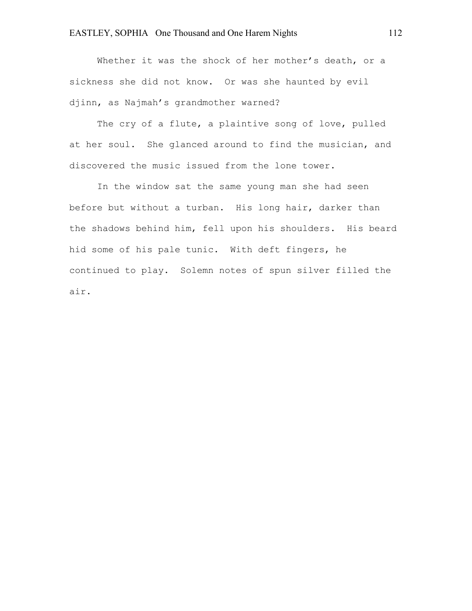Whether it was the shock of her mother's death, or a sickness she did not know. Or was she haunted by evil djinn, as Najmah's grandmother warned?

The cry of a flute, a plaintive song of love, pulled at her soul. She glanced around to find the musician, and discovered the music issued from the lone tower.

In the window sat the same young man she had seen before but without a turban. His long hair, darker than the shadows behind him, fell upon his shoulders. His beard hid some of his pale tunic. With deft fingers, he continued to play. Solemn notes of spun silver filled the air.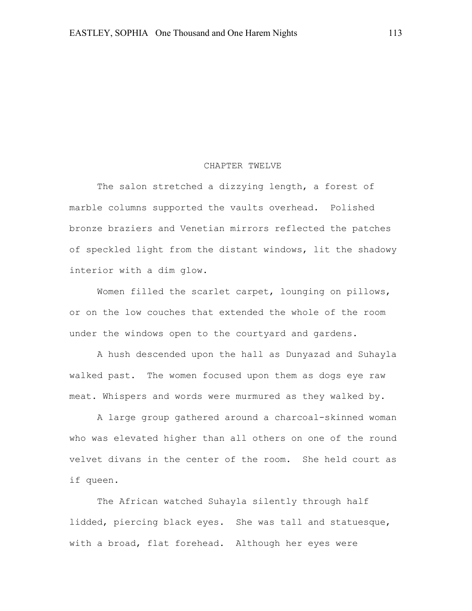#### CHAPTER TWELVE

The salon stretched a dizzying length, a forest of marble columns supported the vaults overhead. Polished bronze braziers and Venetian mirrors reflected the patches of speckled light from the distant windows, lit the shadowy interior with a dim glow.

Women filled the scarlet carpet, lounging on pillows, or on the low couches that extended the whole of the room under the windows open to the courtyard and gardens.

A hush descended upon the hall as Dunyazad and Suhayla walked past. The women focused upon them as dogs eye raw meat. Whispers and words were murmured as they walked by.

A large group gathered around a charcoal-skinned woman who was elevated higher than all others on one of the round velvet divans in the center of the room. She held court as if queen.

The African watched Suhayla silently through half lidded, piercing black eyes. She was tall and statuesque, with a broad, flat forehead. Although her eyes were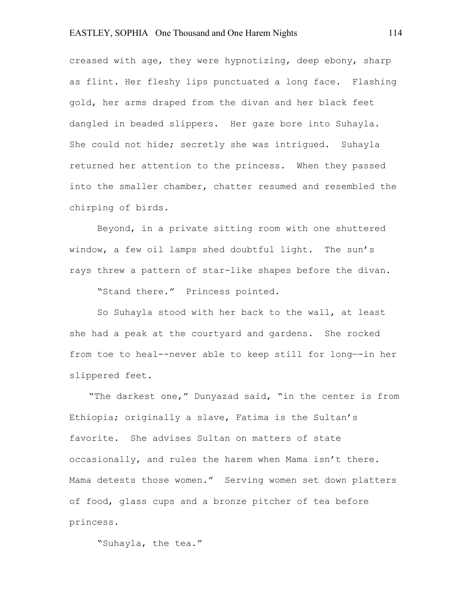## EASTLEY, SOPHIA One Thousand and One Harem Nights 114

creased with age, they were hypnotizing, deep ebony, sharp as flint. Her fleshy lips punctuated a long face. Flashing gold, her arms draped from the divan and her black feet dangled in beaded slippers. Her gaze bore into Suhayla. She could not hide; secretly she was intrigued. Suhayla returned her attention to the princess. When they passed into the smaller chamber, chatter resumed and resembled the chirping of birds.

Beyond, in a private sitting room with one shuttered window, a few oil lamps shed doubtful light. The sun's rays threw a pattern of star-like shapes before the divan.

"Stand there." Princess pointed.

So Suhayla stood with her back to the wall, at least she had a peak at the courtyard and gardens. She rocked from toe to heal--never able to keep still for long—-in her slippered feet.

"The darkest one," Dunyazad said, "in the center is from Ethiopia; originally a slave, Fatima is the Sultan's favorite. She advises Sultan on matters of state occasionally, and rules the harem when Mama isn't there. Mama detests those women." Serving women set down platters of food, glass cups and a bronze pitcher of tea before princess.

"Suhayla, the tea."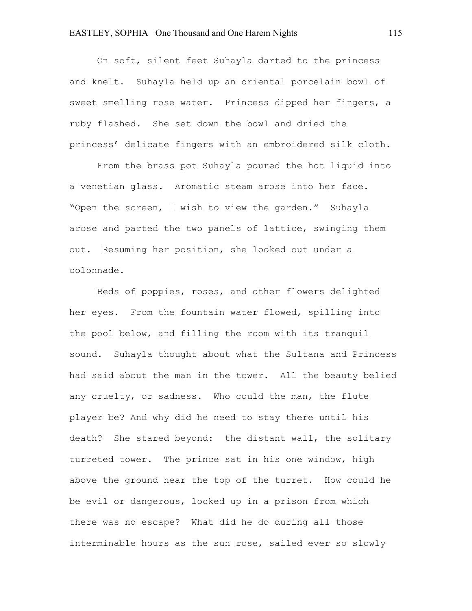## EASTLEY, SOPHIA One Thousand and One Harem Nights 115

On soft, silent feet Suhayla darted to the princess and knelt. Suhayla held up an oriental porcelain bowl of sweet smelling rose water. Princess dipped her fingers, a ruby flashed. She set down the bowl and dried the princess' delicate fingers with an embroidered silk cloth.

From the brass pot Suhayla poured the hot liquid into a venetian glass. Aromatic steam arose into her face. "Open the screen, I wish to view the garden." Suhayla arose and parted the two panels of lattice, swinging them out. Resuming her position, she looked out under a colonnade.

Beds of poppies, roses, and other flowers delighted her eyes. From the fountain water flowed, spilling into the pool below, and filling the room with its tranquil sound. Suhayla thought about what the Sultana and Princess had said about the man in the tower. All the beauty belied any cruelty, or sadness. Who could the man, the flute player be? And why did he need to stay there until his death? She stared beyond: the distant wall, the solitary turreted tower. The prince sat in his one window, high above the ground near the top of the turret. How could he be evil or dangerous, locked up in a prison from which there was no escape? What did he do during all those interminable hours as the sun rose, sailed ever so slowly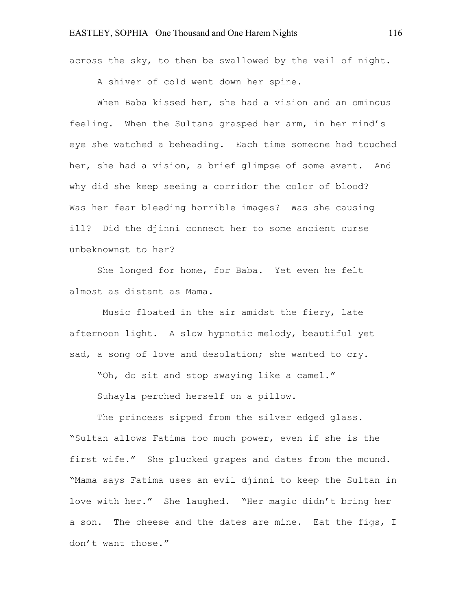across the sky, to then be swallowed by the veil of night.

A shiver of cold went down her spine.

When Baba kissed her, she had a vision and an ominous feeling. When the Sultana grasped her arm, in her mind's eye she watched a beheading. Each time someone had touched her, she had a vision, a brief glimpse of some event. And why did she keep seeing a corridor the color of blood? Was her fear bleeding horrible images? Was she causing ill? Did the djinni connect her to some ancient curse unbeknownst to her?

She longed for home, for Baba. Yet even he felt almost as distant as Mama.

Music floated in the air amidst the fiery, late afternoon light. A slow hypnotic melody, beautiful yet sad, a song of love and desolation; she wanted to cry.

"Oh, do sit and stop swaying like a camel."

Suhayla perched herself on a pillow.

The princess sipped from the silver edged glass. "Sultan allows Fatima too much power, even if she is the first wife." She plucked grapes and dates from the mound. "Mama says Fatima uses an evil djinni to keep the Sultan in love with her." She laughed. "Her magic didn't bring her a son. The cheese and the dates are mine. Eat the figs, I don't want those."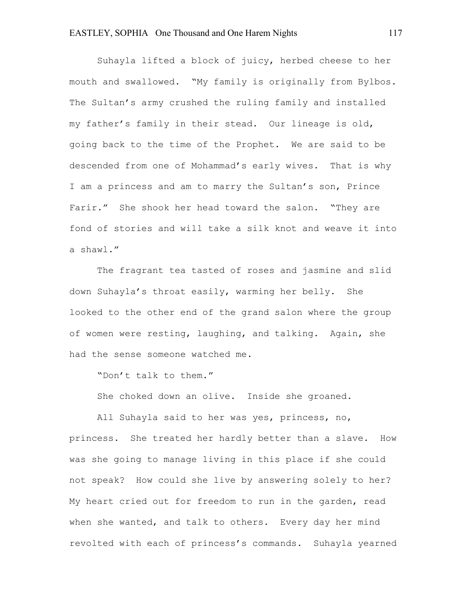Suhayla lifted a block of juicy, herbed cheese to her mouth and swallowed. "My family is originally from Bylbos. The Sultan's army crushed the ruling family and installed my father's family in their stead. Our lineage is old, going back to the time of the Prophet. We are said to be descended from one of Mohammad's early wives. That is why I am a princess and am to marry the Sultan's son, Prince Farir." She shook her head toward the salon. "They are fond of stories and will take a silk knot and weave it into a shawl."

The fragrant tea tasted of roses and jasmine and slid down Suhayla's throat easily, warming her belly. She looked to the other end of the grand salon where the group of women were resting, laughing, and talking. Again, she had the sense someone watched me.

"Don't talk to them."

She choked down an olive. Inside she groaned.

All Suhayla said to her was yes, princess, no, princess. She treated her hardly better than a slave. How was she going to manage living in this place if she could not speak? How could she live by answering solely to her? My heart cried out for freedom to run in the garden, read when she wanted, and talk to others. Every day her mind revolted with each of princess's commands. Suhayla yearned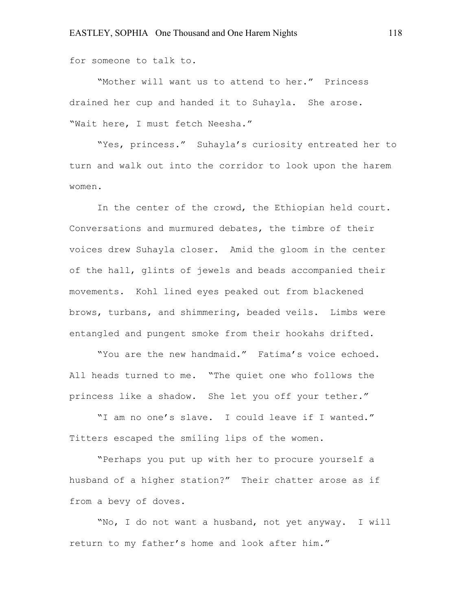for someone to talk to.

"Mother will want us to attend to her." Princess drained her cup and handed it to Suhayla. She arose. "Wait here, I must fetch Neesha."

"Yes, princess." Suhayla's curiosity entreated her to turn and walk out into the corridor to look upon the harem women.

In the center of the crowd, the Ethiopian held court. Conversations and murmured debates, the timbre of their voices drew Suhayla closer. Amid the gloom in the center of the hall, glints of jewels and beads accompanied their movements. Kohl lined eyes peaked out from blackened brows, turbans, and shimmering, beaded veils. Limbs were entangled and pungent smoke from their hookahs drifted.

"You are the new handmaid." Fatima's voice echoed. All heads turned to me. "The quiet one who follows the princess like a shadow. She let you off your tether."

"I am no one's slave. I could leave if I wanted." Titters escaped the smiling lips of the women.

"Perhaps you put up with her to procure yourself a husband of a higher station?" Their chatter arose as if from a bevy of doves.

"No, I do not want a husband, not yet anyway. I will return to my father's home and look after him."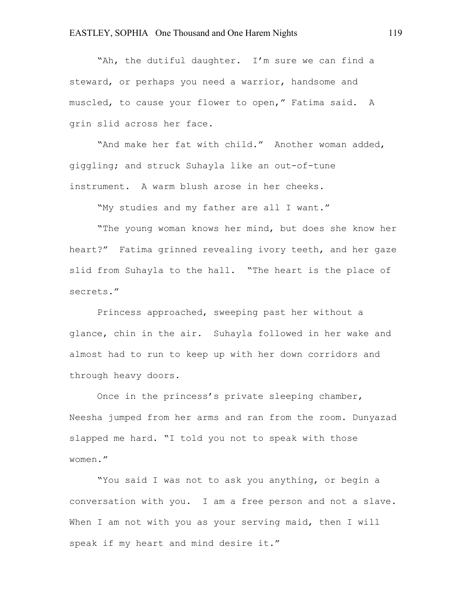"Ah, the dutiful daughter. I'm sure we can find a steward, or perhaps you need a warrior, handsome and muscled, to cause your flower to open," Fatima said. A grin slid across her face.

"And make her fat with child." Another woman added, giggling; and struck Suhayla like an out-of-tune instrument. A warm blush arose in her cheeks.

"My studies and my father are all I want."

"The young woman knows her mind, but does she know her heart?" Fatima grinned revealing ivory teeth, and her gaze slid from Suhayla to the hall. "The heart is the place of secrets."

Princess approached, sweeping past her without a glance, chin in the air. Suhayla followed in her wake and almost had to run to keep up with her down corridors and through heavy doors.

Once in the princess's private sleeping chamber, Neesha jumped from her arms and ran from the room. Dunyazad slapped me hard. "I told you not to speak with those women."

"You said I was not to ask you anything, or begin a conversation with you. I am a free person and not a slave. When I am not with you as your serving maid, then I will speak if my heart and mind desire it."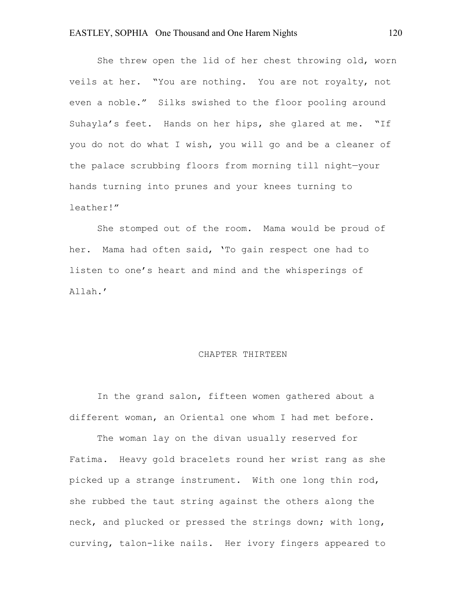She threw open the lid of her chest throwing old, worn veils at her. "You are nothing. You are not royalty, not even a noble." Silks swished to the floor pooling around Suhayla's feet. Hands on her hips, she glared at me. "If you do not do what I wish, you will go and be a cleaner of the palace scrubbing floors from morning till night—your hands turning into prunes and your knees turning to leather!"

She stomped out of the room. Mama would be proud of her. Mama had often said, 'To gain respect one had to listen to one's heart and mind and the whisperings of Allah.'

#### CHAPTER THIRTEEN

In the grand salon, fifteen women gathered about a different woman, an Oriental one whom I had met before.

The woman lay on the divan usually reserved for Fatima. Heavy gold bracelets round her wrist rang as she picked up a strange instrument. With one long thin rod, she rubbed the taut string against the others along the neck, and plucked or pressed the strings down; with long, curving, talon-like nails. Her ivory fingers appeared to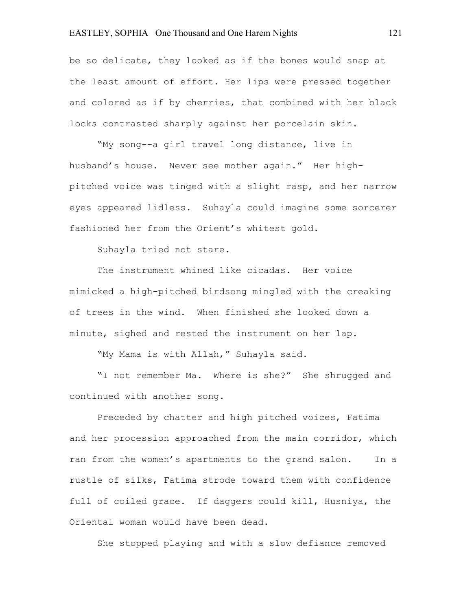# EASTLEY, SOPHIA One Thousand and One Harem Nights 121

be so delicate, they looked as if the bones would snap at the least amount of effort. Her lips were pressed together and colored as if by cherries, that combined with her black locks contrasted sharply against her porcelain skin.

"My song--a girl travel long distance, live in husband's house. Never see mother again." Her highpitched voice was tinged with a slight rasp, and her narrow eyes appeared lidless. Suhayla could imagine some sorcerer fashioned her from the Orient's whitest gold.

Suhayla tried not stare.

The instrument whined like cicadas. Her voice mimicked a high-pitched birdsong mingled with the creaking of trees in the wind. When finished she looked down a minute, sighed and rested the instrument on her lap.

"My Mama is with Allah," Suhayla said.

"I not remember Ma. Where is she?" She shrugged and continued with another song.

Preceded by chatter and high pitched voices, Fatima and her procession approached from the main corridor, which ran from the women's apartments to the grand salon. In a rustle of silks, Fatima strode toward them with confidence full of coiled grace. If daggers could kill, Husniya, the Oriental woman would have been dead.

She stopped playing and with a slow defiance removed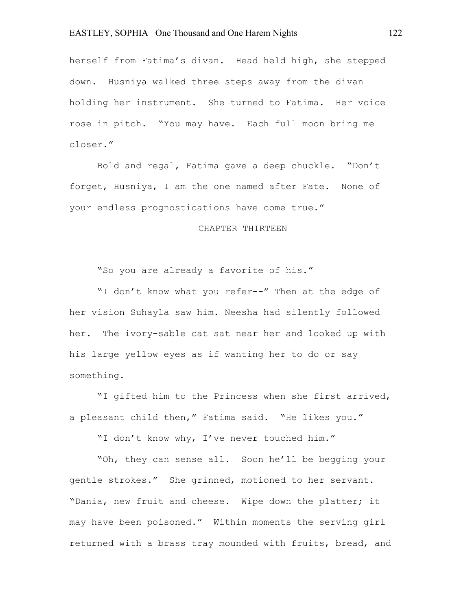## EASTLEY, SOPHIA One Thousand and One Harem Nights 122

herself from Fatima's divan. Head held high, she stepped down. Husniya walked three steps away from the divan holding her instrument. She turned to Fatima. Her voice rose in pitch. "You may have. Each full moon bring me closer."

Bold and regal, Fatima gave a deep chuckle. "Don't forget, Husniya, I am the one named after Fate. None of your endless prognostications have come true."

# CHAPTER THIRTEEN

"So you are already a favorite of his."

"I don't know what you refer--" Then at the edge of her vision Suhayla saw him. Neesha had silently followed her. The ivory-sable cat sat near her and looked up with his large yellow eyes as if wanting her to do or say something.

"I gifted him to the Princess when she first arrived, a pleasant child then," Fatima said. "He likes you."

"I don't know why, I've never touched him."

"Oh, they can sense all. Soon he'll be begging your gentle strokes." She grinned, motioned to her servant. "Dania, new fruit and cheese. Wipe down the platter; it may have been poisoned." Within moments the serving girl returned with a brass tray mounded with fruits, bread, and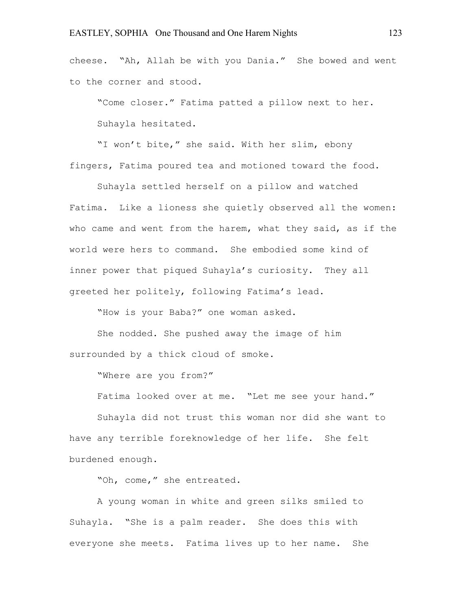cheese. "Ah, Allah be with you Dania." She bowed and went to the corner and stood.

"Come closer." Fatima patted a pillow next to her. Suhayla hesitated.

"I won't bite," she said. With her slim, ebony fingers, Fatima poured tea and motioned toward the food.

Suhayla settled herself on a pillow and watched Fatima. Like a lioness she quietly observed all the women: who came and went from the harem, what they said, as if the world were hers to command. She embodied some kind of inner power that piqued Suhayla's curiosity. They all greeted her politely, following Fatima's lead.

"How is your Baba?" one woman asked.

She nodded. She pushed away the image of him surrounded by a thick cloud of smoke.

"Where are you from?"

Fatima looked over at me. "Let me see your hand."

Suhayla did not trust this woman nor did she want to have any terrible foreknowledge of her life. She felt burdened enough.

"Oh, come," she entreated.

A young woman in white and green silks smiled to Suhayla. "She is a palm reader. She does this with everyone she meets. Fatima lives up to her name. She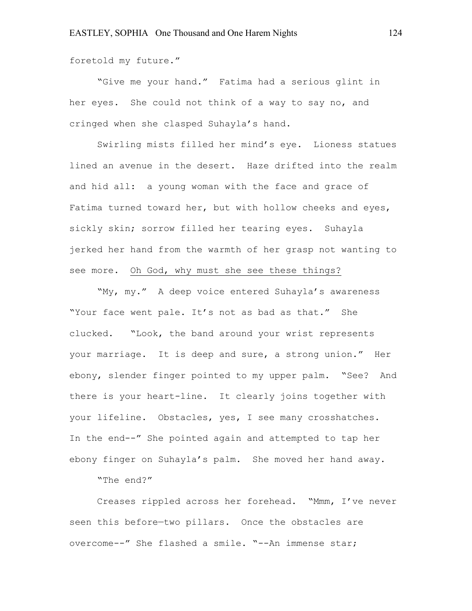foretold my future."

"Give me your hand." Fatima had a serious glint in her eyes. She could not think of a way to say no, and cringed when she clasped Suhayla's hand.

Swirling mists filled her mind's eye. Lioness statues lined an avenue in the desert. Haze drifted into the realm and hid all: a young woman with the face and grace of Fatima turned toward her, but with hollow cheeks and eyes, sickly skin; sorrow filled her tearing eyes. Suhayla jerked her hand from the warmth of her grasp not wanting to see more. Oh God, why must she see these things?

"My, my." A deep voice entered Suhayla's awareness "Your face went pale. It's not as bad as that." She clucked. "Look, the band around your wrist represents your marriage. It is deep and sure, a strong union." Her ebony, slender finger pointed to my upper palm. "See? And there is your heart-line. It clearly joins together with your lifeline. Obstacles, yes, I see many crosshatches. In the end--" She pointed again and attempted to tap her ebony finger on Suhayla's palm. She moved her hand away.

"The end?"

Creases rippled across her forehead. "Mmm, I've never seen this before-two pillars. Once the obstacles are overcome--" She flashed a smile. "--An immense star;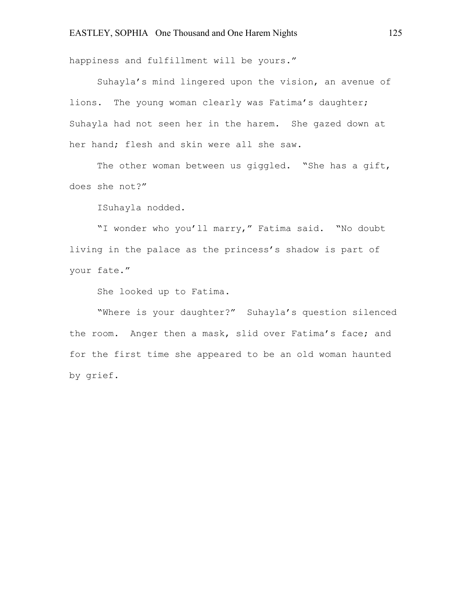happiness and fulfillment will be yours."

Suhayla's mind lingered upon the vision, an avenue of lions. The young woman clearly was Fatima's daughter; Suhayla had not seen her in the harem. She gazed down at her hand; flesh and skin were all she saw.

The other woman between us giggled. "She has a gift, does she not?"

ISuhayla nodded.

"I wonder who you'll marry," Fatima said. "No doubt living in the palace as the princess's shadow is part of your fate."

She looked up to Fatima.

"Where is your daughter?" Suhayla's question silenced the room. Anger then a mask, slid over Fatima's face; and for the first time she appeared to be an old woman haunted by grief.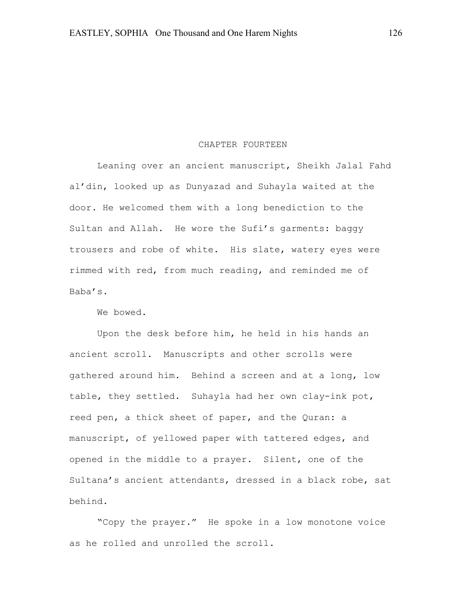#### CHAPTER FOURTEEN

Leaning over an ancient manuscript, Sheikh Jalal Fahd al'din, looked up as Dunyazad and Suhayla waited at the door. He welcomed them with a long benediction to the Sultan and Allah. He wore the Sufi's garments: baggy trousers and robe of white. His slate, watery eyes were rimmed with red, from much reading, and reminded me of Baba's.

We bowed.

Upon the desk before him, he held in his hands an ancient scroll. Manuscripts and other scrolls were gathered around him. Behind a screen and at a long, low table, they settled. Suhayla had her own clay-ink pot, reed pen, a thick sheet of paper, and the Quran: a manuscript, of yellowed paper with tattered edges, and opened in the middle to a prayer. Silent, one of the Sultana's ancient attendants, dressed in a black robe, sat behind.

"Copy the prayer." He spoke in a low monotone voice as he rolled and unrolled the scroll.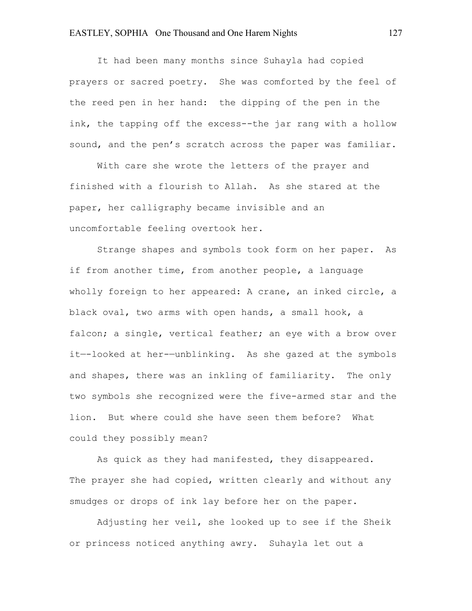It had been many months since Suhayla had copied prayers or sacred poetry. She was comforted by the feel of the reed pen in her hand: the dipping of the pen in the ink, the tapping off the excess--the jar rang with a hollow sound, and the pen's scratch across the paper was familiar.

With care she wrote the letters of the prayer and finished with a flourish to Allah. As she stared at the paper, her calligraphy became invisible and an uncomfortable feeling overtook her.

Strange shapes and symbols took form on her paper. As if from another time, from another people, a language wholly foreign to her appeared: A crane, an inked circle, a black oval, two arms with open hands, a small hook, a falcon; a single, vertical feather; an eye with a brow over it—-looked at her-—unblinking. As she gazed at the symbols and shapes, there was an inkling of familiarity. The only two symbols she recognized were the five-armed star and the lion. But where could she have seen them before? What could they possibly mean?

As quick as they had manifested, they disappeared. The prayer she had copied, written clearly and without any smudges or drops of ink lay before her on the paper.

Adjusting her veil, she looked up to see if the Sheik or princess noticed anything awry. Suhayla let out a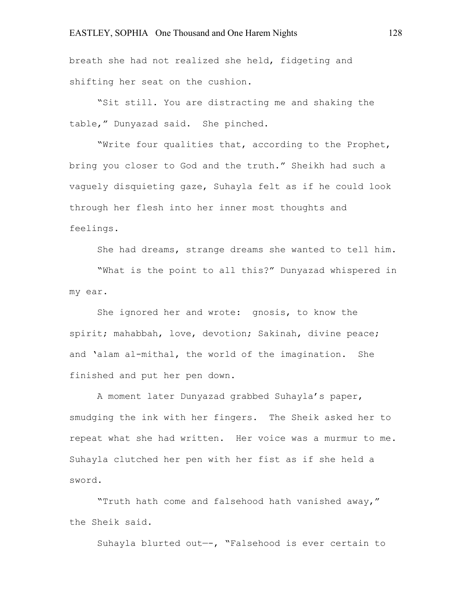breath she had not realized she held, fidgeting and shifting her seat on the cushion.

"Sit still. You are distracting me and shaking the table," Dunyazad said. She pinched.

"Write four qualities that, according to the Prophet, bring you closer to God and the truth." Sheikh had such a vaguely disquieting gaze, Suhayla felt as if he could look through her flesh into her inner most thoughts and feelings.

She had dreams, strange dreams she wanted to tell him.

"What is the point to all this?" Dunyazad whispered in my ear.

She ignored her and wrote: gnosis, to know the spirit; mahabbah, love, devotion; Sakinah, divine peace; and 'alam al-mithal, the world of the imagination. She finished and put her pen down.

A moment later Dunyazad grabbed Suhayla's paper, smudging the ink with her fingers. The Sheik asked her to repeat what she had written. Her voice was a murmur to me. Suhayla clutched her pen with her fist as if she held a sword.

"Truth hath come and falsehood hath vanished away," the Sheik said.

Suhayla blurted out—-, "Falsehood is ever certain to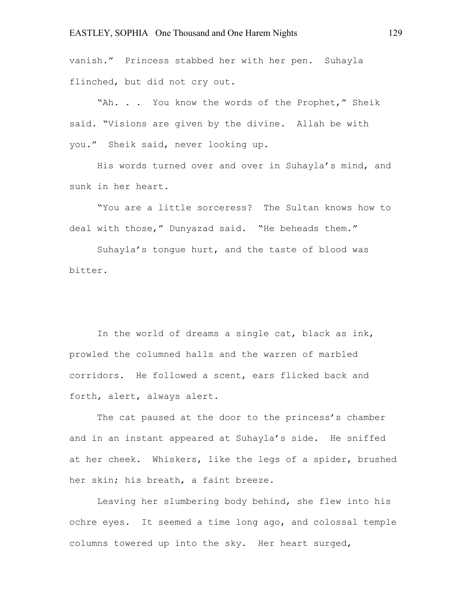vanish." Princess stabbed her with her pen. Suhayla flinched, but did not cry out.

"Ah. . . You know the words of the Prophet," Sheik said. "Visions are given by the divine. Allah be with you." Sheik said, never looking up.

His words turned over and over in Suhayla's mind, and sunk in her heart.

"You are a little sorceress? The Sultan knows how to deal with those," Dunyazad said. "He beheads them."

Suhayla's tongue hurt, and the taste of blood was bitter.

In the world of dreams a single cat, black as ink, prowled the columned halls and the warren of marbled corridors. He followed a scent, ears flicked back and forth, alert, always alert.

The cat paused at the door to the princess's chamber and in an instant appeared at Suhayla's side. He sniffed at her cheek. Whiskers, like the legs of a spider, brushed her skin; his breath, a faint breeze.

Leaving her slumbering body behind, she flew into his ochre eyes. It seemed a time long ago, and colossal temple columns towered up into the sky. Her heart surged,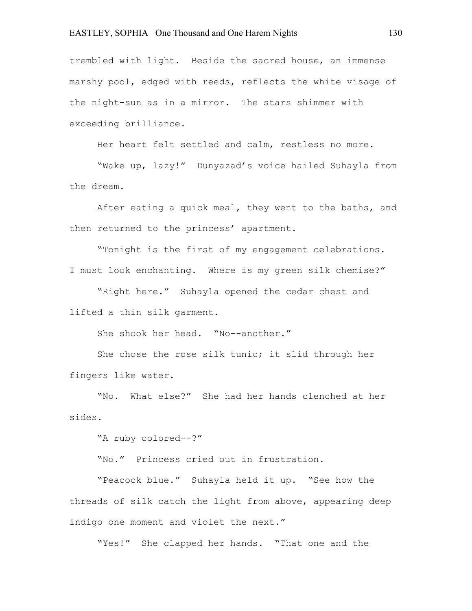trembled with light. Beside the sacred house, an immense marshy pool, edged with reeds, reflects the white visage of the night-sun as in a mirror. The stars shimmer with exceeding brilliance.

Her heart felt settled and calm, restless no more.

"Wake up, lazy!" Dunyazad's voice hailed Suhayla from the dream.

After eating a quick meal, they went to the baths, and then returned to the princess' apartment.

"Tonight is the first of my engagement celebrations. I must look enchanting. Where is my green silk chemise?"

"Right here." Suhayla opened the cedar chest and lifted a thin silk garment.

She shook her head. "No--another."

She chose the rose silk tunic; it slid through her fingers like water.

"No. What else?" She had her hands clenched at her sides.

"A ruby colored--?"

"No." Princess cried out in frustration.

"Peacock blue." Suhayla held it up. "See how the threads of silk catch the light from above, appearing deep indigo one moment and violet the next."

"Yes!" She clapped her hands. "That one and the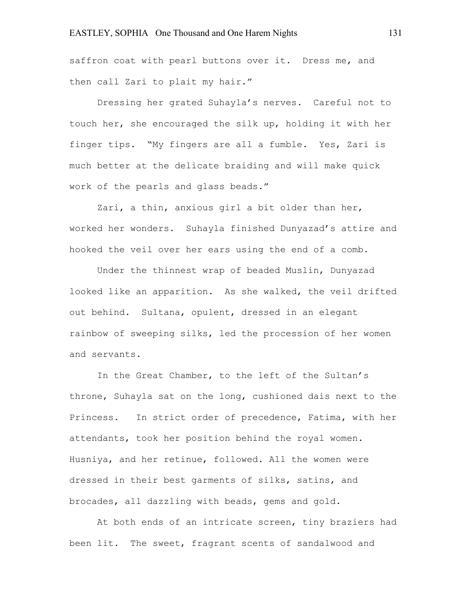saffron coat with pearl buttons over it. Dress me, and then call Zari to plait my hair."

Dressing her grated Suhayla's nerves. Careful not to touch her, she encouraged the silk up, holding it with her finger tips. "My fingers are all a fumble. Yes, Zari is much better at the delicate braiding and will make quick work of the pearls and glass beads."

Zari, a thin, anxious girl a bit older than her, worked her wonders. Suhayla finished Dunyazad's attire and hooked the veil over her ears using the end of a comb.

Under the thinnest wrap of beaded Muslin, Dunyazad looked like an apparition. As she walked, the veil drifted out behind. Sultana, opulent, dressed in an elegant rainbow of sweeping silks, led the procession of her women and servants.

In the Great Chamber, to the left of the Sultan's throne, Suhayla sat on the long, cushioned dais next to the Princess. In strict order of precedence, Fatima, with her attendants, took her position behind the royal women. Husniya, and her retinue, followed. All the women were dressed in their best garments of silks, satins, and brocades, all dazzling with beads, gems and gold.

At both ends of an intricate screen, tiny braziers had been lit. The sweet, fragrant scents of sandalwood and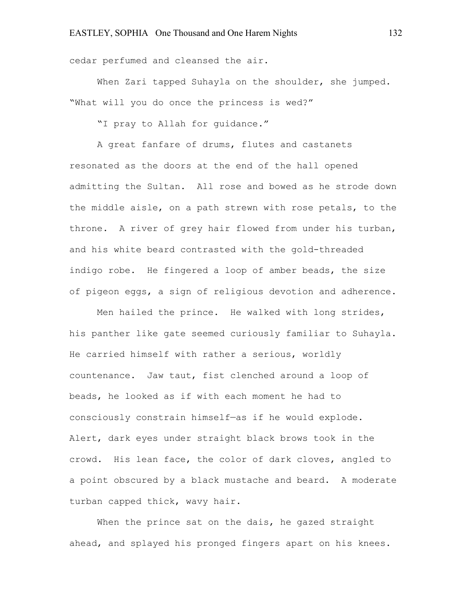cedar perfumed and cleansed the air.

When Zari tapped Suhayla on the shoulder, she jumped. "What will you do once the princess is wed?"

"I pray to Allah for guidance."

A great fanfare of drums, flutes and castanets resonated as the doors at the end of the hall opened admitting the Sultan. All rose and bowed as he strode down the middle aisle, on a path strewn with rose petals, to the throne. A river of grey hair flowed from under his turban, and his white beard contrasted with the gold-threaded indigo robe. He fingered a loop of amber beads, the size of pigeon eggs, a sign of religious devotion and adherence.

Men hailed the prince. He walked with long strides, his panther like gate seemed curiously familiar to Suhayla. He carried himself with rather a serious, worldly countenance. Jaw taut, fist clenched around a loop of beads, he looked as if with each moment he had to consciously constrain himself—as if he would explode. Alert, dark eyes under straight black brows took in the crowd. His lean face, the color of dark cloves, angled to a point obscured by a black mustache and beard. A moderate turban capped thick, wavy hair.

When the prince sat on the dais, he gazed straight ahead, and splayed his pronged fingers apart on his knees.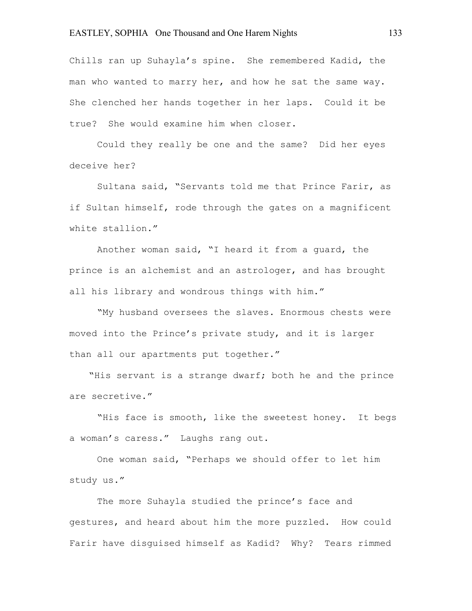Chills ran up Suhayla's spine. She remembered Kadid, the man who wanted to marry her, and how he sat the same way. She clenched her hands together in her laps. Could it be true? She would examine him when closer.

Could they really be one and the same? Did her eyes deceive her?

Sultana said, "Servants told me that Prince Farir, as if Sultan himself, rode through the gates on a magnificent white stallion."

Another woman said, "I heard it from a guard, the prince is an alchemist and an astrologer, and has brought all his library and wondrous things with him."

"My husband oversees the slaves. Enormous chests were moved into the Prince's private study, and it is larger than all our apartments put together."

"His servant is a strange dwarf; both he and the prince are secretive."

"His face is smooth, like the sweetest honey. It begs a woman's caress." Laughs rang out.

One woman said, "Perhaps we should offer to let him study us."

The more Suhayla studied the prince's face and gestures, and heard about him the more puzzled. How could Farir have disguised himself as Kadid? Why? Tears rimmed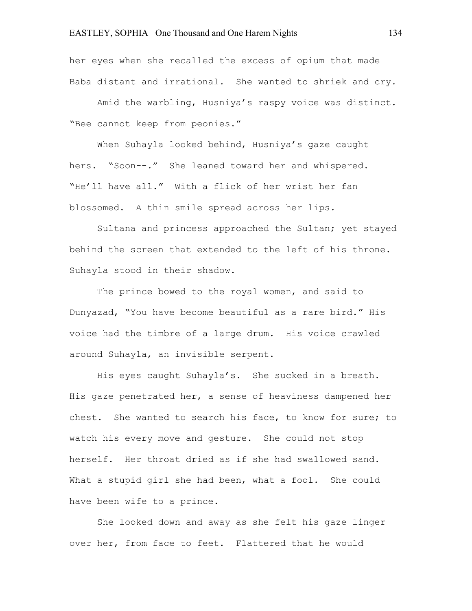her eyes when she recalled the excess of opium that made Baba distant and irrational. She wanted to shriek and cry.

Amid the warbling, Husniya's raspy voice was distinct. "Bee cannot keep from peonies."

When Suhayla looked behind, Husniya's gaze caught hers. "Soon--." She leaned toward her and whispered. "He'll have all." With a flick of her wrist her fan blossomed. A thin smile spread across her lips.

Sultana and princess approached the Sultan; yet stayed behind the screen that extended to the left of his throne. Suhayla stood in their shadow.

The prince bowed to the royal women, and said to Dunyazad, "You have become beautiful as a rare bird." His voice had the timbre of a large drum. His voice crawled around Suhayla, an invisible serpent.

His eyes caught Suhayla's. She sucked in a breath. His gaze penetrated her, a sense of heaviness dampened her chest. She wanted to search his face, to know for sure; to watch his every move and gesture. She could not stop herself. Her throat dried as if she had swallowed sand. What a stupid girl she had been, what a fool. She could have been wife to a prince.

She looked down and away as she felt his gaze linger over her, from face to feet. Flattered that he would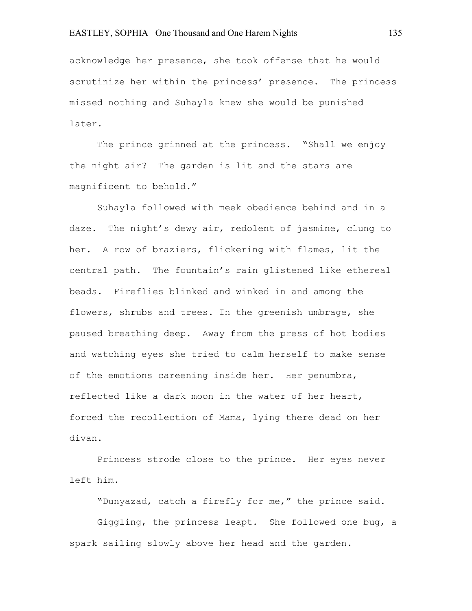## EASTLEY, SOPHIA One Thousand and One Harem Nights 135

acknowledge her presence, she took offense that he would scrutinize her within the princess' presence. The princess missed nothing and Suhayla knew she would be punished later.

The prince grinned at the princess. "Shall we enjoy the night air? The garden is lit and the stars are magnificent to behold."

Suhayla followed with meek obedience behind and in a daze. The night's dewy air, redolent of jasmine, clung to her. A row of braziers, flickering with flames, lit the central path. The fountain's rain glistened like ethereal beads. Fireflies blinked and winked in and among the flowers, shrubs and trees. In the greenish umbrage, she paused breathing deep. Away from the press of hot bodies and watching eyes she tried to calm herself to make sense of the emotions careening inside her. Her penumbra, reflected like a dark moon in the water of her heart, forced the recollection of Mama, lying there dead on her divan.

Princess strode close to the prince. Her eyes never left him.

"Dunyazad, catch a firefly for me," the prince said.

Giggling, the princess leapt. She followed one bug, a spark sailing slowly above her head and the garden.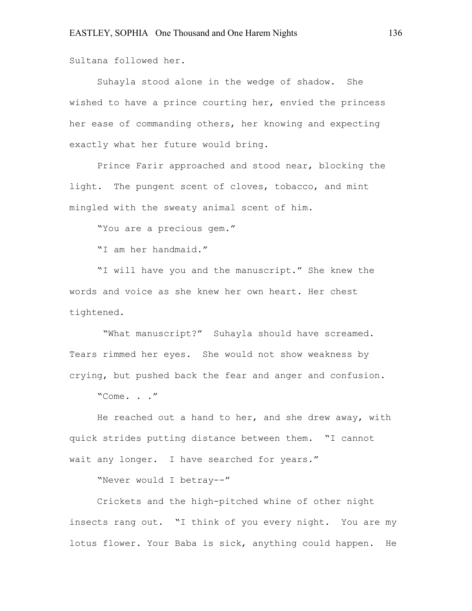Sultana followed her.

Suhayla stood alone in the wedge of shadow. She wished to have a prince courting her, envied the princess her ease of commanding others, her knowing and expecting exactly what her future would bring.

Prince Farir approached and stood near, blocking the light. The pungent scent of cloves, tobacco, and mint mingled with the sweaty animal scent of him.

"You are a precious gem."

"I am her handmaid."

"I will have you and the manuscript." She knew the words and voice as she knew her own heart. Her chest tightened.

"What manuscript?" Suhayla should have screamed. Tears rimmed her eyes. She would not show weakness by crying, but pushed back the fear and anger and confusion.

"Come. . ."

He reached out a hand to her, and she drew away, with quick strides putting distance between them. "I cannot wait any longer. I have searched for years."

"Never would I betray--"

Crickets and the high-pitched whine of other night insects rang out. "I think of you every night. You are my lotus flower. Your Baba is sick, anything could happen. He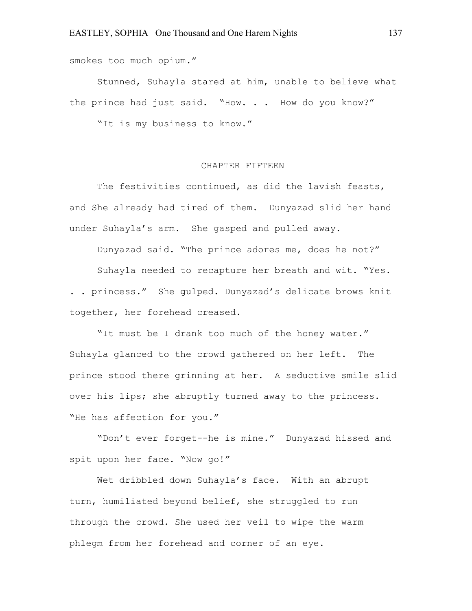smokes too much opium."

Stunned, Suhayla stared at him, unable to believe what the prince had just said. "How. . . How do you know?"

"It is my business to know."

#### CHAPTER FIFTEEN

The festivities continued, as did the lavish feasts, and She already had tired of them. Dunyazad slid her hand under Suhayla's arm. She gasped and pulled away.

Dunyazad said. "The prince adores me, does he not?"

Suhayla needed to recapture her breath and wit. "Yes. . . princess." She gulped. Dunyazad's delicate brows knit together, her forehead creased.

"It must be I drank too much of the honey water." Suhayla glanced to the crowd gathered on her left. The prince stood there grinning at her. A seductive smile slid over his lips; she abruptly turned away to the princess. "He has affection for you."

"Don't ever forget--he is mine." Dunyazad hissed and spit upon her face. "Now go!"

Wet dribbled down Suhayla's face. With an abrupt turn, humiliated beyond belief, she struggled to run through the crowd. She used her veil to wipe the warm phlegm from her forehead and corner of an eye.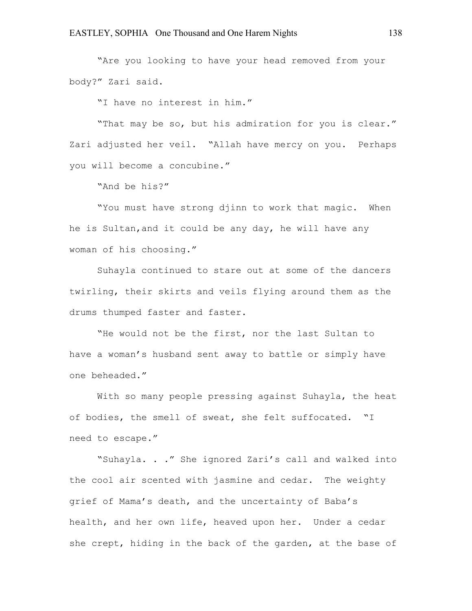"Are you looking to have your head removed from your body?" Zari said.

"I have no interest in him."

"That may be so, but his admiration for you is clear." Zari adjusted her veil. "Allah have mercy on you. Perhaps you will become a concubine."

"And be his?"

"You must have strong djinn to work that magic. When he is Sultan,and it could be any day, he will have any woman of his choosing."

Suhayla continued to stare out at some of the dancers twirling, their skirts and veils flying around them as the drums thumped faster and faster.

"He would not be the first, nor the last Sultan to have a woman's husband sent away to battle or simply have one beheaded."

With so many people pressing against Suhayla, the heat of bodies, the smell of sweat, she felt suffocated. "I need to escape."

"Suhayla. . ." She ignored Zari's call and walked into the cool air scented with jasmine and cedar. The weighty grief of Mama's death, and the uncertainty of Baba's health, and her own life, heaved upon her. Under a cedar she crept, hiding in the back of the garden, at the base of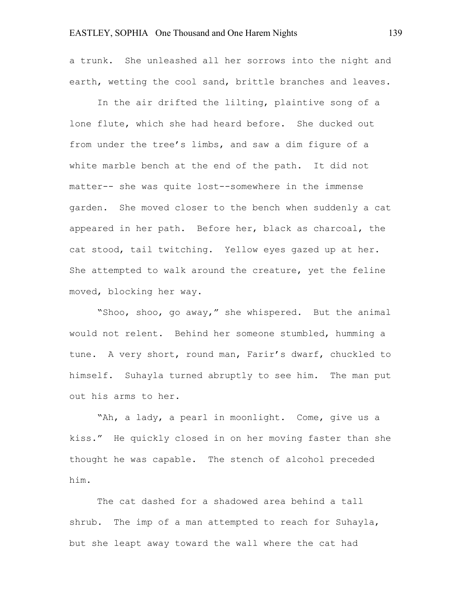### EASTLEY, SOPHIA One Thousand and One Harem Nights 139

a trunk. She unleashed all her sorrows into the night and earth, wetting the cool sand, brittle branches and leaves.

In the air drifted the lilting, plaintive song of a lone flute, which she had heard before. She ducked out from under the tree's limbs, and saw a dim figure of a white marble bench at the end of the path. It did not matter-- she was quite lost--somewhere in the immense garden. She moved closer to the bench when suddenly a cat appeared in her path. Before her, black as charcoal, the cat stood, tail twitching. Yellow eyes gazed up at her. She attempted to walk around the creature, yet the feline moved, blocking her way.

"Shoo, shoo, go away," she whispered. But the animal would not relent. Behind her someone stumbled, humming a tune. A very short, round man, Farir's dwarf, chuckled to himself. Suhayla turned abruptly to see him. The man put out his arms to her.

"Ah, a lady, a pearl in moonlight. Come, give us a kiss." He quickly closed in on her moving faster than she thought he was capable. The stench of alcohol preceded him.

The cat dashed for a shadowed area behind a tall shrub. The imp of a man attempted to reach for Suhayla, but she leapt away toward the wall where the cat had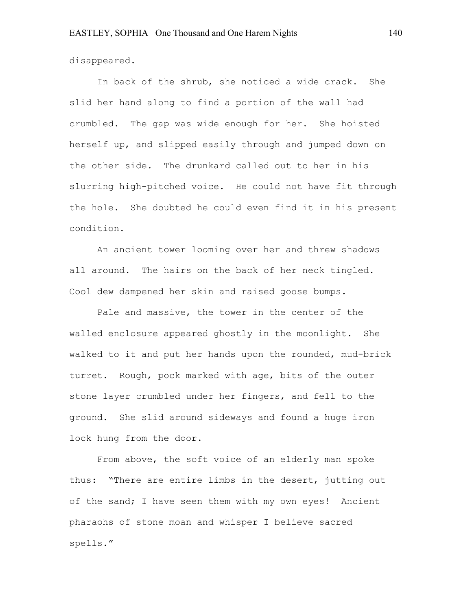disappeared.

In back of the shrub, she noticed a wide crack. She slid her hand along to find a portion of the wall had crumbled. The gap was wide enough for her. She hoisted herself up, and slipped easily through and jumped down on the other side. The drunkard called out to her in his slurring high-pitched voice. He could not have fit through the hole. She doubted he could even find it in his present condition.

An ancient tower looming over her and threw shadows all around. The hairs on the back of her neck tingled. Cool dew dampened her skin and raised goose bumps.

Pale and massive, the tower in the center of the walled enclosure appeared ghostly in the moonlight. She walked to it and put her hands upon the rounded, mud-brick turret. Rough, pock marked with age, bits of the outer stone layer crumbled under her fingers, and fell to the ground. She slid around sideways and found a huge iron lock hung from the door.

From above, the soft voice of an elderly man spoke thus: "There are entire limbs in the desert, jutting out of the sand; I have seen them with my own eyes! Ancient pharaohs of stone moan and whisper—I believe—sacred spells."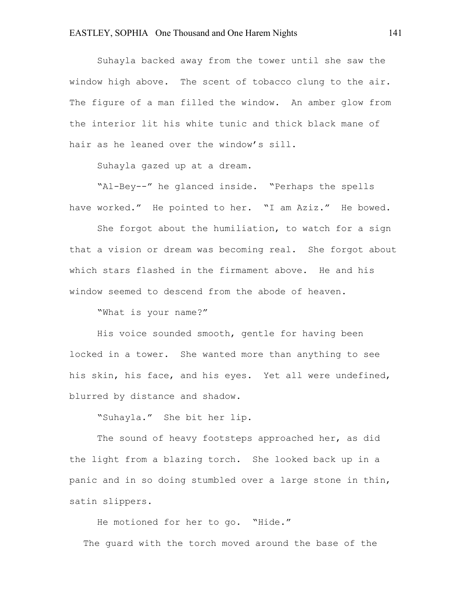Suhayla backed away from the tower until she saw the window high above. The scent of tobacco clung to the air. The figure of a man filled the window. An amber glow from the interior lit his white tunic and thick black mane of hair as he leaned over the window's sill.

Suhayla gazed up at a dream.

"Al-Bey--" he glanced inside. "Perhaps the spells have worked." He pointed to her. "I am Aziz." He bowed.

She forgot about the humiliation, to watch for a sign that a vision or dream was becoming real. She forgot about which stars flashed in the firmament above. He and his window seemed to descend from the abode of heaven.

"What is your name?"

His voice sounded smooth, gentle for having been locked in a tower. She wanted more than anything to see his skin, his face, and his eyes. Yet all were undefined, blurred by distance and shadow.

"Suhayla." She bit her lip.

The sound of heavy footsteps approached her, as did the light from a blazing torch. She looked back up in a panic and in so doing stumbled over a large stone in thin, satin slippers.

He motioned for her to go. "Hide." The guard with the torch moved around the base of the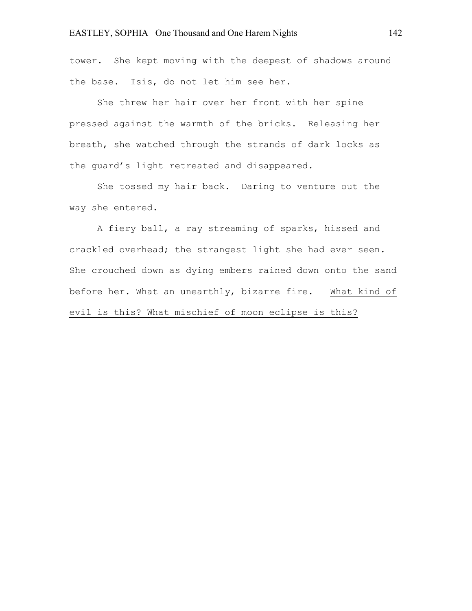tower. She kept moving with the deepest of shadows around the base. Isis, do not let him see her.

She threw her hair over her front with her spine pressed against the warmth of the bricks. Releasing her breath, she watched through the strands of dark locks as the guard's light retreated and disappeared.

She tossed my hair back. Daring to venture out the way she entered.

A fiery ball, a ray streaming of sparks, hissed and crackled overhead; the strangest light she had ever seen. She crouched down as dying embers rained down onto the sand before her. What an unearthly, bizarre fire. What kind of evil is this? What mischief of moon eclipse is this?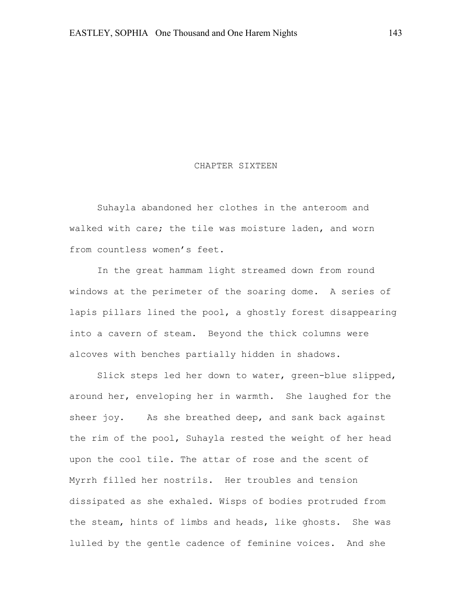#### CHAPTER SIXTEEN

Suhayla abandoned her clothes in the anteroom and walked with care; the tile was moisture laden, and worn from countless women's feet.

In the great hammam light streamed down from round windows at the perimeter of the soaring dome. A series of lapis pillars lined the pool, a ghostly forest disappearing into a cavern of steam. Beyond the thick columns were alcoves with benches partially hidden in shadows.

Slick steps led her down to water, green-blue slipped, around her, enveloping her in warmth. She laughed for the sheer joy. As she breathed deep, and sank back against the rim of the pool, Suhayla rested the weight of her head upon the cool tile. The attar of rose and the scent of Myrrh filled her nostrils. Her troubles and tension dissipated as she exhaled. Wisps of bodies protruded from the steam, hints of limbs and heads, like ghosts. She was lulled by the gentle cadence of feminine voices. And she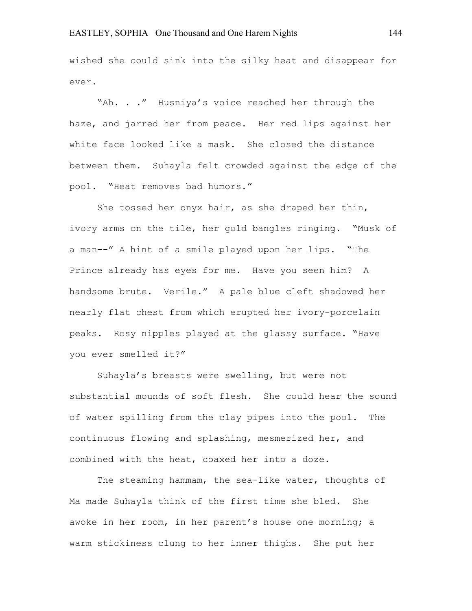wished she could sink into the silky heat and disappear for ever.

"Ah. . ." Husniya's voice reached her through the haze, and jarred her from peace. Her red lips against her white face looked like a mask. She closed the distance between them. Suhayla felt crowded against the edge of the pool. "Heat removes bad humors."

She tossed her onyx hair, as she draped her thin, ivory arms on the tile, her gold bangles ringing. "Musk of a man--" A hint of a smile played upon her lips. "The Prince already has eyes for me. Have you seen him? A handsome brute. Verile." A pale blue cleft shadowed her nearly flat chest from which erupted her ivory-porcelain peaks. Rosy nipples played at the glassy surface. "Have you ever smelled it?"

Suhayla's breasts were swelling, but were not substantial mounds of soft flesh. She could hear the sound of water spilling from the clay pipes into the pool. The continuous flowing and splashing, mesmerized her, and combined with the heat, coaxed her into a doze.

The steaming hammam, the sea-like water, thoughts of Ma made Suhayla think of the first time she bled. She awoke in her room, in her parent's house one morning; a warm stickiness clung to her inner thighs. She put her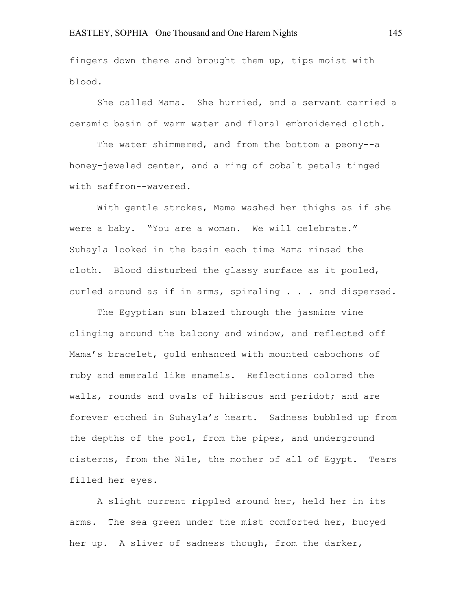fingers down there and brought them up, tips moist with blood.

She called Mama. She hurried, and a servant carried a ceramic basin of warm water and floral embroidered cloth.

The water shimmered, and from the bottom a peony--a honey-jeweled center, and a ring of cobalt petals tinged with saffron--wavered.

With gentle strokes, Mama washed her thighs as if she were a baby. "You are a woman. We will celebrate." Suhayla looked in the basin each time Mama rinsed the cloth. Blood disturbed the glassy surface as it pooled, curled around as if in arms, spiraling . . . and dispersed.

The Egyptian sun blazed through the jasmine vine clinging around the balcony and window, and reflected off Mama's bracelet, gold enhanced with mounted cabochons of ruby and emerald like enamels. Reflections colored the walls, rounds and ovals of hibiscus and peridot; and are forever etched in Suhayla's heart. Sadness bubbled up from the depths of the pool, from the pipes, and underground cisterns, from the Nile, the mother of all of Egypt. Tears filled her eyes.

A slight current rippled around her, held her in its arms. The sea green under the mist comforted her, buoyed her up. A sliver of sadness though, from the darker,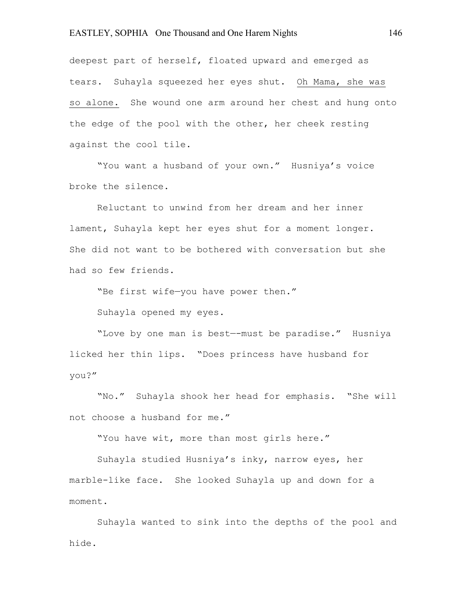deepest part of herself, floated upward and emerged as tears. Suhayla squeezed her eyes shut. Oh Mama, she was so alone. She wound one arm around her chest and hung onto the edge of the pool with the other, her cheek resting against the cool tile.

"You want a husband of your own." Husniya's voice broke the silence.

Reluctant to unwind from her dream and her inner lament, Suhayla kept her eyes shut for a moment longer. She did not want to be bothered with conversation but she had so few friends.

"Be first wife—you have power then."

Suhayla opened my eyes.

"Love by one man is best—-must be paradise." Husniya licked her thin lips. "Does princess have husband for you?"

"No." Suhayla shook her head for emphasis. "She will not choose a husband for me."

"You have wit, more than most girls here."

Suhayla studied Husniya's inky, narrow eyes, her marble-like face. She looked Suhayla up and down for a moment.

Suhayla wanted to sink into the depths of the pool and hide.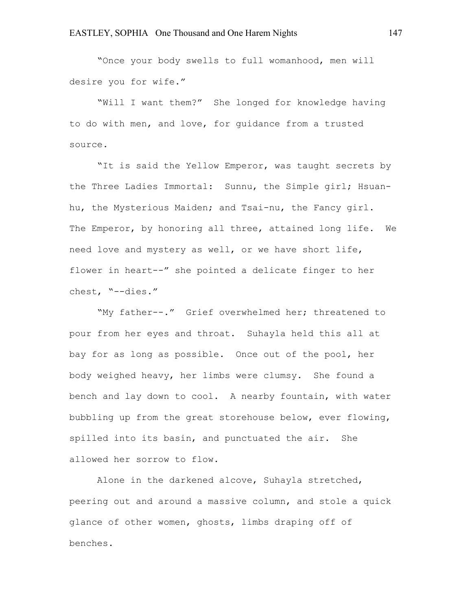"Once your body swells to full womanhood, men will desire you for wife."

"Will I want them?" She longed for knowledge having to do with men, and love, for guidance from a trusted source.

"It is said the Yellow Emperor, was taught secrets by the Three Ladies Immortal: Sunnu, the Simple girl; Hsuanhu, the Mysterious Maiden; and Tsai-nu, the Fancy girl. The Emperor, by honoring all three, attained long life. We need love and mystery as well, or we have short life, flower in heart--" she pointed a delicate finger to her chest, "--dies."

"My father--." Grief overwhelmed her; threatened to pour from her eyes and throat. Suhayla held this all at bay for as long as possible. Once out of the pool, her body weighed heavy, her limbs were clumsy. She found a bench and lay down to cool. A nearby fountain, with water bubbling up from the great storehouse below, ever flowing, spilled into its basin, and punctuated the air. She allowed her sorrow to flow.

Alone in the darkened alcove, Suhayla stretched, peering out and around a massive column, and stole a quick glance of other women, ghosts, limbs draping off of benches.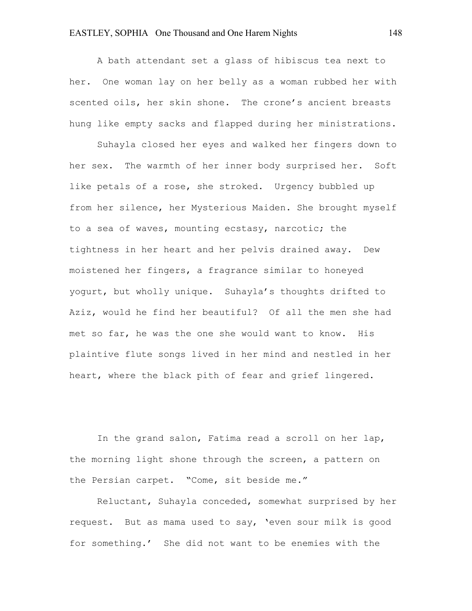A bath attendant set a glass of hibiscus tea next to her. One woman lay on her belly as a woman rubbed her with scented oils, her skin shone. The crone's ancient breasts hung like empty sacks and flapped during her ministrations.

Suhayla closed her eyes and walked her fingers down to her sex. The warmth of her inner body surprised her. Soft like petals of a rose, she stroked. Urgency bubbled up from her silence, her Mysterious Maiden. She brought myself to a sea of waves, mounting ecstasy, narcotic; the tightness in her heart and her pelvis drained away. Dew moistened her fingers, a fragrance similar to honeyed yogurt, but wholly unique. Suhayla's thoughts drifted to Aziz, would he find her beautiful? Of all the men she had met so far, he was the one she would want to know. His plaintive flute songs lived in her mind and nestled in her heart, where the black pith of fear and grief lingered.

In the grand salon, Fatima read a scroll on her lap, the morning light shone through the screen, a pattern on the Persian carpet. "Come, sit beside me."

Reluctant, Suhayla conceded, somewhat surprised by her request. But as mama used to say, 'even sour milk is good for something.' She did not want to be enemies with the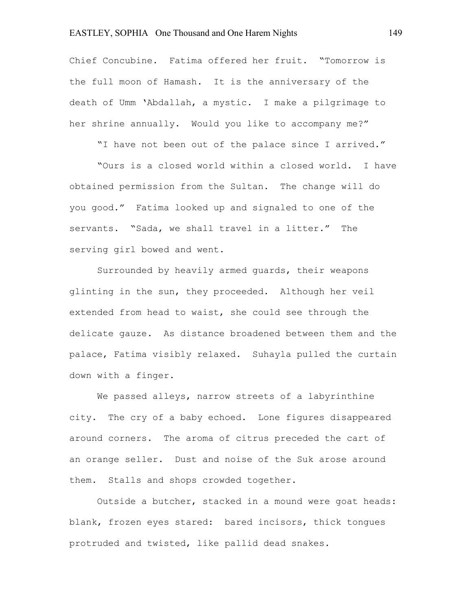Chief Concubine. Fatima offered her fruit. "Tomorrow is the full moon of Hamash. It is the anniversary of the death of Umm 'Abdallah, a mystic. I make a pilgrimage to her shrine annually. Would you like to accompany me?"

"I have not been out of the palace since I arrived."

"Ours is a closed world within a closed world. I have obtained permission from the Sultan. The change will do you good." Fatima looked up and signaled to one of the servants. "Sada, we shall travel in a litter." The serving girl bowed and went.

Surrounded by heavily armed guards, their weapons glinting in the sun, they proceeded. Although her veil extended from head to waist, she could see through the delicate gauze. As distance broadened between them and the palace, Fatima visibly relaxed. Suhayla pulled the curtain down with a finger.

We passed alleys, narrow streets of a labyrinthine city. The cry of a baby echoed. Lone figures disappeared around corners. The aroma of citrus preceded the cart of an orange seller. Dust and noise of the Suk arose around them. Stalls and shops crowded together.

Outside a butcher, stacked in a mound were goat heads: blank, frozen eyes stared: bared incisors, thick tongues protruded and twisted, like pallid dead snakes.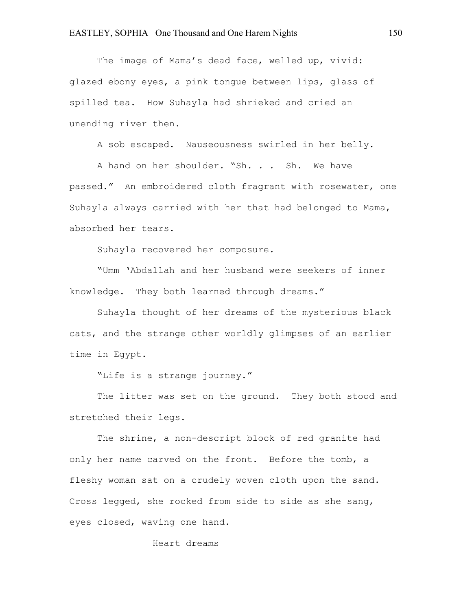The image of Mama's dead face, welled up, vivid: glazed ebony eyes, a pink tongue between lips, glass of spilled tea. How Suhayla had shrieked and cried an unending river then.

A sob escaped. Nauseousness swirled in her belly.

A hand on her shoulder. "Sh. . . Sh. We have passed." An embroidered cloth fragrant with rosewater, one Suhayla always carried with her that had belonged to Mama, absorbed her tears.

Suhayla recovered her composure.

"Umm 'Abdallah and her husband were seekers of inner knowledge. They both learned through dreams."

Suhayla thought of her dreams of the mysterious black cats, and the strange other worldly glimpses of an earlier time in Egypt.

"Life is a strange journey."

The litter was set on the ground. They both stood and stretched their legs.

The shrine, a non-descript block of red granite had only her name carved on the front. Before the tomb, a fleshy woman sat on a crudely woven cloth upon the sand. Cross legged, she rocked from side to side as she sang, eyes closed, waving one hand.

Heart dreams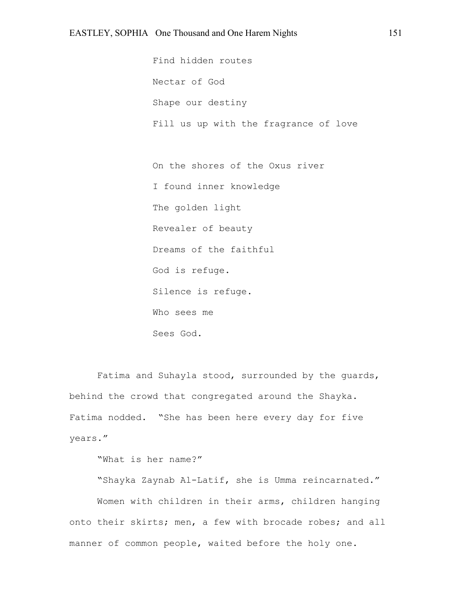Find hidden routes Nectar of God Shape our destiny Fill us up with the fragrance of love

On the shores of the Oxus river I found inner knowledge The golden light Revealer of beauty Dreams of the faithful God is refuge. Silence is refuge. Who sees me Sees God.

Fatima and Suhayla stood, surrounded by the guards, behind the crowd that congregated around the Shayka. Fatima nodded. "She has been here every day for five years."

"What is her name?"

"Shayka Zaynab Al-Latif, she is Umma reincarnated." Women with children in their arms, children hanging onto their skirts; men, a few with brocade robes; and all manner of common people, waited before the holy one.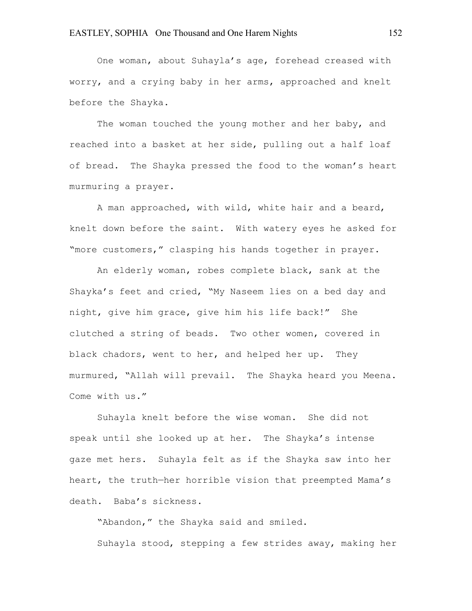One woman, about Suhayla's age, forehead creased with worry, and a crying baby in her arms, approached and knelt before the Shayka.

The woman touched the young mother and her baby, and reached into a basket at her side, pulling out a half loaf of bread. The Shayka pressed the food to the woman's heart murmuring a prayer.

A man approached, with wild, white hair and a beard, knelt down before the saint. With watery eyes he asked for "more customers," clasping his hands together in prayer.

An elderly woman, robes complete black, sank at the Shayka's feet and cried, "My Naseem lies on a bed day and night, give him grace, give him his life back!" She clutched a string of beads. Two other women, covered in black chadors, went to her, and helped her up. They murmured, "Allah will prevail. The Shayka heard you Meena. Come with us."

Suhayla knelt before the wise woman. She did not speak until she looked up at her. The Shayka's intense gaze met hers. Suhayla felt as if the Shayka saw into her heart, the truth—her horrible vision that preempted Mama's death. Baba's sickness.

"Abandon," the Shayka said and smiled. Suhayla stood, stepping a few strides away, making her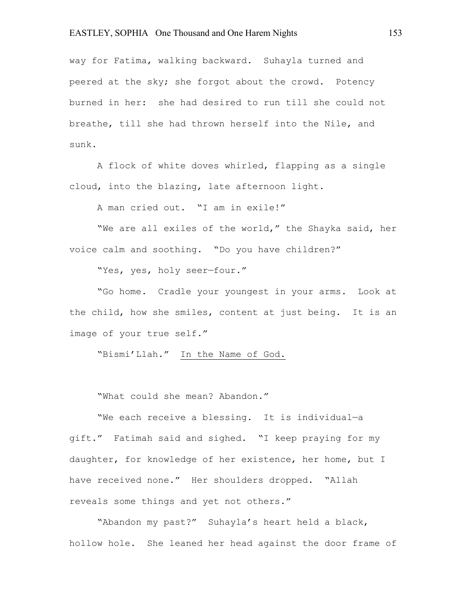way for Fatima, walking backward. Suhayla turned and peered at the sky; she forgot about the crowd. Potency burned in her: she had desired to run till she could not breathe, till she had thrown herself into the Nile, and sunk.

A flock of white doves whirled, flapping as a single cloud, into the blazing, late afternoon light.

A man cried out. "I am in exile!"

"We are all exiles of the world," the Shayka said, her voice calm and soothing. "Do you have children?"

"Yes, yes, holy seer—four."

"Go home. Cradle your youngest in your arms. Look at the child, how she smiles, content at just being. It is an image of your true self."

"Bismi'Llah." In the Name of God.

"What could she mean? Abandon."

"We each receive a blessing. It is individual—a gift." Fatimah said and sighed. "I keep praying for my daughter, for knowledge of her existence, her home, but I have received none." Her shoulders dropped. "Allah reveals some things and yet not others."

"Abandon my past?" Suhayla's heart held a black, hollow hole. She leaned her head against the door frame of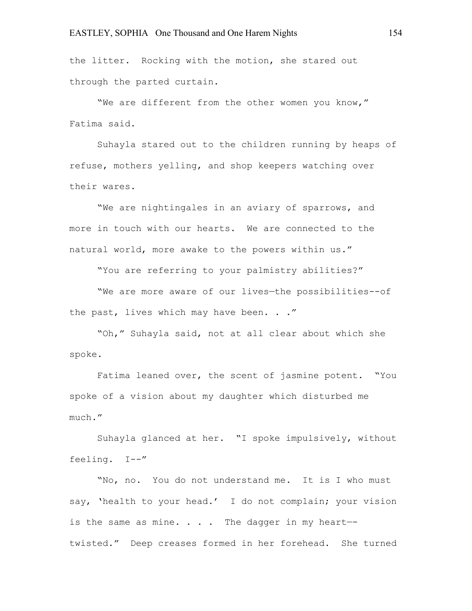the litter. Rocking with the motion, she stared out through the parted curtain.

"We are different from the other women you know," Fatima said.

Suhayla stared out to the children running by heaps of refuse, mothers yelling, and shop keepers watching over their wares.

"We are nightingales in an aviary of sparrows, and more in touch with our hearts. We are connected to the natural world, more awake to the powers within us."

"You are referring to your palmistry abilities?"

"We are more aware of our lives—the possibilities--of the past, lives which may have been. . ."

"Oh," Suhayla said, not at all clear about which she spoke.

Fatima leaned over, the scent of jasmine potent. "You spoke of a vision about my daughter which disturbed me much."

Suhayla glanced at her. "I spoke impulsively, without feeling. I--"

"No, no. You do not understand me. It is I who must say, 'health to your head.' I do not complain; your vision is the same as mine.  $\ldots$  . The dagger in my heart-twisted." Deep creases formed in her forehead. She turned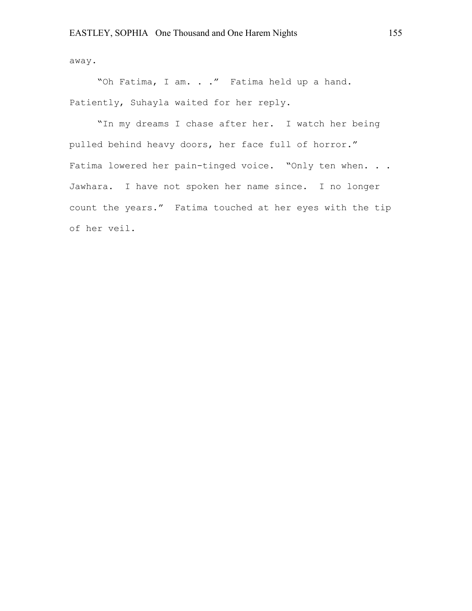away.

"Oh Fatima, I am. . ." Fatima held up a hand. Patiently, Suhayla waited for her reply.

"In my dreams I chase after her. I watch her being pulled behind heavy doors, her face full of horror." Fatima lowered her pain-tinged voice. "Only ten when. . . Jawhara. I have not spoken her name since. I no longer count the years." Fatima touched at her eyes with the tip of her veil.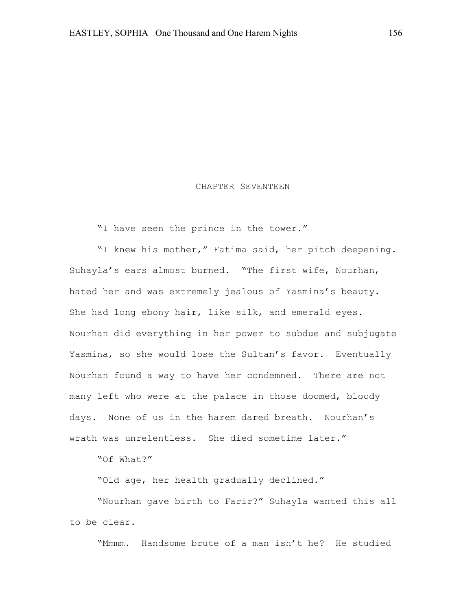#### CHAPTER SEVENTEEN

"I have seen the prince in the tower."

"I knew his mother," Fatima said, her pitch deepening. Suhayla's ears almost burned. "The first wife, Nourhan, hated her and was extremely jealous of Yasmina's beauty. She had long ebony hair, like silk, and emerald eyes. Nourhan did everything in her power to subdue and subjugate Yasmina, so she would lose the Sultan's favor. Eventually Nourhan found a way to have her condemned. There are not many left who were at the palace in those doomed, bloody days. None of us in the harem dared breath. Nourhan's wrath was unrelentless. She died sometime later."

"Of What?"

"Old age, her health gradually declined."

"Nourhan gave birth to Farir?" Suhayla wanted this all to be clear.

"Mmmm. Handsome brute of a man isn't he? He studied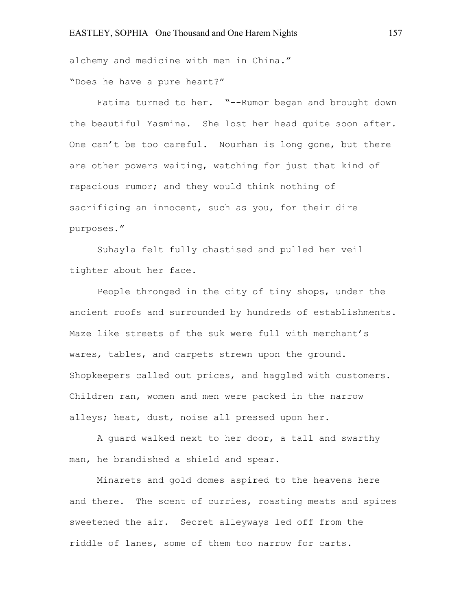alchemy and medicine with men in China." "Does he have a pure heart?"

Fatima turned to her. "--Rumor began and brought down the beautiful Yasmina. She lost her head quite soon after. One can't be too careful. Nourhan is long gone, but there are other powers waiting, watching for just that kind of rapacious rumor; and they would think nothing of sacrificing an innocent, such as you, for their dire purposes."

Suhayla felt fully chastised and pulled her veil tighter about her face.

People thronged in the city of tiny shops, under the ancient roofs and surrounded by hundreds of establishments. Maze like streets of the suk were full with merchant's wares, tables, and carpets strewn upon the ground. Shopkeepers called out prices, and haggled with customers. Children ran, women and men were packed in the narrow alleys; heat, dust, noise all pressed upon her.

A guard walked next to her door, a tall and swarthy man, he brandished a shield and spear.

Minarets and gold domes aspired to the heavens here and there. The scent of curries, roasting meats and spices sweetened the air. Secret alleyways led off from the riddle of lanes, some of them too narrow for carts.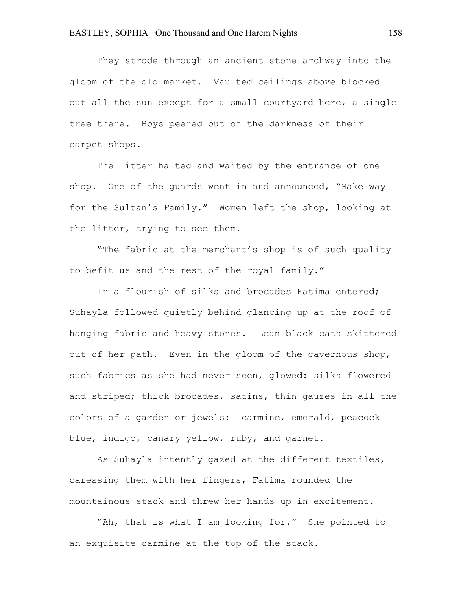They strode through an ancient stone archway into the gloom of the old market. Vaulted ceilings above blocked out all the sun except for a small courtyard here, a single tree there. Boys peered out of the darkness of their carpet shops.

The litter halted and waited by the entrance of one shop. One of the guards went in and announced, "Make way for the Sultan's Family." Women left the shop, looking at the litter, trying to see them.

"The fabric at the merchant's shop is of such quality to befit us and the rest of the royal family."

In a flourish of silks and brocades Fatima entered; Suhayla followed quietly behind glancing up at the roof of hanging fabric and heavy stones. Lean black cats skittered out of her path. Even in the gloom of the cavernous shop, such fabrics as she had never seen, glowed: silks flowered and striped; thick brocades, satins, thin gauzes in all the colors of a garden or jewels: carmine, emerald, peacock blue, indigo, canary yellow, ruby, and garnet.

As Suhayla intently gazed at the different textiles, caressing them with her fingers, Fatima rounded the mountainous stack and threw her hands up in excitement.

"Ah, that is what I am looking for." She pointed to an exquisite carmine at the top of the stack.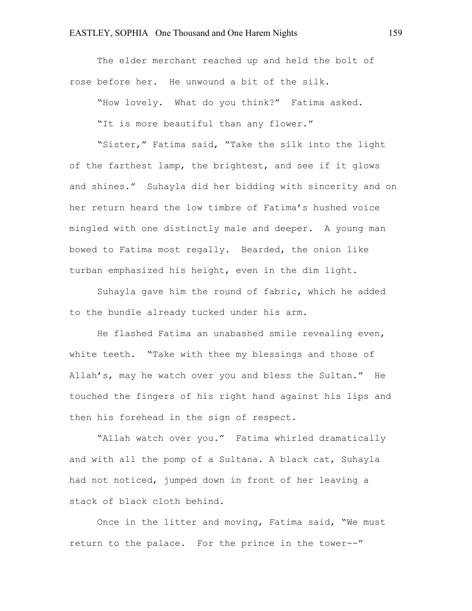The elder merchant reached up and held the bolt of rose before her. He unwound a bit of the silk.

"How lovely. What do you think?" Fatima asked. "It is more beautiful than any flower."

"Sister," Fatima said, "Take the silk into the light of the farthest lamp, the brightest, and see if it glows and shines." Suhayla did her bidding with sincerity and on her return heard the low timbre of Fatima's hushed voice mingled with one distinctly male and deeper. A young man bowed to Fatima most regally. Bearded, the onion like turban emphasized his height, even in the dim light.

Suhayla gave him the round of fabric, which he added to the bundle already tucked under his arm.

He flashed Fatima an unabashed smile revealing even, white teeth. "Take with thee my blessings and those of Allah's, may he watch over you and bless the Sultan." He touched the fingers of his right hand against his lips and then his forehead in the sign of respect.

"Allah watch over you." Fatima whirled dramatically and with all the pomp of a Sultana. A black cat, Suhayla had not noticed, jumped down in front of her leaving a stack of black cloth behind.

Once in the litter and moving, Fatima said, "We must return to the palace. For the prince in the tower--"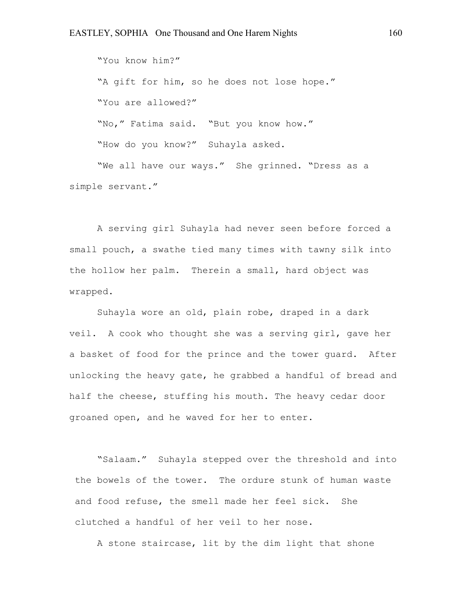"You know him?" "A gift for him, so he does not lose hope." "You are allowed?" "No," Fatima said. "But you know how." "How do you know?" Suhayla asked.

"We all have our ways." She grinned. "Dress as a simple servant."

A serving girl Suhayla had never seen before forced a small pouch, a swathe tied many times with tawny silk into the hollow her palm. Therein a small, hard object was wrapped.

Suhayla wore an old, plain robe, draped in a dark veil. A cook who thought she was a serving girl, gave her a basket of food for the prince and the tower guard. After unlocking the heavy gate, he grabbed a handful of bread and half the cheese, stuffing his mouth. The heavy cedar door groaned open, and he waved for her to enter.

"Salaam." Suhayla stepped over the threshold and into the bowels of the tower. The ordure stunk of human waste and food refuse, the smell made her feel sick. She clutched a handful of her veil to her nose.

A stone staircase, lit by the dim light that shone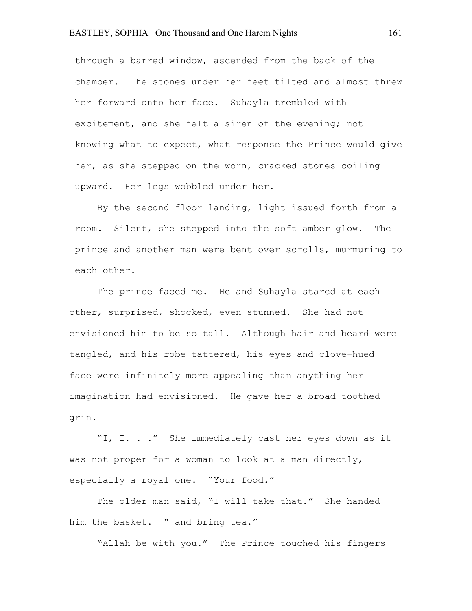through a barred window, ascended from the back of the chamber. The stones under her feet tilted and almost threw her forward onto her face. Suhayla trembled with excitement, and she felt a siren of the evening; not knowing what to expect, what response the Prince would give her, as she stepped on the worn, cracked stones coiling upward. Her legs wobbled under her.

By the second floor landing, light issued forth from a room. Silent, she stepped into the soft amber glow. The prince and another man were bent over scrolls, murmuring to each other.

The prince faced me. He and Suhayla stared at each other, surprised, shocked, even stunned. She had not envisioned him to be so tall. Although hair and beard were tangled, and his robe tattered, his eyes and clove-hued face were infinitely more appealing than anything her imagination had envisioned. He gave her a broad toothed grin.

"I, I. . ." She immediately cast her eyes down as it was not proper for a woman to look at a man directly, especially a royal one. "Your food."

The older man said, "I will take that." She handed him the basket. "—and bring tea."

"Allah be with you." The Prince touched his fingers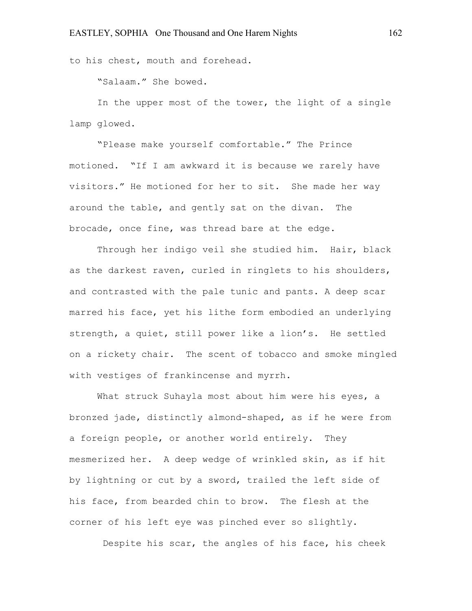to his chest, mouth and forehead.

"Salaam." She bowed.

In the upper most of the tower, the light of a single lamp glowed.

"Please make yourself comfortable." The Prince motioned. "If I am awkward it is because we rarely have visitors." He motioned for her to sit. She made her way around the table, and gently sat on the divan. The brocade, once fine, was thread bare at the edge.

Through her indigo veil she studied him. Hair, black as the darkest raven, curled in ringlets to his shoulders, and contrasted with the pale tunic and pants. A deep scar marred his face, yet his lithe form embodied an underlying strength, a quiet, still power like a lion's. He settled on a rickety chair. The scent of tobacco and smoke mingled with vestiges of frankincense and myrrh.

What struck Suhayla most about him were his eyes, a bronzed jade, distinctly almond-shaped, as if he were from a foreign people, or another world entirely. They mesmerized her. A deep wedge of wrinkled skin, as if hit by lightning or cut by a sword, trailed the left side of his face, from bearded chin to brow. The flesh at the corner of his left eye was pinched ever so slightly.

Despite his scar, the angles of his face, his cheek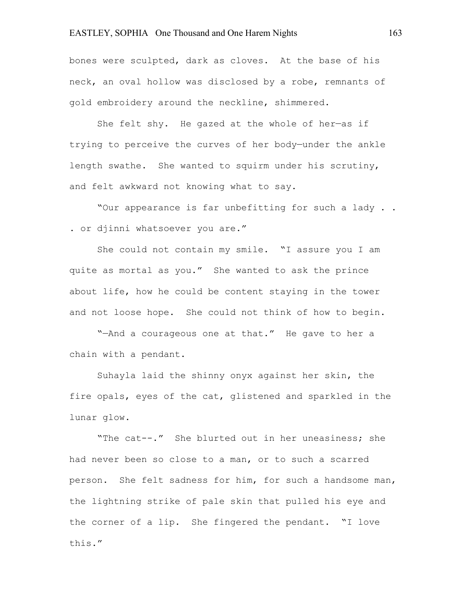bones were sculpted, dark as cloves. At the base of his neck, an oval hollow was disclosed by a robe, remnants of gold embroidery around the neckline, shimmered.

She felt shy. He gazed at the whole of her—as if trying to perceive the curves of her body—under the ankle length swathe. She wanted to squirm under his scrutiny, and felt awkward not knowing what to say.

"Our appearance is far unbefitting for such a lady . . . or djinni whatsoever you are."

She could not contain my smile. "I assure you I am quite as mortal as you." She wanted to ask the prince about life, how he could be content staying in the tower and not loose hope. She could not think of how to begin.

"—And a courageous one at that." He gave to her a chain with a pendant.

Suhayla laid the shinny onyx against her skin, the fire opals, eyes of the cat, glistened and sparkled in the lunar glow.

"The cat--." She blurted out in her uneasiness; she had never been so close to a man, or to such a scarred person. She felt sadness for him, for such a handsome man, the lightning strike of pale skin that pulled his eye and the corner of a lip. She fingered the pendant. "I love this."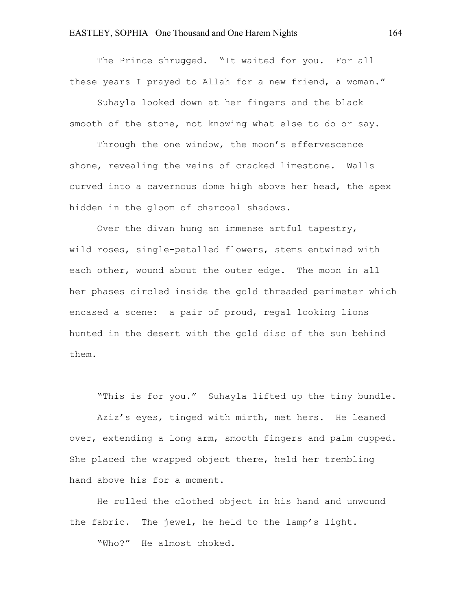The Prince shrugged. "It waited for you. For all these years I prayed to Allah for a new friend, a woman."

Suhayla looked down at her fingers and the black smooth of the stone, not knowing what else to do or say.

Through the one window, the moon's effervescence shone, revealing the veins of cracked limestone. Walls curved into a cavernous dome high above her head, the apex hidden in the gloom of charcoal shadows.

Over the divan hung an immense artful tapestry, wild roses, single-petalled flowers, stems entwined with each other, wound about the outer edge. The moon in all her phases circled inside the gold threaded perimeter which encased a scene: a pair of proud, regal looking lions hunted in the desert with the gold disc of the sun behind them.

"This is for you." Suhayla lifted up the tiny bundle.

Aziz's eyes, tinged with mirth, met hers. He leaned over, extending a long arm, smooth fingers and palm cupped. She placed the wrapped object there, held her trembling hand above his for a moment.

He rolled the clothed object in his hand and unwound the fabric. The jewel, he held to the lamp's light.

"Who?" He almost choked.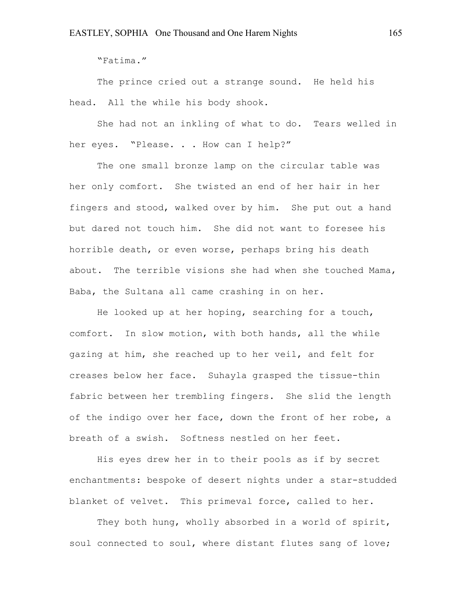"Fatima."

The prince cried out a strange sound. He held his head. All the while his body shook.

She had not an inkling of what to do. Tears welled in her eyes. "Please. . . How can I help?"

The one small bronze lamp on the circular table was her only comfort. She twisted an end of her hair in her fingers and stood, walked over by him. She put out a hand but dared not touch him. She did not want to foresee his horrible death, or even worse, perhaps bring his death about. The terrible visions she had when she touched Mama, Baba, the Sultana all came crashing in on her.

He looked up at her hoping, searching for a touch, comfort. In slow motion, with both hands, all the while gazing at him, she reached up to her veil, and felt for creases below her face. Suhayla grasped the tissue-thin fabric between her trembling fingers. She slid the length of the indigo over her face, down the front of her robe, a breath of a swish. Softness nestled on her feet.

His eyes drew her in to their pools as if by secret enchantments: bespoke of desert nights under a star-studded blanket of velvet. This primeval force, called to her.

They both hung, wholly absorbed in a world of spirit, soul connected to soul, where distant flutes sang of love;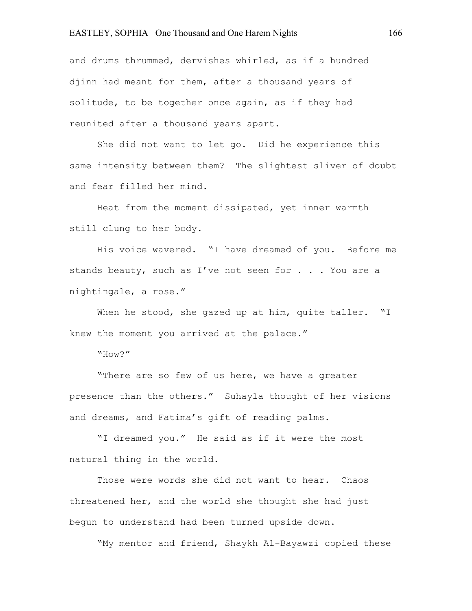and drums thrummed, dervishes whirled, as if a hundred djinn had meant for them, after a thousand years of solitude, to be together once again, as if they had reunited after a thousand years apart.

She did not want to let go. Did he experience this same intensity between them? The slightest sliver of doubt and fear filled her mind.

Heat from the moment dissipated, yet inner warmth still clung to her body.

His voice wavered. "I have dreamed of you. Before me stands beauty, such as I've not seen for . . . You are a nightingale, a rose."

When he stood, she gazed up at him, quite taller. "I knew the moment you arrived at the palace."

"How?"

"There are so few of us here, we have a greater presence than the others." Suhayla thought of her visions and dreams, and Fatima's gift of reading palms.

"I dreamed you." He said as if it were the most natural thing in the world.

Those were words she did not want to hear. Chaos threatened her, and the world she thought she had just begun to understand had been turned upside down.

"My mentor and friend, Shaykh Al-Bayawzi copied these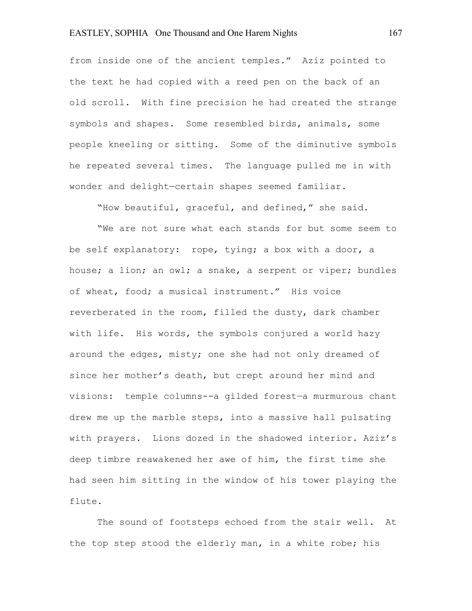from inside one of the ancient temples." Aziz pointed to the text he had copied with a reed pen on the back of an old scroll. With fine precision he had created the strange symbols and shapes. Some resembled birds, animals, some people kneeling or sitting. Some of the diminutive symbols he repeated several times. The language pulled me in with wonder and delight—certain shapes seemed familiar.

"How beautiful, graceful, and defined," she said.

"We are not sure what each stands for but some seem to be self explanatory: rope, tying; a box with a door, a house; a lion; an owl; a snake, a serpent or viper; bundles of wheat, food; a musical instrument." His voice reverberated in the room, filled the dusty, dark chamber with life. His words, the symbols conjured a world hazy around the edges, misty; one she had not only dreamed of since her mother's death, but crept around her mind and visions: temple columns--a gilded forest—a murmurous chant drew me up the marble steps, into a massive hall pulsating with prayers. Lions dozed in the shadowed interior. Aziz's deep timbre reawakened her awe of him, the first time she had seen him sitting in the window of his tower playing the flute.

The sound of footsteps echoed from the stair well. At the top step stood the elderly man, in a white robe; his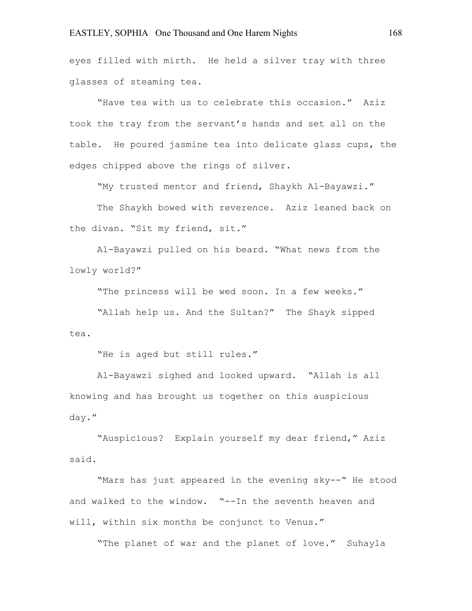eyes filled with mirth. He held a silver tray with three glasses of steaming tea.

"Have tea with us to celebrate this occasion." Aziz took the tray from the servant's hands and set all on the table. He poured jasmine tea into delicate glass cups, the edges chipped above the rings of silver.

"My trusted mentor and friend, Shaykh Al-Bayawzi."

The Shaykh bowed with reverence. Aziz leaned back on the divan. "Sit my friend, sit."

Al-Bayawzi pulled on his beard. "What news from the lowly world?"

"The princess will be wed soon. In a few weeks."

"Allah help us. And the Sultan?" The Shayk sipped tea.

"He is aged but still rules."

Al-Bayawzi sighed and looked upward. "Allah is all knowing and has brought us together on this auspicious day."

"Auspicious? Explain yourself my dear friend," Aziz said.

"Mars has just appeared in the evening sky--" He stood and walked to the window. "--In the seventh heaven and will, within six months be conjunct to Venus."

"The planet of war and the planet of love." Suhayla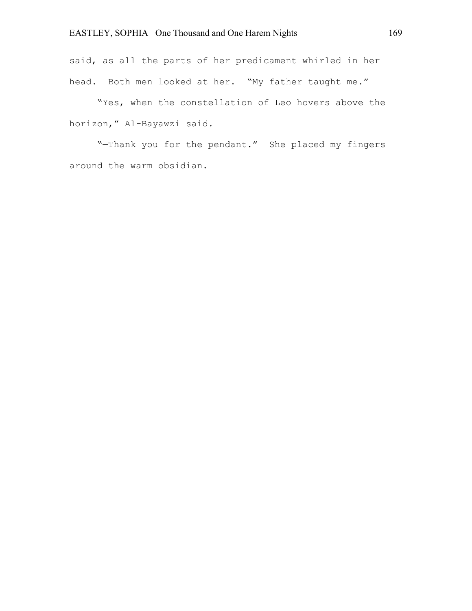said, as all the parts of her predicament whirled in her head. Both men looked at her. "My father taught me."

"Yes, when the constellation of Leo hovers above the horizon," Al-Bayawzi said.

"—Thank you for the pendant." She placed my fingers around the warm obsidian.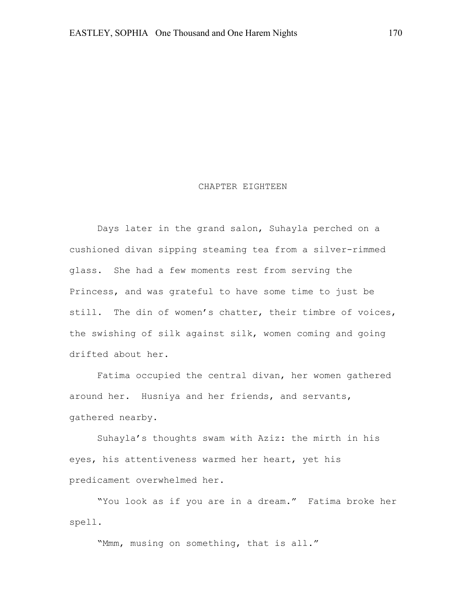#### CHAPTER EIGHTEEN

Days later in the grand salon, Suhayla perched on a cushioned divan sipping steaming tea from a silver-rimmed glass. She had a few moments rest from serving the Princess, and was grateful to have some time to just be still. The din of women's chatter, their timbre of voices, the swishing of silk against silk, women coming and going drifted about her.

Fatima occupied the central divan, her women gathered around her. Husniya and her friends, and servants, gathered nearby.

Suhayla's thoughts swam with Aziz: the mirth in his eyes, his attentiveness warmed her heart, yet his predicament overwhelmed her.

"You look as if you are in a dream." Fatima broke her spell.

"Mmm, musing on something, that is all."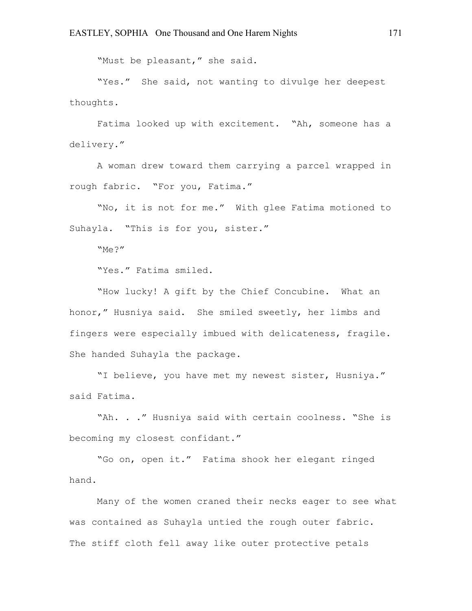"Must be pleasant," she said.

"Yes." She said, not wanting to divulge her deepest thoughts.

Fatima looked up with excitement. "Ah, someone has a delivery."

A woman drew toward them carrying a parcel wrapped in rough fabric. "For you, Fatima."

"No, it is not for me." With glee Fatima motioned to Suhayla. "This is for you, sister."

"Me?"

"Yes." Fatima smiled.

"How lucky! A gift by the Chief Concubine. What an honor," Husniya said. She smiled sweetly, her limbs and fingers were especially imbued with delicateness, fragile. She handed Suhayla the package.

"I believe, you have met my newest sister, Husniya." said Fatima.

"Ah. . ." Husniya said with certain coolness. "She is becoming my closest confidant."

"Go on, open it." Fatima shook her elegant ringed hand.

Many of the women craned their necks eager to see what was contained as Suhayla untied the rough outer fabric. The stiff cloth fell away like outer protective petals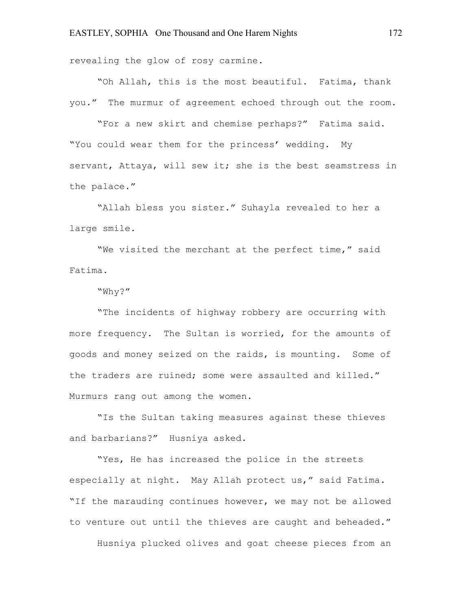revealing the glow of rosy carmine.

"Oh Allah, this is the most beautiful. Fatima, thank you." The murmur of agreement echoed through out the room.

"For a new skirt and chemise perhaps?" Fatima said. "You could wear them for the princess' wedding. My servant, Attaya, will sew it; she is the best seamstress in the palace."

"Allah bless you sister." Suhayla revealed to her a large smile.

"We visited the merchant at the perfect time," said Fatima.

#### "Why?"

"The incidents of highway robbery are occurring with more frequency. The Sultan is worried, for the amounts of goods and money seized on the raids, is mounting. Some of the traders are ruined; some were assaulted and killed." Murmurs rang out among the women.

"Is the Sultan taking measures against these thieves and barbarians?" Husniya asked.

"Yes, He has increased the police in the streets especially at night. May Allah protect us," said Fatima. "If the marauding continues however, we may not be allowed to venture out until the thieves are caught and beheaded."

Husniya plucked olives and goat cheese pieces from an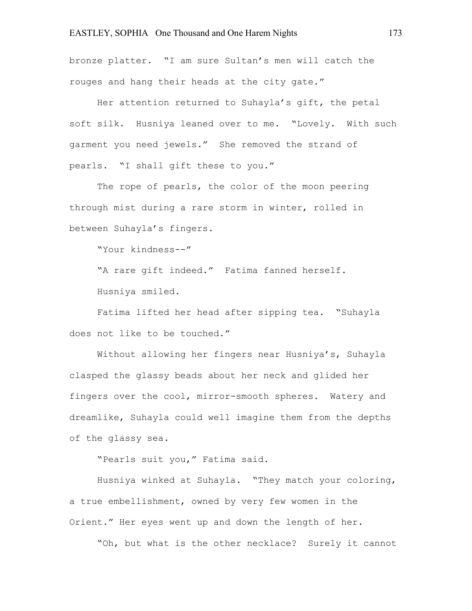bronze platter. "I am sure Sultan's men will catch the rouges and hang their heads at the city gate."

Her attention returned to Suhayla's gift, the petal soft silk. Husniya leaned over to me. "Lovely. With such garment you need jewels." She removed the strand of pearls. "I shall gift these to you."

The rope of pearls, the color of the moon peering through mist during a rare storm in winter, rolled in between Suhayla's fingers.

"Your kindness--"

"A rare gift indeed." Fatima fanned herself. Husniya smiled.

Fatima lifted her head after sipping tea. "Suhayla does not like to be touched."

Without allowing her fingers near Husniya's, Suhayla clasped the glassy beads about her neck and glided her fingers over the cool, mirror-smooth spheres. Watery and dreamlike, Suhayla could well imagine them from the depths of the glassy sea.

"Pearls suit you," Fatima said.

Husniya winked at Suhayla. "They match your coloring, a true embellishment, owned by very few women in the Orient." Her eyes went up and down the length of her.

"Oh, but what is the other necklace? Surely it cannot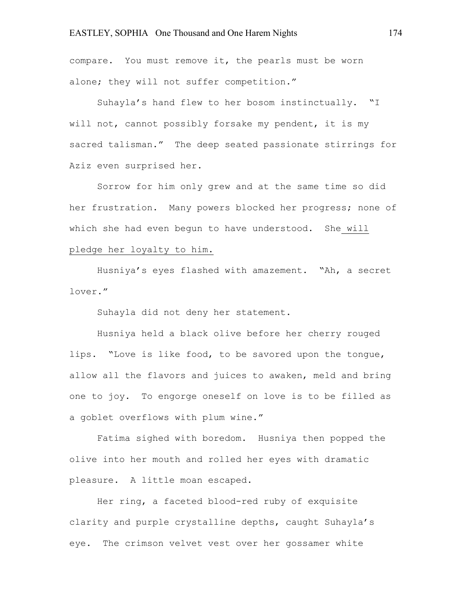compare. You must remove it, the pearls must be worn alone; they will not suffer competition."

Suhayla's hand flew to her bosom instinctually. "I will not, cannot possibly forsake my pendent, it is my sacred talisman." The deep seated passionate stirrings for Aziz even surprised her.

Sorrow for him only grew and at the same time so did her frustration. Many powers blocked her progress; none of which she had even begun to have understood. She will pledge her loyalty to him.

Husniya's eyes flashed with amazement. "Ah, a secret lover."

Suhayla did not deny her statement.

Husniya held a black olive before her cherry rouged lips. "Love is like food, to be savored upon the tongue, allow all the flavors and juices to awaken, meld and bring one to joy. To engorge oneself on love is to be filled as a goblet overflows with plum wine."

Fatima sighed with boredom. Husniya then popped the olive into her mouth and rolled her eyes with dramatic pleasure. A little moan escaped.

Her ring, a faceted blood-red ruby of exquisite clarity and purple crystalline depths, caught Suhayla's eye. The crimson velvet vest over her gossamer white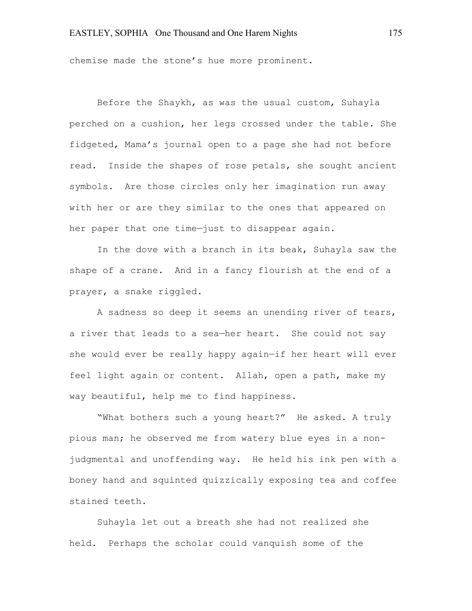chemise made the stone's hue more prominent.

Before the Shaykh, as was the usual custom, Suhayla perched on a cushion, her legs crossed under the table. She fidgeted, Mama's journal open to a page she had not before read. Inside the shapes of rose petals, she sought ancient symbols. Are those circles only her imagination run away with her or are they similar to the ones that appeared on her paper that one time—just to disappear again.

In the dove with a branch in its beak, Suhayla saw the shape of a crane. And in a fancy flourish at the end of a prayer, a snake riggled.

A sadness so deep it seems an unending river of tears, a river that leads to a sea—her heart. She could not say she would ever be really happy again—if her heart will ever feel light again or content. Allah, open a path, make my way beautiful, help me to find happiness.

"What bothers such a young heart?" He asked. A truly pious man; he observed me from watery blue eyes in a nonjudgmental and unoffending way. He held his ink pen with a boney hand and squinted quizzically exposing tea and coffee stained teeth.

Suhayla let out a breath she had not realized she held. Perhaps the scholar could vanquish some of the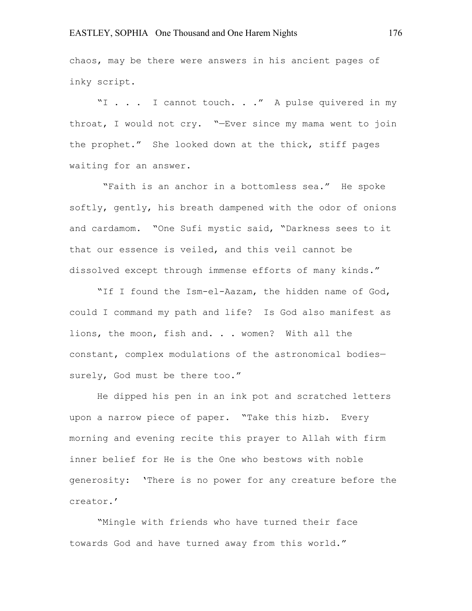chaos, may be there were answers in his ancient pages of inky script.

"I . . . I cannot touch. . ." A pulse quivered in my throat, I would not cry. "—Ever since my mama went to join the prophet." She looked down at the thick, stiff pages waiting for an answer.

"Faith is an anchor in a bottomless sea." He spoke softly, gently, his breath dampened with the odor of onions and cardamom. "One Sufi mystic said, "Darkness sees to it that our essence is veiled, and this veil cannot be dissolved except through immense efforts of many kinds."

"If I found the Ism-el-Aazam, the hidden name of God, could I command my path and life? Is God also manifest as lions, the moon, fish and. . . women? With all the constant, complex modulations of the astronomical bodies surely, God must be there too."

He dipped his pen in an ink pot and scratched letters upon a narrow piece of paper. "Take this hizb. Every morning and evening recite this prayer to Allah with firm inner belief for He is the One who bestows with noble generosity: 'There is no power for any creature before the creator.'

"Mingle with friends who have turned their face towards God and have turned away from this world."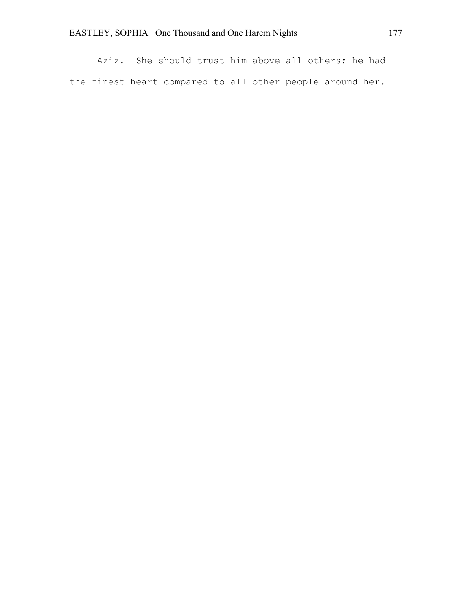Aziz. She should trust him above all others; he had the finest heart compared to all other people around her.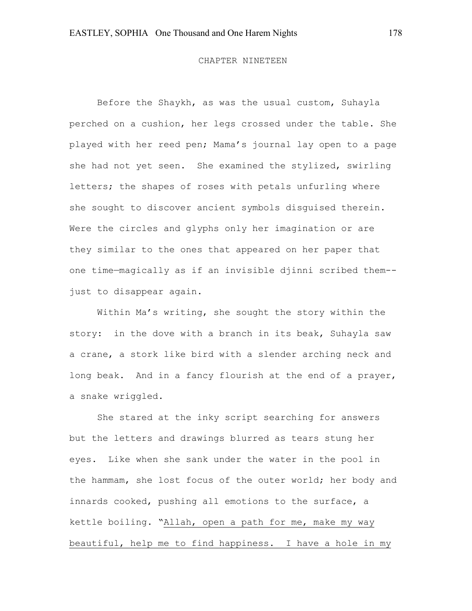#### CHAPTER NINETEEN

Before the Shaykh, as was the usual custom, Suhayla perched on a cushion, her legs crossed under the table. She played with her reed pen; Mama's journal lay open to a page she had not yet seen. She examined the stylized, swirling letters; the shapes of roses with petals unfurling where she sought to discover ancient symbols disguised therein. Were the circles and glyphs only her imagination or are they similar to the ones that appeared on her paper that one time—magically as if an invisible djinni scribed them- just to disappear again.

Within Ma's writing, she sought the story within the story: in the dove with a branch in its beak, Suhayla saw a crane, a stork like bird with a slender arching neck and long beak. And in a fancy flourish at the end of a prayer, a snake wriggled.

She stared at the inky script searching for answers but the letters and drawings blurred as tears stung her eyes. Like when she sank under the water in the pool in the hammam, she lost focus of the outer world; her body and innards cooked, pushing all emotions to the surface, a kettle boiling. "Allah, open a path for me, make my way beautiful, help me to find happiness. I have a hole in my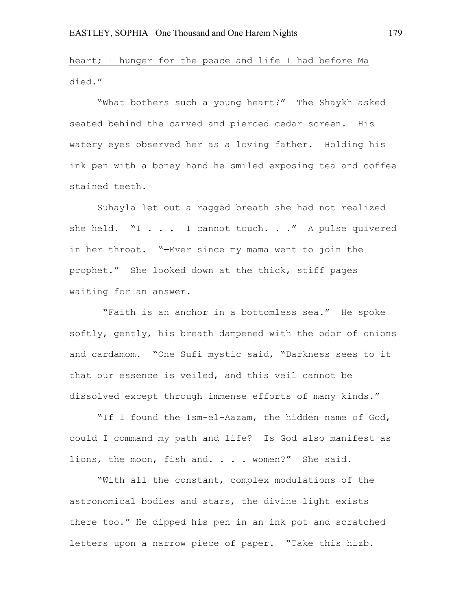# heart; I hunger for the peace and life I had before Ma died."

"What bothers such a young heart?" The Shaykh asked seated behind the carved and pierced cedar screen. His watery eyes observed her as a loving father. Holding his ink pen with a boney hand he smiled exposing tea and coffee stained teeth.

Suhayla let out a ragged breath she had not realized she held. "I . . . I cannot touch. . ." A pulse quivered in her throat. "—Ever since my mama went to join the prophet." She looked down at the thick, stiff pages waiting for an answer.

"Faith is an anchor in a bottomless sea." He spoke softly, gently, his breath dampened with the odor of onions and cardamom. "One Sufi mystic said, "Darkness sees to it that our essence is veiled, and this veil cannot be dissolved except through immense efforts of many kinds."

"If I found the Ism-el-Aazam, the hidden name of God, could I command my path and life? Is God also manifest as lions, the moon, fish and. . . . women?" She said.

"With all the constant, complex modulations of the astronomical bodies and stars, the divine light exists there too." He dipped his pen in an ink pot and scratched letters upon a narrow piece of paper. "Take this hizb.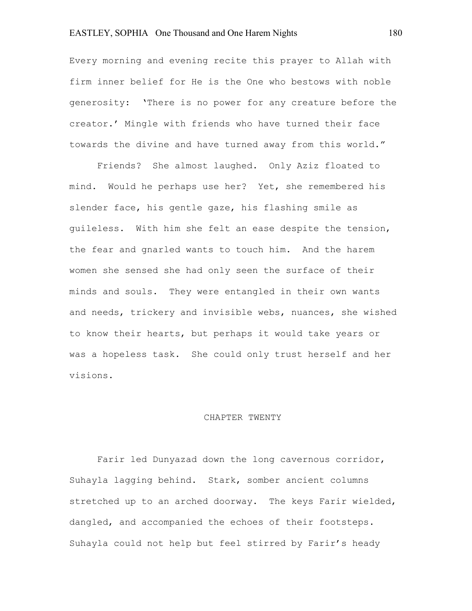Every morning and evening recite this prayer to Allah with firm inner belief for He is the One who bestows with noble generosity: 'There is no power for any creature before the creator.' Mingle with friends who have turned their face towards the divine and have turned away from this world."

Friends? She almost laughed. Only Aziz floated to mind. Would he perhaps use her? Yet, she remembered his slender face, his gentle gaze, his flashing smile as guileless. With him she felt an ease despite the tension, the fear and gnarled wants to touch him. And the harem women she sensed she had only seen the surface of their minds and souls. They were entangled in their own wants and needs, trickery and invisible webs, nuances, she wished to know their hearts, but perhaps it would take years or was a hopeless task. She could only trust herself and her visions.

#### CHAPTER TWENTY

Farir led Dunyazad down the long cavernous corridor, Suhayla lagging behind. Stark, somber ancient columns stretched up to an arched doorway. The keys Farir wielded, dangled, and accompanied the echoes of their footsteps. Suhayla could not help but feel stirred by Farir's heady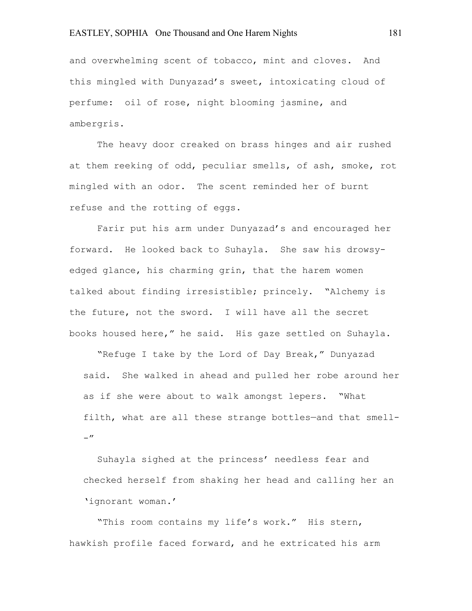and overwhelming scent of tobacco, mint and cloves. And this mingled with Dunyazad's sweet, intoxicating cloud of perfume: oil of rose, night blooming jasmine, and ambergris.

The heavy door creaked on brass hinges and air rushed at them reeking of odd, peculiar smells, of ash, smoke, rot mingled with an odor. The scent reminded her of burnt refuse and the rotting of eggs.

Farir put his arm under Dunyazad's and encouraged her forward. He looked back to Suhayla. She saw his drowsyedged glance, his charming grin, that the harem women talked about finding irresistible; princely. "Alchemy is the future, not the sword. I will have all the secret books housed here," he said. His gaze settled on Suhayla.

"Refuge I take by the Lord of Day Break," Dunyazad said. She walked in ahead and pulled her robe around her as if she were about to walk amongst lepers. "What filth, what are all these strange bottles—and that smell-  $-$ "

Suhayla sighed at the princess' needless fear and checked herself from shaking her head and calling her an 'ignorant woman.'

"This room contains my life's work." His stern, hawkish profile faced forward, and he extricated his arm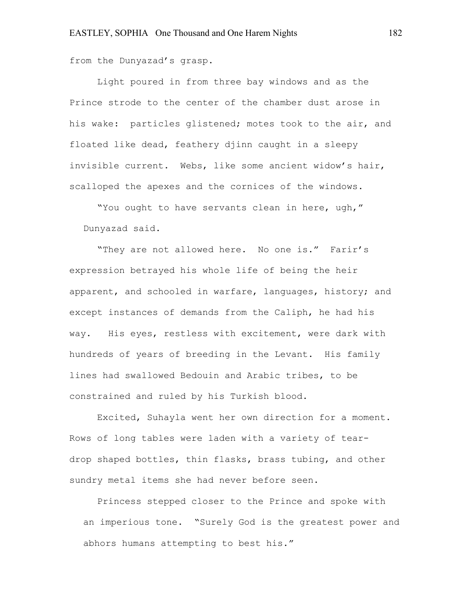from the Dunyazad's grasp.

Light poured in from three bay windows and as the Prince strode to the center of the chamber dust arose in his wake: particles glistened; motes took to the air, and floated like dead, feathery djinn caught in a sleepy invisible current. Webs, like some ancient widow's hair, scalloped the apexes and the cornices of the windows.

"You ought to have servants clean in here, ugh," Dunyazad said.

"They are not allowed here. No one is." Farir's expression betrayed his whole life of being the heir apparent, and schooled in warfare, languages, history; and except instances of demands from the Caliph, he had his way. His eyes, restless with excitement, were dark with hundreds of years of breeding in the Levant. His family lines had swallowed Bedouin and Arabic tribes, to be constrained and ruled by his Turkish blood.

Excited, Suhayla went her own direction for a moment. Rows of long tables were laden with a variety of teardrop shaped bottles, thin flasks, brass tubing, and other sundry metal items she had never before seen.

Princess stepped closer to the Prince and spoke with an imperious tone. "Surely God is the greatest power and abhors humans attempting to best his."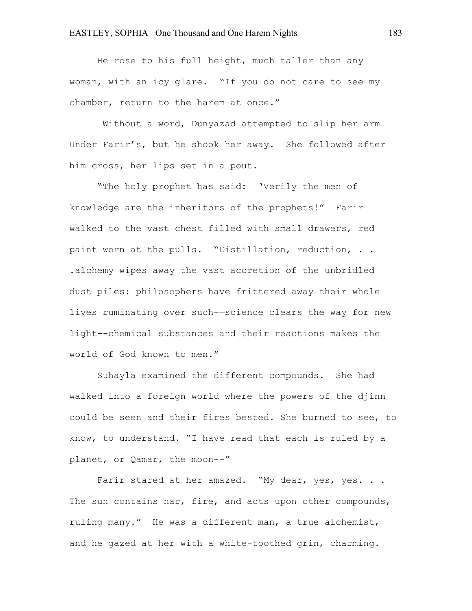He rose to his full height, much taller than any woman, with an icy glare. "If you do not care to see my chamber, return to the harem at once."

Without a word, Dunyazad attempted to slip her arm Under Farir's, but he shook her away. She followed after him cross, her lips set in a pout.

"The holy prophet has said: 'Verily the men of knowledge are the inheritors of the prophets!" Farir walked to the vast chest filled with small drawers, red paint worn at the pulls. "Distillation, reduction, . . .alchemy wipes away the vast accretion of the unbridled dust piles: philosophers have frittered away their whole lives ruminating over such-—science clears the way for new light--chemical substances and their reactions makes the world of God known to men."

Suhayla examined the different compounds. She had walked into a foreign world where the powers of the djinn could be seen and their fires bested. She burned to see, to know, to understand. "I have read that each is ruled by a planet, or Qamar, the moon--"

Farir stared at her amazed. "My dear, yes, yes. . . The sun contains nar, fire, and acts upon other compounds, ruling many." He was a different man, a true alchemist, and he gazed at her with a white-toothed grin, charming.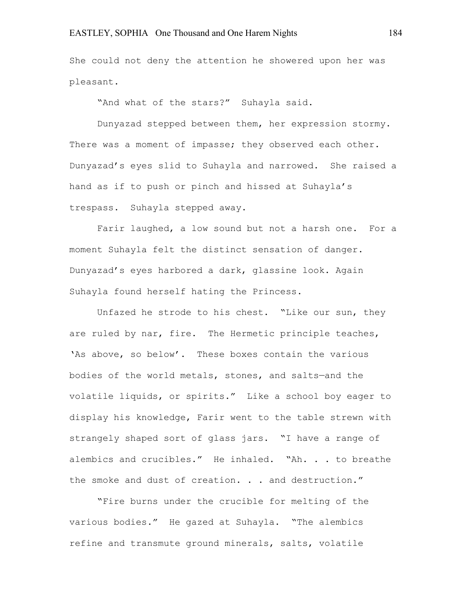She could not deny the attention he showered upon her was pleasant.

"And what of the stars?" Suhayla said.

Dunyazad stepped between them, her expression stormy. There was a moment of impasse; they observed each other. Dunyazad's eyes slid to Suhayla and narrowed. She raised a hand as if to push or pinch and hissed at Suhayla's trespass. Suhayla stepped away.

Farir laughed, a low sound but not a harsh one. For a moment Suhayla felt the distinct sensation of danger. Dunyazad's eyes harbored a dark, glassine look. Again Suhayla found herself hating the Princess.

Unfazed he strode to his chest. "Like our sun, they are ruled by nar, fire. The Hermetic principle teaches, 'As above, so below'. These boxes contain the various bodies of the world metals, stones, and salts—and the volatile liquids, or spirits." Like a school boy eager to display his knowledge, Farir went to the table strewn with strangely shaped sort of glass jars. "I have a range of alembics and crucibles." He inhaled. "Ah. . . to breathe the smoke and dust of creation. . . and destruction."

"Fire burns under the crucible for melting of the various bodies." He gazed at Suhayla. "The alembics refine and transmute ground minerals, salts, volatile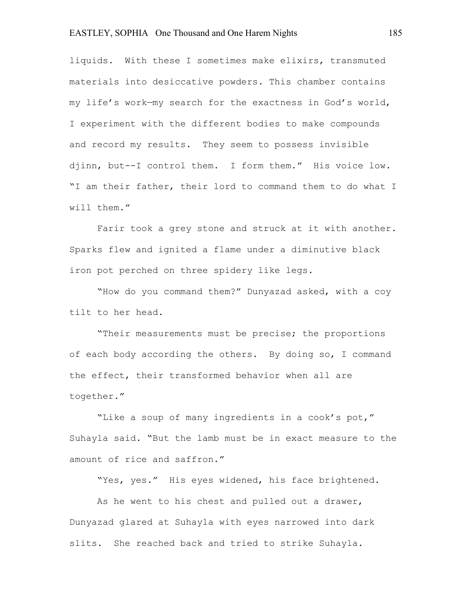liquids. With these I sometimes make elixirs, transmuted materials into desiccative powders. This chamber contains my life's work—my search for the exactness in God's world, I experiment with the different bodies to make compounds and record my results. They seem to possess invisible djinn, but--I control them. I form them." His voice low. "I am their father, their lord to command them to do what I will them."

Farir took a grey stone and struck at it with another. Sparks flew and ignited a flame under a diminutive black iron pot perched on three spidery like legs.

"How do you command them?" Dunyazad asked, with a coy tilt to her head.

"Their measurements must be precise; the proportions of each body according the others. By doing so, I command the effect, their transformed behavior when all are together."

"Like a soup of many ingredients in a cook's pot," Suhayla said. "But the lamb must be in exact measure to the amount of rice and saffron."

"Yes, yes." His eyes widened, his face brightened.

As he went to his chest and pulled out a drawer, Dunyazad glared at Suhayla with eyes narrowed into dark slits. She reached back and tried to strike Suhayla.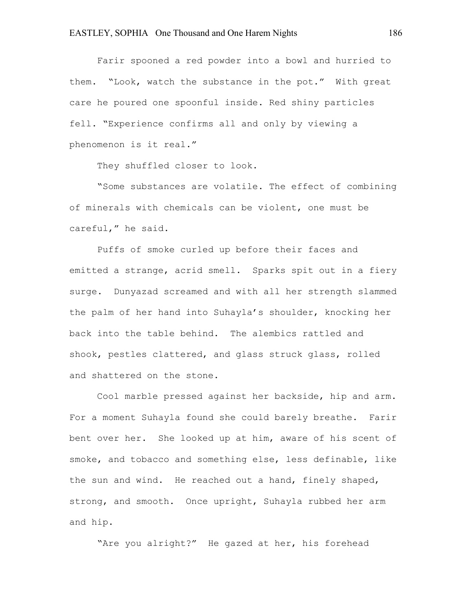Farir spooned a red powder into a bowl and hurried to them. "Look, watch the substance in the pot." With great care he poured one spoonful inside. Red shiny particles fell. "Experience confirms all and only by viewing a phenomenon is it real."

They shuffled closer to look.

"Some substances are volatile. The effect of combining of minerals with chemicals can be violent, one must be careful," he said.

Puffs of smoke curled up before their faces and emitted a strange, acrid smell. Sparks spit out in a fiery surge. Dunyazad screamed and with all her strength slammed the palm of her hand into Suhayla's shoulder, knocking her back into the table behind. The alembics rattled and shook, pestles clattered, and glass struck glass, rolled and shattered on the stone.

Cool marble pressed against her backside, hip and arm. For a moment Suhayla found she could barely breathe. Farir bent over her. She looked up at him, aware of his scent of smoke, and tobacco and something else, less definable, like the sun and wind. He reached out a hand, finely shaped, strong, and smooth. Once upright, Suhayla rubbed her arm and hip.

"Are you alright?" He gazed at her, his forehead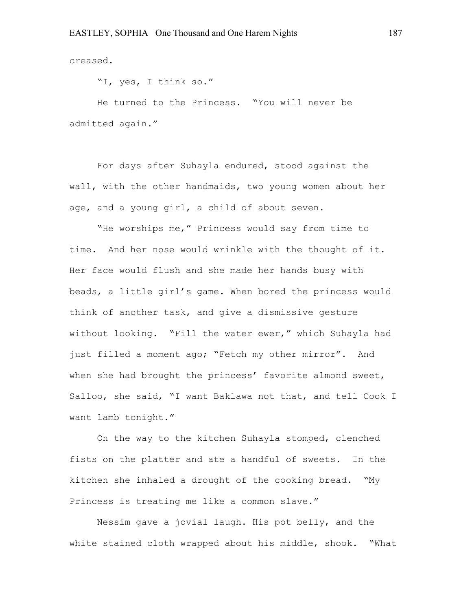creased.

"I, yes, I think so."

He turned to the Princess. "You will never be admitted again."

For days after Suhayla endured, stood against the wall, with the other handmaids, two young women about her age, and a young girl, a child of about seven.

"He worships me," Princess would say from time to time. And her nose would wrinkle with the thought of it. Her face would flush and she made her hands busy with beads, a little girl's game. When bored the princess would think of another task, and give a dismissive gesture without looking. "Fill the water ewer," which Suhayla had just filled a moment ago; "Fetch my other mirror". And when she had brought the princess' favorite almond sweet, Salloo, she said, "I want Baklawa not that, and tell Cook I want lamb tonight."

On the way to the kitchen Suhayla stomped, clenched fists on the platter and ate a handful of sweets. In the kitchen she inhaled a drought of the cooking bread. "My Princess is treating me like a common slave."

Nessim gave a jovial laugh. His pot belly, and the white stained cloth wrapped about his middle, shook. "What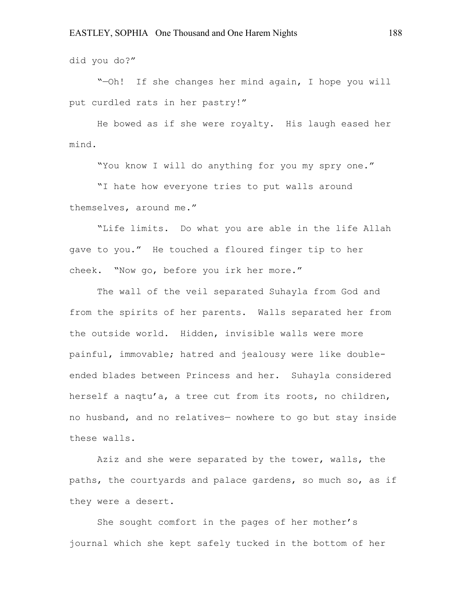did you do?"

"—Oh! If she changes her mind again, I hope you will put curdled rats in her pastry!"

He bowed as if she were royalty. His laugh eased her mind.

"You know I will do anything for you my spry one."

"I hate how everyone tries to put walls around themselves, around me."

"Life limits. Do what you are able in the life Allah gave to you." He touched a floured finger tip to her cheek. "Now go, before you irk her more."

The wall of the veil separated Suhayla from God and from the spirits of her parents. Walls separated her from the outside world. Hidden, invisible walls were more painful, immovable; hatred and jealousy were like doubleended blades between Princess and her. Suhayla considered herself a naqtu'a, a tree cut from its roots, no children, no husband, and no relatives— nowhere to go but stay inside these walls.

Aziz and she were separated by the tower, walls, the paths, the courtyards and palace gardens, so much so, as if they were a desert.

She sought comfort in the pages of her mother's journal which she kept safely tucked in the bottom of her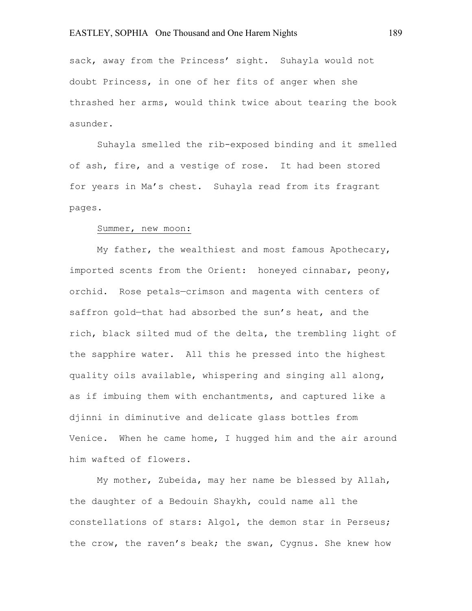sack, away from the Princess' sight. Suhayla would not doubt Princess, in one of her fits of anger when she thrashed her arms, would think twice about tearing the book asunder.

Suhayla smelled the rib-exposed binding and it smelled of ash, fire, and a vestige of rose. It had been stored for years in Ma's chest. Suhayla read from its fragrant pages.

### Summer, new moon:

My father, the wealthiest and most famous Apothecary, imported scents from the Orient: honeyed cinnabar, peony, orchid. Rose petals—crimson and magenta with centers of saffron gold-that had absorbed the sun's heat, and the rich, black silted mud of the delta, the trembling light of the sapphire water. All this he pressed into the highest quality oils available, whispering and singing all along, as if imbuing them with enchantments, and captured like a djinni in diminutive and delicate glass bottles from Venice. When he came home, I hugged him and the air around him wafted of flowers.

My mother, Zubeida, may her name be blessed by Allah, the daughter of a Bedouin Shaykh, could name all the constellations of stars: Algol, the demon star in Perseus; the crow, the raven's beak; the swan, Cygnus. She knew how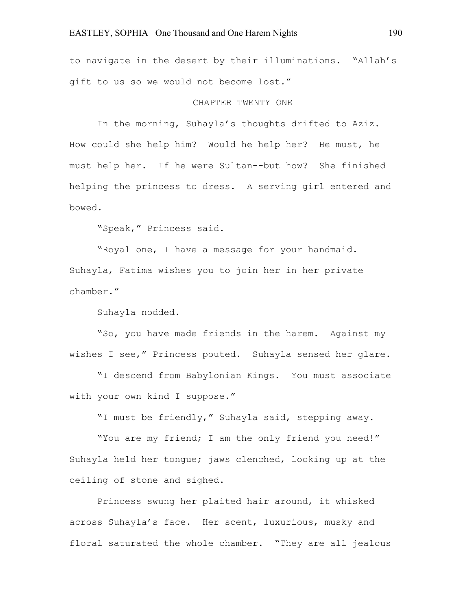to navigate in the desert by their illuminations. "Allah's gift to us so we would not become lost."

## CHAPTER TWENTY ONE

In the morning, Suhayla's thoughts drifted to Aziz. How could she help him? Would he help her? He must, he must help her. If he were Sultan--but how? She finished helping the princess to dress. A serving girl entered and bowed.

"Speak," Princess said.

"Royal one, I have a message for your handmaid. Suhayla, Fatima wishes you to join her in her private chamber."

Suhayla nodded.

"So, you have made friends in the harem. Against my wishes I see," Princess pouted. Suhayla sensed her glare.

"I descend from Babylonian Kings. You must associate with your own kind I suppose."

"I must be friendly," Suhayla said, stepping away.

"You are my friend; I am the only friend you need!" Suhayla held her tongue; jaws clenched, looking up at the ceiling of stone and sighed.

Princess swung her plaited hair around, it whisked across Suhayla's face. Her scent, luxurious, musky and floral saturated the whole chamber. "They are all jealous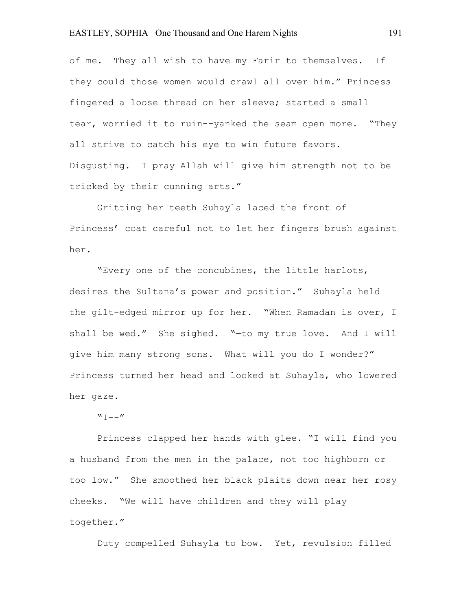of me. They all wish to have my Farir to themselves. If they could those women would crawl all over him." Princess fingered a loose thread on her sleeve; started a small tear, worried it to ruin--yanked the seam open more. "They all strive to catch his eye to win future favors. Disgusting. I pray Allah will give him strength not to be tricked by their cunning arts."

Gritting her teeth Suhayla laced the front of Princess' coat careful not to let her fingers brush against her.

"Every one of the concubines, the little harlots, desires the Sultana's power and position." Suhayla held the gilt-edged mirror up for her. "When Ramadan is over, I shall be wed." She sighed. "-to my true love. And I will give him many strong sons. What will you do I wonder?" Princess turned her head and looked at Suhayla, who lowered her gaze.

# $"T--"$

Princess clapped her hands with glee. "I will find you a husband from the men in the palace, not too highborn or too low." She smoothed her black plaits down near her rosy cheeks. "We will have children and they will play together."

Duty compelled Suhayla to bow. Yet, revulsion filled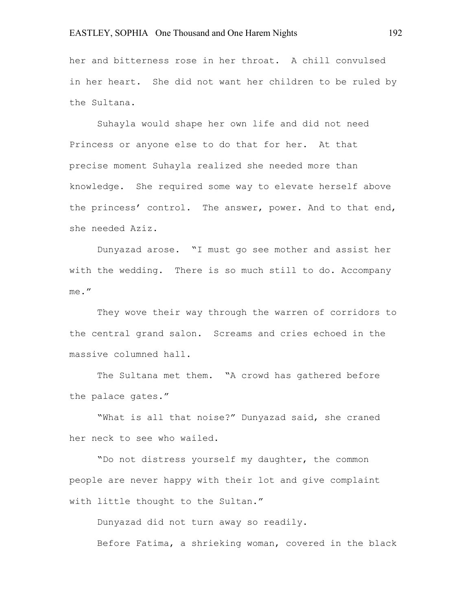her and bitterness rose in her throat. A chill convulsed in her heart. She did not want her children to be ruled by the Sultana.

Suhayla would shape her own life and did not need Princess or anyone else to do that for her. At that precise moment Suhayla realized she needed more than knowledge. She required some way to elevate herself above the princess' control. The answer, power. And to that end, she needed Aziz.

Dunyazad arose. "I must go see mother and assist her with the wedding. There is so much still to do. Accompany me."

They wove their way through the warren of corridors to the central grand salon. Screams and cries echoed in the massive columned hall.

The Sultana met them. "A crowd has gathered before the palace gates."

"What is all that noise?" Dunyazad said, she craned her neck to see who wailed.

"Do not distress yourself my daughter, the common people are never happy with their lot and give complaint with little thought to the Sultan."

Dunyazad did not turn away so readily.

Before Fatima, a shrieking woman, covered in the black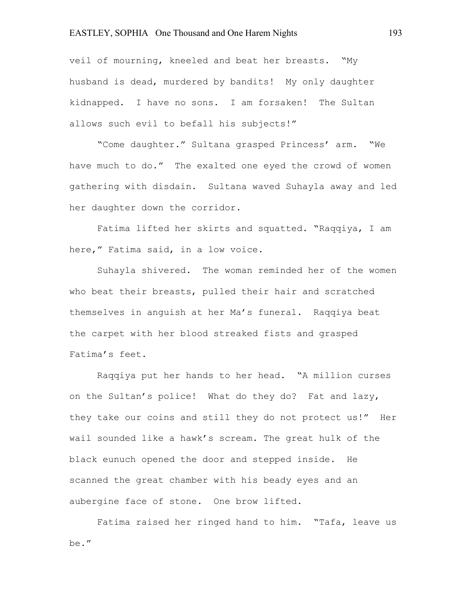veil of mourning, kneeled and beat her breasts. "My husband is dead, murdered by bandits! My only daughter kidnapped. I have no sons. I am forsaken! The Sultan allows such evil to befall his subjects!"

"Come daughter." Sultana grasped Princess' arm. "We have much to do." The exalted one eyed the crowd of women gathering with disdain. Sultana waved Suhayla away and led her daughter down the corridor.

Fatima lifted her skirts and squatted. "Raqqiya, I am here," Fatima said, in a low voice.

Suhayla shivered. The woman reminded her of the women who beat their breasts, pulled their hair and scratched themselves in anguish at her Ma's funeral. Raqqiya beat the carpet with her blood streaked fists and grasped Fatima's feet.

Raqqiya put her hands to her head. "A million curses on the Sultan's police! What do they do? Fat and lazy, they take our coins and still they do not protect us!" Her wail sounded like a hawk's scream. The great hulk of the black eunuch opened the door and stepped inside. He scanned the great chamber with his beady eyes and an aubergine face of stone. One brow lifted.

Fatima raised her ringed hand to him. "Tafa, leave us be."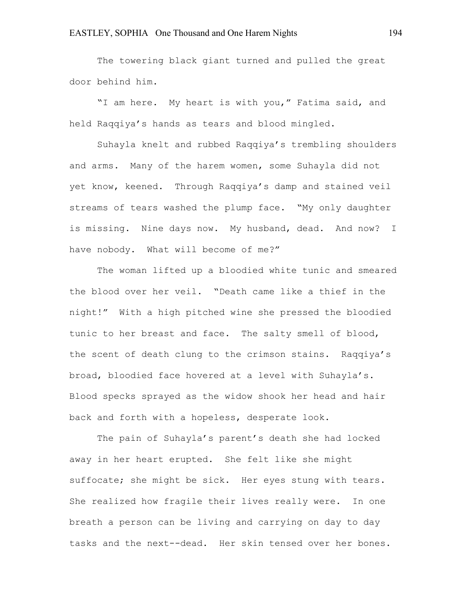The towering black giant turned and pulled the great door behind him.

"I am here. My heart is with you," Fatima said, and held Raqqiya's hands as tears and blood mingled.

Suhayla knelt and rubbed Raqqiya's trembling shoulders and arms. Many of the harem women, some Suhayla did not yet know, keened. Through Raqqiya's damp and stained veil streams of tears washed the plump face. "My only daughter is missing. Nine days now. My husband, dead. And now? I have nobody. What will become of me?"

The woman lifted up a bloodied white tunic and smeared the blood over her veil. "Death came like a thief in the night!" With a high pitched wine she pressed the bloodied tunic to her breast and face. The salty smell of blood, the scent of death clung to the crimson stains. Raqqiya's broad, bloodied face hovered at a level with Suhayla's. Blood specks sprayed as the widow shook her head and hair back and forth with a hopeless, desperate look.

The pain of Suhayla's parent's death she had locked away in her heart erupted. She felt like she might suffocate; she might be sick. Her eyes stung with tears. She realized how fragile their lives really were. In one breath a person can be living and carrying on day to day tasks and the next--dead. Her skin tensed over her bones.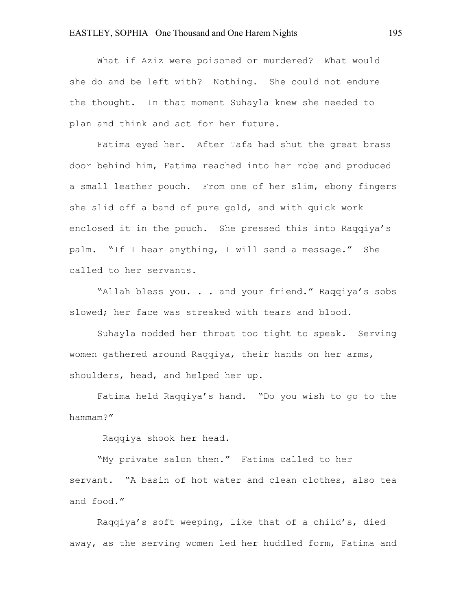What if Aziz were poisoned or murdered? What would she do and be left with? Nothing. She could not endure the thought. In that moment Suhayla knew she needed to plan and think and act for her future.

Fatima eyed her. After Tafa had shut the great brass door behind him, Fatima reached into her robe and produced a small leather pouch. From one of her slim, ebony fingers she slid off a band of pure gold, and with quick work enclosed it in the pouch. She pressed this into Raqqiya's palm. "If I hear anything, I will send a message." She called to her servants.

"Allah bless you. . . and your friend." Raqqiya's sobs slowed; her face was streaked with tears and blood.

Suhayla nodded her throat too tight to speak. Serving women gathered around Raqqiya, their hands on her arms, shoulders, head, and helped her up.

Fatima held Raqqiya's hand. "Do you wish to go to the hammam?"

Raqqiya shook her head.

"My private salon then." Fatima called to her servant. "A basin of hot water and clean clothes, also tea and food."

Raqqiya's soft weeping, like that of a child's, died away, as the serving women led her huddled form, Fatima and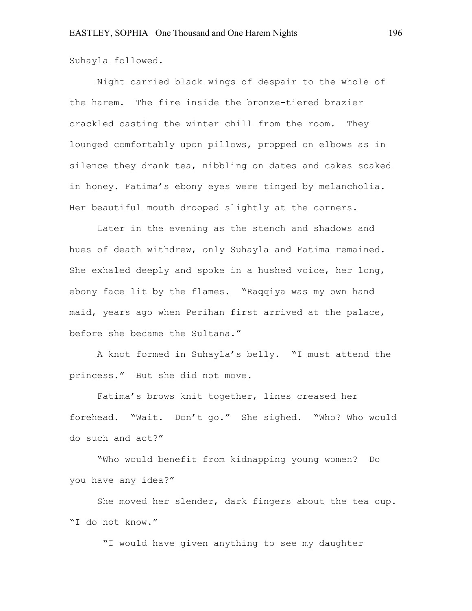Suhayla followed.

Night carried black wings of despair to the whole of the harem. The fire inside the bronze-tiered brazier crackled casting the winter chill from the room. They lounged comfortably upon pillows, propped on elbows as in silence they drank tea, nibbling on dates and cakes soaked in honey. Fatima's ebony eyes were tinged by melancholia. Her beautiful mouth drooped slightly at the corners.

Later in the evening as the stench and shadows and hues of death withdrew, only Suhayla and Fatima remained. She exhaled deeply and spoke in a hushed voice, her long, ebony face lit by the flames. "Raqqiya was my own hand maid, years ago when Perihan first arrived at the palace, before she became the Sultana."

A knot formed in Suhayla's belly. "I must attend the princess." But she did not move.

Fatima's brows knit together, lines creased her forehead. "Wait. Don't go." She sighed. "Who? Who would do such and act?"

"Who would benefit from kidnapping young women? Do you have any idea?"

She moved her slender, dark fingers about the tea cup. "I do not know."

"I would have given anything to see my daughter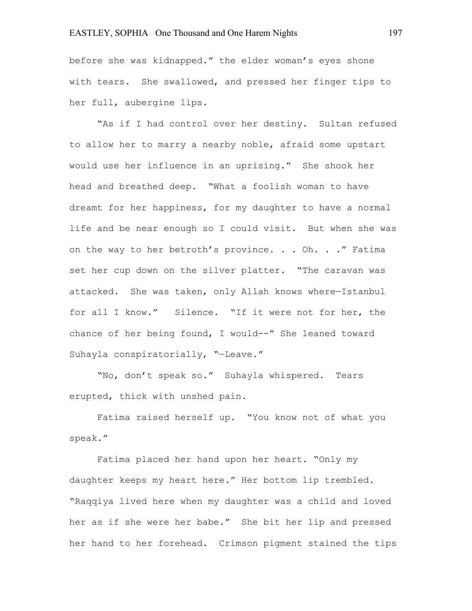before she was kidnapped." the elder woman's eyes shone with tears. She swallowed, and pressed her finger tips to her full, aubergine lips.

"As if I had control over her destiny. Sultan refused to allow her to marry a nearby noble, afraid some upstart would use her influence in an uprising." She shook her head and breathed deep. "What a foolish woman to have dreamt for her happiness, for my daughter to have a normal life and be near enough so I could visit. But when she was on the way to her betroth's province. . . Oh. . . " Fatima set her cup down on the silver platter. "The caravan was attacked. She was taken, only Allah knows where—Istanbul for all I know." Silence. "If it were not for her, the chance of her being found, I would--" She leaned toward Suhayla conspiratorially, "—Leave."

"No, don't speak so." Suhayla whispered. Tears erupted, thick with unshed pain.

Fatima raised herself up. "You know not of what you speak."

Fatima placed her hand upon her heart. "Only my daughter keeps my heart here." Her bottom lip trembled. "Raqqiya lived here when my daughter was a child and loved her as if she were her babe." She bit her lip and pressed her hand to her forehead. Crimson pigment stained the tips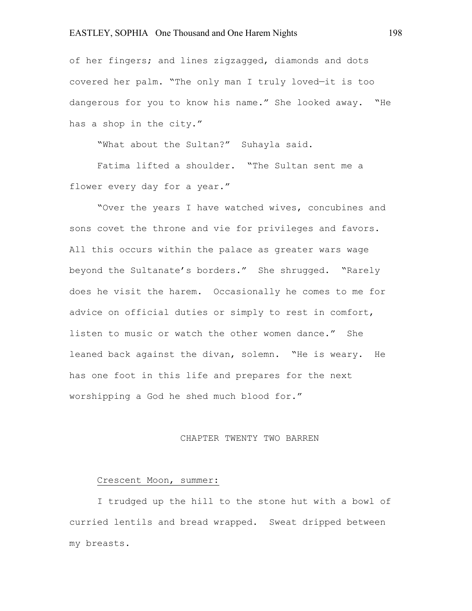of her fingers; and lines zigzagged, diamonds and dots covered her palm. "The only man I truly loved—it is too dangerous for you to know his name." She looked away. "He has a shop in the city."

"What about the Sultan?" Suhayla said.

 Fatima lifted a shoulder. "The Sultan sent me a flower every day for a year."

"Over the years I have watched wives, concubines and sons covet the throne and vie for privileges and favors. All this occurs within the palace as greater wars wage beyond the Sultanate's borders." She shrugged. "Rarely does he visit the harem. Occasionally he comes to me for advice on official duties or simply to rest in comfort, listen to music or watch the other women dance." She leaned back against the divan, solemn. "He is weary. He has one foot in this life and prepares for the next worshipping a God he shed much blood for."

#### CHAPTER TWENTY TWO BARREN

#### Crescent Moon, summer:

I trudged up the hill to the stone hut with a bowl of curried lentils and bread wrapped. Sweat dripped between my breasts.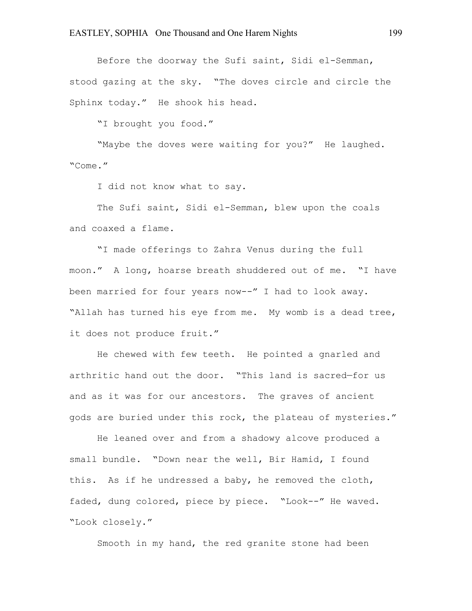Before the doorway the Sufi saint, Sidi el-Semman, stood gazing at the sky. "The doves circle and circle the Sphinx today." He shook his head.

"I brought you food."

"Maybe the doves were waiting for you?" He laughed. "Come."

I did not know what to say.

The Sufi saint, Sidi el-Semman, blew upon the coals and coaxed a flame.

"I made offerings to Zahra Venus during the full moon." A long, hoarse breath shuddered out of me. "I have been married for four years now--" I had to look away. "Allah has turned his eye from me. My womb is a dead tree, it does not produce fruit."

He chewed with few teeth. He pointed a gnarled and arthritic hand out the door. "This land is sacred—for us and as it was for our ancestors. The graves of ancient gods are buried under this rock, the plateau of mysteries."

He leaned over and from a shadowy alcove produced a small bundle. "Down near the well, Bir Hamid, I found this. As if he undressed a baby, he removed the cloth, faded, dung colored, piece by piece. "Look--" He waved. "Look closely."

Smooth in my hand, the red granite stone had been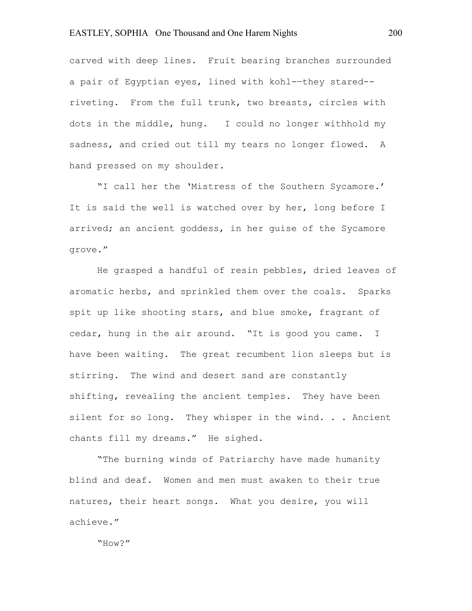carved with deep lines. Fruit bearing branches surrounded a pair of Egyptian eyes, lined with kohl-—they stared- riveting. From the full trunk, two breasts, circles with dots in the middle, hung. I could no longer withhold my sadness, and cried out till my tears no longer flowed. A hand pressed on my shoulder.

"I call her the 'Mistress of the Southern Sycamore.' It is said the well is watched over by her, long before I arrived; an ancient goddess, in her guise of the Sycamore grove."

He grasped a handful of resin pebbles, dried leaves of aromatic herbs, and sprinkled them over the coals. Sparks spit up like shooting stars, and blue smoke, fragrant of cedar, hung in the air around. "It is good you came. I have been waiting. The great recumbent lion sleeps but is stirring. The wind and desert sand are constantly shifting, revealing the ancient temples. They have been silent for so long. They whisper in the wind. . . Ancient chants fill my dreams." He sighed.

"The burning winds of Patriarchy have made humanity blind and deaf. Women and men must awaken to their true natures, their heart songs. What you desire, you will achieve."

"How?"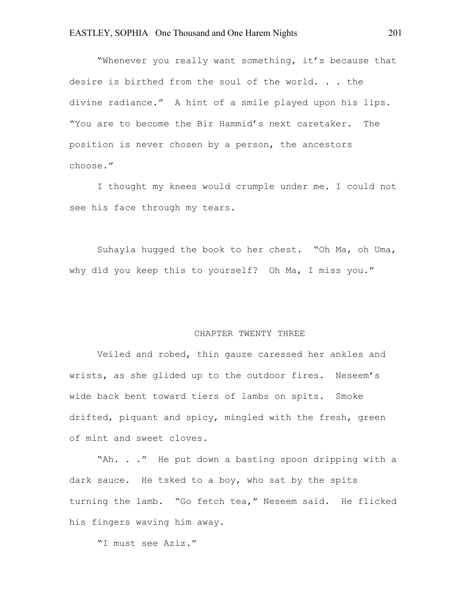"Whenever you really want something, it's because that desire is birthed from the soul of the world. . . the divine radiance." A hint of a smile played upon his lips. "You are to become the Bir Hammid's next caretaker. The position is never chosen by a person, the ancestors choose."

I thought my knees would crumple under me. I could not see his face through my tears.

Suhayla hugged the book to her chest. "Oh Ma, oh Uma, why did you keep this to yourself? Oh Ma, I miss you."

### CHAPTER TWENTY THREE

Veiled and robed, thin gauze caressed her ankles and wrists, as she glided up to the outdoor fires. Neseem's wide back bent toward tiers of lambs on spits. Smoke drifted, piquant and spicy, mingled with the fresh, green of mint and sweet cloves.

"Ah. . ." He put down a basting spoon dripping with a dark sauce. He tsked to a boy, who sat by the spits turning the lamb. "Go fetch tea," Neseem said. He flicked his fingers waving him away.

"I must see Aziz."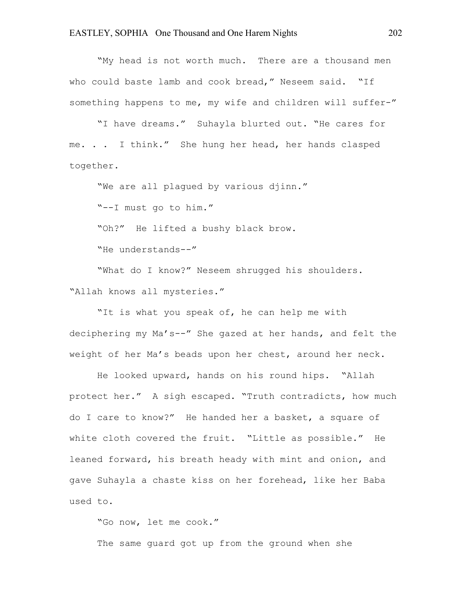"My head is not worth much. There are a thousand men who could baste lamb and cook bread," Neseem said. "If something happens to me, my wife and children will suffer-"

"I have dreams." Suhayla blurted out. "He cares for me. . . I think." She hung her head, her hands clasped together.

"We are all plagued by various djinn."

"--I must go to him."

"Oh?" He lifted a bushy black brow.

"He understands--"

"What do I know?" Neseem shrugged his shoulders. "Allah knows all mysteries."

"It is what you speak of, he can help me with deciphering my Ma's--" She gazed at her hands, and felt the weight of her Ma's beads upon her chest, around her neck.

He looked upward, hands on his round hips. "Allah protect her." A sigh escaped. "Truth contradicts, how much do I care to know?" He handed her a basket, a square of white cloth covered the fruit. "Little as possible." He leaned forward, his breath heady with mint and onion, and gave Suhayla a chaste kiss on her forehead, like her Baba used to.

"Go now, let me cook."

The same guard got up from the ground when she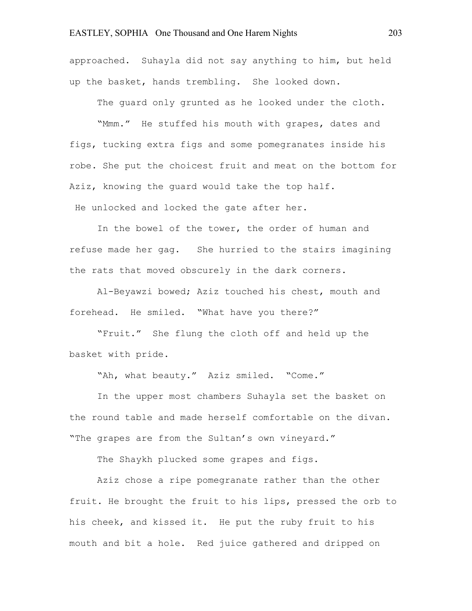approached. Suhayla did not say anything to him, but held up the basket, hands trembling. She looked down.

The guard only grunted as he looked under the cloth.

"Mmm." He stuffed his mouth with grapes, dates and figs, tucking extra figs and some pomegranates inside his robe. She put the choicest fruit and meat on the bottom for Aziz, knowing the guard would take the top half.

He unlocked and locked the gate after her.

In the bowel of the tower, the order of human and refuse made her gag. She hurried to the stairs imagining the rats that moved obscurely in the dark corners.

Al-Beyawzi bowed; Aziz touched his chest, mouth and forehead. He smiled. "What have you there?"

"Fruit." She flung the cloth off and held up the basket with pride.

"Ah, what beauty." Aziz smiled. "Come."

In the upper most chambers Suhayla set the basket on the round table and made herself comfortable on the divan. "The grapes are from the Sultan's own vineyard."

The Shaykh plucked some grapes and figs.

Aziz chose a ripe pomegranate rather than the other fruit. He brought the fruit to his lips, pressed the orb to his cheek, and kissed it. He put the ruby fruit to his mouth and bit a hole. Red juice gathered and dripped on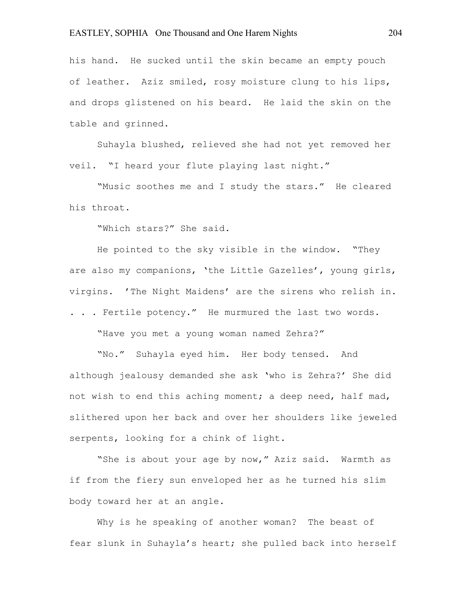his hand. He sucked until the skin became an empty pouch of leather. Aziz smiled, rosy moisture clung to his lips, and drops glistened on his beard. He laid the skin on the table and grinned.

Suhayla blushed, relieved she had not yet removed her veil. "I heard your flute playing last night."

"Music soothes me and I study the stars." He cleared his throat.

"Which stars?" She said.

He pointed to the sky visible in the window. "They are also my companions, 'the Little Gazelles', young girls, virgins. 'The Night Maidens' are the sirens who relish in. . . . Fertile potency." He murmured the last two words.

"Have you met a young woman named Zehra?"

"No." Suhayla eyed him. Her body tensed. And although jealousy demanded she ask 'who is Zehra?' She did not wish to end this aching moment; a deep need, half mad, slithered upon her back and over her shoulders like jeweled serpents, looking for a chink of light.

"She is about your age by now," Aziz said. Warmth as if from the fiery sun enveloped her as he turned his slim body toward her at an angle.

Why is he speaking of another woman? The beast of fear slunk in Suhayla's heart; she pulled back into herself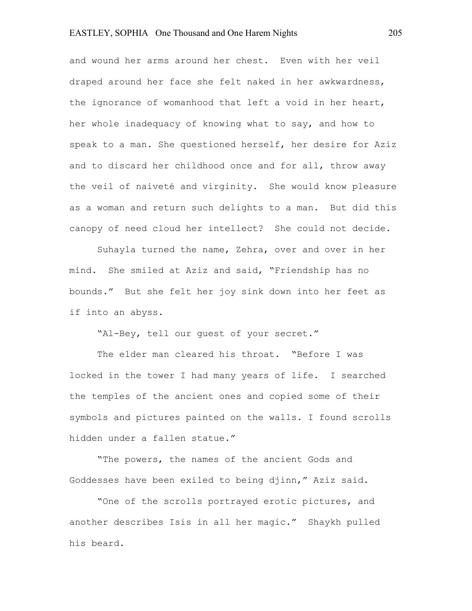and wound her arms around her chest. Even with her veil draped around her face she felt naked in her awkwardness, the ignorance of womanhood that left a void in her heart, her whole inadequacy of knowing what to say, and how to speak to a man. She questioned herself, her desire for Aziz and to discard her childhood once and for all, throw away the veil of naiveté and virginity. She would know pleasure as a woman and return such delights to a man. But did this canopy of need cloud her intellect? She could not decide.

Suhayla turned the name, Zehra, over and over in her mind. She smiled at Aziz and said, "Friendship has no bounds." But she felt her joy sink down into her feet as if into an abyss.

"Al-Bey, tell our guest of your secret."

The elder man cleared his throat. "Before I was locked in the tower I had many years of life. I searched the temples of the ancient ones and copied some of their symbols and pictures painted on the walls. I found scrolls hidden under a fallen statue."

"The powers, the names of the ancient Gods and Goddesses have been exiled to being djinn," Aziz said.

"One of the scrolls portrayed erotic pictures, and another describes Isis in all her magic." Shaykh pulled his beard.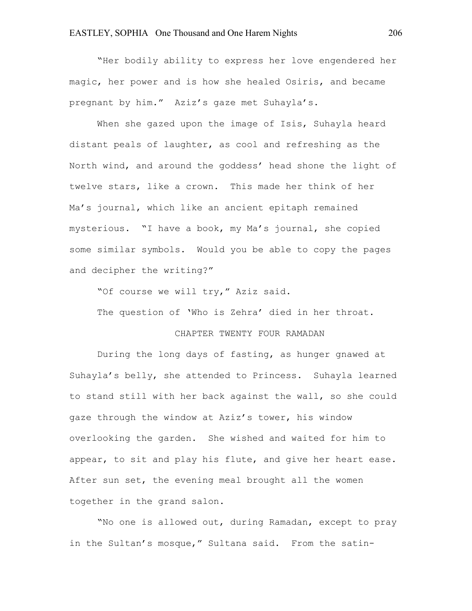"Her bodily ability to express her love engendered her magic, her power and is how she healed Osiris, and became pregnant by him." Aziz's gaze met Suhayla's.

When she gazed upon the image of Isis, Suhayla heard distant peals of laughter, as cool and refreshing as the North wind, and around the goddess' head shone the light of twelve stars, like a crown. This made her think of her Ma's journal, which like an ancient epitaph remained mysterious. "I have a book, my Ma's journal, she copied some similar symbols. Would you be able to copy the pages and decipher the writing?"

"Of course we will try," Aziz said.

The question of 'Who is Zehra' died in her throat.

# CHAPTER TWENTY FOUR RAMADAN

During the long days of fasting, as hunger gnawed at Suhayla's belly, she attended to Princess. Suhayla learned to stand still with her back against the wall, so she could gaze through the window at Aziz's tower, his window overlooking the garden. She wished and waited for him to appear, to sit and play his flute, and give her heart ease. After sun set, the evening meal brought all the women together in the grand salon.

"No one is allowed out, during Ramadan, except to pray in the Sultan's mosque," Sultana said. From the satin-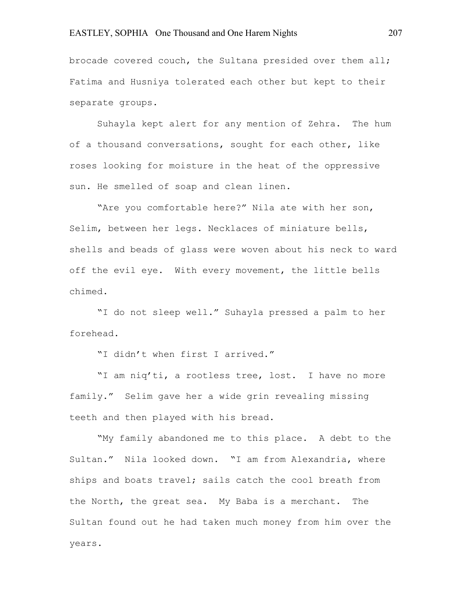brocade covered couch, the Sultana presided over them all; Fatima and Husniya tolerated each other but kept to their separate groups.

Suhayla kept alert for any mention of Zehra. The hum of a thousand conversations, sought for each other, like roses looking for moisture in the heat of the oppressive sun. He smelled of soap and clean linen.

"Are you comfortable here?" Nila ate with her son, Selim, between her legs. Necklaces of miniature bells, shells and beads of glass were woven about his neck to ward off the evil eye. With every movement, the little bells chimed.

"I do not sleep well." Suhayla pressed a palm to her forehead.

"I didn't when first I arrived."

"I am niq'ti, a rootless tree, lost. I have no more family." Selim gave her a wide grin revealing missing teeth and then played with his bread.

"My family abandoned me to this place. A debt to the Sultan." Nila looked down. "I am from Alexandria, where ships and boats travel; sails catch the cool breath from the North, the great sea. My Baba is a merchant. The Sultan found out he had taken much money from him over the years.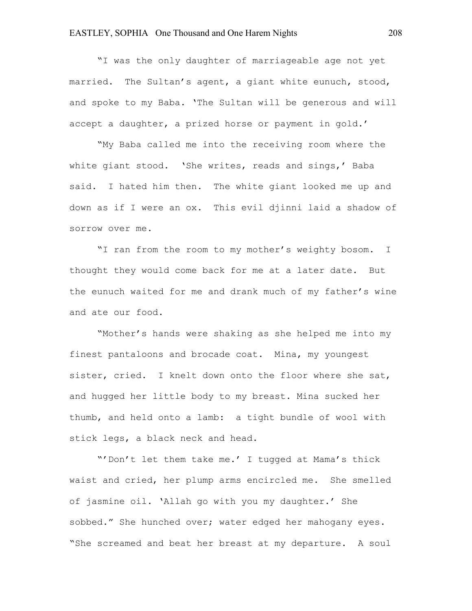"I was the only daughter of marriageable age not yet married. The Sultan's agent, a giant white eunuch, stood, and spoke to my Baba. 'The Sultan will be generous and will accept a daughter, a prized horse or payment in gold.'

"My Baba called me into the receiving room where the white giant stood. 'She writes, reads and sings,' Baba said. I hated him then. The white giant looked me up and down as if I were an ox. This evil djinni laid a shadow of sorrow over me.

"I ran from the room to my mother's weighty bosom. I thought they would come back for me at a later date. But the eunuch waited for me and drank much of my father's wine and ate our food.

"Mother's hands were shaking as she helped me into my finest pantaloons and brocade coat. Mina, my youngest sister, cried. I knelt down onto the floor where she sat, and hugged her little body to my breast. Mina sucked her thumb, and held onto a lamb: a tight bundle of wool with stick legs, a black neck and head.

"'Don't let them take me.' I tugged at Mama's thick waist and cried, her plump arms encircled me. She smelled of jasmine oil. 'Allah go with you my daughter.' She sobbed." She hunched over; water edged her mahogany eyes. "She screamed and beat her breast at my departure. A soul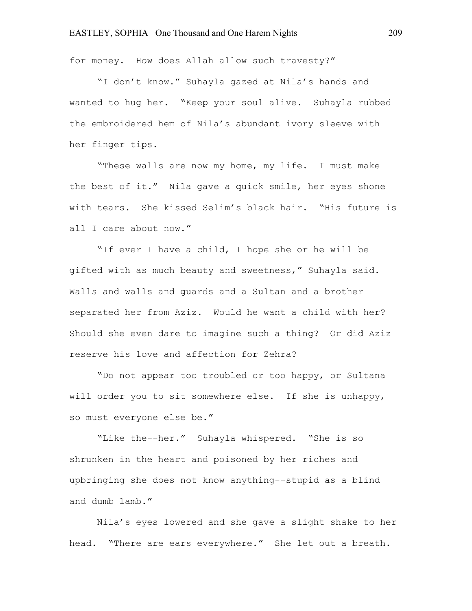for money. How does Allah allow such travesty?"

"I don't know." Suhayla gazed at Nila's hands and wanted to hug her. "Keep your soul alive. Suhayla rubbed the embroidered hem of Nila's abundant ivory sleeve with her finger tips.

"These walls are now my home, my life. I must make the best of it." Nila gave a quick smile, her eyes shone with tears. She kissed Selim's black hair. "His future is all I care about now."

"If ever I have a child, I hope she or he will be gifted with as much beauty and sweetness," Suhayla said. Walls and walls and guards and a Sultan and a brother separated her from Aziz. Would he want a child with her? Should she even dare to imagine such a thing? Or did Aziz reserve his love and affection for Zehra?

"Do not appear too troubled or too happy, or Sultana will order you to sit somewhere else. If she is unhappy, so must everyone else be."

"Like the--her." Suhayla whispered. "She is so shrunken in the heart and poisoned by her riches and upbringing she does not know anything--stupid as a blind and dumb lamb."

Nila's eyes lowered and she gave a slight shake to her head. "There are ears everywhere." She let out a breath.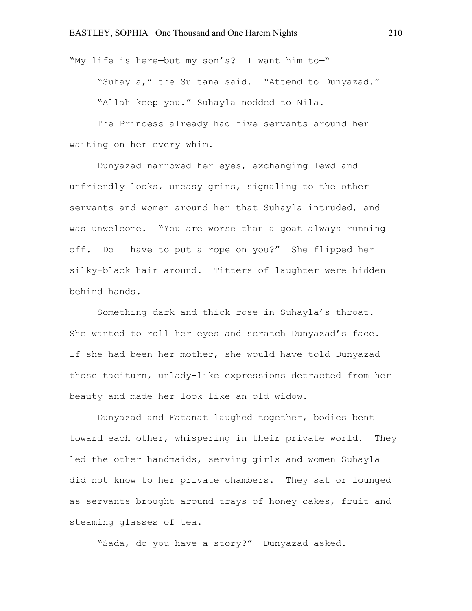"My life is here—but my son's? I want him to—" "Suhayla," the Sultana said. "Attend to Dunyazad." "Allah keep you." Suhayla nodded to Nila.

The Princess already had five servants around her waiting on her every whim.

Dunyazad narrowed her eyes, exchanging lewd and unfriendly looks, uneasy grins, signaling to the other servants and women around her that Suhayla intruded, and was unwelcome. "You are worse than a goat always running off. Do I have to put a rope on you?" She flipped her silky-black hair around. Titters of laughter were hidden behind hands.

Something dark and thick rose in Suhayla's throat. She wanted to roll her eyes and scratch Dunyazad's face. If she had been her mother, she would have told Dunyazad those taciturn, unlady-like expressions detracted from her beauty and made her look like an old widow.

Dunyazad and Fatanat laughed together, bodies bent toward each other, whispering in their private world. They led the other handmaids, serving girls and women Suhayla did not know to her private chambers. They sat or lounged as servants brought around trays of honey cakes, fruit and steaming glasses of tea.

"Sada, do you have a story?" Dunyazad asked.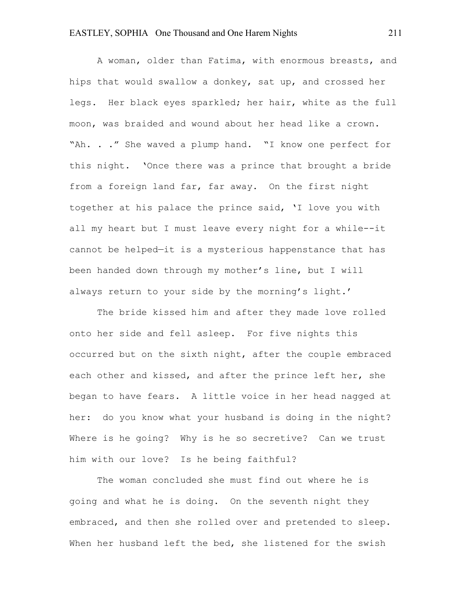A woman, older than Fatima, with enormous breasts, and hips that would swallow a donkey, sat up, and crossed her legs. Her black eyes sparkled; her hair, white as the full moon, was braided and wound about her head like a crown. "Ah. . ." She waved a plump hand. "I know one perfect for this night. 'Once there was a prince that brought a bride from a foreign land far, far away. On the first night together at his palace the prince said, 'I love you with all my heart but I must leave every night for a while--it cannot be helped—it is a mysterious happenstance that has been handed down through my mother's line, but I will always return to your side by the morning's light.'

The bride kissed him and after they made love rolled onto her side and fell asleep. For five nights this occurred but on the sixth night, after the couple embraced each other and kissed, and after the prince left her, she began to have fears. A little voice in her head nagged at her: do you know what your husband is doing in the night? Where is he going? Why is he so secretive? Can we trust him with our love? Is he being faithful?

The woman concluded she must find out where he is going and what he is doing. On the seventh night they embraced, and then she rolled over and pretended to sleep. When her husband left the bed, she listened for the swish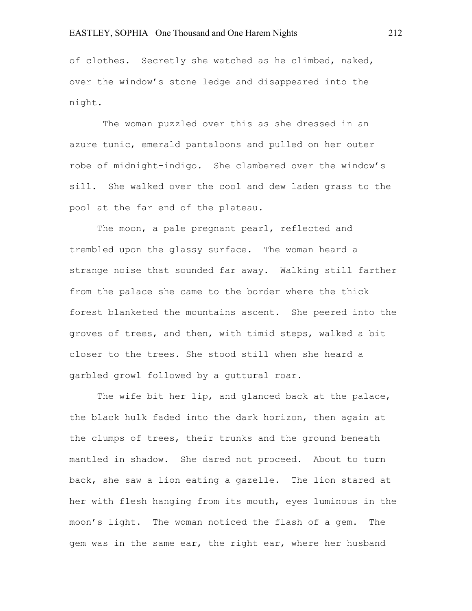of clothes. Secretly she watched as he climbed, naked, over the window's stone ledge and disappeared into the night.

The woman puzzled over this as she dressed in an azure tunic, emerald pantaloons and pulled on her outer robe of midnight-indigo. She clambered over the window's sill. She walked over the cool and dew laden grass to the pool at the far end of the plateau.

The moon, a pale pregnant pearl, reflected and trembled upon the glassy surface. The woman heard a strange noise that sounded far away. Walking still farther from the palace she came to the border where the thick forest blanketed the mountains ascent. She peered into the groves of trees, and then, with timid steps, walked a bit closer to the trees. She stood still when she heard a garbled growl followed by a guttural roar.

The wife bit her lip, and glanced back at the palace, the black hulk faded into the dark horizon, then again at the clumps of trees, their trunks and the ground beneath mantled in shadow. She dared not proceed. About to turn back, she saw a lion eating a gazelle. The lion stared at her with flesh hanging from its mouth, eyes luminous in the moon's light. The woman noticed the flash of a gem. The gem was in the same ear, the right ear, where her husband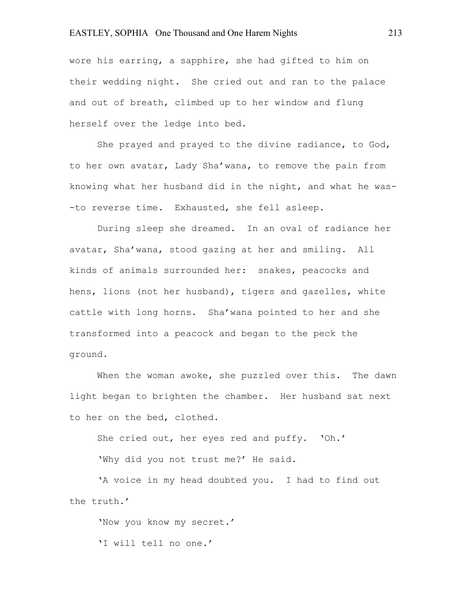wore his earring, a sapphire, she had gifted to him on their wedding night. She cried out and ran to the palace and out of breath, climbed up to her window and flung herself over the ledge into bed.

She prayed and prayed to the divine radiance, to God, to her own avatar, Lady Sha'wana, to remove the pain from knowing what her husband did in the night, and what he was- -to reverse time. Exhausted, she fell asleep.

During sleep she dreamed. In an oval of radiance her avatar, Sha'wana, stood gazing at her and smiling. All kinds of animals surrounded her: snakes, peacocks and hens, lions (not her husband), tigers and gazelles, white cattle with long horns. Sha'wana pointed to her and she transformed into a peacock and began to the peck the ground.

When the woman awoke, she puzzled over this. The dawn light began to brighten the chamber. Her husband sat next to her on the bed, clothed.

She cried out, her eyes red and puffy. 'Oh.'

'Why did you not trust me?' He said.

'A voice in my head doubted you. I had to find out the truth.'

'Now you know my secret.' 'I will tell no one.'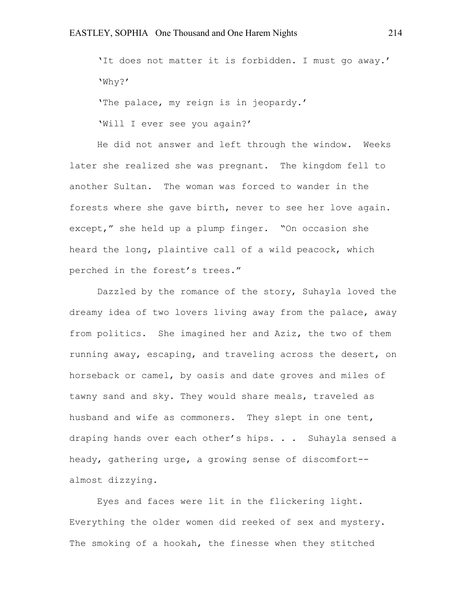'It does not matter it is forbidden. I must go away.' 'Why?'

'The palace, my reign is in jeopardy.'

'Will I ever see you again?'

He did not answer and left through the window. Weeks later she realized she was pregnant. The kingdom fell to another Sultan. The woman was forced to wander in the forests where she gave birth, never to see her love again. except," she held up a plump finger. "On occasion she heard the long, plaintive call of a wild peacock, which perched in the forest's trees."

Dazzled by the romance of the story, Suhayla loved the dreamy idea of two lovers living away from the palace, away from politics. She imagined her and Aziz, the two of them running away, escaping, and traveling across the desert, on horseback or camel, by oasis and date groves and miles of tawny sand and sky. They would share meals, traveled as husband and wife as commoners. They slept in one tent, draping hands over each other's hips. . . Suhayla sensed a heady, gathering urge, a growing sense of discomfort- almost dizzying.

Eyes and faces were lit in the flickering light. Everything the older women did reeked of sex and mystery. The smoking of a hookah, the finesse when they stitched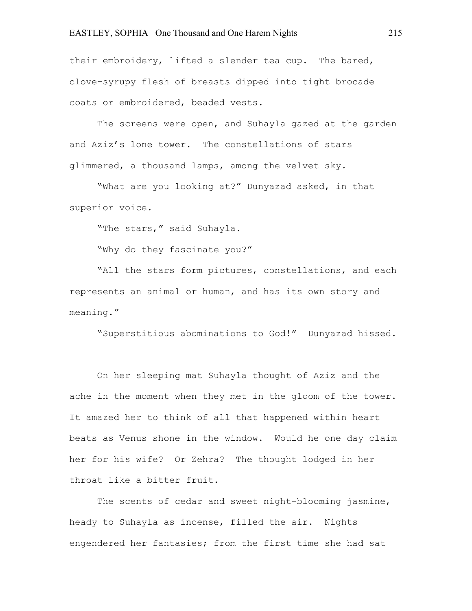their embroidery, lifted a slender tea cup. The bared, clove-syrupy flesh of breasts dipped into tight brocade coats or embroidered, beaded vests.

The screens were open, and Suhayla gazed at the garden and Aziz's lone tower. The constellations of stars glimmered, a thousand lamps, among the velvet sky.

"What are you looking at?" Dunyazad asked, in that superior voice.

"The stars," said Suhayla.

"Why do they fascinate you?"

"All the stars form pictures, constellations, and each represents an animal or human, and has its own story and meaning."

"Superstitious abominations to God!" Dunyazad hissed.

On her sleeping mat Suhayla thought of Aziz and the ache in the moment when they met in the gloom of the tower. It amazed her to think of all that happened within heart beats as Venus shone in the window. Would he one day claim her for his wife? Or Zehra? The thought lodged in her throat like a bitter fruit.

The scents of cedar and sweet night-blooming jasmine, heady to Suhayla as incense, filled the air. Nights engendered her fantasies; from the first time she had sat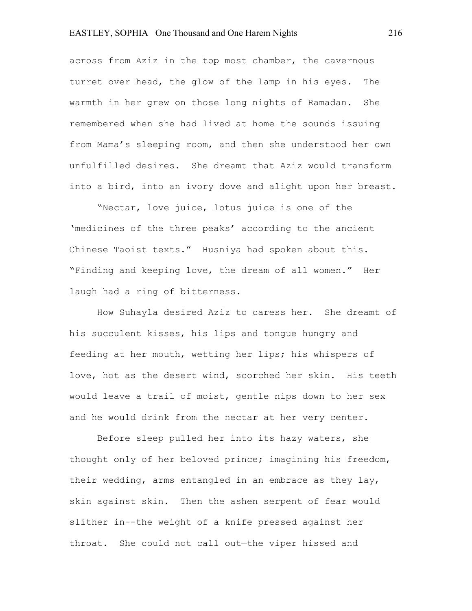across from Aziz in the top most chamber, the cavernous turret over head, the glow of the lamp in his eyes. The warmth in her grew on those long nights of Ramadan. She remembered when she had lived at home the sounds issuing from Mama's sleeping room, and then she understood her own unfulfilled desires. She dreamt that Aziz would transform into a bird, into an ivory dove and alight upon her breast.

"Nectar, love juice, lotus juice is one of the 'medicines of the three peaks' according to the ancient Chinese Taoist texts." Husniya had spoken about this. "Finding and keeping love, the dream of all women." Her laugh had a ring of bitterness.

How Suhayla desired Aziz to caress her. She dreamt of his succulent kisses, his lips and tongue hungry and feeding at her mouth, wetting her lips; his whispers of love, hot as the desert wind, scorched her skin. His teeth would leave a trail of moist, gentle nips down to her sex and he would drink from the nectar at her very center.

Before sleep pulled her into its hazy waters, she thought only of her beloved prince; imagining his freedom, their wedding, arms entangled in an embrace as they lay, skin against skin. Then the ashen serpent of fear would slither in--the weight of a knife pressed against her throat. She could not call out—the viper hissed and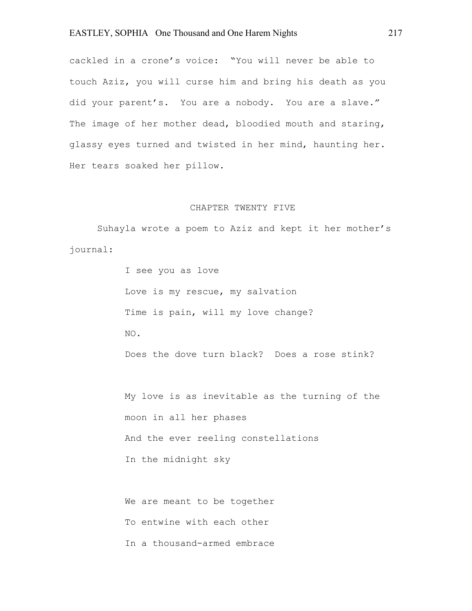cackled in a crone's voice: "You will never be able to touch Aziz, you will curse him and bring his death as you did your parent's. You are a nobody. You are a slave." The image of her mother dead, bloodied mouth and staring, glassy eyes turned and twisted in her mind, haunting her. Her tears soaked her pillow.

#### CHAPTER TWENTY FIVE

Suhayla wrote a poem to Aziz and kept it her mother's journal:

> I see you as love Love is my rescue, my salvation Time is pain, will my love change? NO. Does the dove turn black? Does a rose stink?

My love is as inevitable as the turning of the moon in all her phases And the ever reeling constellations In the midnight sky

We are meant to be together To entwine with each other In a thousand-armed embrace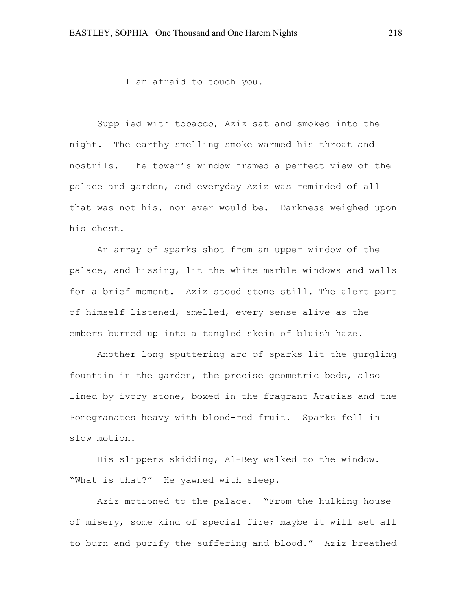I am afraid to touch you.

Supplied with tobacco, Aziz sat and smoked into the night. The earthy smelling smoke warmed his throat and nostrils. The tower's window framed a perfect view of the palace and garden, and everyday Aziz was reminded of all that was not his, nor ever would be. Darkness weighed upon his chest.

An array of sparks shot from an upper window of the palace, and hissing, lit the white marble windows and walls for a brief moment. Aziz stood stone still. The alert part of himself listened, smelled, every sense alive as the embers burned up into a tangled skein of bluish haze.

Another long sputtering arc of sparks lit the gurgling fountain in the garden, the precise geometric beds, also lined by ivory stone, boxed in the fragrant Acacias and the Pomegranates heavy with blood-red fruit. Sparks fell in slow motion.

His slippers skidding, Al-Bey walked to the window. "What is that?" He yawned with sleep.

Aziz motioned to the palace. "From the hulking house of misery, some kind of special fire; maybe it will set all to burn and purify the suffering and blood." Aziz breathed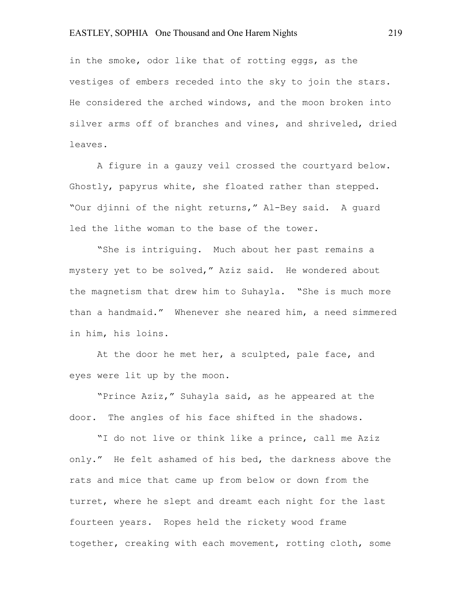in the smoke, odor like that of rotting eggs, as the vestiges of embers receded into the sky to join the stars. He considered the arched windows, and the moon broken into silver arms off of branches and vines, and shriveled, dried leaves.

A figure in a gauzy veil crossed the courtyard below. Ghostly, papyrus white, she floated rather than stepped. "Our djinni of the night returns," Al-Bey said. A guard led the lithe woman to the base of the tower.

"She is intriguing. Much about her past remains a mystery yet to be solved," Aziz said. He wondered about the magnetism that drew him to Suhayla. "She is much more than a handmaid." Whenever she neared him, a need simmered in him, his loins.

At the door he met her, a sculpted, pale face, and eyes were lit up by the moon.

"Prince Aziz," Suhayla said, as he appeared at the door. The angles of his face shifted in the shadows.

"I do not live or think like a prince, call me Aziz only." He felt ashamed of his bed, the darkness above the rats and mice that came up from below or down from the turret, where he slept and dreamt each night for the last fourteen years. Ropes held the rickety wood frame together, creaking with each movement, rotting cloth, some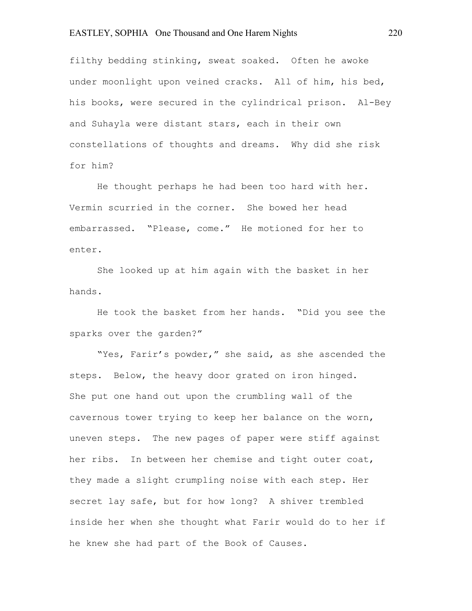filthy bedding stinking, sweat soaked. Often he awoke under moonlight upon veined cracks. All of him, his bed, his books, were secured in the cylindrical prison. Al-Bey and Suhayla were distant stars, each in their own constellations of thoughts and dreams. Why did she risk for him?

He thought perhaps he had been too hard with her. Vermin scurried in the corner. She bowed her head embarrassed. "Please, come." He motioned for her to enter.

She looked up at him again with the basket in her hands.

He took the basket from her hands. "Did you see the sparks over the garden?"

"Yes, Farir's powder," she said, as she ascended the steps. Below, the heavy door grated on iron hinged. She put one hand out upon the crumbling wall of the cavernous tower trying to keep her balance on the worn, uneven steps. The new pages of paper were stiff against her ribs. In between her chemise and tight outer coat, they made a slight crumpling noise with each step. Her secret lay safe, but for how long? A shiver trembled inside her when she thought what Farir would do to her if he knew she had part of the Book of Causes.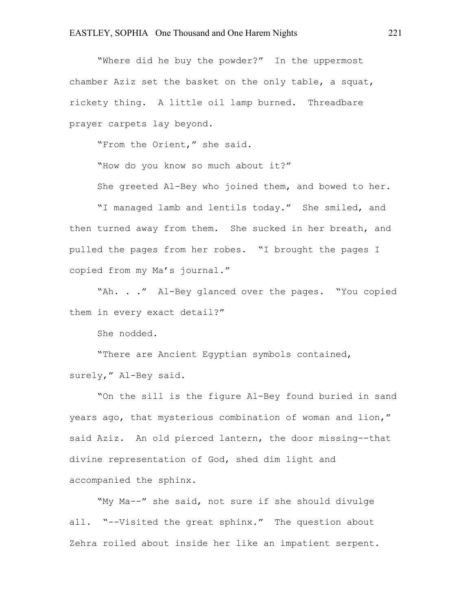"Where did he buy the powder?" In the uppermost chamber Aziz set the basket on the only table, a squat, rickety thing. A little oil lamp burned. Threadbare prayer carpets lay beyond.

"From the Orient," she said.

"How do you know so much about it?"

She greeted Al-Bey who joined them, and bowed to her.

"I managed lamb and lentils today." She smiled, and then turned away from them. She sucked in her breath, and pulled the pages from her robes. "I brought the pages I copied from my Ma's journal."

"Ah. . ." Al-Bey glanced over the pages. "You copied them in every exact detail?"

She nodded.

"There are Ancient Egyptian symbols contained, surely," Al-Bey said.

"On the sill is the figure Al-Bey found buried in sand years ago, that mysterious combination of woman and lion," said Aziz. An old pierced lantern, the door missing--that divine representation of God, shed dim light and accompanied the sphinx.

"My Ma--" she said, not sure if she should divulge all. "--Visited the great sphinx." The question about Zehra roiled about inside her like an impatient serpent.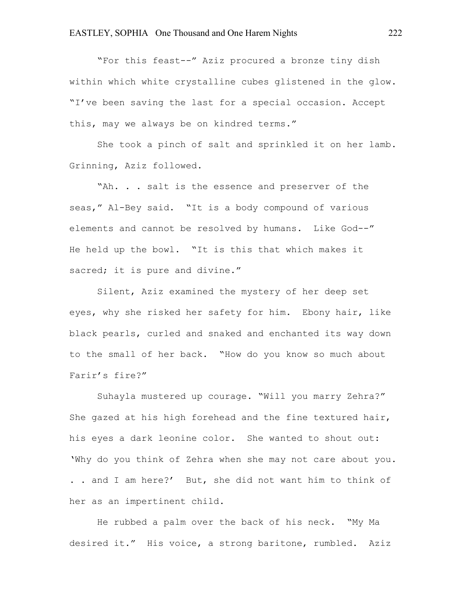"For this feast--" Aziz procured a bronze tiny dish within which white crystalline cubes glistened in the glow. "I've been saving the last for a special occasion. Accept this, may we always be on kindred terms."

She took a pinch of salt and sprinkled it on her lamb. Grinning, Aziz followed.

"Ah. . . salt is the essence and preserver of the seas," Al-Bey said. "It is a body compound of various elements and cannot be resolved by humans. Like God--" He held up the bowl. "It is this that which makes it sacred; it is pure and divine."

Silent, Aziz examined the mystery of her deep set eyes, why she risked her safety for him. Ebony hair, like black pearls, curled and snaked and enchanted its way down to the small of her back. "How do you know so much about Farir's fire?"

Suhayla mustered up courage. "Will you marry Zehra?" She gazed at his high forehead and the fine textured hair, his eyes a dark leonine color. She wanted to shout out: 'Why do you think of Zehra when she may not care about you. . . and I am here?' But, she did not want him to think of her as an impertinent child.

He rubbed a palm over the back of his neck. "My Ma desired it." His voice, a strong baritone, rumbled. Aziz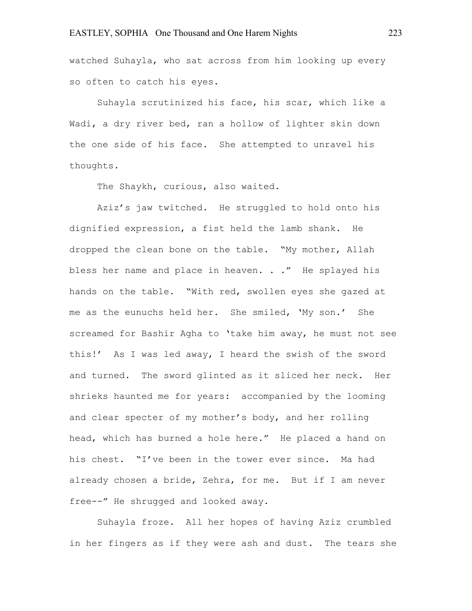watched Suhayla, who sat across from him looking up every so often to catch his eyes.

Suhayla scrutinized his face, his scar, which like a Wadi, a dry river bed, ran a hollow of lighter skin down the one side of his face. She attempted to unravel his thoughts.

The Shaykh, curious, also waited.

Aziz's jaw twitched. He struggled to hold onto his dignified expression, a fist held the lamb shank. He dropped the clean bone on the table. "My mother, Allah bless her name and place in heaven. . ." He splayed his hands on the table. "With red, swollen eyes she gazed at me as the eunuchs held her. She smiled, 'My son.' She screamed for Bashir Agha to 'take him away, he must not see this!' As I was led away, I heard the swish of the sword and turned. The sword glinted as it sliced her neck. Her shrieks haunted me for years: accompanied by the looming and clear specter of my mother's body, and her rolling head, which has burned a hole here." He placed a hand on his chest. "I've been in the tower ever since. Ma had already chosen a bride, Zehra, for me. But if I am never free--" He shrugged and looked away.

Suhayla froze. All her hopes of having Aziz crumbled in her fingers as if they were ash and dust. The tears she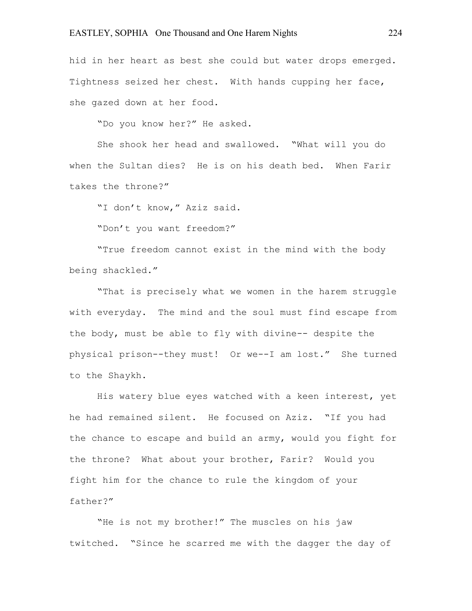hid in her heart as best she could but water drops emerged. Tightness seized her chest. With hands cupping her face, she gazed down at her food.

"Do you know her?" He asked.

She shook her head and swallowed. "What will you do when the Sultan dies? He is on his death bed. When Farir takes the throne?"

"I don't know," Aziz said.

"Don't you want freedom?"

"True freedom cannot exist in the mind with the body being shackled."

"That is precisely what we women in the harem struggle with everyday. The mind and the soul must find escape from the body, must be able to fly with divine-- despite the physical prison--they must! Or we--I am lost." She turned to the Shaykh.

His watery blue eyes watched with a keen interest, yet he had remained silent. He focused on Aziz. "If you had the chance to escape and build an army, would you fight for the throne? What about your brother, Farir? Would you fight him for the chance to rule the kingdom of your father?"

"He is not my brother!" The muscles on his jaw twitched. "Since he scarred me with the dagger the day of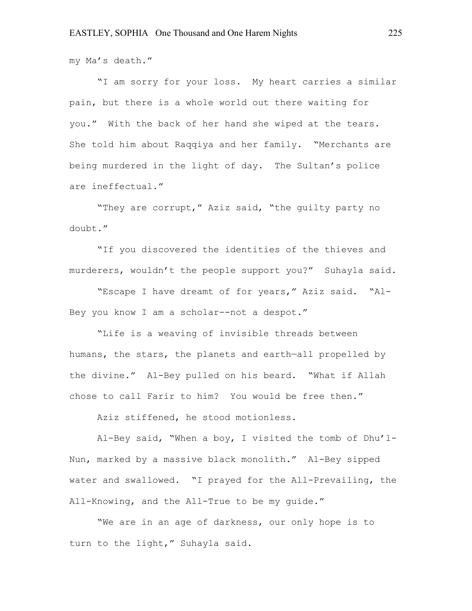my Ma's death."

"I am sorry for your loss. My heart carries a similar pain, but there is a whole world out there waiting for you." With the back of her hand she wiped at the tears. She told him about Raqqiya and her family. "Merchants are being murdered in the light of day. The Sultan's police are ineffectual."

"They are corrupt," Aziz said, "the guilty party no doubt."

"If you discovered the identities of the thieves and murderers, wouldn't the people support you?" Suhayla said.

"Escape I have dreamt of for years," Aziz said. "Al-Bey you know I am a scholar--not a despot."

"Life is a weaving of invisible threads between humans, the stars, the planets and earth—all propelled by the divine." Al-Bey pulled on his beard. "What if Allah chose to call Farir to him? You would be free then."

Aziz stiffened, he stood motionless.

Al-Bey said, "When a boy, I visited the tomb of Dhu'l-Nun, marked by a massive black monolith." Al-Bey sipped water and swallowed. "I prayed for the All-Prevailing, the All-Knowing, and the All-True to be my guide."

"We are in an age of darkness, our only hope is to turn to the light," Suhayla said.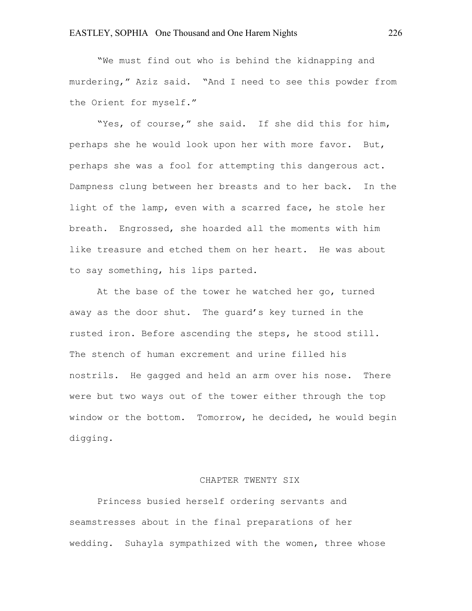"We must find out who is behind the kidnapping and murdering," Aziz said. "And I need to see this powder from the Orient for myself."

"Yes, of course," she said. If she did this for him, perhaps she he would look upon her with more favor. But, perhaps she was a fool for attempting this dangerous act. Dampness clung between her breasts and to her back. In the light of the lamp, even with a scarred face, he stole her breath. Engrossed, she hoarded all the moments with him like treasure and etched them on her heart. He was about to say something, his lips parted.

At the base of the tower he watched her go, turned away as the door shut. The guard's key turned in the rusted iron. Before ascending the steps, he stood still. The stench of human excrement and urine filled his nostrils. He gagged and held an arm over his nose. There were but two ways out of the tower either through the top window or the bottom. Tomorrow, he decided, he would begin digging.

#### CHAPTER TWENTY SIX

Princess busied herself ordering servants and seamstresses about in the final preparations of her wedding. Suhayla sympathized with the women, three whose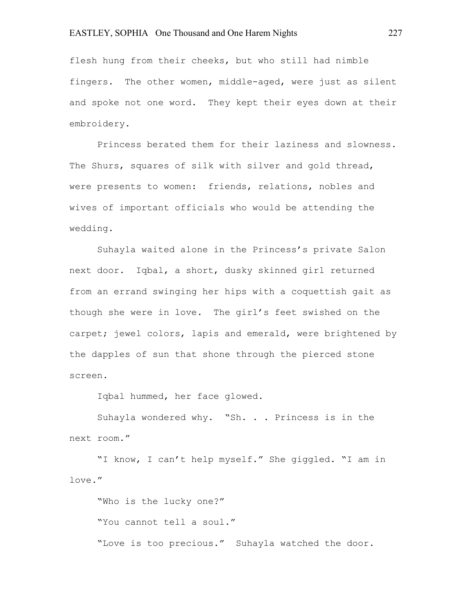flesh hung from their cheeks, but who still had nimble fingers. The other women, middle-aged, were just as silent and spoke not one word. They kept their eyes down at their embroidery.

Princess berated them for their laziness and slowness. The Shurs, squares of silk with silver and gold thread, were presents to women: friends, relations, nobles and wives of important officials who would be attending the wedding.

Suhayla waited alone in the Princess's private Salon next door. Iqbal, a short, dusky skinned girl returned from an errand swinging her hips with a coquettish gait as though she were in love. The girl's feet swished on the carpet; jewel colors, lapis and emerald, were brightened by the dapples of sun that shone through the pierced stone screen.

Iqbal hummed, her face glowed.

Suhayla wondered why. "Sh. . . Princess is in the next room."

"I know, I can't help myself." She giggled. "I am in love."

"Who is the lucky one?" "You cannot tell a soul." "Love is too precious." Suhayla watched the door.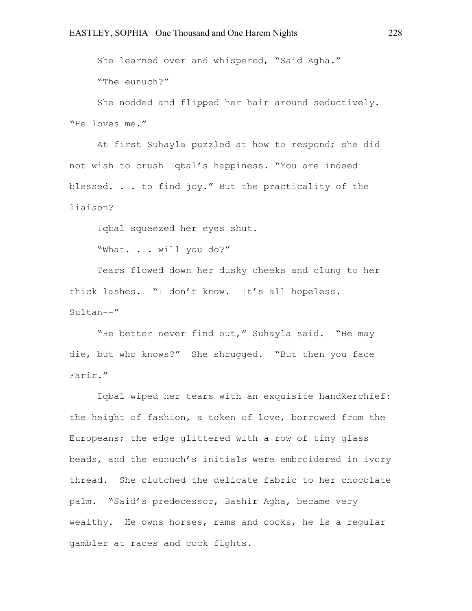She learned over and whispered, "Said Agha." "The eunuch?"

She nodded and flipped her hair around seductively. "He loves me."

At first Suhayla puzzled at how to respond; she did not wish to crush Iqbal's happiness. "You are indeed blessed. . . to find joy." But the practicality of the liaison?

Iqbal squeezed her eyes shut.

"What. . . will you do?"

Tears flowed down her dusky cheeks and clung to her thick lashes. "I don't know. It's all hopeless. Sultan--"

"He better never find out," Suhayla said. "He may die, but who knows?" She shrugged. "But then you face Farir."

Iqbal wiped her tears with an exquisite handkerchief: the height of fashion, a token of love, borrowed from the Europeans; the edge glittered with a row of tiny glass beads, and the eunuch's initials were embroidered in ivory thread. She clutched the delicate fabric to her chocolate palm. "Said's predecessor, Bashir Agha, became very wealthy. He owns horses, rams and cocks, he is a regular gambler at races and cock fights.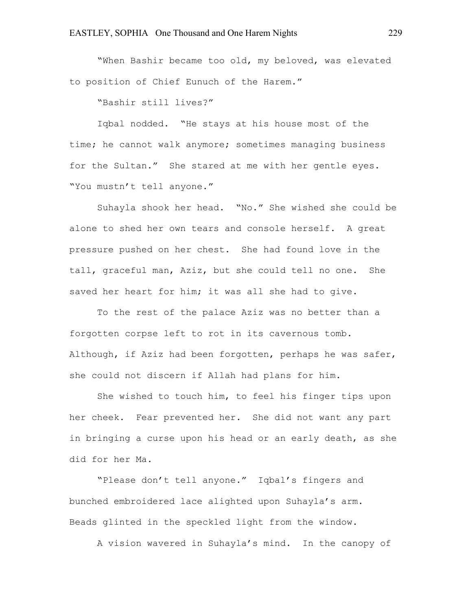"When Bashir became too old, my beloved, was elevated to position of Chief Eunuch of the Harem."

"Bashir still lives?"

Iqbal nodded. "He stays at his house most of the time; he cannot walk anymore; sometimes managing business for the Sultan." She stared at me with her gentle eyes. "You mustn't tell anyone."

Suhayla shook her head. "No." She wished she could be alone to shed her own tears and console herself. A great pressure pushed on her chest. She had found love in the tall, graceful man, Aziz, but she could tell no one. She saved her heart for him; it was all she had to give.

To the rest of the palace Aziz was no better than a forgotten corpse left to rot in its cavernous tomb. Although, if Aziz had been forgotten, perhaps he was safer, she could not discern if Allah had plans for him.

She wished to touch him, to feel his finger tips upon her cheek. Fear prevented her. She did not want any part in bringing a curse upon his head or an early death, as she did for her Ma.

"Please don't tell anyone." Iqbal's fingers and bunched embroidered lace alighted upon Suhayla's arm. Beads glinted in the speckled light from the window.

A vision wavered in Suhayla's mind. In the canopy of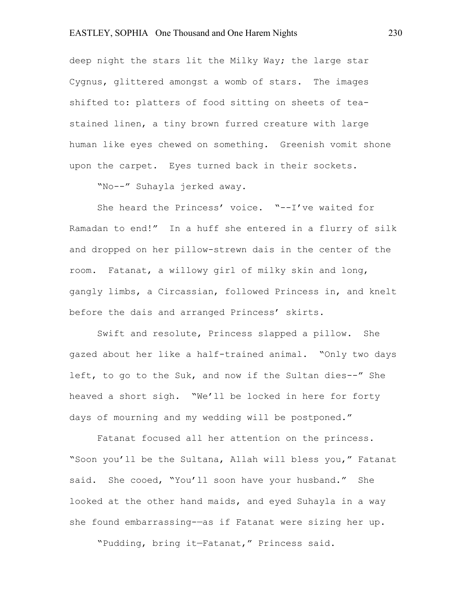deep night the stars lit the Milky Way; the large star Cygnus, glittered amongst a womb of stars. The images shifted to: platters of food sitting on sheets of teastained linen, a tiny brown furred creature with large human like eyes chewed on something. Greenish vomit shone upon the carpet. Eyes turned back in their sockets.

"No--" Suhayla jerked away.

She heard the Princess' voice. "--I've waited for Ramadan to end!" In a huff she entered in a flurry of silk and dropped on her pillow-strewn dais in the center of the room. Fatanat, a willowy girl of milky skin and long, gangly limbs, a Circassian, followed Princess in, and knelt before the dais and arranged Princess' skirts.

Swift and resolute, Princess slapped a pillow. She gazed about her like a half-trained animal. "Only two days left, to go to the Suk, and now if the Sultan dies--" She heaved a short sigh. "We'll be locked in here for forty days of mourning and my wedding will be postponed."

Fatanat focused all her attention on the princess. "Soon you'll be the Sultana, Allah will bless you," Fatanat said. She cooed, "You'll soon have your husband." She looked at the other hand maids, and eyed Suhayla in a way she found embarrassing-—as if Fatanat were sizing her up.

"Pudding, bring it—Fatanat," Princess said.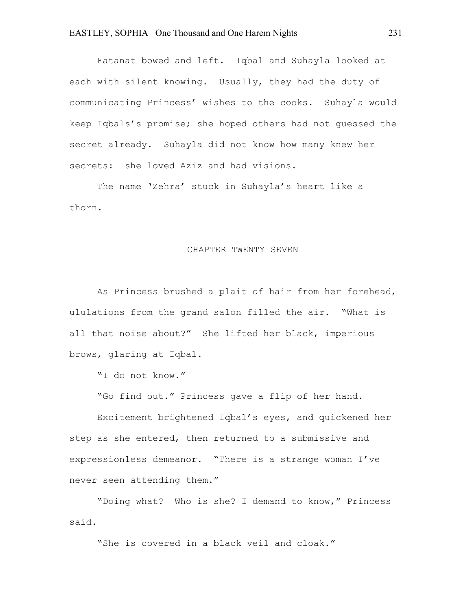Fatanat bowed and left. Iqbal and Suhayla looked at each with silent knowing. Usually, they had the duty of communicating Princess' wishes to the cooks. Suhayla would keep Iqbals's promise; she hoped others had not guessed the secret already. Suhayla did not know how many knew her secrets: she loved Aziz and had visions.

The name 'Zehra' stuck in Suhayla's heart like a thorn.

#### CHAPTER TWENTY SEVEN

As Princess brushed a plait of hair from her forehead, ululations from the grand salon filled the air. "What is all that noise about?" She lifted her black, imperious brows, glaring at Iqbal.

"I do not know."

"Go find out." Princess gave a flip of her hand.

Excitement brightened Iqbal's eyes, and quickened her step as she entered, then returned to a submissive and expressionless demeanor. "There is a strange woman I've never seen attending them."

"Doing what? Who is she? I demand to know," Princess said.

"She is covered in a black veil and cloak."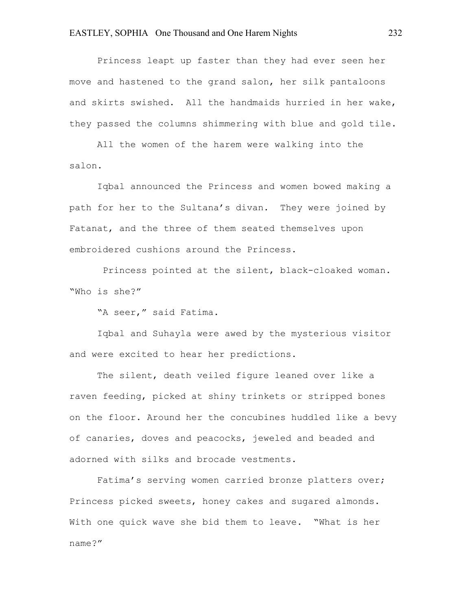Princess leapt up faster than they had ever seen her move and hastened to the grand salon, her silk pantaloons and skirts swished. All the handmaids hurried in her wake, they passed the columns shimmering with blue and gold tile.

All the women of the harem were walking into the salon.

Iqbal announced the Princess and women bowed making a path for her to the Sultana's divan. They were joined by Fatanat, and the three of them seated themselves upon embroidered cushions around the Princess.

Princess pointed at the silent, black-cloaked woman. "Who is she?"

"A seer," said Fatima.

Iqbal and Suhayla were awed by the mysterious visitor and were excited to hear her predictions.

The silent, death veiled figure leaned over like a raven feeding, picked at shiny trinkets or stripped bones on the floor. Around her the concubines huddled like a bevy of canaries, doves and peacocks, jeweled and beaded and adorned with silks and brocade vestments.

Fatima's serving women carried bronze platters over; Princess picked sweets, honey cakes and sugared almonds. With one quick wave she bid them to leave. "What is her name?"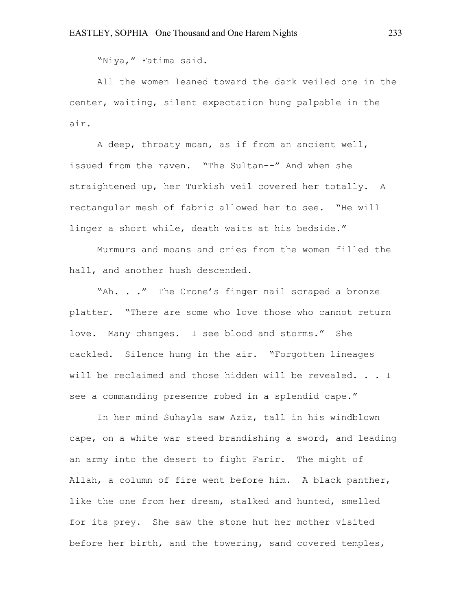"Niya," Fatima said.

All the women leaned toward the dark veiled one in the center, waiting, silent expectation hung palpable in the air.

A deep, throaty moan, as if from an ancient well, issued from the raven. "The Sultan--" And when she straightened up, her Turkish veil covered her totally. A rectangular mesh of fabric allowed her to see. "He will linger a short while, death waits at his bedside."

Murmurs and moans and cries from the women filled the hall, and another hush descended.

"Ah. . ." The Crone's finger nail scraped a bronze platter. "There are some who love those who cannot return love. Many changes. I see blood and storms." She cackled. Silence hung in the air. "Forgotten lineages will be reclaimed and those hidden will be revealed. . . I see a commanding presence robed in a splendid cape."

In her mind Suhayla saw Aziz, tall in his windblown cape, on a white war steed brandishing a sword, and leading an army into the desert to fight Farir. The might of Allah, a column of fire went before him. A black panther, like the one from her dream, stalked and hunted, smelled for its prey. She saw the stone hut her mother visited before her birth, and the towering, sand covered temples,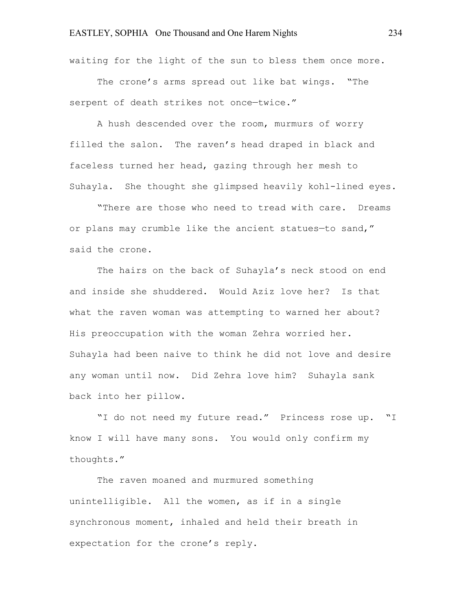waiting for the light of the sun to bless them once more.

The crone's arms spread out like bat wings. "The serpent of death strikes not once—twice."

A hush descended over the room, murmurs of worry filled the salon. The raven's head draped in black and faceless turned her head, gazing through her mesh to Suhayla. She thought she glimpsed heavily kohl-lined eyes.

"There are those who need to tread with care. Dreams or plans may crumble like the ancient statues—to sand," said the crone.

The hairs on the back of Suhayla's neck stood on end and inside she shuddered. Would Aziz love her? Is that what the raven woman was attempting to warned her about? His preoccupation with the woman Zehra worried her. Suhayla had been naive to think he did not love and desire any woman until now. Did Zehra love him? Suhayla sank back into her pillow.

"I do not need my future read." Princess rose up. "I know I will have many sons. You would only confirm my thoughts."

The raven moaned and murmured something unintelligible. All the women, as if in a single synchronous moment, inhaled and held their breath in expectation for the crone's reply.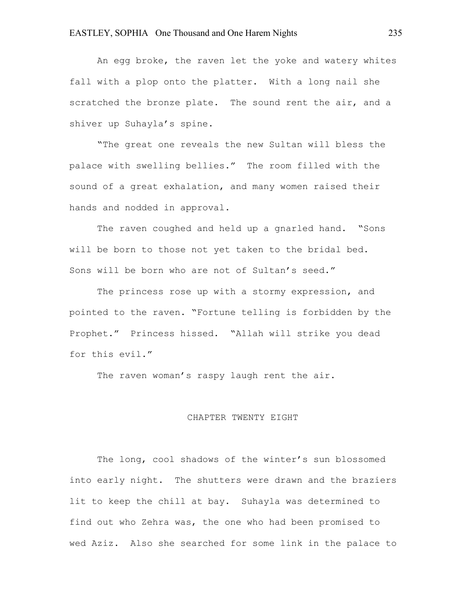An egg broke, the raven let the yoke and watery whites fall with a plop onto the platter. With a long nail she scratched the bronze plate. The sound rent the air, and a shiver up Suhayla's spine.

"The great one reveals the new Sultan will bless the palace with swelling bellies." The room filled with the sound of a great exhalation, and many women raised their hands and nodded in approval.

The raven coughed and held up a gnarled hand. "Sons will be born to those not yet taken to the bridal bed. Sons will be born who are not of Sultan's seed."

The princess rose up with a stormy expression, and pointed to the raven. "Fortune telling is forbidden by the Prophet." Princess hissed. "Allah will strike you dead for this evil."

The raven woman's raspy laugh rent the air.

#### CHAPTER TWENTY EIGHT

The long, cool shadows of the winter's sun blossomed into early night. The shutters were drawn and the braziers lit to keep the chill at bay. Suhayla was determined to find out who Zehra was, the one who had been promised to wed Aziz. Also she searched for some link in the palace to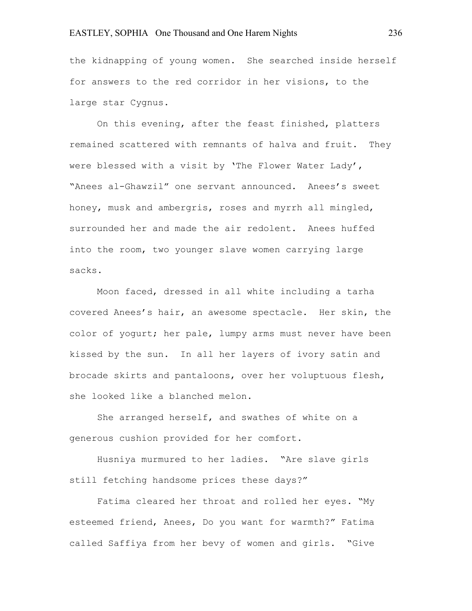the kidnapping of young women. She searched inside herself for answers to the red corridor in her visions, to the large star Cygnus.

On this evening, after the feast finished, platters remained scattered with remnants of halva and fruit. They were blessed with a visit by 'The Flower Water Lady', "Anees al-Ghawzil" one servant announced. Anees's sweet honey, musk and ambergris, roses and myrrh all mingled, surrounded her and made the air redolent. Anees huffed into the room, two younger slave women carrying large sacks.

Moon faced, dressed in all white including a tarha covered Anees's hair, an awesome spectacle. Her skin, the color of yogurt; her pale, lumpy arms must never have been kissed by the sun. In all her layers of ivory satin and brocade skirts and pantaloons, over her voluptuous flesh, she looked like a blanched melon.

She arranged herself, and swathes of white on a generous cushion provided for her comfort.

Husniya murmured to her ladies. "Are slave girls still fetching handsome prices these days?"

Fatima cleared her throat and rolled her eyes. "My esteemed friend, Anees, Do you want for warmth?" Fatima called Saffiya from her bevy of women and girls. "Give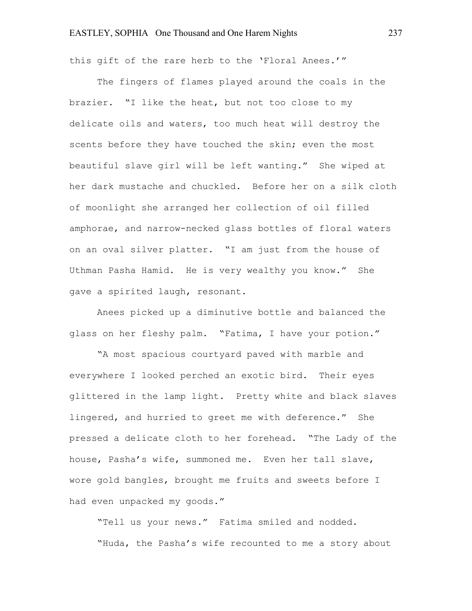this gift of the rare herb to the 'Floral Anees.'"

The fingers of flames played around the coals in the brazier. "I like the heat, but not too close to my delicate oils and waters, too much heat will destroy the scents before they have touched the skin; even the most beautiful slave girl will be left wanting." She wiped at her dark mustache and chuckled. Before her on a silk cloth of moonlight she arranged her collection of oil filled amphorae, and narrow-necked glass bottles of floral waters on an oval silver platter. "I am just from the house of Uthman Pasha Hamid. He is very wealthy you know." She gave a spirited laugh, resonant.

Anees picked up a diminutive bottle and balanced the glass on her fleshy palm. "Fatima, I have your potion."

"A most spacious courtyard paved with marble and everywhere I looked perched an exotic bird. Their eyes glittered in the lamp light. Pretty white and black slaves lingered, and hurried to greet me with deference." She pressed a delicate cloth to her forehead. "The Lady of the house, Pasha's wife, summoned me. Even her tall slave, wore gold bangles, brought me fruits and sweets before I had even unpacked my goods."

"Tell us your news." Fatima smiled and nodded. "Huda, the Pasha's wife recounted to me a story about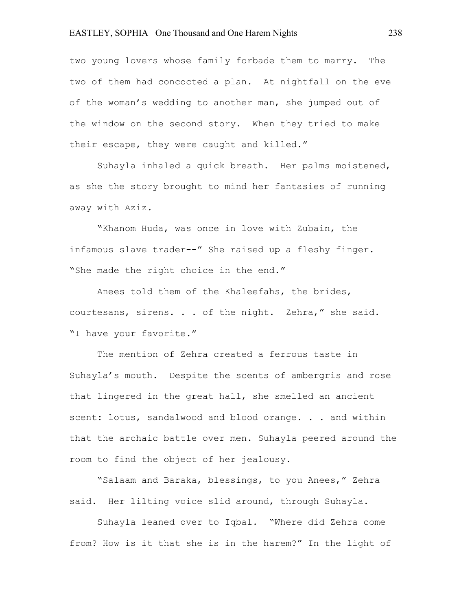two young lovers whose family forbade them to marry. The two of them had concocted a plan. At nightfall on the eve of the woman's wedding to another man, she jumped out of the window on the second story. When they tried to make their escape, they were caught and killed."

Suhayla inhaled a quick breath. Her palms moistened, as she the story brought to mind her fantasies of running away with Aziz.

"Khanom Huda, was once in love with Zubain, the infamous slave trader--" She raised up a fleshy finger. "She made the right choice in the end."

Anees told them of the Khaleefahs, the brides, courtesans, sirens. . . of the night. Zehra," she said. "I have your favorite."

The mention of Zehra created a ferrous taste in Suhayla's mouth. Despite the scents of ambergris and rose that lingered in the great hall, she smelled an ancient scent: lotus, sandalwood and blood orange. . . and within that the archaic battle over men. Suhayla peered around the room to find the object of her jealousy.

"Salaam and Baraka, blessings, to you Anees," Zehra said. Her lilting voice slid around, through Suhayla.

Suhayla leaned over to Iqbal. "Where did Zehra come from? How is it that she is in the harem?" In the light of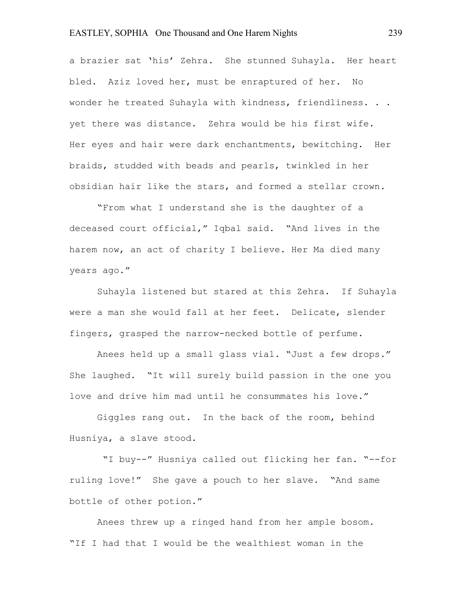a brazier sat 'his' Zehra. She stunned Suhayla. Her heart bled. Aziz loved her, must be enraptured of her. No wonder he treated Suhayla with kindness, friendliness. . . yet there was distance. Zehra would be his first wife. Her eyes and hair were dark enchantments, bewitching. Her braids, studded with beads and pearls, twinkled in her obsidian hair like the stars, and formed a stellar crown.

"From what I understand she is the daughter of a deceased court official," Iqbal said. "And lives in the harem now, an act of charity I believe. Her Ma died many years ago."

Suhayla listened but stared at this Zehra. If Suhayla were a man she would fall at her feet. Delicate, slender fingers, grasped the narrow-necked bottle of perfume.

Anees held up a small glass vial. "Just a few drops." She laughed. "It will surely build passion in the one you love and drive him mad until he consummates his love."

Giggles rang out. In the back of the room, behind Husniya, a slave stood.

"I buy--" Husniya called out flicking her fan. "--for ruling love!" She gave a pouch to her slave. "And same bottle of other potion."

Anees threw up a ringed hand from her ample bosom. "If I had that I would be the wealthiest woman in the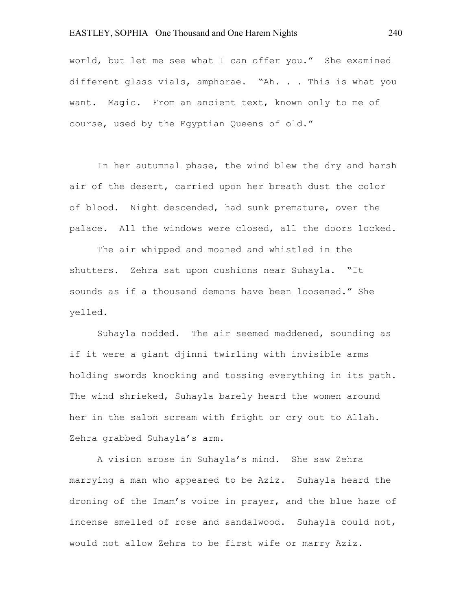world, but let me see what I can offer you." She examined different glass vials, amphorae. "Ah. . . This is what you want. Magic. From an ancient text, known only to me of course, used by the Egyptian Queens of old."

In her autumnal phase, the wind blew the dry and harsh air of the desert, carried upon her breath dust the color of blood. Night descended, had sunk premature, over the palace. All the windows were closed, all the doors locked.

The air whipped and moaned and whistled in the shutters. Zehra sat upon cushions near Suhayla. "It sounds as if a thousand demons have been loosened." She yelled.

Suhayla nodded. The air seemed maddened, sounding as if it were a giant djinni twirling with invisible arms holding swords knocking and tossing everything in its path. The wind shrieked, Suhayla barely heard the women around her in the salon scream with fright or cry out to Allah. Zehra grabbed Suhayla's arm.

A vision arose in Suhayla's mind. She saw Zehra marrying a man who appeared to be Aziz. Suhayla heard the droning of the Imam's voice in prayer, and the blue haze of incense smelled of rose and sandalwood. Suhayla could not, would not allow Zehra to be first wife or marry Aziz.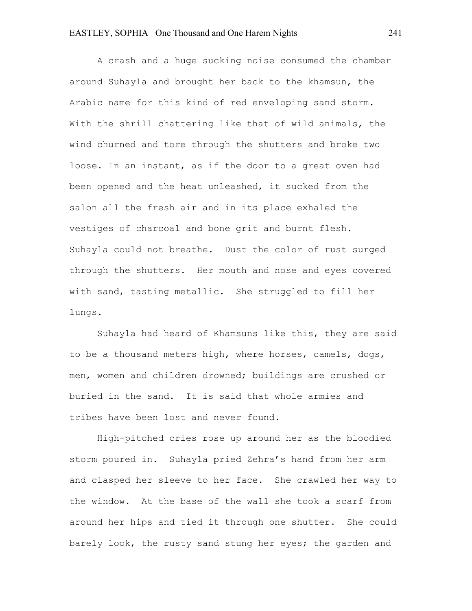A crash and a huge sucking noise consumed the chamber around Suhayla and brought her back to the khamsun, the Arabic name for this kind of red enveloping sand storm. With the shrill chattering like that of wild animals, the wind churned and tore through the shutters and broke two loose. In an instant, as if the door to a great oven had been opened and the heat unleashed, it sucked from the salon all the fresh air and in its place exhaled the vestiges of charcoal and bone grit and burnt flesh. Suhayla could not breathe. Dust the color of rust surged through the shutters. Her mouth and nose and eyes covered with sand, tasting metallic. She struggled to fill her lungs.

Suhayla had heard of Khamsuns like this, they are said to be a thousand meters high, where horses, camels, dogs, men, women and children drowned; buildings are crushed or buried in the sand. It is said that whole armies and tribes have been lost and never found.

High-pitched cries rose up around her as the bloodied storm poured in. Suhayla pried Zehra's hand from her arm and clasped her sleeve to her face. She crawled her way to the window. At the base of the wall she took a scarf from around her hips and tied it through one shutter. She could barely look, the rusty sand stung her eyes; the garden and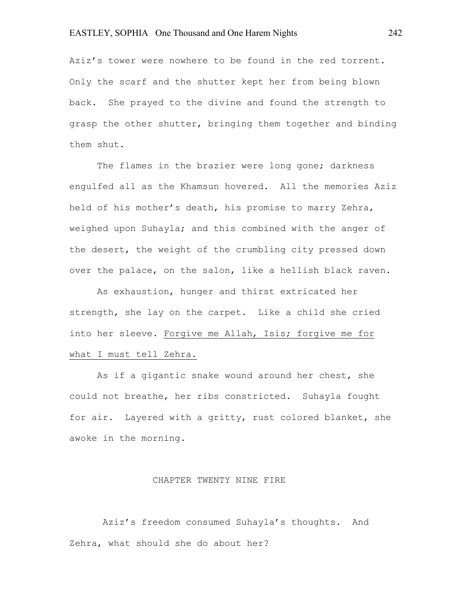Aziz's tower were nowhere to be found in the red torrent. Only the scarf and the shutter kept her from being blown back. She prayed to the divine and found the strength to grasp the other shutter, bringing them together and binding them shut.

The flames in the brazier were long gone; darkness engulfed all as the Khamsun hovered. All the memories Aziz held of his mother's death, his promise to marry Zehra, weighed upon Suhayla; and this combined with the anger of the desert, the weight of the crumbling city pressed down over the palace, on the salon, like a hellish black raven.

As exhaustion, hunger and thirst extricated her strength, she lay on the carpet. Like a child she cried into her sleeve. Forgive me Allah, Isis; forgive me for what I must tell Zehra.

As if a gigantic snake wound around her chest, she could not breathe, her ribs constricted. Suhayla fought for air. Layered with a gritty, rust colored blanket, she awoke in the morning.

#### CHAPTER TWENTY NINE FIRE

Aziz's freedom consumed Suhayla's thoughts. And Zehra, what should she do about her?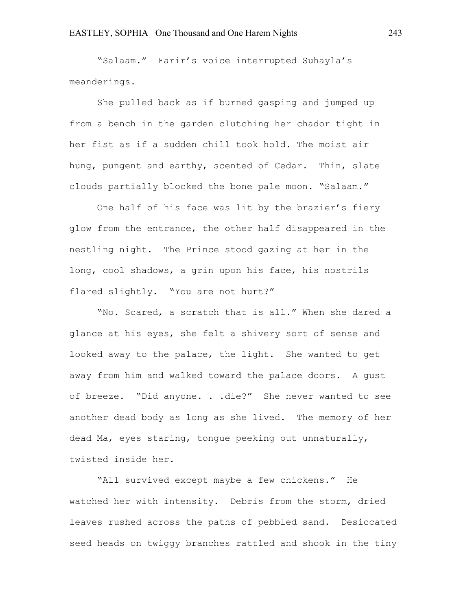"Salaam." Farir's voice interrupted Suhayla's meanderings.

She pulled back as if burned gasping and jumped up from a bench in the garden clutching her chador tight in her fist as if a sudden chill took hold. The moist air hung, pungent and earthy, scented of Cedar. Thin, slate clouds partially blocked the bone pale moon. "Salaam."

One half of his face was lit by the brazier's fiery glow from the entrance, the other half disappeared in the nestling night. The Prince stood gazing at her in the long, cool shadows, a grin upon his face, his nostrils flared slightly. "You are not hurt?"

"No. Scared, a scratch that is all." When she dared a glance at his eyes, she felt a shivery sort of sense and looked away to the palace, the light. She wanted to get away from him and walked toward the palace doors. A gust of breeze. "Did anyone. . .die?" She never wanted to see another dead body as long as she lived. The memory of her dead Ma, eyes staring, tongue peeking out unnaturally, twisted inside her.

"All survived except maybe a few chickens." He watched her with intensity. Debris from the storm, dried leaves rushed across the paths of pebbled sand. Desiccated seed heads on twiggy branches rattled and shook in the tiny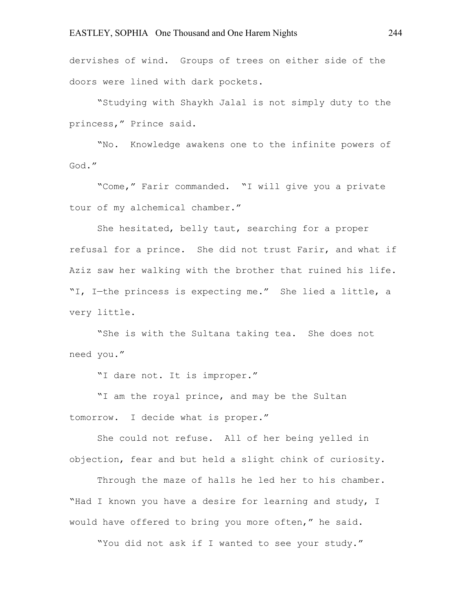dervishes of wind. Groups of trees on either side of the doors were lined with dark pockets.

"Studying with Shaykh Jalal is not simply duty to the princess," Prince said.

"No. Knowledge awakens one to the infinite powers of God."

"Come," Farir commanded. "I will give you a private tour of my alchemical chamber."

She hesitated, belly taut, searching for a proper refusal for a prince. She did not trust Farir, and what if Aziz saw her walking with the brother that ruined his life. "I, I—the princess is expecting me." She lied a little, a very little.

"She is with the Sultana taking tea. She does not need you."

"I dare not. It is improper."

"I am the royal prince, and may be the Sultan tomorrow. I decide what is proper."

She could not refuse. All of her being yelled in objection, fear and but held a slight chink of curiosity.

Through the maze of halls he led her to his chamber. "Had I known you have a desire for learning and study, I would have offered to bring you more often," he said.

"You did not ask if I wanted to see your study."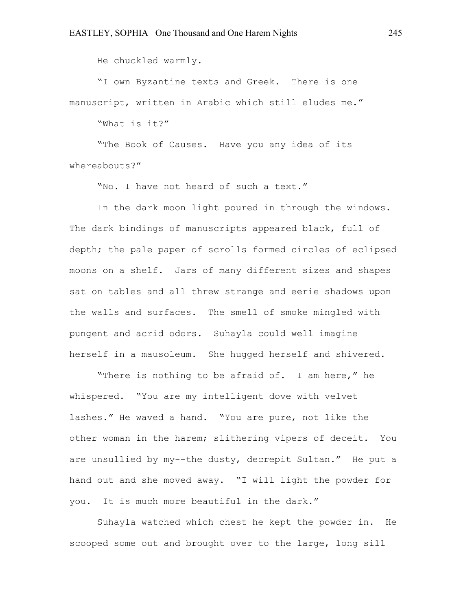He chuckled warmly.

"I own Byzantine texts and Greek. There is one manuscript, written in Arabic which still eludes me."

"What is it?"

"The Book of Causes. Have you any idea of its whereabouts?"

"No. I have not heard of such a text."

In the dark moon light poured in through the windows. The dark bindings of manuscripts appeared black, full of depth; the pale paper of scrolls formed circles of eclipsed moons on a shelf. Jars of many different sizes and shapes sat on tables and all threw strange and eerie shadows upon the walls and surfaces. The smell of smoke mingled with pungent and acrid odors. Suhayla could well imagine herself in a mausoleum. She hugged herself and shivered.

"There is nothing to be afraid of. I am here," he whispered. "You are my intelligent dove with velvet lashes." He waved a hand. "You are pure, not like the other woman in the harem; slithering vipers of deceit. You are unsullied by my--the dusty, decrepit Sultan." He put a hand out and she moved away. "I will light the powder for you. It is much more beautiful in the dark."

Suhayla watched which chest he kept the powder in. He scooped some out and brought over to the large, long sill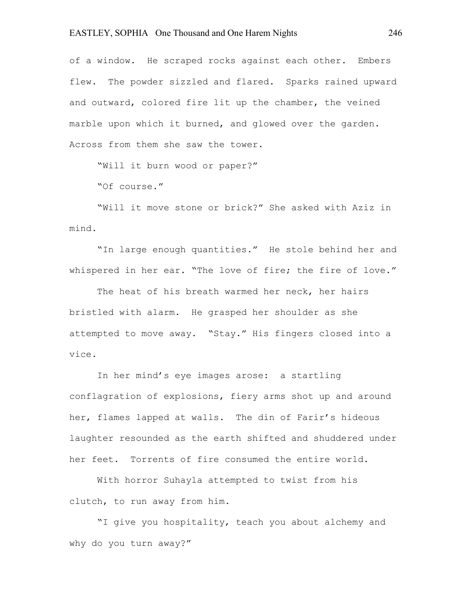of a window. He scraped rocks against each other. Embers flew. The powder sizzled and flared. Sparks rained upward and outward, colored fire lit up the chamber, the veined marble upon which it burned, and glowed over the garden. Across from them she saw the tower.

"Will it burn wood or paper?"

"Of course."

"Will it move stone or brick?" She asked with Aziz in mind.

"In large enough quantities." He stole behind her and whispered in her ear. "The love of fire; the fire of love."

The heat of his breath warmed her neck, her hairs bristled with alarm. He grasped her shoulder as she attempted to move away. "Stay." His fingers closed into a vice.

In her mind's eye images arose: a startling conflagration of explosions, fiery arms shot up and around her, flames lapped at walls. The din of Farir's hideous laughter resounded as the earth shifted and shuddered under her feet. Torrents of fire consumed the entire world.

With horror Suhayla attempted to twist from his clutch, to run away from him.

"I give you hospitality, teach you about alchemy and why do you turn away?"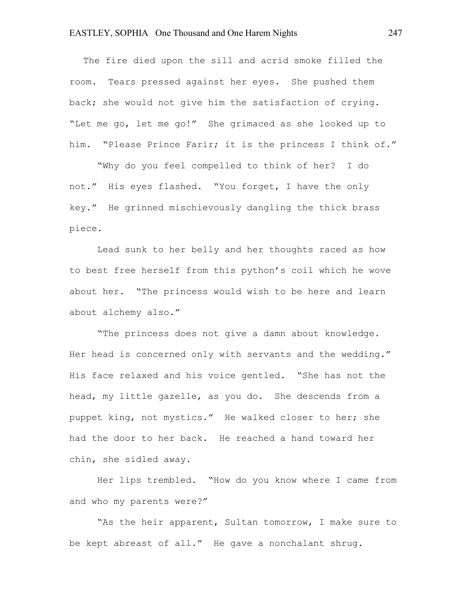The fire died upon the sill and acrid smoke filled the room. Tears pressed against her eyes. She pushed them back; she would not give him the satisfaction of crying. "Let me go, let me go!" She grimaced as she looked up to him. "Please Prince Farir; it is the princess I think of."

"Why do you feel compelled to think of her? I do not." His eyes flashed. "You forget, I have the only key." He grinned mischievously dangling the thick brass piece.

Lead sunk to her belly and her thoughts raced as how to best free herself from this python's coil which he wove about her. "The princess would wish to be here and learn about alchemy also."

"The princess does not give a damn about knowledge. Her head is concerned only with servants and the wedding." His face relaxed and his voice gentled. "She has not the head, my little gazelle, as you do. She descends from a puppet king, not mystics." He walked closer to her; she had the door to her back. He reached a hand toward her chin, she sidled away.

Her lips trembled. "How do you know where I came from and who my parents were?"

"As the heir apparent, Sultan tomorrow, I make sure to be kept abreast of all." He gave a nonchalant shrug.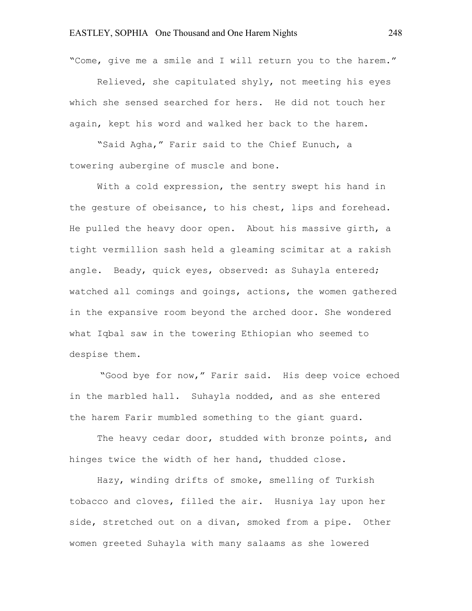"Come, give me a smile and I will return you to the harem."

Relieved, she capitulated shyly, not meeting his eyes which she sensed searched for hers. He did not touch her again, kept his word and walked her back to the harem.

"Said Agha," Farir said to the Chief Eunuch, a towering aubergine of muscle and bone.

With a cold expression, the sentry swept his hand in the gesture of obeisance, to his chest, lips and forehead. He pulled the heavy door open. About his massive girth, a tight vermillion sash held a gleaming scimitar at a rakish angle. Beady, quick eyes, observed: as Suhayla entered; watched all comings and goings, actions, the women gathered in the expansive room beyond the arched door. She wondered what Iqbal saw in the towering Ethiopian who seemed to despise them.

 "Good bye for now," Farir said. His deep voice echoed in the marbled hall. Suhayla nodded, and as she entered the harem Farir mumbled something to the giant guard.

The heavy cedar door, studded with bronze points, and hinges twice the width of her hand, thudded close.

Hazy, winding drifts of smoke, smelling of Turkish tobacco and cloves, filled the air. Husniya lay upon her side, stretched out on a divan, smoked from a pipe. Other women greeted Suhayla with many salaams as she lowered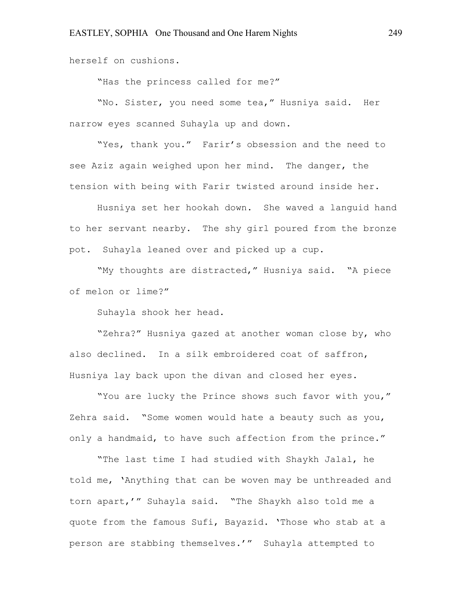herself on cushions.

"Has the princess called for me?"

"No. Sister, you need some tea," Husniya said. Her narrow eyes scanned Suhayla up and down.

"Yes, thank you." Farir's obsession and the need to see Aziz again weighed upon her mind. The danger, the tension with being with Farir twisted around inside her.

Husniya set her hookah down. She waved a languid hand to her servant nearby. The shy girl poured from the bronze pot. Suhayla leaned over and picked up a cup.

"My thoughts are distracted," Husniya said. "A piece of melon or lime?"

Suhayla shook her head.

"Zehra?" Husniya gazed at another woman close by, who also declined. In a silk embroidered coat of saffron, Husniya lay back upon the divan and closed her eyes.

"You are lucky the Prince shows such favor with you," Zehra said. "Some women would hate a beauty such as you, only a handmaid, to have such affection from the prince."

"The last time I had studied with Shaykh Jalal, he told me, 'Anything that can be woven may be unthreaded and torn apart,'" Suhayla said. "The Shaykh also told me a quote from the famous Sufi, Bayazid. 'Those who stab at a person are stabbing themselves.'" Suhayla attempted to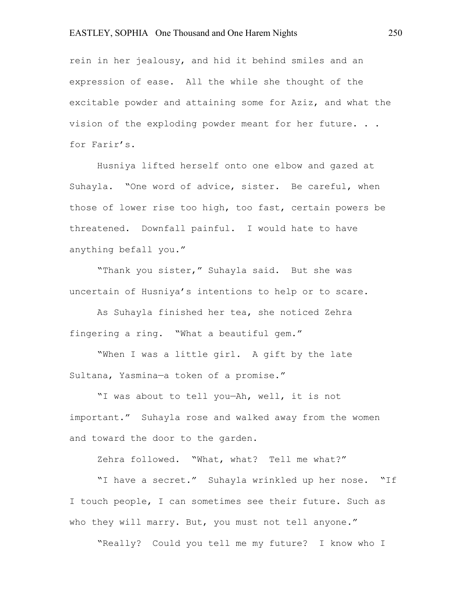rein in her jealousy, and hid it behind smiles and an expression of ease. All the while she thought of the excitable powder and attaining some for Aziz, and what the vision of the exploding powder meant for her future. . . for Farir's.

Husniya lifted herself onto one elbow and gazed at Suhayla. "One word of advice, sister. Be careful, when those of lower rise too high, too fast, certain powers be threatened. Downfall painful. I would hate to have anything befall you."

"Thank you sister," Suhayla said. But she was uncertain of Husniya's intentions to help or to scare.

As Suhayla finished her tea, she noticed Zehra fingering a ring. "What a beautiful gem."

"When I was a little girl. A gift by the late Sultana, Yasmina—a token of a promise."

"I was about to tell you—Ah, well, it is not important." Suhayla rose and walked away from the women and toward the door to the garden.

Zehra followed. "What, what? Tell me what?"

"I have a secret." Suhayla wrinkled up her nose. "If I touch people, I can sometimes see their future. Such as who they will marry. But, you must not tell anyone."

"Really? Could you tell me my future? I know who I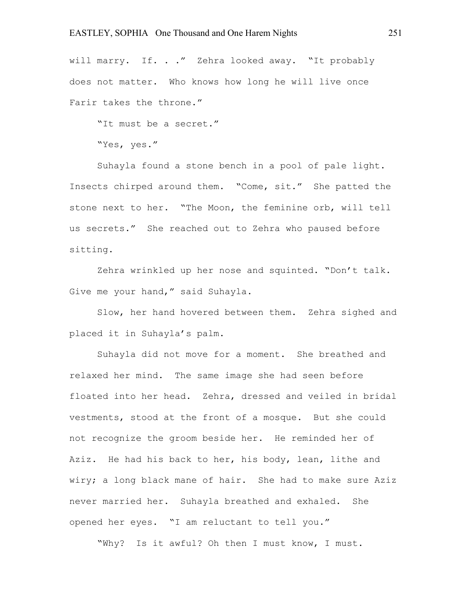will marry. If. . ." Zehra looked away. "It probably does not matter. Who knows how long he will live once Farir takes the throne."

"It must be a secret."

"Yes, yes."

Suhayla found a stone bench in a pool of pale light. Insects chirped around them. "Come, sit." She patted the stone next to her. "The Moon, the feminine orb, will tell us secrets." She reached out to Zehra who paused before sitting.

Zehra wrinkled up her nose and squinted. "Don't talk. Give me your hand," said Suhayla.

Slow, her hand hovered between them. Zehra sighed and placed it in Suhayla's palm.

Suhayla did not move for a moment. She breathed and relaxed her mind. The same image she had seen before floated into her head. Zehra, dressed and veiled in bridal vestments, stood at the front of a mosque. But she could not recognize the groom beside her. He reminded her of Aziz. He had his back to her, his body, lean, lithe and wiry; a long black mane of hair. She had to make sure Aziz never married her. Suhayla breathed and exhaled. She opened her eyes. "I am reluctant to tell you."

"Why? Is it awful? Oh then I must know, I must.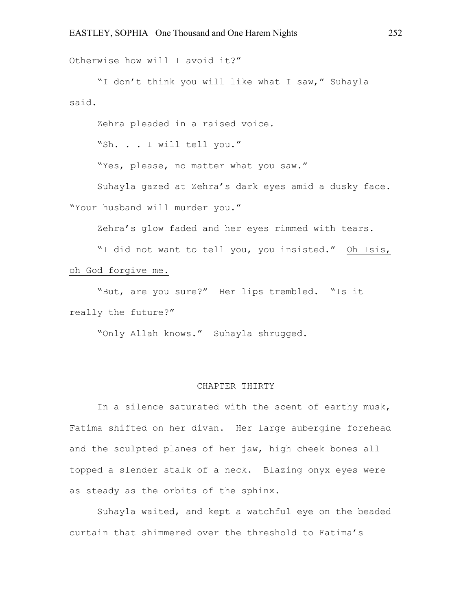Otherwise how will I avoid it?"

"I don't think you will like what I saw," Suhayla said.

Zehra pleaded in a raised voice.

"Sh. . . I will tell you."

"Yes, please, no matter what you saw."

Suhayla gazed at Zehra's dark eyes amid a dusky face. "Your husband will murder you."

Zehra's glow faded and her eyes rimmed with tears.

"I did not want to tell you, you insisted." Oh Isis, oh God forgive me.

"But, are you sure?" Her lips trembled. "Is it really the future?"

"Only Allah knows." Suhayla shrugged.

# CHAPTER THIRTY

In a silence saturated with the scent of earthy musk, Fatima shifted on her divan. Her large aubergine forehead and the sculpted planes of her jaw, high cheek bones all topped a slender stalk of a neck. Blazing onyx eyes were as steady as the orbits of the sphinx.

Suhayla waited, and kept a watchful eye on the beaded curtain that shimmered over the threshold to Fatima's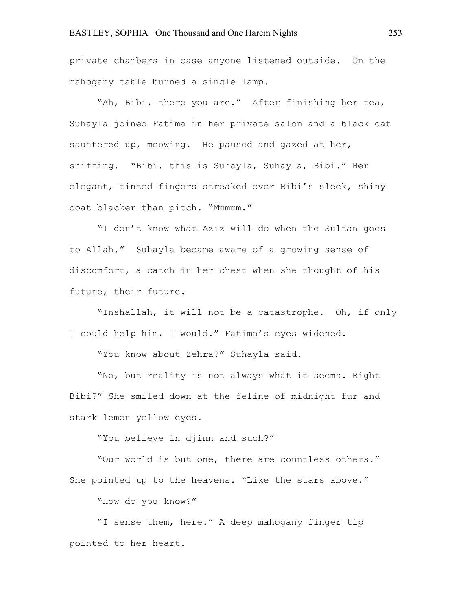private chambers in case anyone listened outside. On the mahogany table burned a single lamp.

"Ah, Bibi, there you are." After finishing her tea, Suhayla joined Fatima in her private salon and a black cat sauntered up, meowing. He paused and gazed at her, sniffing. "Bibi, this is Suhayla, Suhayla, Bibi." Her elegant, tinted fingers streaked over Bibi's sleek, shiny coat blacker than pitch. "Mmmmm."

"I don't know what Aziz will do when the Sultan goes to Allah." Suhayla became aware of a growing sense of discomfort, a catch in her chest when she thought of his future, their future.

"Inshallah, it will not be a catastrophe. Oh, if only I could help him, I would." Fatima's eyes widened.

"You know about Zehra?" Suhayla said.

"No, but reality is not always what it seems. Right Bibi?" She smiled down at the feline of midnight fur and stark lemon yellow eyes.

"You believe in djinn and such?"

"Our world is but one, there are countless others." She pointed up to the heavens. "Like the stars above."

"How do you know?"

"I sense them, here." A deep mahogany finger tip pointed to her heart.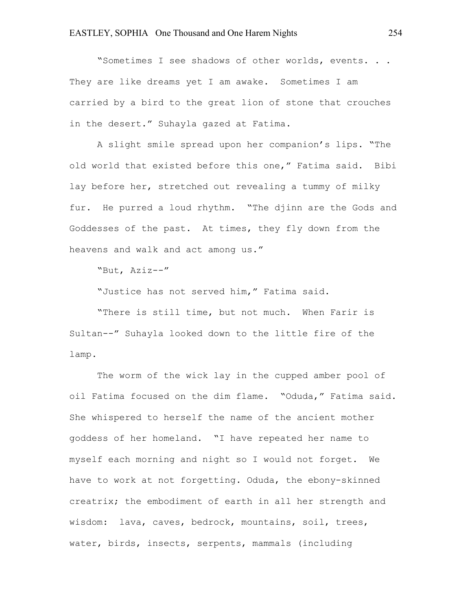"Sometimes I see shadows of other worlds, events. . . They are like dreams yet I am awake. Sometimes I am carried by a bird to the great lion of stone that crouches in the desert." Suhayla gazed at Fatima.

A slight smile spread upon her companion's lips. "The old world that existed before this one," Fatima said. Bibi lay before her, stretched out revealing a tummy of milky fur. He purred a loud rhythm. "The djinn are the Gods and Goddesses of the past. At times, they fly down from the heavens and walk and act among us."

"But, Aziz--"

"Justice has not served him," Fatima said.

"There is still time, but not much. When Farir is Sultan--" Suhayla looked down to the little fire of the lamp.

The worm of the wick lay in the cupped amber pool of oil Fatima focused on the dim flame. "Oduda," Fatima said. She whispered to herself the name of the ancient mother goddess of her homeland. "I have repeated her name to myself each morning and night so I would not forget. We have to work at not forgetting. Oduda, the ebony-skinned creatrix; the embodiment of earth in all her strength and wisdom: lava, caves, bedrock, mountains, soil, trees, water, birds, insects, serpents, mammals (including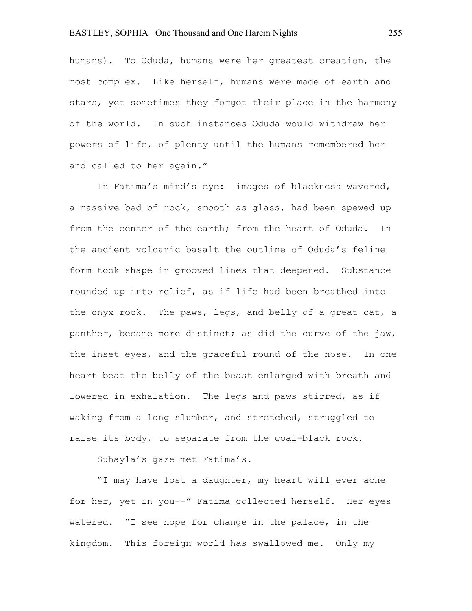# EASTLEY, SOPHIA One Thousand and One Harem Nights 255

humans). To Oduda, humans were her greatest creation, the most complex. Like herself, humans were made of earth and stars, yet sometimes they forgot their place in the harmony of the world. In such instances Oduda would withdraw her powers of life, of plenty until the humans remembered her and called to her again."

In Fatima's mind's eye: images of blackness wavered, a massive bed of rock, smooth as glass, had been spewed up from the center of the earth; from the heart of Oduda. In the ancient volcanic basalt the outline of Oduda's feline form took shape in grooved lines that deepened. Substance rounded up into relief, as if life had been breathed into the onyx rock. The paws, legs, and belly of a great cat, a panther, became more distinct; as did the curve of the jaw, the inset eyes, and the graceful round of the nose. In one heart beat the belly of the beast enlarged with breath and lowered in exhalation. The legs and paws stirred, as if waking from a long slumber, and stretched, struggled to raise its body, to separate from the coal-black rock.

Suhayla's gaze met Fatima's.

"I may have lost a daughter, my heart will ever ache for her, yet in you--" Fatima collected herself. Her eyes watered. "I see hope for change in the palace, in the kingdom. This foreign world has swallowed me. Only my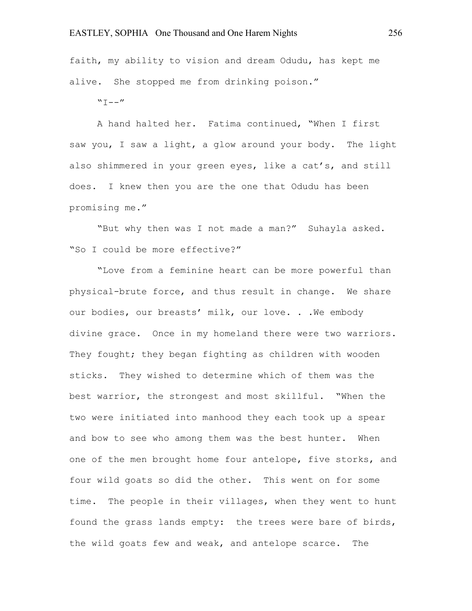faith, my ability to vision and dream Odudu, has kept me alive. She stopped me from drinking poison."

 $"T--"$ 

A hand halted her. Fatima continued, "When I first saw you, I saw a light, a glow around your body. The light also shimmered in your green eyes, like a cat's, and still does. I knew then you are the one that Odudu has been promising me."

"But why then was I not made a man?" Suhayla asked. "So I could be more effective?"

"Love from a feminine heart can be more powerful than physical-brute force, and thus result in change. We share our bodies, our breasts' milk, our love. . .We embody divine grace. Once in my homeland there were two warriors. They fought; they began fighting as children with wooden sticks. They wished to determine which of them was the best warrior, the strongest and most skillful. "When the two were initiated into manhood they each took up a spear and bow to see who among them was the best hunter. When one of the men brought home four antelope, five storks, and four wild goats so did the other. This went on for some time. The people in their villages, when they went to hunt found the grass lands empty: the trees were bare of birds, the wild goats few and weak, and antelope scarce. The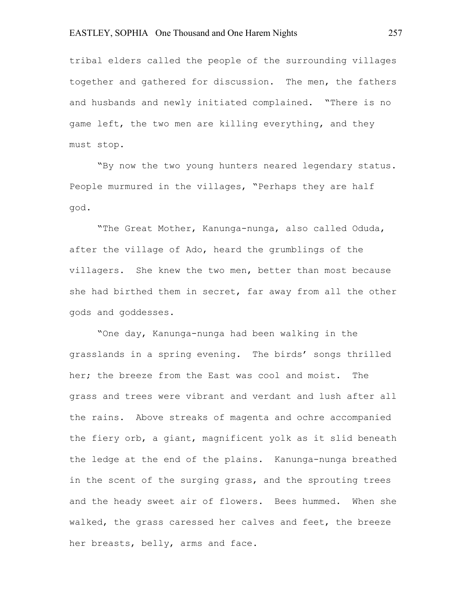# EASTLEY, SOPHIA One Thousand and One Harem Nights 257

tribal elders called the people of the surrounding villages together and gathered for discussion. The men, the fathers and husbands and newly initiated complained. "There is no game left, the two men are killing everything, and they must stop.

"By now the two young hunters neared legendary status. People murmured in the villages, "Perhaps they are half god.

"The Great Mother, Kanunga-nunga, also called Oduda, after the village of Ado, heard the grumblings of the villagers. She knew the two men, better than most because she had birthed them in secret, far away from all the other gods and goddesses.

"One day, Kanunga-nunga had been walking in the grasslands in a spring evening. The birds' songs thrilled her; the breeze from the East was cool and moist. The grass and trees were vibrant and verdant and lush after all the rains. Above streaks of magenta and ochre accompanied the fiery orb, a giant, magnificent yolk as it slid beneath the ledge at the end of the plains. Kanunga-nunga breathed in the scent of the surging grass, and the sprouting trees and the heady sweet air of flowers. Bees hummed. When she walked, the grass caressed her calves and feet, the breeze her breasts, belly, arms and face.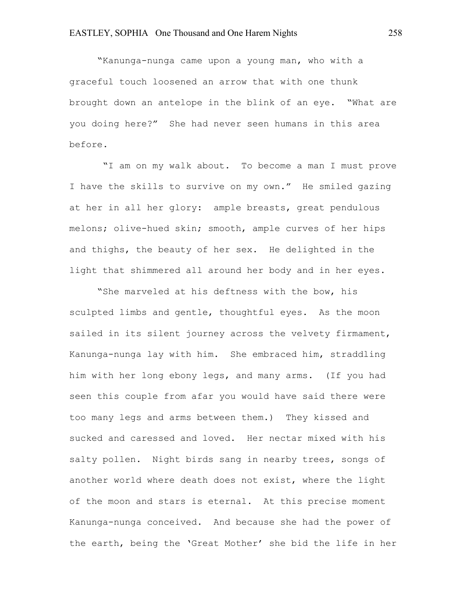"Kanunga-nunga came upon a young man, who with a graceful touch loosened an arrow that with one thunk brought down an antelope in the blink of an eye. "What are you doing here?" She had never seen humans in this area before.

"I am on my walk about. To become a man I must prove I have the skills to survive on my own." He smiled gazing at her in all her glory: ample breasts, great pendulous melons; olive-hued skin; smooth, ample curves of her hips and thighs, the beauty of her sex. He delighted in the light that shimmered all around her body and in her eyes.

"She marveled at his deftness with the bow, his sculpted limbs and gentle, thoughtful eyes. As the moon sailed in its silent journey across the velvety firmament, Kanunga-nunga lay with him. She embraced him, straddling him with her long ebony legs, and many arms. (If you had seen this couple from afar you would have said there were too many legs and arms between them.) They kissed and sucked and caressed and loved. Her nectar mixed with his salty pollen. Night birds sang in nearby trees, songs of another world where death does not exist, where the light of the moon and stars is eternal. At this precise moment Kanunga-nunga conceived. And because she had the power of the earth, being the 'Great Mother' she bid the life in her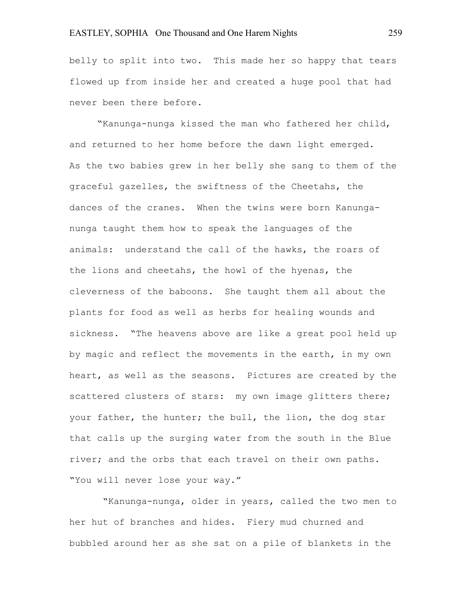belly to split into two. This made her so happy that tears flowed up from inside her and created a huge pool that had never been there before.

"Kanunga-nunga kissed the man who fathered her child, and returned to her home before the dawn light emerged. As the two babies grew in her belly she sang to them of the graceful gazelles, the swiftness of the Cheetahs, the dances of the cranes. When the twins were born Kanunganunga taught them how to speak the languages of the animals: understand the call of the hawks, the roars of the lions and cheetahs, the howl of the hyenas, the cleverness of the baboons. She taught them all about the plants for food as well as herbs for healing wounds and sickness. "The heavens above are like a great pool held up by magic and reflect the movements in the earth, in my own heart, as well as the seasons. Pictures are created by the scattered clusters of stars: my own image glitters there; your father, the hunter; the bull, the lion, the dog star that calls up the surging water from the south in the Blue river; and the orbs that each travel on their own paths. "You will never lose your way."

"Kanunga-nunga, older in years, called the two men to her hut of branches and hides. Fiery mud churned and bubbled around her as she sat on a pile of blankets in the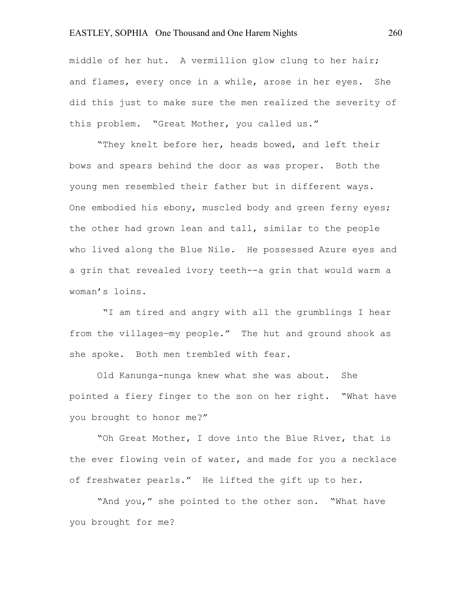# EASTLEY, SOPHIA One Thousand and One Harem Nights 260

middle of her hut. A vermillion glow clung to her hair; and flames, every once in a while, arose in her eyes. She did this just to make sure the men realized the severity of this problem. "Great Mother, you called us."

"They knelt before her, heads bowed, and left their bows and spears behind the door as was proper. Both the young men resembled their father but in different ways. One embodied his ebony, muscled body and green ferny eyes; the other had grown lean and tall, similar to the people who lived along the Blue Nile. He possessed Azure eyes and a grin that revealed ivory teeth--a grin that would warm a woman's loins.

"I am tired and angry with all the grumblings I hear from the villages—my people." The hut and ground shook as she spoke. Both men trembled with fear.

Old Kanunga-nunga knew what she was about. She pointed a fiery finger to the son on her right. "What have you brought to honor me?"

"Oh Great Mother, I dove into the Blue River, that is the ever flowing vein of water, and made for you a necklace of freshwater pearls." He lifted the gift up to her.

"And you," she pointed to the other son. "What have you brought for me?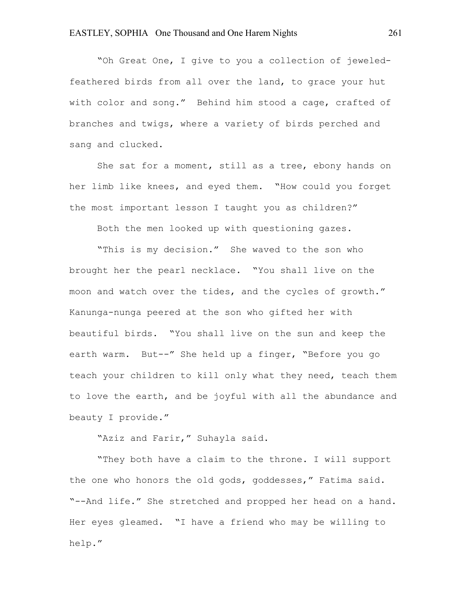"Oh Great One, I give to you a collection of jeweledfeathered birds from all over the land, to grace your hut with color and song." Behind him stood a cage, crafted of branches and twigs, where a variety of birds perched and sang and clucked.

She sat for a moment, still as a tree, ebony hands on her limb like knees, and eyed them. "How could you forget the most important lesson I taught you as children?"

Both the men looked up with questioning gazes.

"This is my decision." She waved to the son who brought her the pearl necklace. "You shall live on the moon and watch over the tides, and the cycles of growth." Kanunga-nunga peered at the son who gifted her with beautiful birds. "You shall live on the sun and keep the earth warm. But--" She held up a finger, "Before you go teach your children to kill only what they need, teach them to love the earth, and be joyful with all the abundance and beauty I provide."

"Aziz and Farir," Suhayla said.

"They both have a claim to the throne. I will support the one who honors the old gods, goddesses," Fatima said. "--And life." She stretched and propped her head on a hand. Her eyes gleamed. "I have a friend who may be willing to help."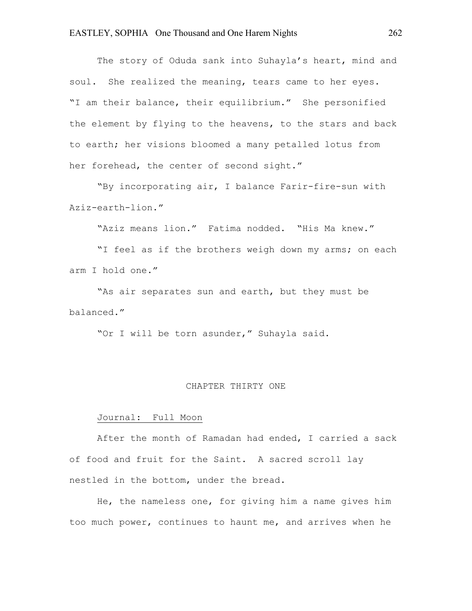The story of Oduda sank into Suhayla's heart, mind and soul. She realized the meaning, tears came to her eyes. "I am their balance, their equilibrium." She personified the element by flying to the heavens, to the stars and back to earth; her visions bloomed a many petalled lotus from her forehead, the center of second sight."

"By incorporating air, I balance Farir-fire-sun with Aziz-earth-lion."

"Aziz means lion." Fatima nodded. "His Ma knew."

"I feel as if the brothers weigh down my arms; on each arm I hold one."

"As air separates sun and earth, but they must be balanced."

"Or I will be torn asunder," Suhayla said.

#### CHAPTER THIRTY ONE

# Journal: Full Moon

After the month of Ramadan had ended, I carried a sack of food and fruit for the Saint. A sacred scroll lay nestled in the bottom, under the bread.

He, the nameless one, for giving him a name gives him too much power, continues to haunt me, and arrives when he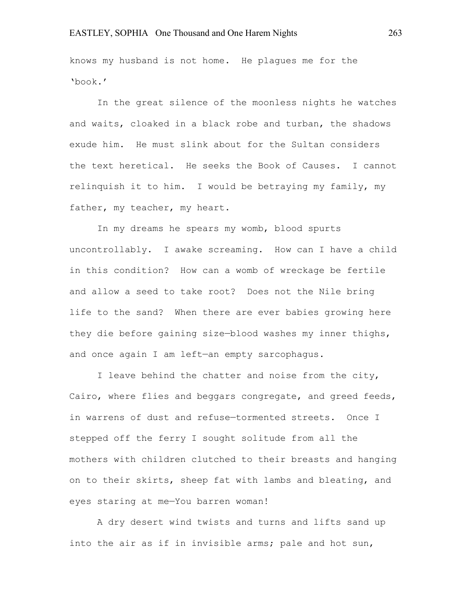knows my husband is not home. He plagues me for the 'book.'

In the great silence of the moonless nights he watches and waits, cloaked in a black robe and turban, the shadows exude him. He must slink about for the Sultan considers the text heretical. He seeks the Book of Causes. I cannot relinquish it to him. I would be betraying my family, my father, my teacher, my heart.

In my dreams he spears my womb, blood spurts uncontrollably. I awake screaming. How can I have a child in this condition? How can a womb of wreckage be fertile and allow a seed to take root? Does not the Nile bring life to the sand? When there are ever babies growing here they die before gaining size—blood washes my inner thighs, and once again I am left—an empty sarcophagus.

I leave behind the chatter and noise from the city, Cairo, where flies and beggars congregate, and greed feeds, in warrens of dust and refuse—tormented streets. Once I stepped off the ferry I sought solitude from all the mothers with children clutched to their breasts and hanging on to their skirts, sheep fat with lambs and bleating, and eyes staring at me—You barren woman!

A dry desert wind twists and turns and lifts sand up into the air as if in invisible arms; pale and hot sun,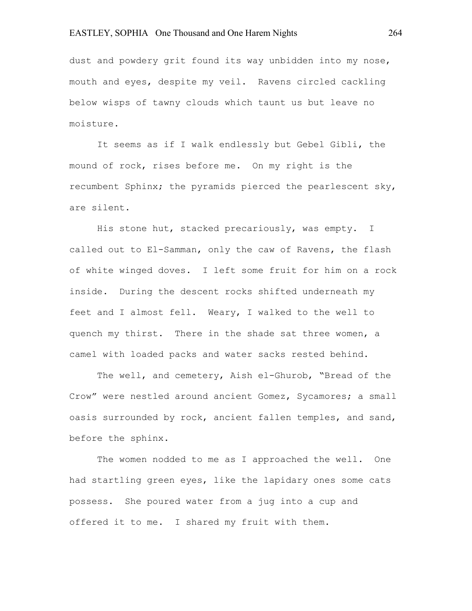# EASTLEY, SOPHIA One Thousand and One Harem Nights 264

dust and powdery grit found its way unbidden into my nose, mouth and eyes, despite my veil. Ravens circled cackling below wisps of tawny clouds which taunt us but leave no moisture.

It seems as if I walk endlessly but Gebel Gibli, the mound of rock, rises before me. On my right is the recumbent Sphinx; the pyramids pierced the pearlescent sky, are silent.

His stone hut, stacked precariously, was empty. I called out to El-Samman, only the caw of Ravens, the flash of white winged doves. I left some fruit for him on a rock inside. During the descent rocks shifted underneath my feet and I almost fell. Weary, I walked to the well to quench my thirst. There in the shade sat three women, a camel with loaded packs and water sacks rested behind.

The well, and cemetery, Aish el-Ghurob, "Bread of the Crow" were nestled around ancient Gomez, Sycamores; a small oasis surrounded by rock, ancient fallen temples, and sand, before the sphinx.

The women nodded to me as I approached the well. One had startling green eyes, like the lapidary ones some cats possess. She poured water from a jug into a cup and offered it to me. I shared my fruit with them.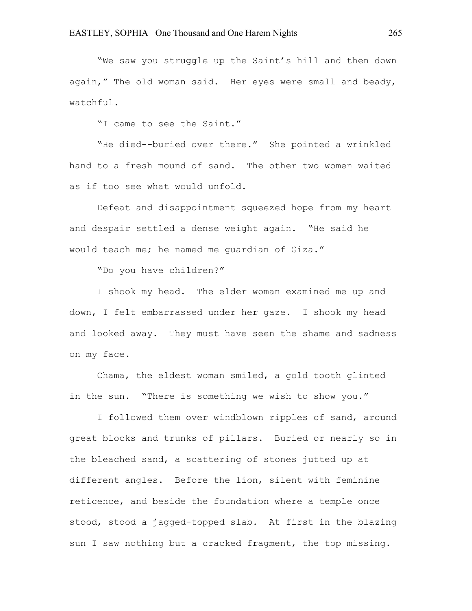"We saw you struggle up the Saint's hill and then down again," The old woman said. Her eyes were small and beady, watchful.

"I came to see the Saint."

"He died--buried over there." She pointed a wrinkled hand to a fresh mound of sand. The other two women waited as if too see what would unfold.

Defeat and disappointment squeezed hope from my heart and despair settled a dense weight again. "He said he would teach me; he named me guardian of Giza."

"Do you have children?"

I shook my head. The elder woman examined me up and down, I felt embarrassed under her gaze. I shook my head and looked away. They must have seen the shame and sadness on my face.

Chama, the eldest woman smiled, a gold tooth glinted in the sun. "There is something we wish to show you."

I followed them over windblown ripples of sand, around great blocks and trunks of pillars. Buried or nearly so in the bleached sand, a scattering of stones jutted up at different angles. Before the lion, silent with feminine reticence, and beside the foundation where a temple once stood, stood a jagged-topped slab. At first in the blazing sun I saw nothing but a cracked fragment, the top missing.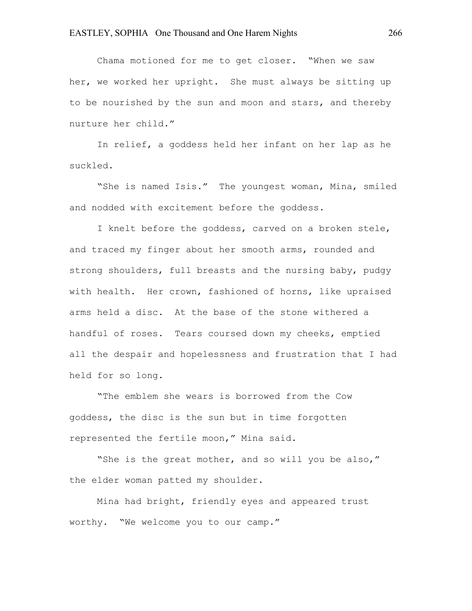Chama motioned for me to get closer. "When we saw her, we worked her upright. She must always be sitting up to be nourished by the sun and moon and stars, and thereby nurture her child."

In relief, a goddess held her infant on her lap as he suckled.

"She is named Isis." The youngest woman, Mina, smiled and nodded with excitement before the goddess.

I knelt before the goddess, carved on a broken stele, and traced my finger about her smooth arms, rounded and strong shoulders, full breasts and the nursing baby, pudgy with health. Her crown, fashioned of horns, like upraised arms held a disc. At the base of the stone withered a handful of roses. Tears coursed down my cheeks, emptied all the despair and hopelessness and frustration that I had held for so long.

"The emblem she wears is borrowed from the Cow goddess, the disc is the sun but in time forgotten represented the fertile moon," Mina said.

"She is the great mother, and so will you be also," the elder woman patted my shoulder.

Mina had bright, friendly eyes and appeared trust worthy. "We welcome you to our camp."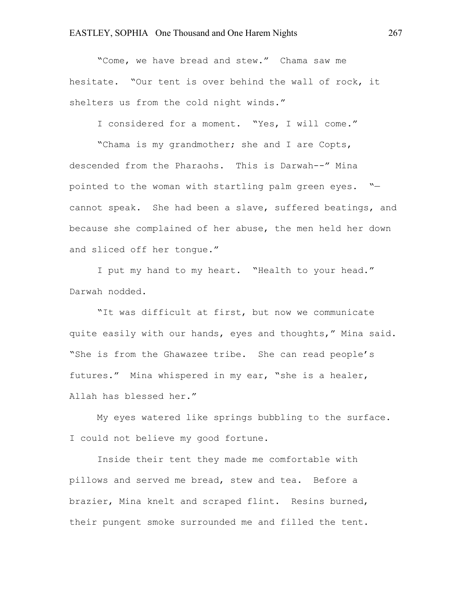"Come, we have bread and stew." Chama saw me hesitate. "Our tent is over behind the wall of rock, it shelters us from the cold night winds."

I considered for a moment. "Yes, I will come."

"Chama is my grandmother; she and I are Copts, descended from the Pharaohs. This is Darwah--" Mina pointed to the woman with startling palm green eyes. " cannot speak. She had been a slave, suffered beatings, and because she complained of her abuse, the men held her down and sliced off her tongue."

I put my hand to my heart. "Health to your head." Darwah nodded.

"It was difficult at first, but now we communicate quite easily with our hands, eyes and thoughts," Mina said. "She is from the Ghawazee tribe. She can read people's futures." Mina whispered in my ear, "she is a healer, Allah has blessed her."

My eyes watered like springs bubbling to the surface. I could not believe my good fortune.

Inside their tent they made me comfortable with pillows and served me bread, stew and tea. Before a brazier, Mina knelt and scraped flint. Resins burned, their pungent smoke surrounded me and filled the tent.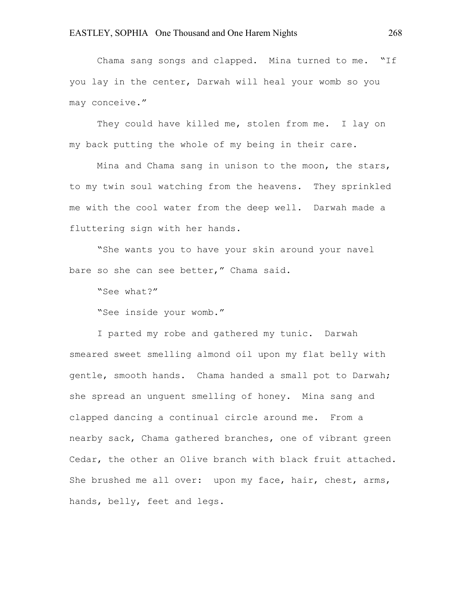Chama sang songs and clapped. Mina turned to me. "If you lay in the center, Darwah will heal your womb so you may conceive."

They could have killed me, stolen from me. I lay on my back putting the whole of my being in their care.

Mina and Chama sang in unison to the moon, the stars, to my twin soul watching from the heavens. They sprinkled me with the cool water from the deep well. Darwah made a fluttering sign with her hands.

"She wants you to have your skin around your navel bare so she can see better," Chama said.

"See what?"

"See inside your womb."

I parted my robe and gathered my tunic. Darwah smeared sweet smelling almond oil upon my flat belly with gentle, smooth hands. Chama handed a small pot to Darwah; she spread an unguent smelling of honey. Mina sang and clapped dancing a continual circle around me. From a nearby sack, Chama gathered branches, one of vibrant green Cedar, the other an Olive branch with black fruit attached. She brushed me all over: upon my face, hair, chest, arms, hands, belly, feet and legs.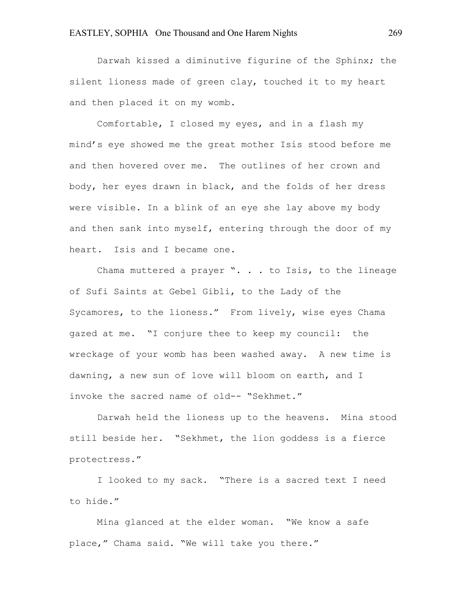Darwah kissed a diminutive figurine of the Sphinx; the silent lioness made of green clay, touched it to my heart and then placed it on my womb.

Comfortable, I closed my eyes, and in a flash my mind's eye showed me the great mother Isis stood before me and then hovered over me. The outlines of her crown and body, her eyes drawn in black, and the folds of her dress were visible. In a blink of an eye she lay above my body and then sank into myself, entering through the door of my heart. Isis and I became one.

Chama muttered a prayer ". . . to Isis, to the lineage of Sufi Saints at Gebel Gibli, to the Lady of the Sycamores, to the lioness." From lively, wise eyes Chama gazed at me. "I conjure thee to keep my council: the wreckage of your womb has been washed away. A new time is dawning, a new sun of love will bloom on earth, and I invoke the sacred name of old-- "Sekhmet."

Darwah held the lioness up to the heavens. Mina stood still beside her. "Sekhmet, the lion goddess is a fierce protectress."

I looked to my sack. "There is a sacred text I need to hide."

Mina glanced at the elder woman. "We know a safe place," Chama said. "We will take you there."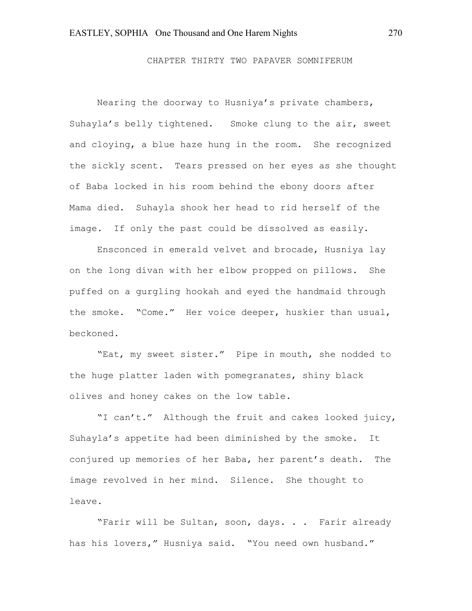CHAPTER THIRTY TWO PAPAVER SOMNIFERUM

Nearing the doorway to Husniya's private chambers, Suhayla's belly tightened. Smoke clung to the air, sweet and cloying, a blue haze hung in the room. She recognized the sickly scent. Tears pressed on her eyes as she thought of Baba locked in his room behind the ebony doors after Mama died. Suhayla shook her head to rid herself of the image. If only the past could be dissolved as easily.

Ensconced in emerald velvet and brocade, Husniya lay on the long divan with her elbow propped on pillows. She puffed on a gurgling hookah and eyed the handmaid through the smoke. "Come." Her voice deeper, huskier than usual, beckoned.

"Eat, my sweet sister." Pipe in mouth, she nodded to the huge platter laden with pomegranates, shiny black olives and honey cakes on the low table.

"I can't." Although the fruit and cakes looked juicy, Suhayla's appetite had been diminished by the smoke. It conjured up memories of her Baba, her parent's death. The image revolved in her mind. Silence. She thought to leave.

"Farir will be Sultan, soon, days. . . Farir already has his lovers," Husniya said. "You need own husband."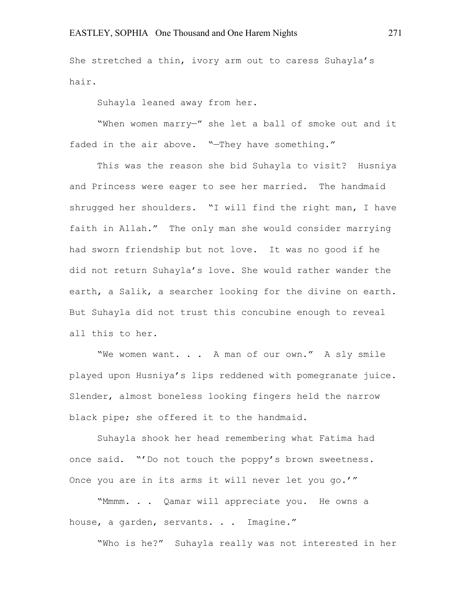She stretched a thin, ivory arm out to caress Suhayla's hair.

Suhayla leaned away from her.

"When women marry—" she let a ball of smoke out and it faded in the air above. "—They have something."

This was the reason she bid Suhayla to visit? Husniya and Princess were eager to see her married. The handmaid shrugged her shoulders. "I will find the right man, I have faith in Allah." The only man she would consider marrying had sworn friendship but not love. It was no good if he did not return Suhayla's love. She would rather wander the earth, a Salik, a searcher looking for the divine on earth. But Suhayla did not trust this concubine enough to reveal all this to her.

"We women want. . . A man of our own." A sly smile played upon Husniya's lips reddened with pomegranate juice. Slender, almost boneless looking fingers held the narrow black pipe; she offered it to the handmaid.

Suhayla shook her head remembering what Fatima had once said. "'Do not touch the poppy's brown sweetness. Once you are in its arms it will never let you go.'"

"Mmmm. . . Qamar will appreciate you. He owns a house, a garden, servants. . . Imagine."

"Who is he?" Suhayla really was not interested in her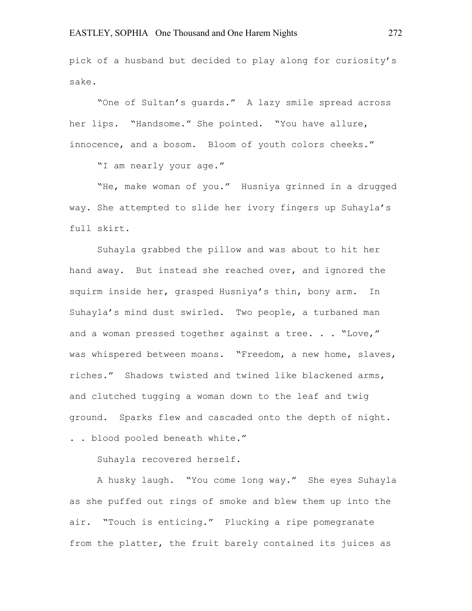pick of a husband but decided to play along for curiosity's sake.

"One of Sultan's guards." A lazy smile spread across her lips. "Handsome." She pointed. "You have allure, innocence, and a bosom. Bloom of youth colors cheeks."

"I am nearly your age."

"He, make woman of you." Husniya grinned in a drugged way. She attempted to slide her ivory fingers up Suhayla's full skirt.

Suhayla grabbed the pillow and was about to hit her hand away. But instead she reached over, and ignored the squirm inside her, grasped Husniya's thin, bony arm. In Suhayla's mind dust swirled. Two people, a turbaned man and a woman pressed together against a tree. . . "Love," was whispered between moans. "Freedom, a new home, slaves, riches." Shadows twisted and twined like blackened arms, and clutched tugging a woman down to the leaf and twig ground. Sparks flew and cascaded onto the depth of night. . . blood pooled beneath white."

Suhayla recovered herself.

A husky laugh. "You come long way." She eyes Suhayla as she puffed out rings of smoke and blew them up into the air. "Touch is enticing." Plucking a ripe pomegranate from the platter, the fruit barely contained its juices as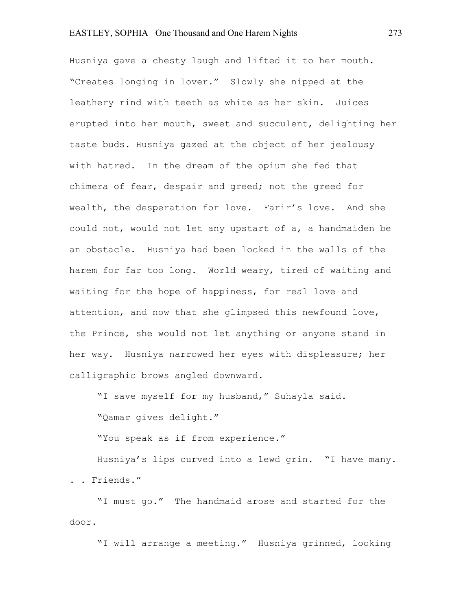# EASTLEY, SOPHIA One Thousand and One Harem Nights 273

Husniya gave a chesty laugh and lifted it to her mouth. "Creates longing in lover." Slowly she nipped at the leathery rind with teeth as white as her skin. Juices erupted into her mouth, sweet and succulent, delighting her taste buds. Husniya gazed at the object of her jealousy with hatred. In the dream of the opium she fed that chimera of fear, despair and greed; not the greed for wealth, the desperation for love. Farir's love. And she could not, would not let any upstart of a, a handmaiden be an obstacle. Husniya had been locked in the walls of the harem for far too long. World weary, tired of waiting and waiting for the hope of happiness, for real love and attention, and now that she glimpsed this newfound love, the Prince, she would not let anything or anyone stand in her way. Husniya narrowed her eyes with displeasure; her calligraphic brows angled downward.

"I save myself for my husband," Suhayla said.

"Qamar gives delight."

"You speak as if from experience."

Husniya's lips curved into a lewd grin. "I have many. . . Friends."

"I must go." The handmaid arose and started for the door.

"I will arrange a meeting." Husniya grinned, looking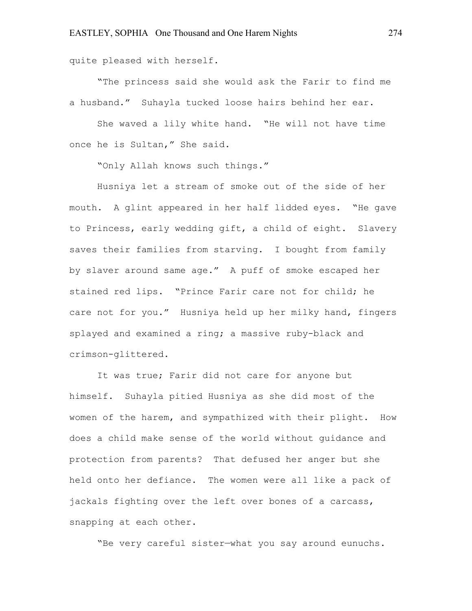quite pleased with herself.

"The princess said she would ask the Farir to find me a husband." Suhayla tucked loose hairs behind her ear.

She waved a lily white hand. "He will not have time once he is Sultan," She said.

"Only Allah knows such things."

Husniya let a stream of smoke out of the side of her mouth. A glint appeared in her half lidded eyes. "He gave to Princess, early wedding gift, a child of eight. Slavery saves their families from starving. I bought from family by slaver around same age." A puff of smoke escaped her stained red lips. "Prince Farir care not for child; he care not for you." Husniya held up her milky hand, fingers splayed and examined a ring; a massive ruby-black and crimson-glittered.

It was true; Farir did not care for anyone but himself. Suhayla pitied Husniya as she did most of the women of the harem, and sympathized with their plight. How does a child make sense of the world without guidance and protection from parents? That defused her anger but she held onto her defiance. The women were all like a pack of jackals fighting over the left over bones of a carcass, snapping at each other.

"Be very careful sister—what you say around eunuchs.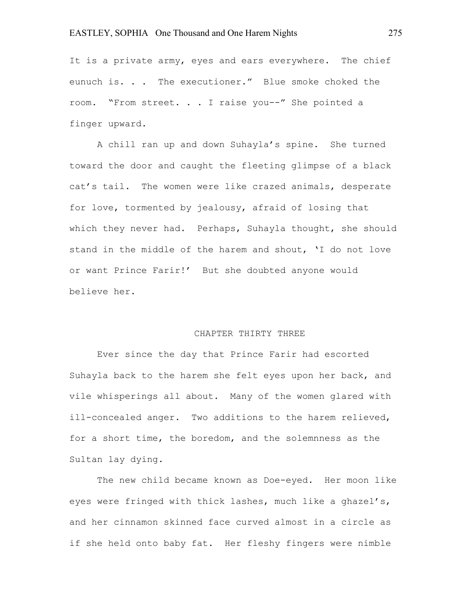It is a private army, eyes and ears everywhere. The chief eunuch is. . . The executioner." Blue smoke choked the room. "From street. . . I raise you--" She pointed a finger upward.

A chill ran up and down Suhayla's spine. She turned toward the door and caught the fleeting glimpse of a black cat's tail. The women were like crazed animals, desperate for love, tormented by jealousy, afraid of losing that which they never had. Perhaps, Suhayla thought, she should stand in the middle of the harem and shout, 'I do not love or want Prince Farir!' But she doubted anyone would believe her.

#### CHAPTER THIRTY THREE

Ever since the day that Prince Farir had escorted Suhayla back to the harem she felt eyes upon her back, and vile whisperings all about. Many of the women glared with ill-concealed anger. Two additions to the harem relieved, for a short time, the boredom, and the solemnness as the Sultan lay dying.

The new child became known as Doe-eyed. Her moon like eyes were fringed with thick lashes, much like a ghazel's, and her cinnamon skinned face curved almost in a circle as if she held onto baby fat. Her fleshy fingers were nimble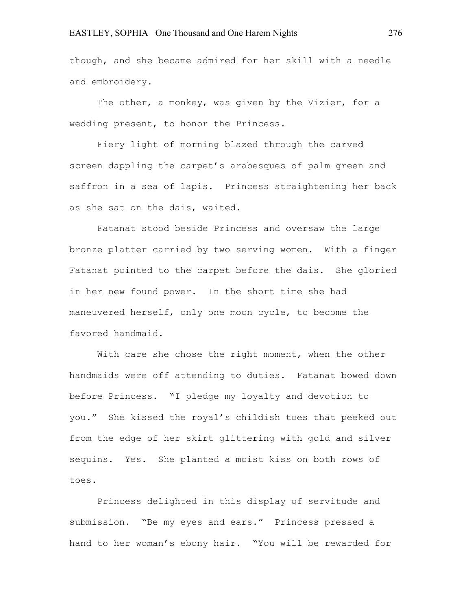though, and she became admired for her skill with a needle and embroidery.

The other, a monkey, was given by the Vizier, for a wedding present, to honor the Princess.

Fiery light of morning blazed through the carved screen dappling the carpet's arabesques of palm green and saffron in a sea of lapis. Princess straightening her back as she sat on the dais, waited.

Fatanat stood beside Princess and oversaw the large bronze platter carried by two serving women. With a finger Fatanat pointed to the carpet before the dais. She gloried in her new found power. In the short time she had maneuvered herself, only one moon cycle, to become the favored handmaid.

With care she chose the right moment, when the other handmaids were off attending to duties. Fatanat bowed down before Princess. "I pledge my loyalty and devotion to you." She kissed the royal's childish toes that peeked out from the edge of her skirt glittering with gold and silver sequins. Yes. She planted a moist kiss on both rows of toes.

Princess delighted in this display of servitude and submission. "Be my eyes and ears." Princess pressed a hand to her woman's ebony hair. "You will be rewarded for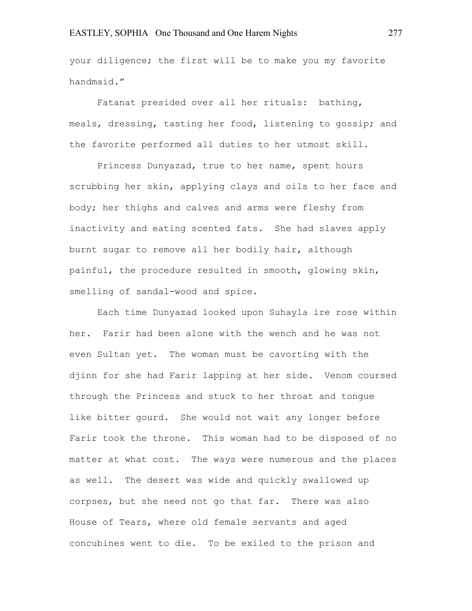your diligence; the first will be to make you my favorite handmaid."

Fatanat presided over all her rituals: bathing, meals, dressing, tasting her food, listening to gossip; and the favorite performed all duties to her utmost skill.

Princess Dunyazad, true to her name, spent hours scrubbing her skin, applying clays and oils to her face and body; her thighs and calves and arms were fleshy from inactivity and eating scented fats. She had slaves apply burnt sugar to remove all her bodily hair, although painful, the procedure resulted in smooth, glowing skin, smelling of sandal-wood and spice.

Each time Dunyazad looked upon Suhayla ire rose within her. Farir had been alone with the wench and he was not even Sultan yet. The woman must be cavorting with the djinn for she had Farir lapping at her side. Venom coursed through the Princess and stuck to her throat and tongue like bitter gourd. She would not wait any longer before Farir took the throne. This woman had to be disposed of no matter at what cost. The ways were numerous and the places as well. The desert was wide and quickly swallowed up corpses, but she need not go that far. There was also House of Tears, where old female servants and aged concubines went to die. To be exiled to the prison and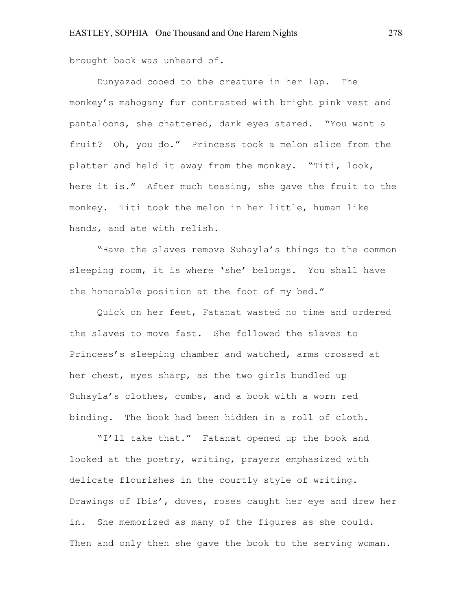brought back was unheard of.

Dunyazad cooed to the creature in her lap. The monkey's mahogany fur contrasted with bright pink vest and pantaloons, she chattered, dark eyes stared. "You want a fruit? Oh, you do." Princess took a melon slice from the platter and held it away from the monkey. "Titi, look, here it is." After much teasing, she gave the fruit to the monkey. Titi took the melon in her little, human like hands, and ate with relish.

"Have the slaves remove Suhayla's things to the common sleeping room, it is where 'she' belongs. You shall have the honorable position at the foot of my bed."

Quick on her feet, Fatanat wasted no time and ordered the slaves to move fast. She followed the slaves to Princess's sleeping chamber and watched, arms crossed at her chest, eyes sharp, as the two girls bundled up Suhayla's clothes, combs, and a book with a worn red binding. The book had been hidden in a roll of cloth.

"I'll take that." Fatanat opened up the book and looked at the poetry, writing, prayers emphasized with delicate flourishes in the courtly style of writing. Drawings of Ibis', doves, roses caught her eye and drew her in. She memorized as many of the figures as she could. Then and only then she gave the book to the serving woman.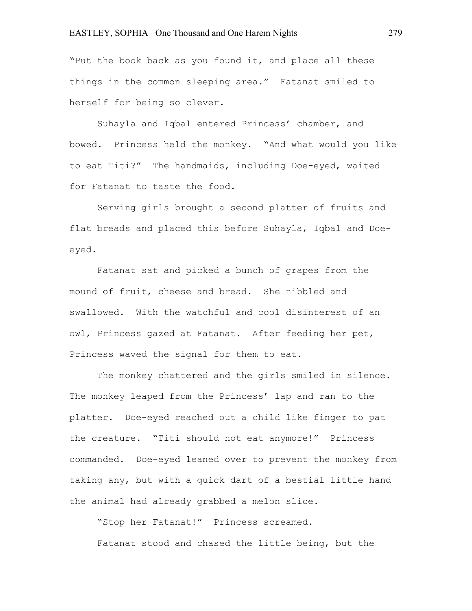"Put the book back as you found it, and place all these things in the common sleeping area." Fatanat smiled to herself for being so clever.

Suhayla and Iqbal entered Princess' chamber, and bowed. Princess held the monkey. "And what would you like to eat Titi?" The handmaids, including Doe-eyed, waited for Fatanat to taste the food.

Serving girls brought a second platter of fruits and flat breads and placed this before Suhayla, Iqbal and Doeeyed.

Fatanat sat and picked a bunch of grapes from the mound of fruit, cheese and bread. She nibbled and swallowed. With the watchful and cool disinterest of an owl, Princess gazed at Fatanat. After feeding her pet, Princess waved the signal for them to eat.

The monkey chattered and the girls smiled in silence. The monkey leaped from the Princess' lap and ran to the platter. Doe-eyed reached out a child like finger to pat the creature. "Titi should not eat anymore!" Princess commanded. Doe-eyed leaned over to prevent the monkey from taking any, but with a quick dart of a bestial little hand the animal had already grabbed a melon slice.

"Stop her—Fatanat!" Princess screamed. Fatanat stood and chased the little being, but the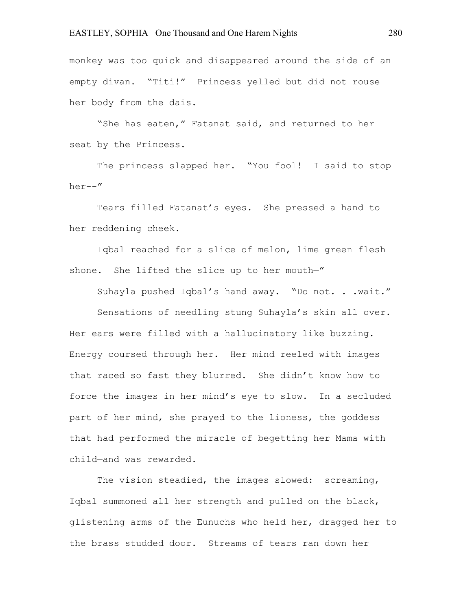monkey was too quick and disappeared around the side of an empty divan. "Titi!" Princess yelled but did not rouse her body from the dais.

"She has eaten," Fatanat said, and returned to her seat by the Princess.

The princess slapped her. "You fool! I said to stop her--"

Tears filled Fatanat's eyes. She pressed a hand to her reddening cheek.

Iqbal reached for a slice of melon, lime green flesh shone. She lifted the slice up to her mouth-"

Suhayla pushed Iqbal's hand away. "Do not. . .wait."

Sensations of needling stung Suhayla's skin all over. Her ears were filled with a hallucinatory like buzzing. Energy coursed through her. Her mind reeled with images that raced so fast they blurred. She didn't know how to force the images in her mind's eye to slow. In a secluded part of her mind, she prayed to the lioness, the goddess that had performed the miracle of begetting her Mama with child—and was rewarded.

The vision steadied, the images slowed: screaming, Iqbal summoned all her strength and pulled on the black, glistening arms of the Eunuchs who held her, dragged her to the brass studded door. Streams of tears ran down her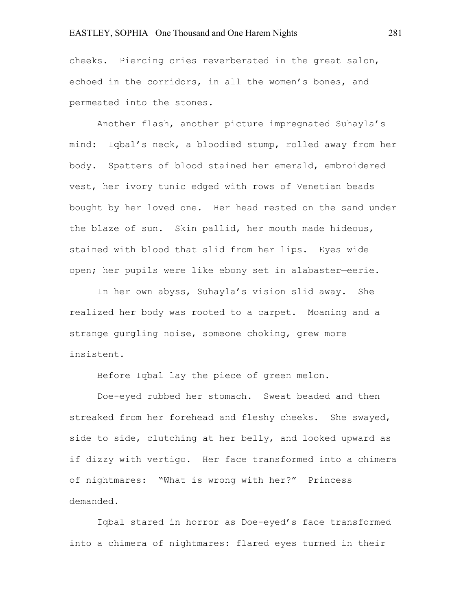# EASTLEY, SOPHIA One Thousand and One Harem Nights 281

cheeks. Piercing cries reverberated in the great salon, echoed in the corridors, in all the women's bones, and permeated into the stones.

Another flash, another picture impregnated Suhayla's mind: Iqbal's neck, a bloodied stump, rolled away from her body. Spatters of blood stained her emerald, embroidered vest, her ivory tunic edged with rows of Venetian beads bought by her loved one. Her head rested on the sand under the blaze of sun. Skin pallid, her mouth made hideous, stained with blood that slid from her lips. Eyes wide open; her pupils were like ebony set in alabaster—eerie.

In her own abyss, Suhayla's vision slid away. She realized her body was rooted to a carpet. Moaning and a strange gurgling noise, someone choking, grew more insistent.

Before Iqbal lay the piece of green melon.

Doe-eyed rubbed her stomach. Sweat beaded and then streaked from her forehead and fleshy cheeks. She swayed, side to side, clutching at her belly, and looked upward as if dizzy with vertigo. Her face transformed into a chimera of nightmares: "What is wrong with her?" Princess demanded.

Iqbal stared in horror as Doe-eyed's face transformed into a chimera of nightmares: flared eyes turned in their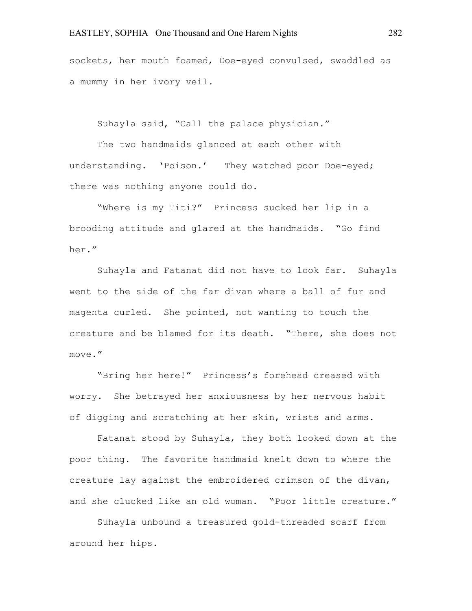sockets, her mouth foamed, Doe-eyed convulsed, swaddled as a mummy in her ivory veil.

Suhayla said, "Call the palace physician."

The two handmaids glanced at each other with understanding. 'Poison.' They watched poor Doe-eyed; there was nothing anyone could do.

"Where is my Titi?" Princess sucked her lip in a brooding attitude and glared at the handmaids. "Go find her."

Suhayla and Fatanat did not have to look far. Suhayla went to the side of the far divan where a ball of fur and magenta curled. She pointed, not wanting to touch the creature and be blamed for its death. "There, she does not move."

"Bring her here!" Princess's forehead creased with worry. She betrayed her anxiousness by her nervous habit of digging and scratching at her skin, wrists and arms.

Fatanat stood by Suhayla, they both looked down at the poor thing. The favorite handmaid knelt down to where the creature lay against the embroidered crimson of the divan, and she clucked like an old woman. "Poor little creature."

Suhayla unbound a treasured gold-threaded scarf from around her hips.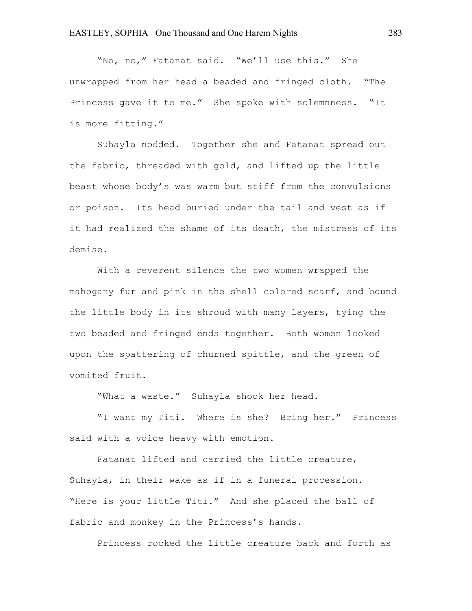"No, no," Fatanat said. "We'll use this." She unwrapped from her head a beaded and fringed cloth. "The Princess gave it to me." She spoke with solemnness. "It is more fitting."

Suhayla nodded. Together she and Fatanat spread out the fabric, threaded with gold, and lifted up the little beast whose body's was warm but stiff from the convulsions or poison. Its head buried under the tail and vest as if it had realized the shame of its death, the mistress of its demise.

With a reverent silence the two women wrapped the mahogany fur and pink in the shell colored scarf, and bound the little body in its shroud with many layers, tying the two beaded and fringed ends together. Both women looked upon the spattering of churned spittle, and the green of vomited fruit.

"What a waste." Suhayla shook her head.

"I want my Titi. Where is she? Bring her." Princess said with a voice heavy with emotion.

Fatanat lifted and carried the little creature, Suhayla, in their wake as if in a funeral procession. "Here is your little Titi." And she placed the ball of fabric and monkey in the Princess's hands.

Princess rocked the little creature back and forth as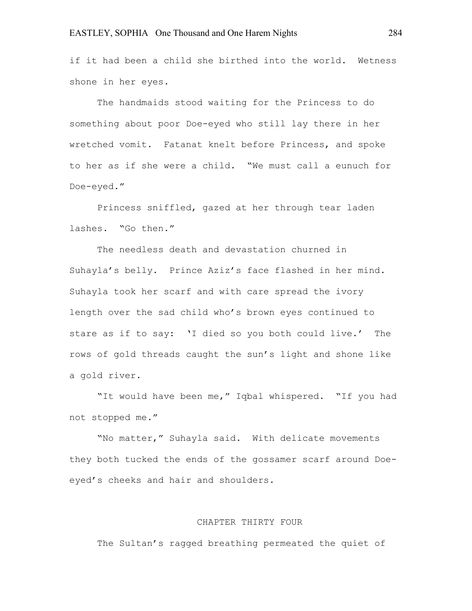if it had been a child she birthed into the world. Wetness shone in her eyes.

The handmaids stood waiting for the Princess to do something about poor Doe-eyed who still lay there in her wretched vomit. Fatanat knelt before Princess, and spoke to her as if she were a child. "We must call a eunuch for Doe-eyed."

Princess sniffled, gazed at her through tear laden lashes. "Go then."

The needless death and devastation churned in Suhayla's belly. Prince Aziz's face flashed in her mind. Suhayla took her scarf and with care spread the ivory length over the sad child who's brown eyes continued to stare as if to say: 'I died so you both could live.' The rows of gold threads caught the sun's light and shone like a gold river.

"It would have been me," Iqbal whispered. "If you had not stopped me."

"No matter," Suhayla said. With delicate movements they both tucked the ends of the gossamer scarf around Doeeyed's cheeks and hair and shoulders.

# CHAPTER THIRTY FOUR

The Sultan's ragged breathing permeated the quiet of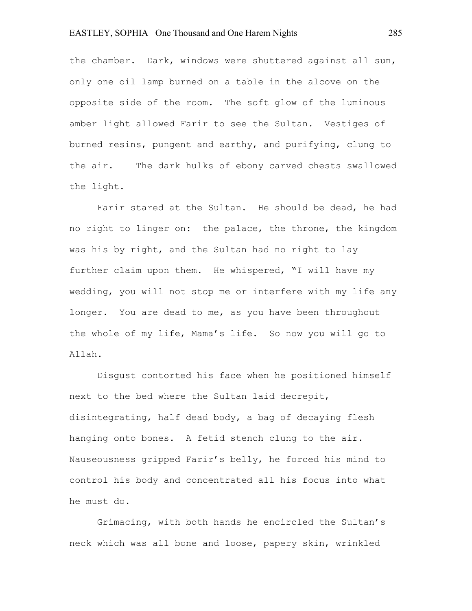# EASTLEY, SOPHIA One Thousand and One Harem Nights 285

the chamber. Dark, windows were shuttered against all sun, only one oil lamp burned on a table in the alcove on the opposite side of the room. The soft glow of the luminous amber light allowed Farir to see the Sultan. Vestiges of burned resins, pungent and earthy, and purifying, clung to the air. The dark hulks of ebony carved chests swallowed the light.

Farir stared at the Sultan. He should be dead, he had no right to linger on: the palace, the throne, the kingdom was his by right, and the Sultan had no right to lay further claim upon them. He whispered, "I will have my wedding, you will not stop me or interfere with my life any longer. You are dead to me, as you have been throughout the whole of my life, Mama's life. So now you will go to Allah.

Disgust contorted his face when he positioned himself next to the bed where the Sultan laid decrepit, disintegrating, half dead body, a bag of decaying flesh hanging onto bones. A fetid stench clung to the air. Nauseousness gripped Farir's belly, he forced his mind to control his body and concentrated all his focus into what he must do.

Grimacing, with both hands he encircled the Sultan's neck which was all bone and loose, papery skin, wrinkled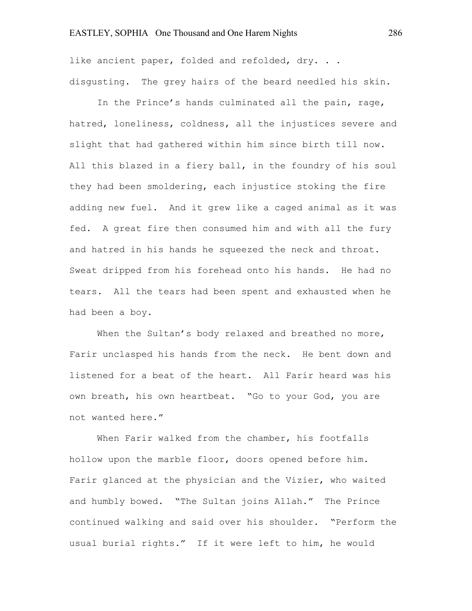like ancient paper, folded and refolded, dry. . . disgusting. The grey hairs of the beard needled his skin.

In the Prince's hands culminated all the pain, rage, hatred, loneliness, coldness, all the injustices severe and slight that had gathered within him since birth till now. All this blazed in a fiery ball, in the foundry of his soul they had been smoldering, each injustice stoking the fire adding new fuel. And it grew like a caged animal as it was fed. A great fire then consumed him and with all the fury and hatred in his hands he squeezed the neck and throat. Sweat dripped from his forehead onto his hands. He had no tears. All the tears had been spent and exhausted when he had been a boy.

When the Sultan's body relaxed and breathed no more, Farir unclasped his hands from the neck. He bent down and listened for a beat of the heart. All Farir heard was his own breath, his own heartbeat. "Go to your God, you are not wanted here."

When Farir walked from the chamber, his footfalls hollow upon the marble floor, doors opened before him. Farir glanced at the physician and the Vizier, who waited and humbly bowed. "The Sultan joins Allah." The Prince continued walking and said over his shoulder. "Perform the usual burial rights." If it were left to him, he would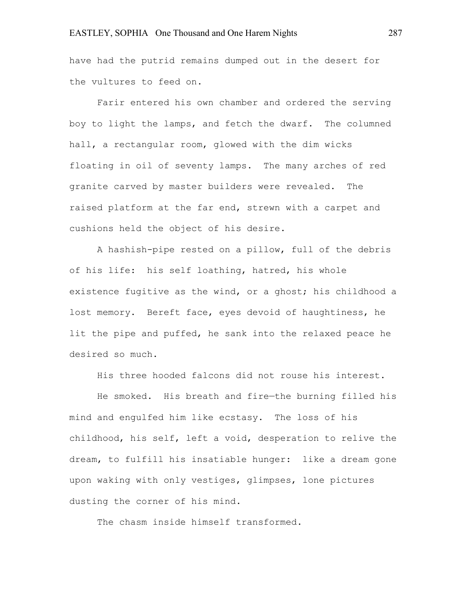have had the putrid remains dumped out in the desert for the vultures to feed on.

Farir entered his own chamber and ordered the serving boy to light the lamps, and fetch the dwarf. The columned hall, a rectangular room, glowed with the dim wicks floating in oil of seventy lamps. The many arches of red granite carved by master builders were revealed. The raised platform at the far end, strewn with a carpet and cushions held the object of his desire.

A hashish-pipe rested on a pillow, full of the debris of his life: his self loathing, hatred, his whole existence fugitive as the wind, or a ghost; his childhood a lost memory. Bereft face, eyes devoid of haughtiness, he lit the pipe and puffed, he sank into the relaxed peace he desired so much.

His three hooded falcons did not rouse his interest.

He smoked. His breath and fire—the burning filled his mind and engulfed him like ecstasy. The loss of his childhood, his self, left a void, desperation to relive the dream, to fulfill his insatiable hunger: like a dream gone upon waking with only vestiges, glimpses, lone pictures dusting the corner of his mind.

The chasm inside himself transformed.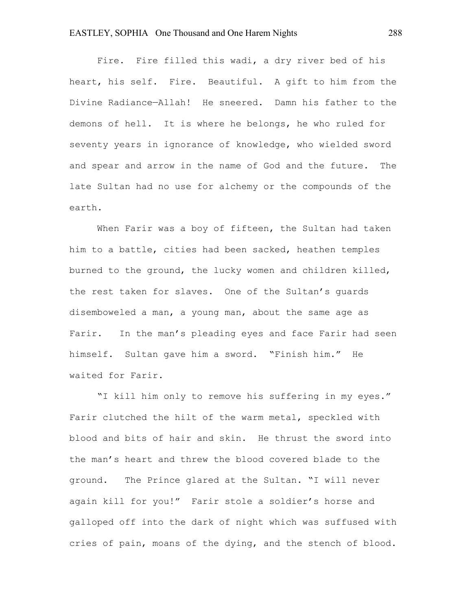Fire. Fire filled this wadi, a dry river bed of his heart, his self. Fire. Beautiful. A gift to him from the Divine Radiance—Allah! He sneered. Damn his father to the demons of hell. It is where he belongs, he who ruled for seventy years in ignorance of knowledge, who wielded sword and spear and arrow in the name of God and the future. The late Sultan had no use for alchemy or the compounds of the earth.

When Farir was a boy of fifteen, the Sultan had taken him to a battle, cities had been sacked, heathen temples burned to the ground, the lucky women and children killed, the rest taken for slaves. One of the Sultan's guards disemboweled a man, a young man, about the same age as Farir. In the man's pleading eyes and face Farir had seen himself. Sultan gave him a sword. "Finish him." He waited for Farir.

"I kill him only to remove his suffering in my eyes." Farir clutched the hilt of the warm metal, speckled with blood and bits of hair and skin. He thrust the sword into the man's heart and threw the blood covered blade to the ground. The Prince glared at the Sultan. "I will never again kill for you!" Farir stole a soldier's horse and galloped off into the dark of night which was suffused with cries of pain, moans of the dying, and the stench of blood.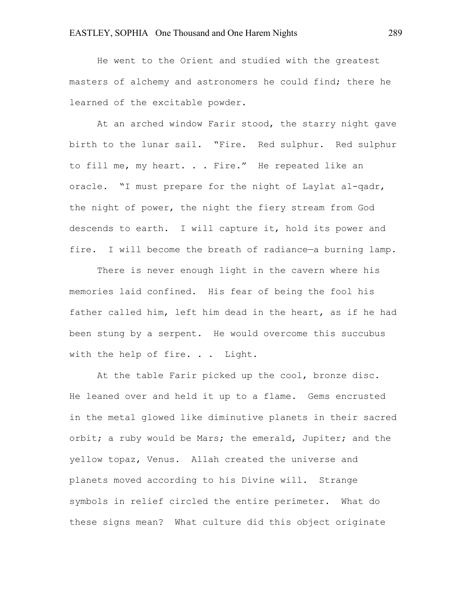He went to the Orient and studied with the greatest masters of alchemy and astronomers he could find; there he learned of the excitable powder.

At an arched window Farir stood, the starry night gave birth to the lunar sail. "Fire. Red sulphur. Red sulphur to fill me, my heart. . . Fire." He repeated like an oracle. "I must prepare for the night of Laylat al-qadr, the night of power, the night the fiery stream from God descends to earth. I will capture it, hold its power and fire. I will become the breath of radiance-a burning lamp.

There is never enough light in the cavern where his memories laid confined. His fear of being the fool his father called him, left him dead in the heart, as if he had been stung by a serpent. He would overcome this succubus with the help of fire. . . Light.

At the table Farir picked up the cool, bronze disc. He leaned over and held it up to a flame. Gems encrusted in the metal glowed like diminutive planets in their sacred orbit; a ruby would be Mars; the emerald, Jupiter; and the yellow topaz, Venus. Allah created the universe and planets moved according to his Divine will. Strange symbols in relief circled the entire perimeter. What do these signs mean? What culture did this object originate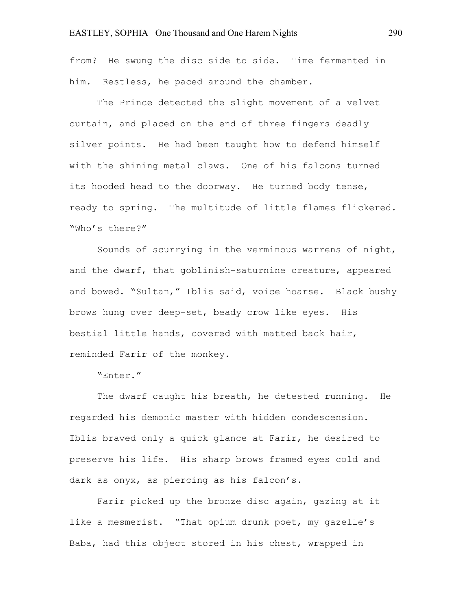from? He swung the disc side to side. Time fermented in him. Restless, he paced around the chamber.

The Prince detected the slight movement of a velvet curtain, and placed on the end of three fingers deadly silver points. He had been taught how to defend himself with the shining metal claws. One of his falcons turned its hooded head to the doorway. He turned body tense, ready to spring. The multitude of little flames flickered. "Who's there?"

Sounds of scurrying in the verminous warrens of night, and the dwarf, that goblinish-saturnine creature, appeared and bowed. "Sultan," Iblis said, voice hoarse. Black bushy brows hung over deep-set, beady crow like eyes. His bestial little hands, covered with matted back hair, reminded Farir of the monkey.

"Enter."

The dwarf caught his breath, he detested running. He regarded his demonic master with hidden condescension. Iblis braved only a quick glance at Farir, he desired to preserve his life. His sharp brows framed eyes cold and dark as onyx, as piercing as his falcon's.

Farir picked up the bronze disc again, gazing at it like a mesmerist. "That opium drunk poet, my gazelle's Baba, had this object stored in his chest, wrapped in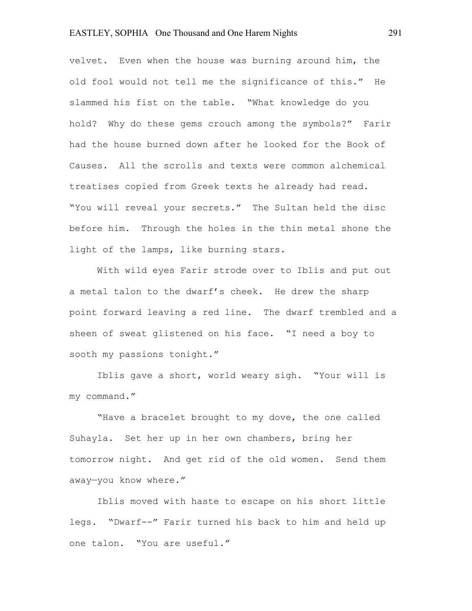velvet. Even when the house was burning around him, the old fool would not tell me the significance of this." He slammed his fist on the table. "What knowledge do you hold? Why do these gems crouch among the symbols?" Farir had the house burned down after he looked for the Book of Causes. All the scrolls and texts were common alchemical treatises copied from Greek texts he already had read. "You will reveal your secrets." The Sultan held the disc before him. Through the holes in the thin metal shone the light of the lamps, like burning stars.

With wild eyes Farir strode over to Iblis and put out a metal talon to the dwarf's cheek. He drew the sharp point forward leaving a red line. The dwarf trembled and a sheen of sweat glistened on his face. "I need a boy to sooth my passions tonight."

Iblis gave a short, world weary sigh. "Your will is my command."

"Have a bracelet brought to my dove, the one called Suhayla. Set her up in her own chambers, bring her tomorrow night. And get rid of the old women. Send them away—you know where."

Iblis moved with haste to escape on his short little legs. "Dwarf--" Farir turned his back to him and held up one talon. "You are useful."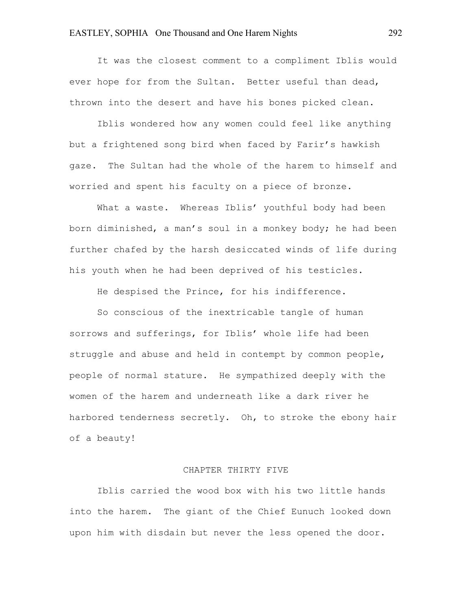It was the closest comment to a compliment Iblis would ever hope for from the Sultan. Better useful than dead, thrown into the desert and have his bones picked clean.

Iblis wondered how any women could feel like anything but a frightened song bird when faced by Farir's hawkish gaze. The Sultan had the whole of the harem to himself and worried and spent his faculty on a piece of bronze.

What a waste. Whereas Iblis' youthful body had been born diminished, a man's soul in a monkey body; he had been further chafed by the harsh desiccated winds of life during his youth when he had been deprived of his testicles.

He despised the Prince, for his indifference.

So conscious of the inextricable tangle of human sorrows and sufferings, for Iblis' whole life had been struggle and abuse and held in contempt by common people, people of normal stature. He sympathized deeply with the women of the harem and underneath like a dark river he harbored tenderness secretly. Oh, to stroke the ebony hair of a beauty!

#### CHAPTER THIRTY FIVE

Iblis carried the wood box with his two little hands into the harem. The giant of the Chief Eunuch looked down upon him with disdain but never the less opened the door.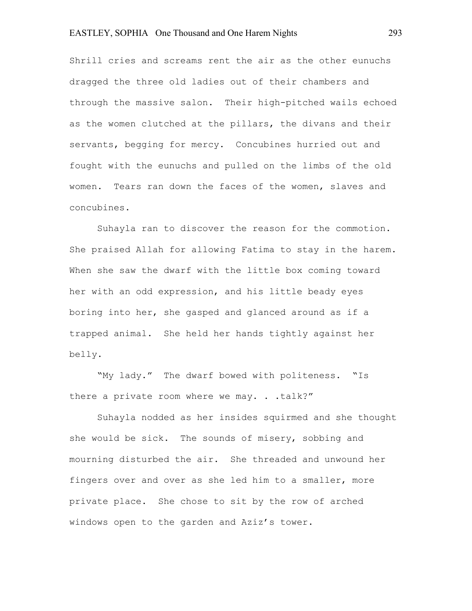Shrill cries and screams rent the air as the other eunuchs dragged the three old ladies out of their chambers and through the massive salon. Their high-pitched wails echoed as the women clutched at the pillars, the divans and their servants, begging for mercy. Concubines hurried out and fought with the eunuchs and pulled on the limbs of the old women. Tears ran down the faces of the women, slaves and concubines.

Suhayla ran to discover the reason for the commotion. She praised Allah for allowing Fatima to stay in the harem. When she saw the dwarf with the little box coming toward her with an odd expression, and his little beady eyes boring into her, she gasped and glanced around as if a trapped animal. She held her hands tightly against her belly.

"My lady." The dwarf bowed with politeness. "Is there a private room where we may. . . talk?"

Suhayla nodded as her insides squirmed and she thought she would be sick. The sounds of misery, sobbing and mourning disturbed the air. She threaded and unwound her fingers over and over as she led him to a smaller, more private place. She chose to sit by the row of arched windows open to the garden and Aziz's tower.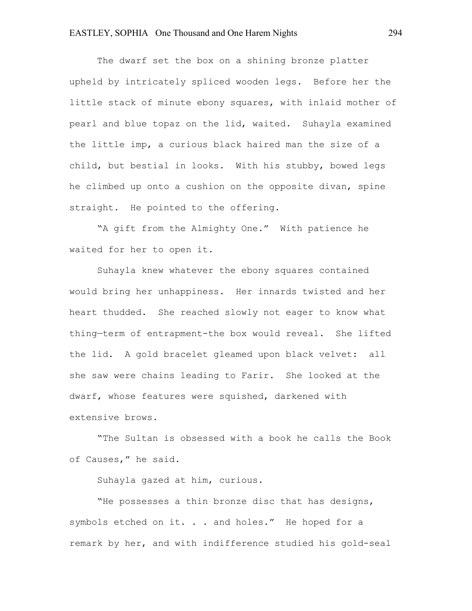The dwarf set the box on a shining bronze platter upheld by intricately spliced wooden legs. Before her the little stack of minute ebony squares, with inlaid mother of pearl and blue topaz on the lid, waited. Suhayla examined the little imp, a curious black haired man the size of a child, but bestial in looks. With his stubby, bowed legs he climbed up onto a cushion on the opposite divan, spine straight. He pointed to the offering.

"A gift from the Almighty One." With patience he waited for her to open it.

Suhayla knew whatever the ebony squares contained would bring her unhappiness. Her innards twisted and her heart thudded. She reached slowly not eager to know what thing—term of entrapment-the box would reveal. She lifted the lid. A gold bracelet gleamed upon black velvet: all she saw were chains leading to Farir. She looked at the dwarf, whose features were squished, darkened with extensive brows.

"The Sultan is obsessed with a book he calls the Book of Causes," he said.

Suhayla gazed at him, curious.

"He possesses a thin bronze disc that has designs, symbols etched on it. . . and holes." He hoped for a remark by her, and with indifference studied his gold-seal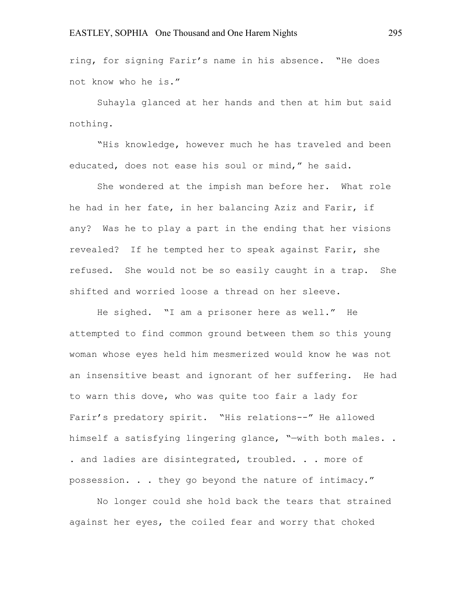ring, for signing Farir's name in his absence. "He does not know who he is."

Suhayla glanced at her hands and then at him but said nothing.

"His knowledge, however much he has traveled and been educated, does not ease his soul or mind," he said.

She wondered at the impish man before her. What role he had in her fate, in her balancing Aziz and Farir, if any? Was he to play a part in the ending that her visions revealed? If he tempted her to speak against Farir, she refused. She would not be so easily caught in a trap. She shifted and worried loose a thread on her sleeve.

He sighed. "I am a prisoner here as well." He attempted to find common ground between them so this young woman whose eyes held him mesmerized would know he was not an insensitive beast and ignorant of her suffering. He had to warn this dove, who was quite too fair a lady for Farir's predatory spirit. "His relations--" He allowed himself a satisfying lingering glance, "—with both males. . . and ladies are disintegrated, troubled. . . more of possession. . . they go beyond the nature of intimacy."

No longer could she hold back the tears that strained against her eyes, the coiled fear and worry that choked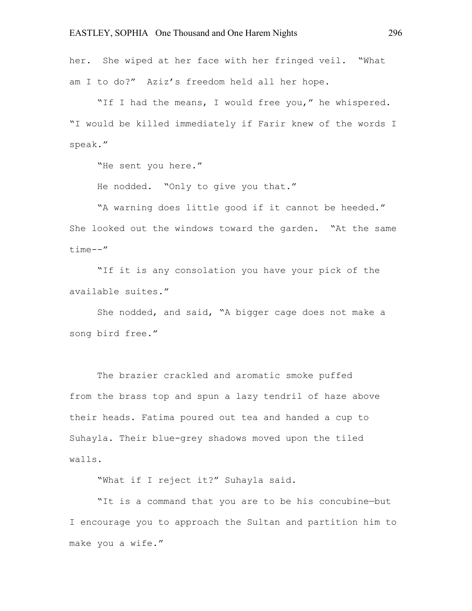her. She wiped at her face with her fringed veil. "What am I to do?" Aziz's freedom held all her hope.

"If I had the means, I would free you," he whispered. "I would be killed immediately if Farir knew of the words I speak."

"He sent you here."

He nodded. "Only to give you that."

"A warning does little good if it cannot be heeded." She looked out the windows toward the garden. "At the same time--"

"If it is any consolation you have your pick of the available suites."

She nodded, and said, "A bigger cage does not make a song bird free."

The brazier crackled and aromatic smoke puffed from the brass top and spun a lazy tendril of haze above their heads. Fatima poured out tea and handed a cup to Suhayla. Their blue-grey shadows moved upon the tiled walls.

"What if I reject it?" Suhayla said.

"It is a command that you are to be his concubine—but I encourage you to approach the Sultan and partition him to make you a wife."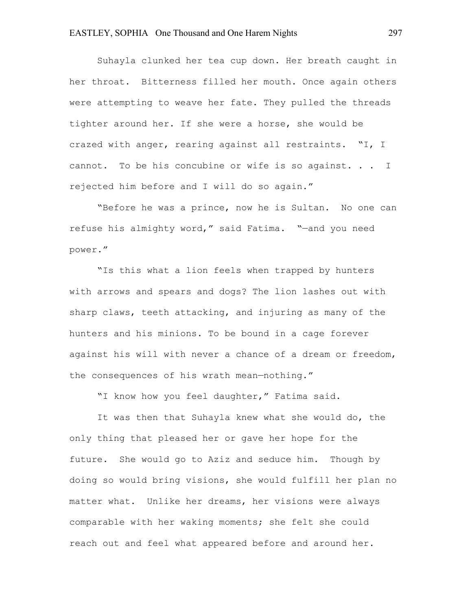Suhayla clunked her tea cup down. Her breath caught in her throat. Bitterness filled her mouth. Once again others were attempting to weave her fate. They pulled the threads tighter around her. If she were a horse, she would be crazed with anger, rearing against all restraints. "I, I cannot. To be his concubine or wife is so against. . . I rejected him before and I will do so again."

"Before he was a prince, now he is Sultan. No one can refuse his almighty word," said Fatima. "—and you need power."

"Is this what a lion feels when trapped by hunters with arrows and spears and dogs? The lion lashes out with sharp claws, teeth attacking, and injuring as many of the hunters and his minions. To be bound in a cage forever against his will with never a chance of a dream or freedom, the consequences of his wrath mean—nothing."

"I know how you feel daughter," Fatima said.

It was then that Suhayla knew what she would do, the only thing that pleased her or gave her hope for the future. She would go to Aziz and seduce him. Though by doing so would bring visions, she would fulfill her plan no matter what. Unlike her dreams, her visions were always comparable with her waking moments; she felt she could reach out and feel what appeared before and around her.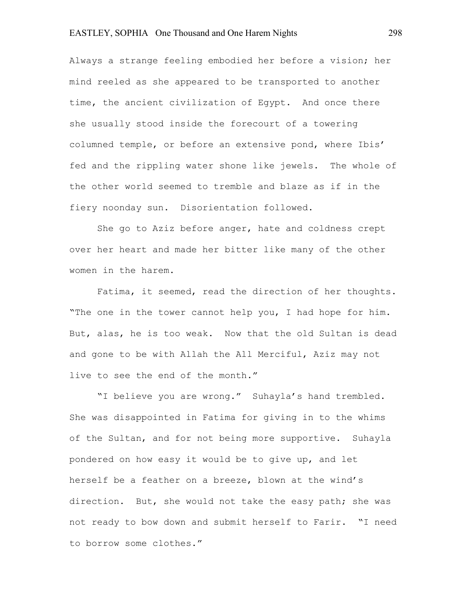Always a strange feeling embodied her before a vision; her mind reeled as she appeared to be transported to another time, the ancient civilization of Egypt. And once there she usually stood inside the forecourt of a towering columned temple, or before an extensive pond, where Ibis' fed and the rippling water shone like jewels. The whole of the other world seemed to tremble and blaze as if in the fiery noonday sun. Disorientation followed.

She go to Aziz before anger, hate and coldness crept over her heart and made her bitter like many of the other women in the harem.

Fatima, it seemed, read the direction of her thoughts. "The one in the tower cannot help you, I had hope for him. But, alas, he is too weak. Now that the old Sultan is dead and gone to be with Allah the All Merciful, Aziz may not live to see the end of the month."

"I believe you are wrong." Suhayla's hand trembled. She was disappointed in Fatima for giving in to the whims of the Sultan, and for not being more supportive. Suhayla pondered on how easy it would be to give up, and let herself be a feather on a breeze, blown at the wind's direction. But, she would not take the easy path; she was not ready to bow down and submit herself to Farir. "I need to borrow some clothes."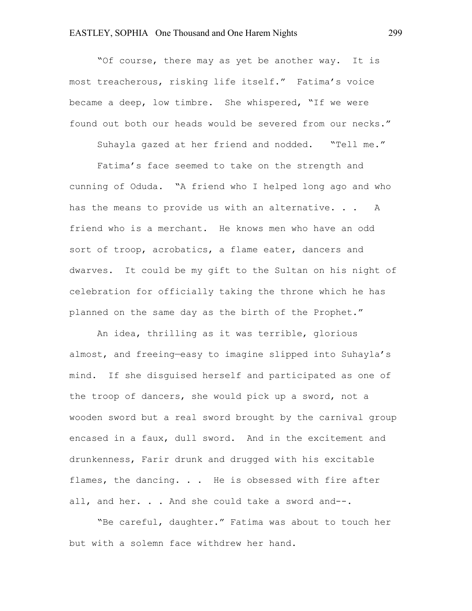"Of course, there may as yet be another way. It is most treacherous, risking life itself." Fatima's voice became a deep, low timbre. She whispered, "If we were found out both our heads would be severed from our necks."

Suhayla gazed at her friend and nodded. "Tell me."

Fatima's face seemed to take on the strength and cunning of Oduda. "A friend who I helped long ago and who has the means to provide us with an alternative. . . A friend who is a merchant. He knows men who have an odd sort of troop, acrobatics, a flame eater, dancers and dwarves. It could be my gift to the Sultan on his night of celebration for officially taking the throne which he has planned on the same day as the birth of the Prophet."

An idea, thrilling as it was terrible, glorious almost, and freeing—easy to imagine slipped into Suhayla's mind. If she disguised herself and participated as one of the troop of dancers, she would pick up a sword, not a wooden sword but a real sword brought by the carnival group encased in a faux, dull sword. And in the excitement and drunkenness, Farir drunk and drugged with his excitable flames, the dancing. . . He is obsessed with fire after all, and her. . . And she could take a sword and--.

"Be careful, daughter." Fatima was about to touch her but with a solemn face withdrew her hand.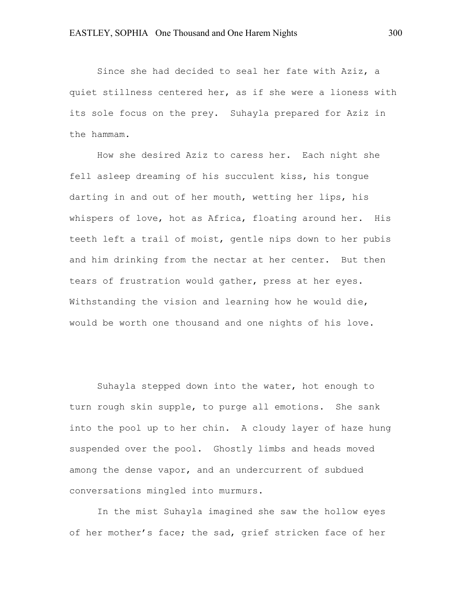Since she had decided to seal her fate with Aziz, a quiet stillness centered her, as if she were a lioness with its sole focus on the prey. Suhayla prepared for Aziz in the hammam.

How she desired Aziz to caress her. Each night she fell asleep dreaming of his succulent kiss, his tongue darting in and out of her mouth, wetting her lips, his whispers of love, hot as Africa, floating around her. His teeth left a trail of moist, gentle nips down to her pubis and him drinking from the nectar at her center. But then tears of frustration would gather, press at her eyes. Withstanding the vision and learning how he would die, would be worth one thousand and one nights of his love.

Suhayla stepped down into the water, hot enough to turn rough skin supple, to purge all emotions. She sank into the pool up to her chin. A cloudy layer of haze hung suspended over the pool. Ghostly limbs and heads moved among the dense vapor, and an undercurrent of subdued conversations mingled into murmurs.

In the mist Suhayla imagined she saw the hollow eyes of her mother's face; the sad, grief stricken face of her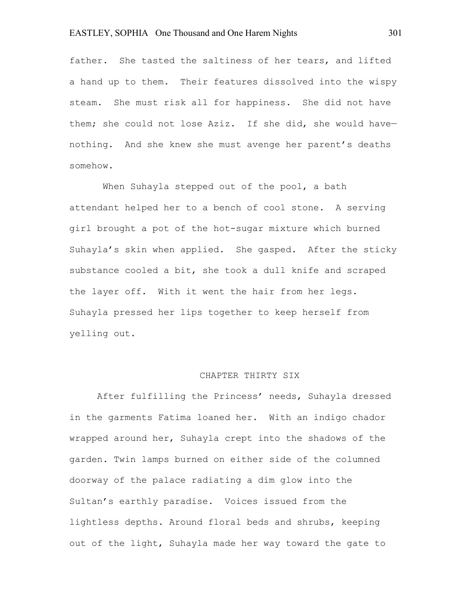father. She tasted the saltiness of her tears, and lifted a hand up to them. Their features dissolved into the wispy steam. She must risk all for happiness. She did not have them; she could not lose Aziz. If she did, she would havenothing. And she knew she must avenge her parent's deaths somehow.

When Suhayla stepped out of the pool, a bath attendant helped her to a bench of cool stone. A serving girl brought a pot of the hot-sugar mixture which burned Suhayla's skin when applied. She gasped. After the sticky substance cooled a bit, she took a dull knife and scraped the layer off. With it went the hair from her legs. Suhayla pressed her lips together to keep herself from yelling out.

#### CHAPTER THIRTY SIX

After fulfilling the Princess' needs, Suhayla dressed in the garments Fatima loaned her. With an indigo chador wrapped around her, Suhayla crept into the shadows of the garden. Twin lamps burned on either side of the columned doorway of the palace radiating a dim glow into the Sultan's earthly paradise. Voices issued from the lightless depths. Around floral beds and shrubs, keeping out of the light, Suhayla made her way toward the gate to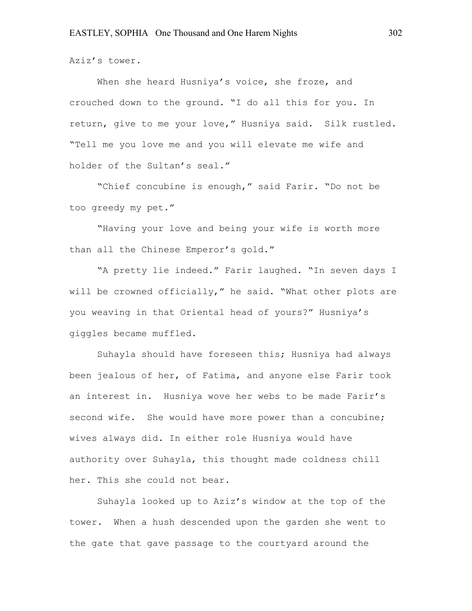Aziz's tower.

When she heard Husniya's voice, she froze, and crouched down to the ground. "I do all this for you. In return, give to me your love," Husniya said. Silk rustled. "Tell me you love me and you will elevate me wife and holder of the Sultan's seal."

"Chief concubine is enough," said Farir. "Do not be too greedy my pet."

"Having your love and being your wife is worth more than all the Chinese Emperor's gold."

"A pretty lie indeed." Farir laughed. "In seven days I will be crowned officially," he said. "What other plots are you weaving in that Oriental head of yours?" Husniya's giggles became muffled.

Suhayla should have foreseen this; Husniya had always been jealous of her, of Fatima, and anyone else Farir took an interest in. Husniya wove her webs to be made Farir's second wife. She would have more power than a concubine; wives always did. In either role Husniya would have authority over Suhayla, this thought made coldness chill her. This she could not bear.

Suhayla looked up to Aziz's window at the top of the tower. When a hush descended upon the garden she went to the gate that gave passage to the courtyard around the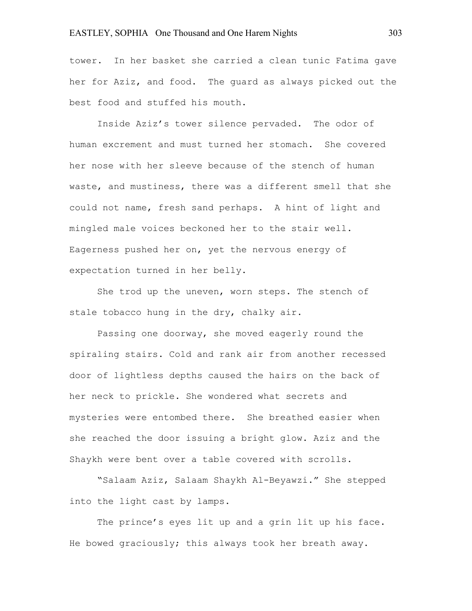tower. In her basket she carried a clean tunic Fatima gave her for Aziz, and food. The guard as always picked out the best food and stuffed his mouth.

Inside Aziz's tower silence pervaded. The odor of human excrement and must turned her stomach. She covered her nose with her sleeve because of the stench of human waste, and mustiness, there was a different smell that she could not name, fresh sand perhaps. A hint of light and mingled male voices beckoned her to the stair well. Eagerness pushed her on, yet the nervous energy of expectation turned in her belly.

She trod up the uneven, worn steps. The stench of stale tobacco hung in the dry, chalky air.

Passing one doorway, she moved eagerly round the spiraling stairs. Cold and rank air from another recessed door of lightless depths caused the hairs on the back of her neck to prickle. She wondered what secrets and mysteries were entombed there. She breathed easier when she reached the door issuing a bright glow. Aziz and the Shaykh were bent over a table covered with scrolls.

"Salaam Aziz, Salaam Shaykh Al-Beyawzi." She stepped into the light cast by lamps.

The prince's eyes lit up and a grin lit up his face. He bowed graciously; this always took her breath away.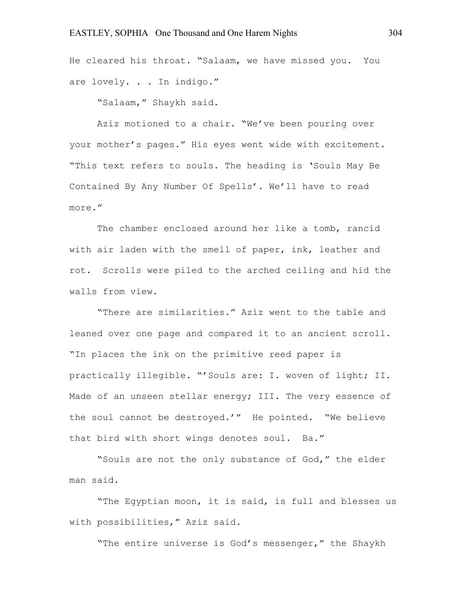He cleared his throat. "Salaam, we have missed you. You are lovely. . . In indigo."

"Salaam," Shaykh said.

Aziz motioned to a chair. "We've been pouring over your mother's pages." His eyes went wide with excitement. "This text refers to souls. The heading is 'Souls May Be Contained By Any Number Of Spells'. We'll have to read more."

The chamber enclosed around her like a tomb, rancid with air laden with the smell of paper, ink, leather and rot. Scrolls were piled to the arched ceiling and hid the walls from view.

"There are similarities." Aziz went to the table and leaned over one page and compared it to an ancient scroll. "In places the ink on the primitive reed paper is practically illegible. "'Souls are: I. woven of light; II. Made of an unseen stellar energy; III. The very essence of the soul cannot be destroyed.'" He pointed. "We believe that bird with short wings denotes soul. Ba."

"Souls are not the only substance of God," the elder man said.

"The Egyptian moon, it is said, is full and blesses us with possibilities," Aziz said.

"The entire universe is God's messenger," the Shaykh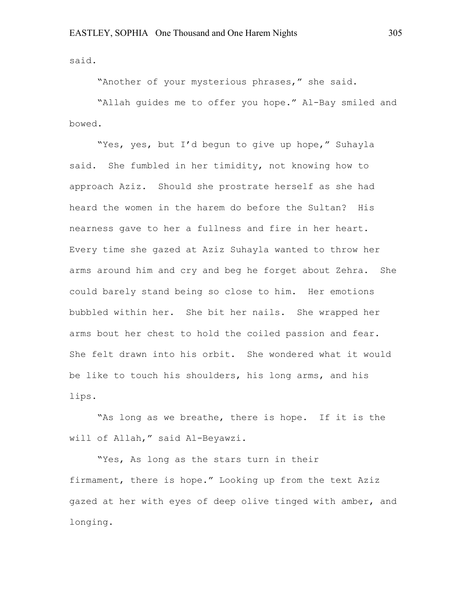said.

"Another of your mysterious phrases," she said.

"Allah guides me to offer you hope." Al-Bay smiled and bowed.

"Yes, yes, but I'd begun to give up hope," Suhayla said. She fumbled in her timidity, not knowing how to approach Aziz. Should she prostrate herself as she had heard the women in the harem do before the Sultan? His nearness gave to her a fullness and fire in her heart. Every time she gazed at Aziz Suhayla wanted to throw her arms around him and cry and beg he forget about Zehra. She could barely stand being so close to him. Her emotions bubbled within her. She bit her nails. She wrapped her arms bout her chest to hold the coiled passion and fear. She felt drawn into his orbit. She wondered what it would be like to touch his shoulders, his long arms, and his lips.

"As long as we breathe, there is hope. If it is the will of Allah," said Al-Beyawzi.

"Yes, As long as the stars turn in their firmament, there is hope." Looking up from the text Aziz gazed at her with eyes of deep olive tinged with amber, and longing.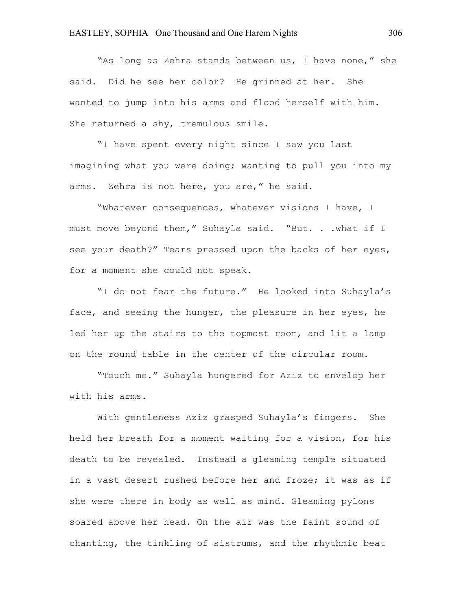"As long as Zehra stands between us, I have none," she said. Did he see her color? He grinned at her. She wanted to jump into his arms and flood herself with him. She returned a shy, tremulous smile.

"I have spent every night since I saw you last imagining what you were doing; wanting to pull you into my arms. Zehra is not here, you are," he said.

"Whatever consequences, whatever visions I have, I must move beyond them," Suhayla said. "But. . .what if I see your death?" Tears pressed upon the backs of her eyes, for a moment she could not speak.

"I do not fear the future." He looked into Suhayla's face, and seeing the hunger, the pleasure in her eyes, he led her up the stairs to the topmost room, and lit a lamp on the round table in the center of the circular room.

"Touch me." Suhayla hungered for Aziz to envelop her with his arms.

With gentleness Aziz grasped Suhayla's fingers. She held her breath for a moment waiting for a vision, for his death to be revealed. Instead a gleaming temple situated in a vast desert rushed before her and froze; it was as if she were there in body as well as mind. Gleaming pylons soared above her head. On the air was the faint sound of chanting, the tinkling of sistrums, and the rhythmic beat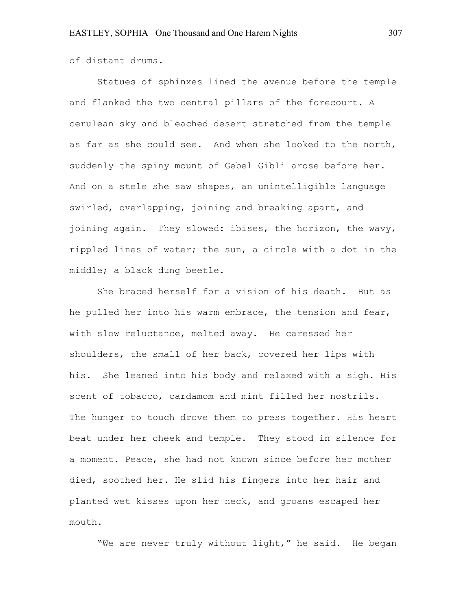of distant drums.

Statues of sphinxes lined the avenue before the temple and flanked the two central pillars of the forecourt. A cerulean sky and bleached desert stretched from the temple as far as she could see. And when she looked to the north, suddenly the spiny mount of Gebel Gibli arose before her. And on a stele she saw shapes, an unintelligible language swirled, overlapping, joining and breaking apart, and joining again. They slowed: ibises, the horizon, the wavy, rippled lines of water; the sun, a circle with a dot in the middle; a black dung beetle.

She braced herself for a vision of his death. But as he pulled her into his warm embrace, the tension and fear, with slow reluctance, melted away. He caressed her shoulders, the small of her back, covered her lips with his. She leaned into his body and relaxed with a sigh. His scent of tobacco, cardamom and mint filled her nostrils. The hunger to touch drove them to press together. His heart beat under her cheek and temple. They stood in silence for a moment. Peace, she had not known since before her mother died, soothed her. He slid his fingers into her hair and planted wet kisses upon her neck, and groans escaped her mouth.

"We are never truly without light," he said. He began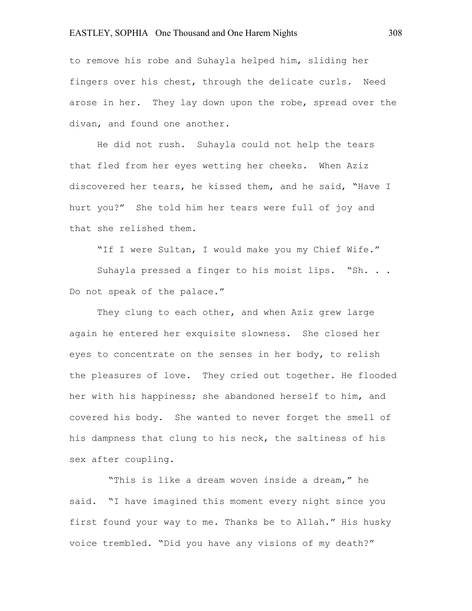to remove his robe and Suhayla helped him, sliding her fingers over his chest, through the delicate curls. Need arose in her. They lay down upon the robe, spread over the divan, and found one another.

He did not rush. Suhayla could not help the tears that fled from her eyes wetting her cheeks. When Aziz discovered her tears, he kissed them, and he said, "Have I hurt you?" She told him her tears were full of joy and that she relished them.

"If I were Sultan, I would make you my Chief Wife."

Suhayla pressed a finger to his moist lips. "Sh. .. Do not speak of the palace."

They clung to each other, and when Aziz grew large again he entered her exquisite slowness. She closed her eyes to concentrate on the senses in her body, to relish the pleasures of love. They cried out together. He flooded her with his happiness; she abandoned herself to him, and covered his body. She wanted to never forget the smell of his dampness that clung to his neck, the saltiness of his sex after coupling.

 "This is like a dream woven inside a dream," he said. "I have imagined this moment every night since you first found your way to me. Thanks be to Allah." His husky voice trembled. "Did you have any visions of my death?"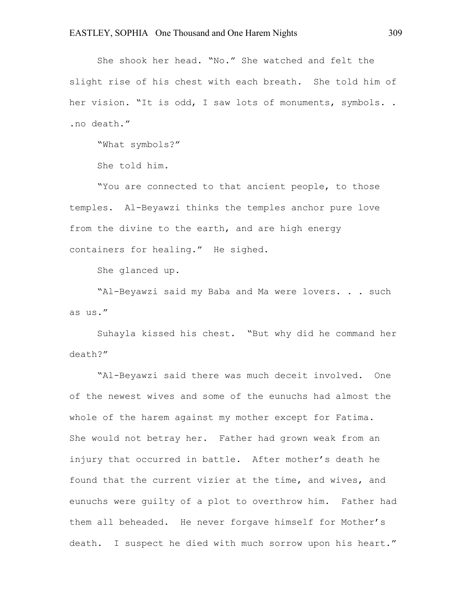She shook her head. "No." She watched and felt the slight rise of his chest with each breath. She told him of her vision. "It is odd, I saw lots of monuments, symbols. . .no death."

"What symbols?"

She told him.

"You are connected to that ancient people, to those temples. Al-Beyawzi thinks the temples anchor pure love from the divine to the earth, and are high energy containers for healing." He sighed.

She glanced up.

"Al-Beyawzi said my Baba and Ma were lovers. . . such as us."

Suhayla kissed his chest. "But why did he command her death?"

"Al-Beyawzi said there was much deceit involved. One of the newest wives and some of the eunuchs had almost the whole of the harem against my mother except for Fatima. She would not betray her. Father had grown weak from an injury that occurred in battle. After mother's death he found that the current vizier at the time, and wives, and eunuchs were guilty of a plot to overthrow him. Father had them all beheaded. He never forgave himself for Mother's death. I suspect he died with much sorrow upon his heart."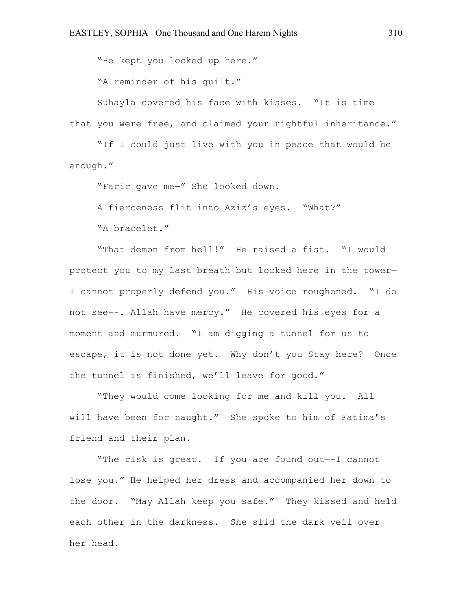"He kept you locked up here."

"A reminder of his guilt."

Suhayla covered his face with kisses. "It is time that you were free, and claimed your rightful inheritance."

"If I could just live with you in peace that would be enough."

"Farir gave me—" She looked down.

A fierceness flit into Aziz's eyes. "What?"

"A bracelet."

"That demon from hell!" He raised a fist. "I would protect you to my last breath but locked here in the tower— I cannot properly defend you." His voice roughened. "I do not see--. Allah have mercy." He covered his eyes for a moment and murmured. "I am digging a tunnel for us to escape, it is not done yet. Why don't you Stay here? Once the tunnel is finished, we'll leave for good."

"They would come looking for me and kill you. All will have been for naught." She spoke to him of Fatima's friend and their plan.

"The risk is great. If you are found out—-I cannot lose you." He helped her dress and accompanied her down to the door. "May Allah keep you safe." They kissed and held each other in the darkness. She slid the dark veil over her head.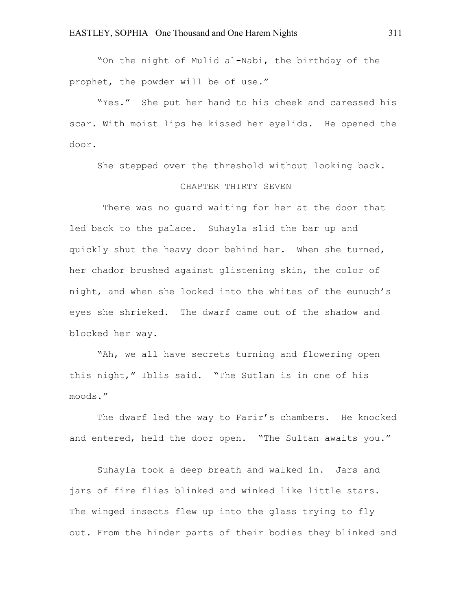"On the night of Mulid al-Nabi, the birthday of the prophet, the powder will be of use."

"Yes." She put her hand to his cheek and caressed his scar. With moist lips he kissed her eyelids. He opened the door.

She stepped over the threshold without looking back.

#### CHAPTER THIRTY SEVEN

There was no guard waiting for her at the door that led back to the palace. Suhayla slid the bar up and quickly shut the heavy door behind her. When she turned, her chador brushed against glistening skin, the color of night, and when she looked into the whites of the eunuch's eyes she shrieked. The dwarf came out of the shadow and blocked her way.

"Ah, we all have secrets turning and flowering open this night," Iblis said. "The Sutlan is in one of his moods."

The dwarf led the way to Farir's chambers. He knocked and entered, held the door open. "The Sultan awaits you."

Suhayla took a deep breath and walked in. Jars and jars of fire flies blinked and winked like little stars. The winged insects flew up into the glass trying to fly out. From the hinder parts of their bodies they blinked and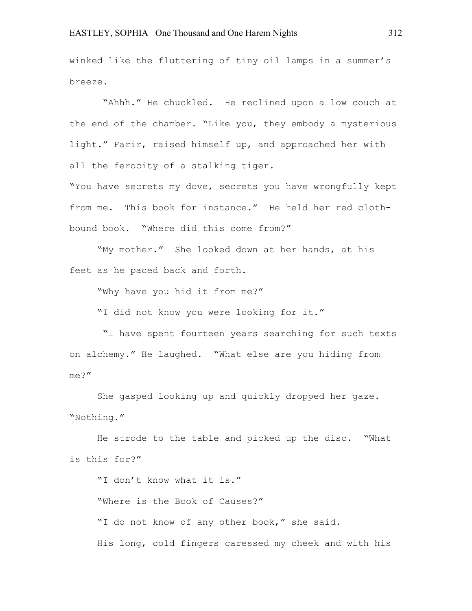winked like the fluttering of tiny oil lamps in a summer's breeze.

"Ahhh." He chuckled. He reclined upon a low couch at the end of the chamber. "Like you, they embody a mysterious light." Farir, raised himself up, and approached her with all the ferocity of a stalking tiger.

"You have secrets my dove, secrets you have wrongfully kept from me. This book for instance." He held her red clothbound book. "Where did this come from?"

"My mother." She looked down at her hands, at his feet as he paced back and forth.

"Why have you hid it from me?"

"I did not know you were looking for it."

"I have spent fourteen years searching for such texts on alchemy." He laughed. "What else are you hiding from me?"

She gasped looking up and quickly dropped her gaze. "Nothing."

He strode to the table and picked up the disc. "What is this for?"

"I don't know what it is." "Where is the Book of Causes?" "I do not know of any other book," she said. His long, cold fingers caressed my cheek and with his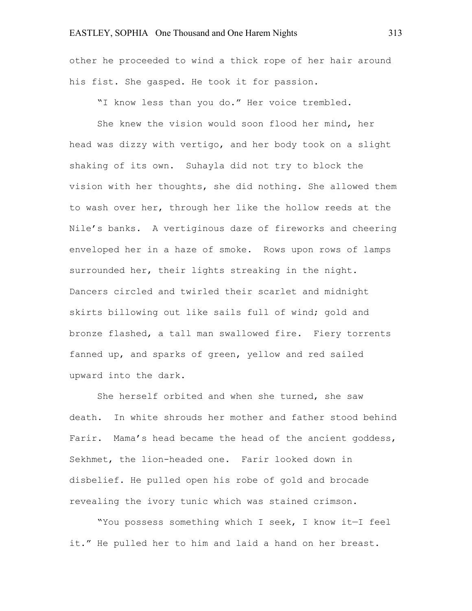other he proceeded to wind a thick rope of her hair around his fist. She gasped. He took it for passion.

"I know less than you do." Her voice trembled.

She knew the vision would soon flood her mind, her head was dizzy with vertigo, and her body took on a slight shaking of its own. Suhayla did not try to block the vision with her thoughts, she did nothing. She allowed them to wash over her, through her like the hollow reeds at the Nile's banks. A vertiginous daze of fireworks and cheering enveloped her in a haze of smoke. Rows upon rows of lamps surrounded her, their lights streaking in the night. Dancers circled and twirled their scarlet and midnight skirts billowing out like sails full of wind; gold and bronze flashed, a tall man swallowed fire. Fiery torrents fanned up, and sparks of green, yellow and red sailed upward into the dark.

She herself orbited and when she turned, she saw death. In white shrouds her mother and father stood behind Farir. Mama's head became the head of the ancient goddess, Sekhmet, the lion-headed one. Farir looked down in disbelief. He pulled open his robe of gold and brocade revealing the ivory tunic which was stained crimson.

"You possess something which I seek, I know it—I feel it." He pulled her to him and laid a hand on her breast.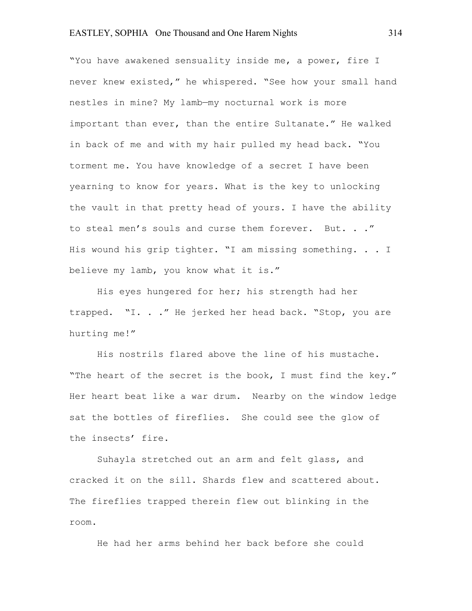"You have awakened sensuality inside me, a power, fire I never knew existed," he whispered. "See how your small hand nestles in mine? My lamb—my nocturnal work is more important than ever, than the entire Sultanate." He walked in back of me and with my hair pulled my head back. "You torment me. You have knowledge of a secret I have been yearning to know for years. What is the key to unlocking the vault in that pretty head of yours. I have the ability to steal men's souls and curse them forever. But. . ." His wound his grip tighter. "I am missing something. . . I believe my lamb, you know what it is."

His eyes hungered for her; his strength had her trapped. "I. . ." He jerked her head back. "Stop, you are hurting me!"

His nostrils flared above the line of his mustache. "The heart of the secret is the book, I must find the key." Her heart beat like a war drum. Nearby on the window ledge sat the bottles of fireflies. She could see the glow of the insects' fire.

Suhayla stretched out an arm and felt glass, and cracked it on the sill. Shards flew and scattered about. The fireflies trapped therein flew out blinking in the room.

He had her arms behind her back before she could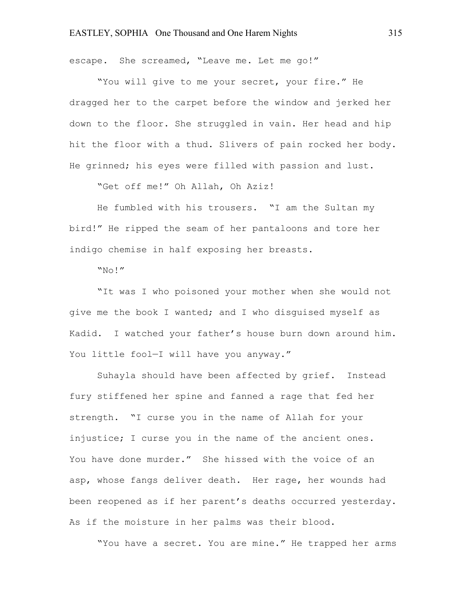escape. She screamed, "Leave me. Let me go!"

"You will give to me your secret, your fire." He dragged her to the carpet before the window and jerked her down to the floor. She struggled in vain. Her head and hip hit the floor with a thud. Slivers of pain rocked her body. He grinned; his eyes were filled with passion and lust.

"Get off me!" Oh Allah, Oh Aziz!

He fumbled with his trousers. "I am the Sultan my bird!" He ripped the seam of her pantaloons and tore her indigo chemise in half exposing her breasts.

"No!"

"It was I who poisoned your mother when she would not give me the book I wanted; and I who disguised myself as Kadid. I watched your father's house burn down around him. You little fool-I will have you anyway."

Suhayla should have been affected by grief. Instead fury stiffened her spine and fanned a rage that fed her strength. "I curse you in the name of Allah for your injustice; I curse you in the name of the ancient ones. You have done murder." She hissed with the voice of an asp, whose fangs deliver death. Her rage, her wounds had been reopened as if her parent's deaths occurred yesterday. As if the moisture in her palms was their blood.

"You have a secret. You are mine." He trapped her arms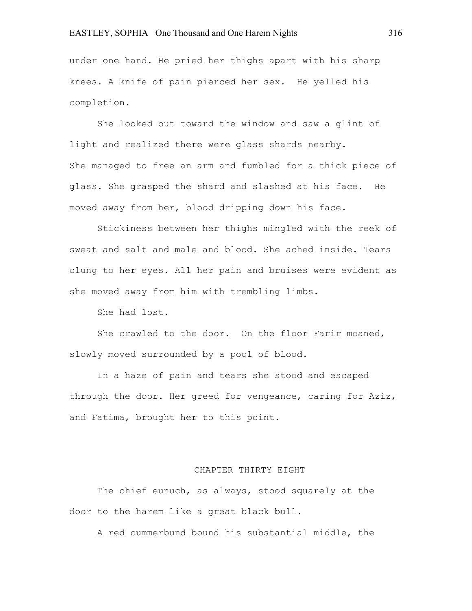under one hand. He pried her thighs apart with his sharp knees. A knife of pain pierced her sex. He yelled his completion.

She looked out toward the window and saw a glint of light and realized there were glass shards nearby. She managed to free an arm and fumbled for a thick piece of glass. She grasped the shard and slashed at his face. He moved away from her, blood dripping down his face.

Stickiness between her thighs mingled with the reek of sweat and salt and male and blood. She ached inside. Tears clung to her eyes. All her pain and bruises were evident as she moved away from him with trembling limbs.

She had lost.

She crawled to the door. On the floor Farir moaned, slowly moved surrounded by a pool of blood.

In a haze of pain and tears she stood and escaped through the door. Her greed for vengeance, caring for Aziz, and Fatima, brought her to this point.

#### CHAPTER THIRTY EIGHT

The chief eunuch, as always, stood squarely at the door to the harem like a great black bull.

A red cummerbund bound his substantial middle, the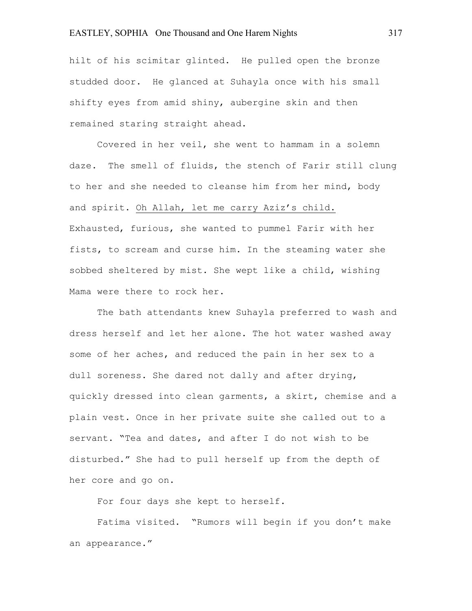hilt of his scimitar glinted. He pulled open the bronze studded door. He glanced at Suhayla once with his small shifty eyes from amid shiny, aubergine skin and then remained staring straight ahead.

Covered in her veil, she went to hammam in a solemn daze. The smell of fluids, the stench of Farir still clung to her and she needed to cleanse him from her mind, body and spirit. Oh Allah, let me carry Aziz's child. Exhausted, furious, she wanted to pummel Farir with her fists, to scream and curse him. In the steaming water she sobbed sheltered by mist. She wept like a child, wishing Mama were there to rock her.

The bath attendants knew Suhayla preferred to wash and dress herself and let her alone. The hot water washed away some of her aches, and reduced the pain in her sex to a dull soreness. She dared not dally and after drying, quickly dressed into clean garments, a skirt, chemise and a plain vest. Once in her private suite she called out to a servant. "Tea and dates, and after I do not wish to be disturbed." She had to pull herself up from the depth of her core and go on.

For four days she kept to herself.

Fatima visited. "Rumors will begin if you don't make an appearance."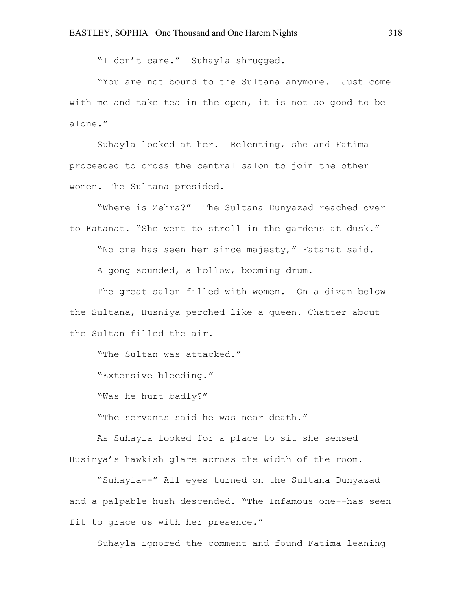"I don't care." Suhayla shrugged.

"You are not bound to the Sultana anymore. Just come with me and take tea in the open, it is not so good to be alone."

Suhayla looked at her. Relenting, she and Fatima proceeded to cross the central salon to join the other women. The Sultana presided.

"Where is Zehra?" The Sultana Dunyazad reached over to Fatanat. "She went to stroll in the gardens at dusk."

"No one has seen her since majesty," Fatanat said.

A gong sounded, a hollow, booming drum.

The great salon filled with women. On a divan below the Sultana, Husniya perched like a queen. Chatter about the Sultan filled the air.

"The Sultan was attacked."

"Extensive bleeding."

"Was he hurt badly?"

"The servants said he was near death."

As Suhayla looked for a place to sit she sensed Husinya's hawkish glare across the width of the room.

"Suhayla--" All eyes turned on the Sultana Dunyazad and a palpable hush descended. "The Infamous one--has seen fit to grace us with her presence."

Suhayla ignored the comment and found Fatima leaning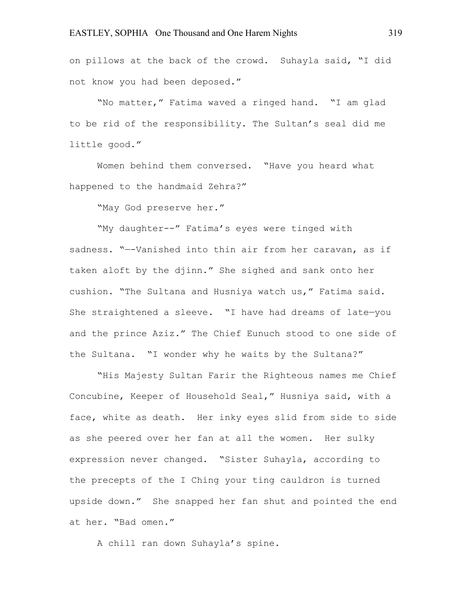on pillows at the back of the crowd. Suhayla said, "I did not know you had been deposed."

"No matter," Fatima waved a ringed hand. "I am glad to be rid of the responsibility. The Sultan's seal did me little good."

Women behind them conversed. "Have you heard what happened to the handmaid Zehra?"

"May God preserve her."

"My daughter--" Fatima's eyes were tinged with sadness. "—-Vanished into thin air from her caravan, as if taken aloft by the djinn." She sighed and sank onto her cushion. "The Sultana and Husniya watch us," Fatima said. She straightened a sleeve. "I have had dreams of late—you and the prince Aziz." The Chief Eunuch stood to one side of the Sultana. "I wonder why he waits by the Sultana?"

"His Majesty Sultan Farir the Righteous names me Chief Concubine, Keeper of Household Seal," Husniya said, with a face, white as death. Her inky eyes slid from side to side as she peered over her fan at all the women. Her sulky expression never changed. "Sister Suhayla, according to the precepts of the I Ching your ting cauldron is turned upside down." She snapped her fan shut and pointed the end at her. "Bad omen."

A chill ran down Suhayla's spine.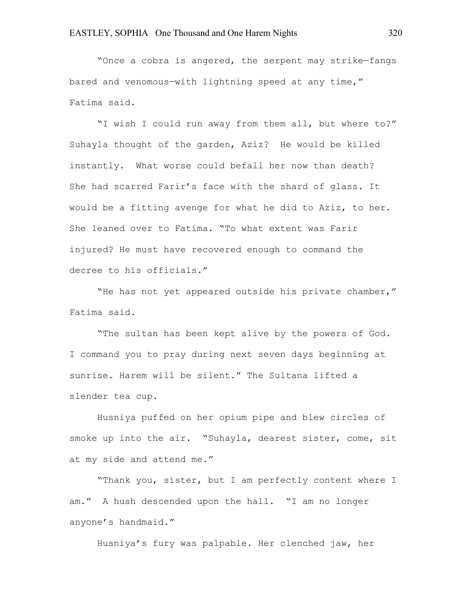"Once a cobra is angered, the serpent may strike—fangs bared and venomous—with lightning speed at any time," Fatima said.

"I wish I could run away from them all, but where to?" Suhayla thought of the garden, Aziz? He would be killed instantly. What worse could befall her now than death? She had scarred Farir's face with the shard of glass. It would be a fitting avenge for what he did to Aziz, to her. She leaned over to Fatima. "To what extent was Farir injured? He must have recovered enough to command the decree to his officials."

"He has not yet appeared outside his private chamber," Fatima said.

"The sultan has been kept alive by the powers of God. I command you to pray during next seven days beginning at sunrise. Harem will be silent." The Sultana lifted a slender tea cup.

Husniya puffed on her opium pipe and blew circles of smoke up into the air. "Suhayla, dearest sister, come, sit at my side and attend me."

"Thank you, sister, but I am perfectly content where I am." A hush descended upon the hall. "I am no longer anyone's handmaid."

Husniya's fury was palpable. Her clenched jaw, her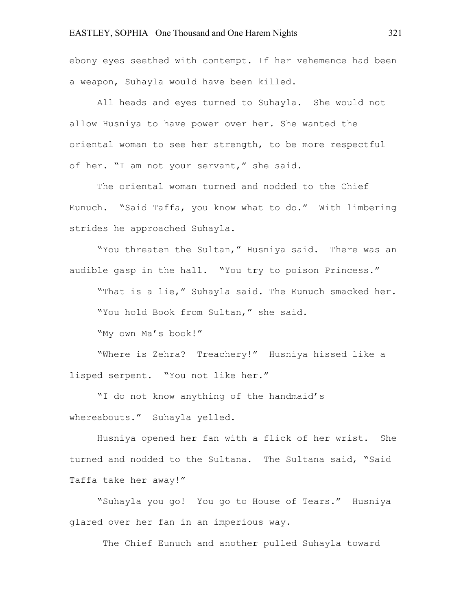ebony eyes seethed with contempt. If her vehemence had been a weapon, Suhayla would have been killed.

All heads and eyes turned to Suhayla. She would not allow Husniya to have power over her. She wanted the oriental woman to see her strength, to be more respectful of her. "I am not your servant," she said.

The oriental woman turned and nodded to the Chief Eunuch. "Said Taffa, you know what to do." With limbering strides he approached Suhayla.

"You threaten the Sultan," Husniya said. There was an audible gasp in the hall. "You try to poison Princess."

"That is a lie," Suhayla said. The Eunuch smacked her. "You hold Book from Sultan," she said.

"My own Ma's book!"

"Where is Zehra? Treachery!" Husniya hissed like a lisped serpent. "You not like her."

"I do not know anything of the handmaid's whereabouts." Suhayla yelled.

Husniya opened her fan with a flick of her wrist. She turned and nodded to the Sultana. The Sultana said, "Said Taffa take her away!"

"Suhayla you go! You go to House of Tears." Husniya glared over her fan in an imperious way.

The Chief Eunuch and another pulled Suhayla toward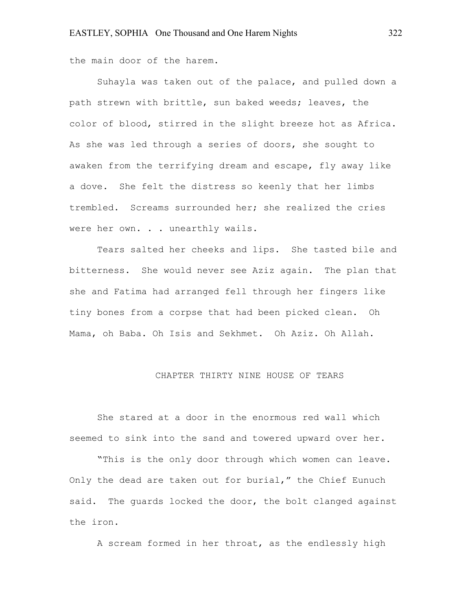the main door of the harem.

Suhayla was taken out of the palace, and pulled down a path strewn with brittle, sun baked weeds; leaves, the color of blood, stirred in the slight breeze hot as Africa. As she was led through a series of doors, she sought to awaken from the terrifying dream and escape, fly away like a dove. She felt the distress so keenly that her limbs trembled. Screams surrounded her; she realized the cries were her own. . . unearthly wails.

Tears salted her cheeks and lips. She tasted bile and bitterness. She would never see Aziz again. The plan that she and Fatima had arranged fell through her fingers like tiny bones from a corpse that had been picked clean. Oh Mama, oh Baba. Oh Isis and Sekhmet. Oh Aziz. Oh Allah.

#### CHAPTER THIRTY NINE HOUSE OF TEARS

She stared at a door in the enormous red wall which seemed to sink into the sand and towered upward over her.

"This is the only door through which women can leave. Only the dead are taken out for burial," the Chief Eunuch said. The quards locked the door, the bolt clanged against the iron.

A scream formed in her throat, as the endlessly high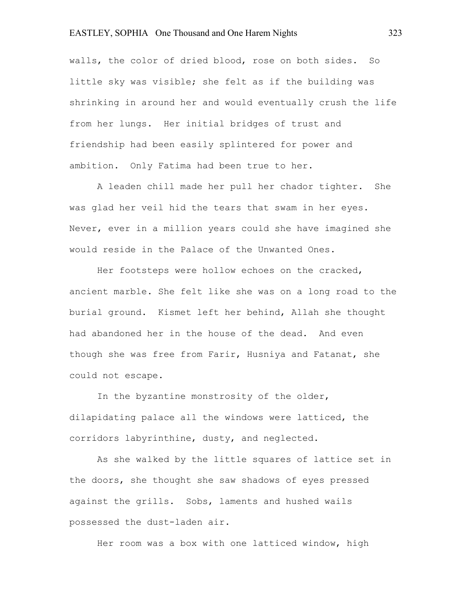walls, the color of dried blood, rose on both sides. So little sky was visible; she felt as if the building was shrinking in around her and would eventually crush the life from her lungs. Her initial bridges of trust and friendship had been easily splintered for power and ambition. Only Fatima had been true to her.

A leaden chill made her pull her chador tighter. She was glad her veil hid the tears that swam in her eyes. Never, ever in a million years could she have imagined she would reside in the Palace of the Unwanted Ones.

Her footsteps were hollow echoes on the cracked, ancient marble. She felt like she was on a long road to the burial ground. Kismet left her behind, Allah she thought had abandoned her in the house of the dead. And even though she was free from Farir, Husniya and Fatanat, she could not escape.

In the byzantine monstrosity of the older, dilapidating palace all the windows were latticed, the corridors labyrinthine, dusty, and neglected.

As she walked by the little squares of lattice set in the doors, she thought she saw shadows of eyes pressed against the grills. Sobs, laments and hushed wails possessed the dust-laden air.

Her room was a box with one latticed window, high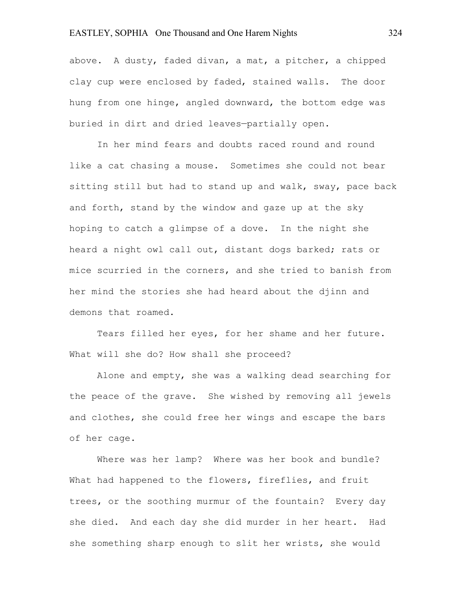above. A dusty, faded divan, a mat, a pitcher, a chipped clay cup were enclosed by faded, stained walls. The door hung from one hinge, angled downward, the bottom edge was buried in dirt and dried leaves—partially open.

In her mind fears and doubts raced round and round like a cat chasing a mouse. Sometimes she could not bear sitting still but had to stand up and walk, sway, pace back and forth, stand by the window and gaze up at the sky hoping to catch a glimpse of a dove. In the night she heard a night owl call out, distant dogs barked; rats or mice scurried in the corners, and she tried to banish from her mind the stories she had heard about the djinn and demons that roamed.

Tears filled her eyes, for her shame and her future. What will she do? How shall she proceed?

Alone and empty, she was a walking dead searching for the peace of the grave. She wished by removing all jewels and clothes, she could free her wings and escape the bars of her cage.

Where was her lamp? Where was her book and bundle? What had happened to the flowers, fireflies, and fruit trees, or the soothing murmur of the fountain? Every day she died. And each day she did murder in her heart. Had she something sharp enough to slit her wrists, she would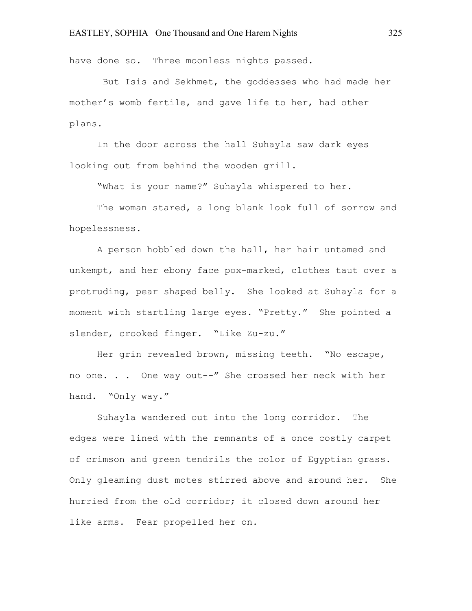have done so. Three moonless nights passed.

But Isis and Sekhmet, the goddesses who had made her mother's womb fertile, and gave life to her, had other plans.

In the door across the hall Suhayla saw dark eyes looking out from behind the wooden grill.

"What is your name?" Suhayla whispered to her.

The woman stared, a long blank look full of sorrow and hopelessness.

A person hobbled down the hall, her hair untamed and unkempt, and her ebony face pox-marked, clothes taut over a protruding, pear shaped belly. She looked at Suhayla for a moment with startling large eyes. "Pretty." She pointed a slender, crooked finger. "Like Zu-zu."

Her grin revealed brown, missing teeth. "No escape, no one. . . One way out--" She crossed her neck with her hand. "Only way."

Suhayla wandered out into the long corridor. The edges were lined with the remnants of a once costly carpet of crimson and green tendrils the color of Egyptian grass. Only gleaming dust motes stirred above and around her. She hurried from the old corridor; it closed down around her like arms. Fear propelled her on.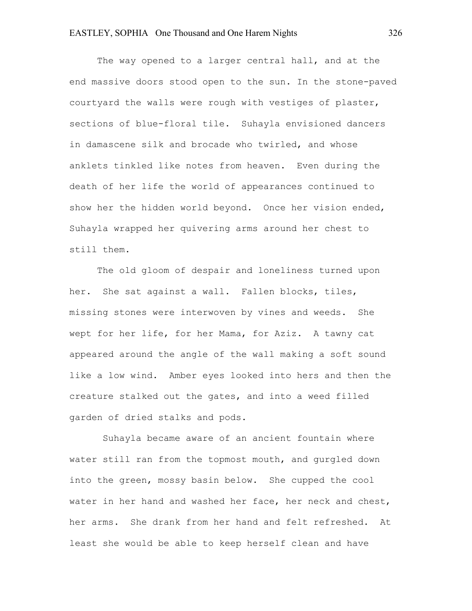The way opened to a larger central hall, and at the end massive doors stood open to the sun. In the stone-paved courtyard the walls were rough with vestiges of plaster, sections of blue-floral tile. Suhayla envisioned dancers in damascene silk and brocade who twirled, and whose anklets tinkled like notes from heaven. Even during the death of her life the world of appearances continued to show her the hidden world beyond. Once her vision ended, Suhayla wrapped her quivering arms around her chest to still them.

The old gloom of despair and loneliness turned upon her. She sat against a wall. Fallen blocks, tiles, missing stones were interwoven by vines and weeds. She wept for her life, for her Mama, for Aziz. A tawny cat appeared around the angle of the wall making a soft sound like a low wind. Amber eyes looked into hers and then the creature stalked out the gates, and into a weed filled garden of dried stalks and pods.

Suhayla became aware of an ancient fountain where water still ran from the topmost mouth, and gurgled down into the green, mossy basin below. She cupped the cool water in her hand and washed her face, her neck and chest, her arms. She drank from her hand and felt refreshed. At least she would be able to keep herself clean and have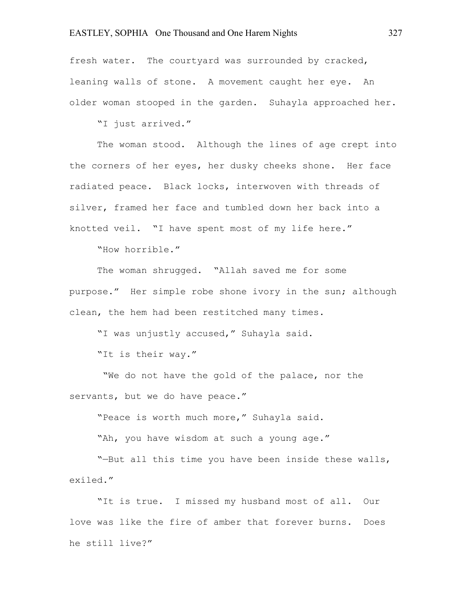fresh water. The courtyard was surrounded by cracked, leaning walls of stone. A movement caught her eye. An older woman stooped in the garden. Suhayla approached her.

"I just arrived."

The woman stood. Although the lines of age crept into the corners of her eyes, her dusky cheeks shone. Her face radiated peace. Black locks, interwoven with threads of silver, framed her face and tumbled down her back into a knotted veil. "I have spent most of my life here."

"How horrible."

The woman shrugged. "Allah saved me for some purpose." Her simple robe shone ivory in the sun; although clean, the hem had been restitched many times.

"I was unjustly accused," Suhayla said.

"It is their way."

"We do not have the gold of the palace, nor the servants, but we do have peace."

"Peace is worth much more," Suhayla said.

"Ah, you have wisdom at such a young age."

"—But all this time you have been inside these walls, exiled."

"It is true. I missed my husband most of all. Our love was like the fire of amber that forever burns. Does he still live?"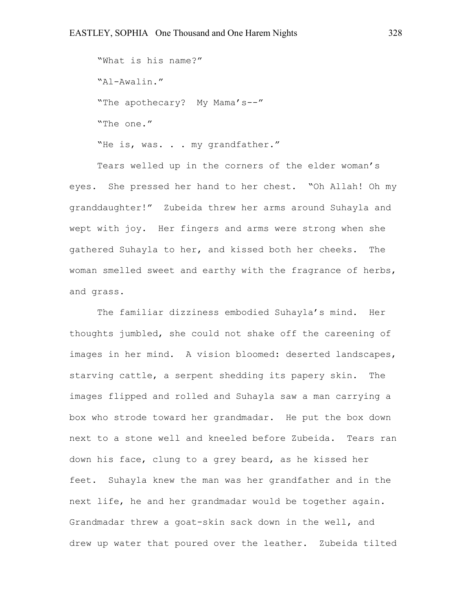"What is his name?" "Al-Awalin." "The apothecary? My Mama's--" "The one."

"He is, was. . . my grandfather."

Tears welled up in the corners of the elder woman's eyes. She pressed her hand to her chest. "Oh Allah! Oh my granddaughter!" Zubeida threw her arms around Suhayla and wept with joy. Her fingers and arms were strong when she gathered Suhayla to her, and kissed both her cheeks. The woman smelled sweet and earthy with the fragrance of herbs, and grass.

The familiar dizziness embodied Suhayla's mind. Her thoughts jumbled, she could not shake off the careening of images in her mind. A vision bloomed: deserted landscapes, starving cattle, a serpent shedding its papery skin. The images flipped and rolled and Suhayla saw a man carrying a box who strode toward her grandmadar. He put the box down next to a stone well and kneeled before Zubeida. Tears ran down his face, clung to a grey beard, as he kissed her feet. Suhayla knew the man was her grandfather and in the next life, he and her grandmadar would be together again. Grandmadar threw a goat-skin sack down in the well, and drew up water that poured over the leather. Zubeida tilted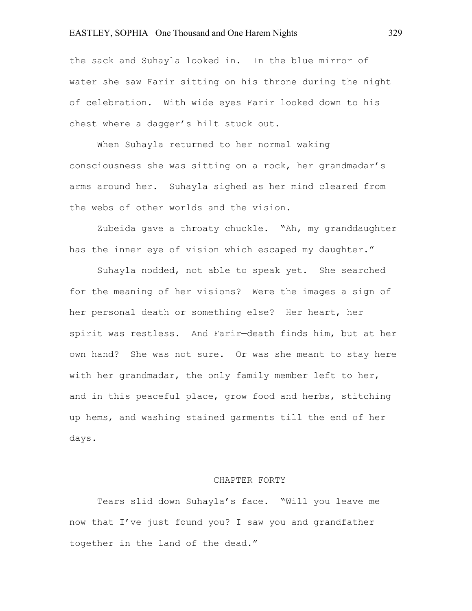the sack and Suhayla looked in. In the blue mirror of water she saw Farir sitting on his throne during the night of celebration. With wide eyes Farir looked down to his chest where a dagger's hilt stuck out.

When Suhayla returned to her normal waking consciousness she was sitting on a rock, her grandmadar's arms around her. Suhayla sighed as her mind cleared from the webs of other worlds and the vision.

Zubeida gave a throaty chuckle. "Ah, my granddaughter has the inner eye of vision which escaped my daughter."

Suhayla nodded, not able to speak yet. She searched for the meaning of her visions? Were the images a sign of her personal death or something else? Her heart, her spirit was restless. And Farir—death finds him, but at her own hand? She was not sure. Or was she meant to stay here with her grandmadar, the only family member left to her, and in this peaceful place, grow food and herbs, stitching up hems, and washing stained garments till the end of her days.

#### CHAPTER FORTY

Tears slid down Suhayla's face. "Will you leave me now that I've just found you? I saw you and grandfather together in the land of the dead."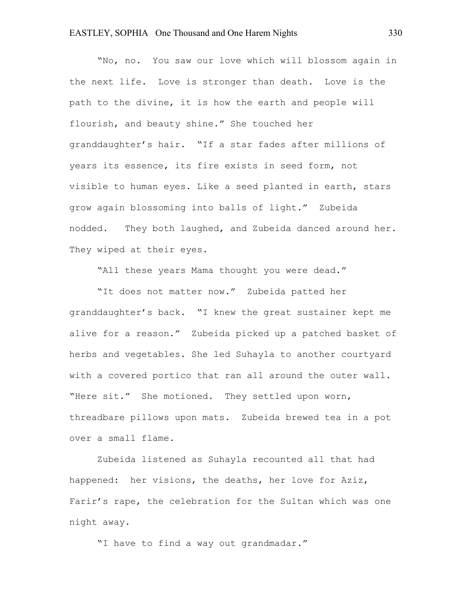"No, no. You saw our love which will blossom again in the next life. Love is stronger than death. Love is the path to the divine, it is how the earth and people will flourish, and beauty shine." She touched her granddaughter's hair. "If a star fades after millions of years its essence, its fire exists in seed form, not visible to human eyes. Like a seed planted in earth, stars grow again blossoming into balls of light." Zubeida nodded. They both laughed, and Zubeida danced around her. They wiped at their eyes.

"All these years Mama thought you were dead."

"It does not matter now." Zubeida patted her granddaughter's back. "I knew the great sustainer kept me alive for a reason." Zubeida picked up a patched basket of herbs and vegetables. She led Suhayla to another courtyard with a covered portico that ran all around the outer wall. "Here sit." She motioned. They settled upon worn, threadbare pillows upon mats. Zubeida brewed tea in a pot over a small flame.

Zubeida listened as Suhayla recounted all that had happened: her visions, the deaths, her love for Aziz, Farir's rape, the celebration for the Sultan which was one night away.

"I have to find a way out grandmadar."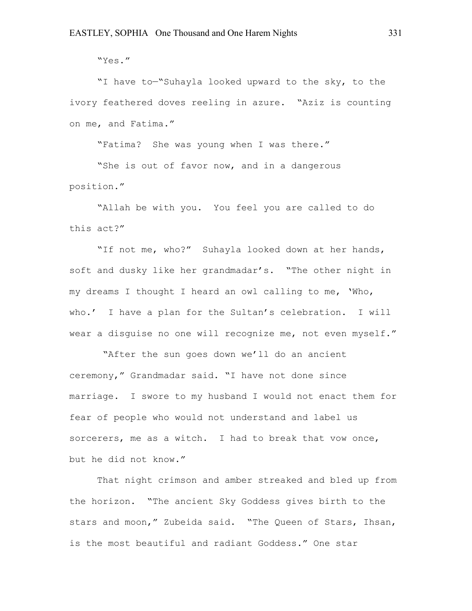"Yes."

"I have to—"Suhayla looked upward to the sky, to the ivory feathered doves reeling in azure. "Aziz is counting on me, and Fatima."

"Fatima? She was young when I was there."

"She is out of favor now, and in a dangerous position."

"Allah be with you. You feel you are called to do this act?"

"If not me, who?" Suhayla looked down at her hands, soft and dusky like her grandmadar's. "The other night in my dreams I thought I heard an owl calling to me, 'Who, who.' I have a plan for the Sultan's celebration. I will wear a disguise no one will recognize me, not even myself."

"After the sun goes down we'll do an ancient ceremony," Grandmadar said. "I have not done since marriage. I swore to my husband I would not enact them for fear of people who would not understand and label us sorcerers, me as a witch. I had to break that vow once, but he did not know."

That night crimson and amber streaked and bled up from the horizon. "The ancient Sky Goddess gives birth to the stars and moon," Zubeida said. "The Queen of Stars, Ihsan, is the most beautiful and radiant Goddess." One star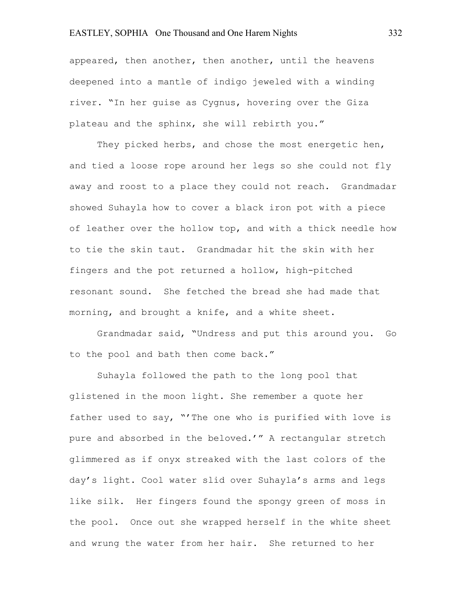appeared, then another, then another, until the heavens deepened into a mantle of indigo jeweled with a winding river. "In her guise as Cygnus, hovering over the Giza plateau and the sphinx, she will rebirth you."

They picked herbs, and chose the most energetic hen, and tied a loose rope around her legs so she could not fly away and roost to a place they could not reach. Grandmadar showed Suhayla how to cover a black iron pot with a piece of leather over the hollow top, and with a thick needle how to tie the skin taut. Grandmadar hit the skin with her fingers and the pot returned a hollow, high-pitched resonant sound. She fetched the bread she had made that morning, and brought a knife, and a white sheet.

Grandmadar said, "Undress and put this around you. Go to the pool and bath then come back."

Suhayla followed the path to the long pool that glistened in the moon light. She remember a quote her father used to say, "'The one who is purified with love is pure and absorbed in the beloved.'" A rectangular stretch glimmered as if onyx streaked with the last colors of the day's light. Cool water slid over Suhayla's arms and legs like silk. Her fingers found the spongy green of moss in the pool. Once out she wrapped herself in the white sheet and wrung the water from her hair. She returned to her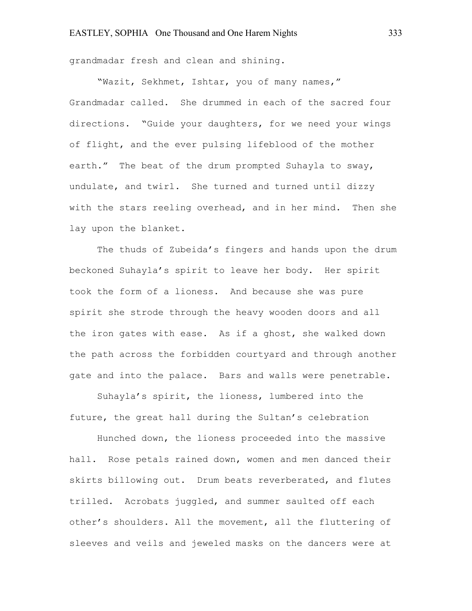grandmadar fresh and clean and shining.

"Wazit, Sekhmet, Ishtar, you of many names," Grandmadar called. She drummed in each of the sacred four directions. "Guide your daughters, for we need your wings of flight, and the ever pulsing lifeblood of the mother earth." The beat of the drum prompted Suhayla to sway, undulate, and twirl. She turned and turned until dizzy with the stars reeling overhead, and in her mind. Then she lay upon the blanket.

The thuds of Zubeida's fingers and hands upon the drum beckoned Suhayla's spirit to leave her body. Her spirit took the form of a lioness. And because she was pure spirit she strode through the heavy wooden doors and all the iron gates with ease. As if a ghost, she walked down the path across the forbidden courtyard and through another gate and into the palace. Bars and walls were penetrable.

Suhayla's spirit, the lioness, lumbered into the future, the great hall during the Sultan's celebration

Hunched down, the lioness proceeded into the massive hall. Rose petals rained down, women and men danced their skirts billowing out. Drum beats reverberated, and flutes trilled. Acrobats juggled, and summer saulted off each other's shoulders. All the movement, all the fluttering of sleeves and veils and jeweled masks on the dancers were at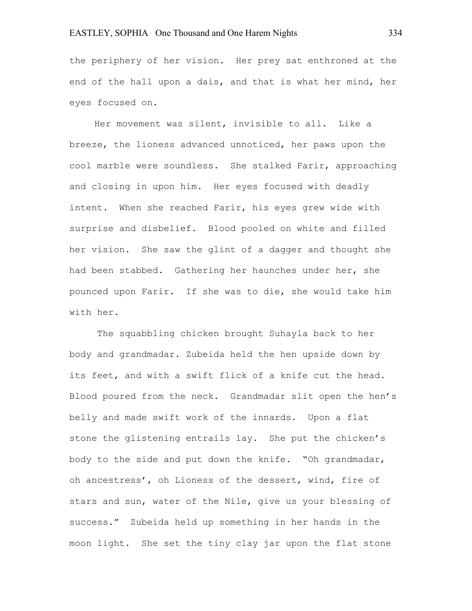the periphery of her vision. Her prey sat enthroned at the end of the hall upon a dais, and that is what her mind, her eyes focused on.

 Her movement was silent, invisible to all. Like a breeze, the lioness advanced unnoticed, her paws upon the cool marble were soundless. She stalked Farir, approaching and closing in upon him. Her eyes focused with deadly intent. When she reached Farir, his eyes grew wide with surprise and disbelief. Blood pooled on white and filled her vision. She saw the glint of a dagger and thought she had been stabbed. Gathering her haunches under her, she pounced upon Farir. If she was to die, she would take him with her.

The squabbling chicken brought Suhayla back to her body and grandmadar. Zubeida held the hen upside down by its feet, and with a swift flick of a knife cut the head. Blood poured from the neck. Grandmadar slit open the hen's belly and made swift work of the innards. Upon a flat stone the glistening entrails lay. She put the chicken's body to the side and put down the knife. "Oh grandmadar, oh ancestress', oh Lioness of the dessert, wind, fire of stars and sun, water of the Nile, give us your blessing of success." Zubeida held up something in her hands in the moon light. She set the tiny clay jar upon the flat stone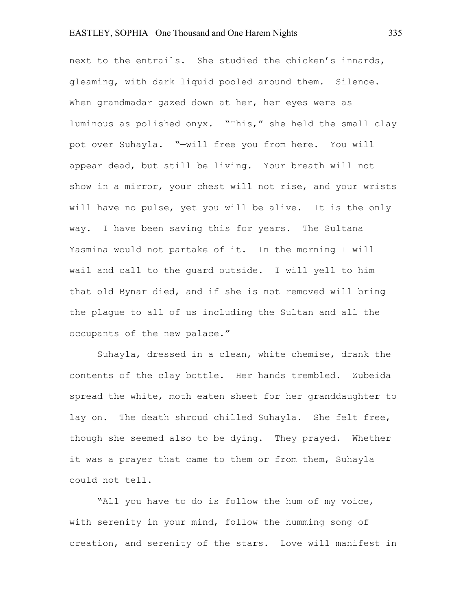next to the entrails. She studied the chicken's innards, gleaming, with dark liquid pooled around them. Silence. When grandmadar gazed down at her, her eyes were as luminous as polished onyx. "This," she held the small clay pot over Suhayla. "—will free you from here. You will appear dead, but still be living. Your breath will not show in a mirror, your chest will not rise, and your wrists will have no pulse, yet you will be alive. It is the only way. I have been saving this for years. The Sultana Yasmina would not partake of it. In the morning I will wail and call to the guard outside. I will yell to him that old Bynar died, and if she is not removed will bring the plague to all of us including the Sultan and all the occupants of the new palace."

Suhayla, dressed in a clean, white chemise, drank the contents of the clay bottle. Her hands trembled. Zubeida spread the white, moth eaten sheet for her granddaughter to lay on. The death shroud chilled Suhayla. She felt free, though she seemed also to be dying. They prayed. Whether it was a prayer that came to them or from them, Suhayla could not tell.

"All you have to do is follow the hum of my voice, with serenity in your mind, follow the humming song of creation, and serenity of the stars. Love will manifest in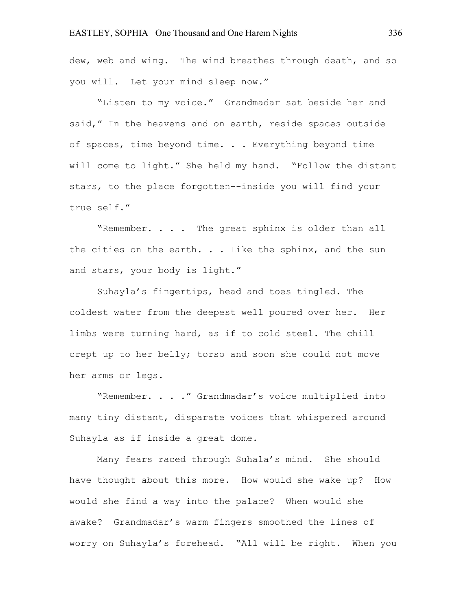dew, web and wing. The wind breathes through death, and so you will. Let your mind sleep now."

"Listen to my voice." Grandmadar sat beside her and said," In the heavens and on earth, reside spaces outside of spaces, time beyond time. . . Everything beyond time will come to light." She held my hand. "Follow the distant stars, to the place forgotten--inside you will find your true self."

"Remember. . . . The great sphinx is older than all the cities on the earth. . . Like the sphinx, and the sun and stars, your body is light."

Suhayla's fingertips, head and toes tingled. The coldest water from the deepest well poured over her. Her limbs were turning hard, as if to cold steel. The chill crept up to her belly; torso and soon she could not move her arms or legs.

"Remember. . . ." Grandmadar's voice multiplied into many tiny distant, disparate voices that whispered around Suhayla as if inside a great dome.

Many fears raced through Suhala's mind. She should have thought about this more. How would she wake up? How would she find a way into the palace? When would she awake? Grandmadar's warm fingers smoothed the lines of worry on Suhayla's forehead. "All will be right. When you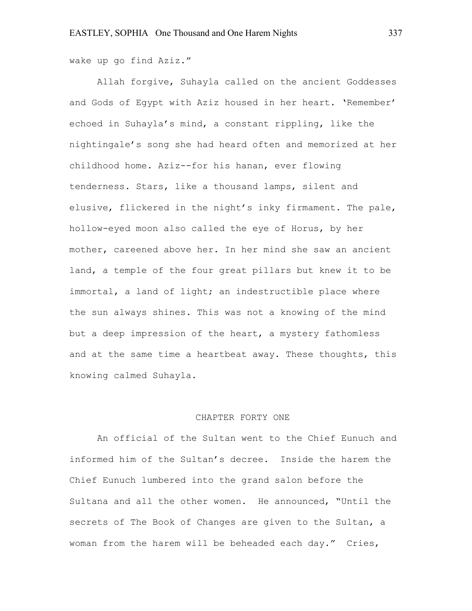wake up go find Aziz."

Allah forgive, Suhayla called on the ancient Goddesses and Gods of Egypt with Aziz housed in her heart. 'Remember' echoed in Suhayla's mind, a constant rippling, like the nightingale's song she had heard often and memorized at her childhood home. Aziz--for his hanan, ever flowing tenderness. Stars, like a thousand lamps, silent and elusive, flickered in the night's inky firmament. The pale, hollow-eyed moon also called the eye of Horus, by her mother, careened above her. In her mind she saw an ancient land, a temple of the four great pillars but knew it to be immortal, a land of light; an indestructible place where the sun always shines. This was not a knowing of the mind but a deep impression of the heart, a mystery fathomless and at the same time a heartbeat away. These thoughts, this knowing calmed Suhayla.

#### CHAPTER FORTY ONE

An official of the Sultan went to the Chief Eunuch and informed him of the Sultan's decree. Inside the harem the Chief Eunuch lumbered into the grand salon before the Sultana and all the other women. He announced, "Until the secrets of The Book of Changes are given to the Sultan, a woman from the harem will be beheaded each day." Cries,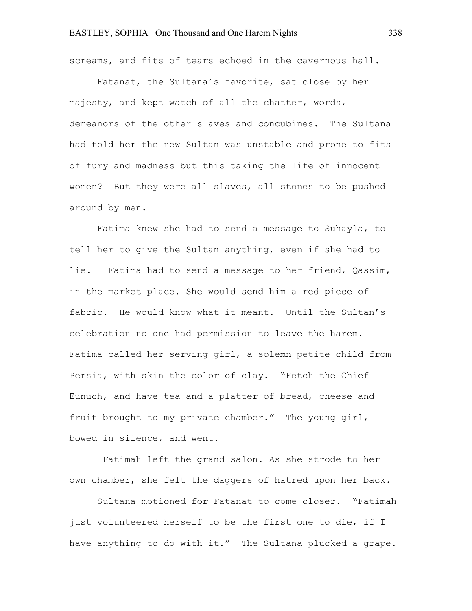screams, and fits of tears echoed in the cavernous hall.

Fatanat, the Sultana's favorite, sat close by her majesty, and kept watch of all the chatter, words, demeanors of the other slaves and concubines. The Sultana had told her the new Sultan was unstable and prone to fits of fury and madness but this taking the life of innocent women? But they were all slaves, all stones to be pushed around by men.

Fatima knew she had to send a message to Suhayla, to tell her to give the Sultan anything, even if she had to lie. Fatima had to send a message to her friend, Qassim, in the market place. She would send him a red piece of fabric. He would know what it meant. Until the Sultan's celebration no one had permission to leave the harem. Fatima called her serving girl, a solemn petite child from Persia, with skin the color of clay. "Fetch the Chief Eunuch, and have tea and a platter of bread, cheese and fruit brought to my private chamber." The young girl, bowed in silence, and went.

Fatimah left the grand salon. As she strode to her own chamber, she felt the daggers of hatred upon her back.

Sultana motioned for Fatanat to come closer. "Fatimah just volunteered herself to be the first one to die, if I have anything to do with it." The Sultana plucked a grape.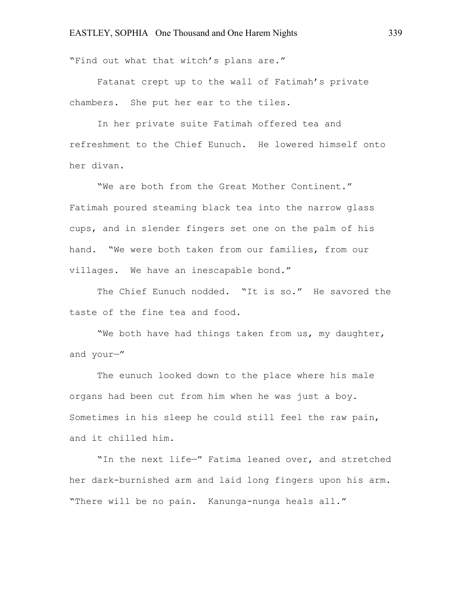"Find out what that witch's plans are."

Fatanat crept up to the wall of Fatimah's private chambers. She put her ear to the tiles.

In her private suite Fatimah offered tea and refreshment to the Chief Eunuch. He lowered himself onto her divan.

"We are both from the Great Mother Continent." Fatimah poured steaming black tea into the narrow glass cups, and in slender fingers set one on the palm of his hand. "We were both taken from our families, from our villages. We have an inescapable bond."

The Chief Eunuch nodded. "It is so." He savored the taste of the fine tea and food.

"We both have had things taken from us, my daughter, and your—"

The eunuch looked down to the place where his male organs had been cut from him when he was just a boy. Sometimes in his sleep he could still feel the raw pain, and it chilled him.

"In the next life—" Fatima leaned over, and stretched her dark-burnished arm and laid long fingers upon his arm. "There will be no pain. Kanunga-nunga heals all."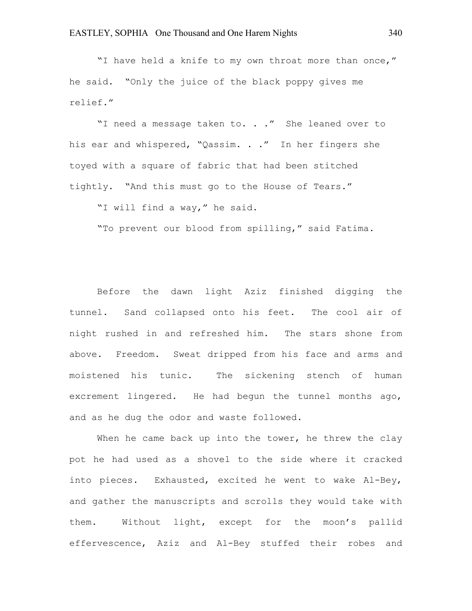"I have held a knife to my own throat more than once," he said. "Only the juice of the black poppy gives me relief."

"I need a message taken to. . ." She leaned over to his ear and whispered, "Qassim. . ." In her fingers she toyed with a square of fabric that had been stitched tightly. "And this must go to the House of Tears."

"I will find a way," he said.

"To prevent our blood from spilling," said Fatima.

Before the dawn light Aziz finished digging the tunnel. Sand collapsed onto his feet. The cool air of night rushed in and refreshed him. The stars shone from above. Freedom. Sweat dripped from his face and arms and moistened his tunic. The sickening stench of human excrement lingered. He had begun the tunnel months ago, and as he dug the odor and waste followed.

When he came back up into the tower, he threw the clay pot he had used as a shovel to the side where it cracked into pieces. Exhausted, excited he went to wake Al-Bey, and gather the manuscripts and scrolls they would take with them. Without light, except for the moon's pallid effervescence, Aziz and Al-Bey stuffed their robes and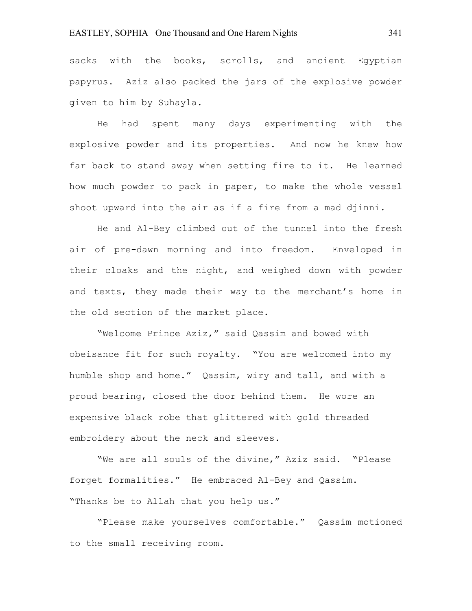sacks with the books, scrolls, and ancient Egyptian papyrus. Aziz also packed the jars of the explosive powder given to him by Suhayla.

He had spent many days experimenting with the explosive powder and its properties. And now he knew how far back to stand away when setting fire to it. He learned how much powder to pack in paper, to make the whole vessel shoot upward into the air as if a fire from a mad djinni.

He and Al-Bey climbed out of the tunnel into the fresh air of pre-dawn morning and into freedom. Enveloped in their cloaks and the night, and weighed down with powder and texts, they made their way to the merchant's home in the old section of the market place.

"Welcome Prince Aziz," said Qassim and bowed with obeisance fit for such royalty. "You are welcomed into my humble shop and home." Qassim, wiry and tall, and with a proud bearing, closed the door behind them. He wore an expensive black robe that glittered with gold threaded embroidery about the neck and sleeves.

"We are all souls of the divine," Aziz said. "Please forget formalities." He embraced Al-Bey and Qassim. "Thanks be to Allah that you help us."

"Please make yourselves comfortable." Qassim motioned to the small receiving room.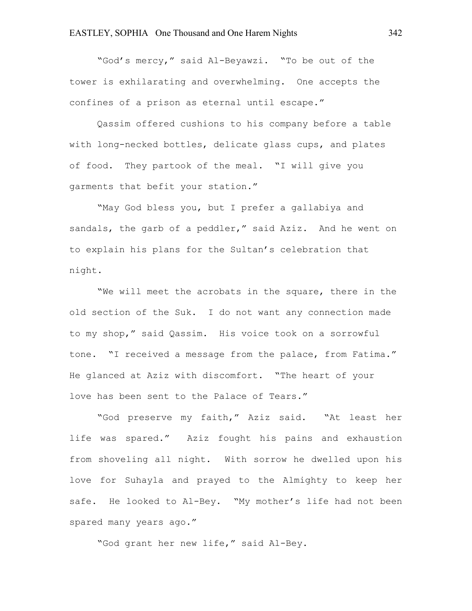"God's mercy," said Al-Beyawzi. "To be out of the tower is exhilarating and overwhelming. One accepts the confines of a prison as eternal until escape."

Qassim offered cushions to his company before a table with long-necked bottles, delicate glass cups, and plates of food. They partook of the meal. "I will give you garments that befit your station."

"May God bless you, but I prefer a gallabiya and sandals, the garb of a peddler," said Aziz. And he went on to explain his plans for the Sultan's celebration that night.

"We will meet the acrobats in the square, there in the old section of the Suk. I do not want any connection made to my shop," said Qassim. His voice took on a sorrowful tone. "I received a message from the palace, from Fatima." He glanced at Aziz with discomfort. "The heart of your love has been sent to the Palace of Tears."

"God preserve my faith," Aziz said. "At least her life was spared." Aziz fought his pains and exhaustion from shoveling all night. With sorrow he dwelled upon his love for Suhayla and prayed to the Almighty to keep her safe. He looked to Al-Bey. "My mother's life had not been spared many years ago."

"God grant her new life," said Al-Bey.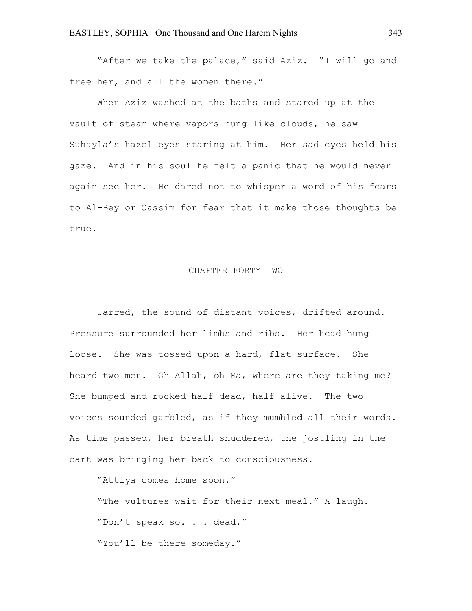"After we take the palace," said Aziz. "I will go and free her, and all the women there."

When Aziz washed at the baths and stared up at the vault of steam where vapors hung like clouds, he saw Suhayla's hazel eyes staring at him. Her sad eyes held his gaze. And in his soul he felt a panic that he would never again see her. He dared not to whisper a word of his fears to Al-Bey or Qassim for fear that it make those thoughts be true.

#### CHAPTER FORTY TWO

Jarred, the sound of distant voices, drifted around. Pressure surrounded her limbs and ribs. Her head hung loose. She was tossed upon a hard, flat surface. She heard two men. Oh Allah, oh Ma, where are they taking me? She bumped and rocked half dead, half alive. The two voices sounded garbled, as if they mumbled all their words. As time passed, her breath shuddered, the jostling in the cart was bringing her back to consciousness.

"Attiya comes home soon."

"The vultures wait for their next meal." A laugh. "Don't speak so. . . dead." "You'll be there someday."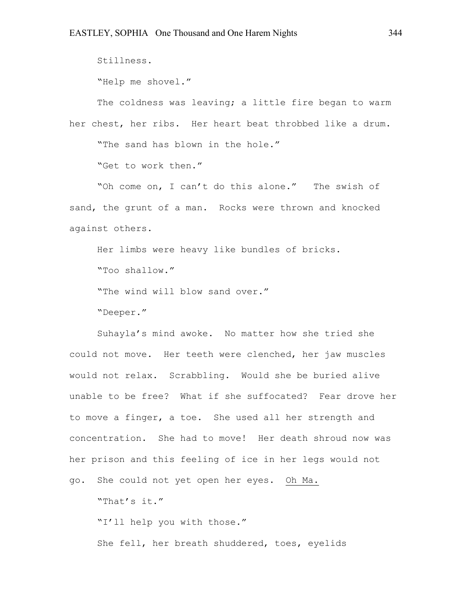Stillness.

"Help me shovel."

The coldness was leaving; a little fire began to warm her chest, her ribs. Her heart beat throbbed like a drum. "The sand has blown in the hole." "Get to work then."

"Oh come on, I can't do this alone." The swish of sand, the grunt of a man. Rocks were thrown and knocked against others.

Her limbs were heavy like bundles of bricks.

"Too shallow."

"The wind will blow sand over."

"Deeper."

Suhayla's mind awoke. No matter how she tried she could not move. Her teeth were clenched, her jaw muscles would not relax. Scrabbling. Would she be buried alive unable to be free? What if she suffocated? Fear drove her to move a finger, a toe. She used all her strength and concentration. She had to move! Her death shroud now was her prison and this feeling of ice in her legs would not go. She could not yet open her eyes. Oh Ma.

"That's it."

"I'll help you with those." She fell, her breath shuddered, toes, eyelids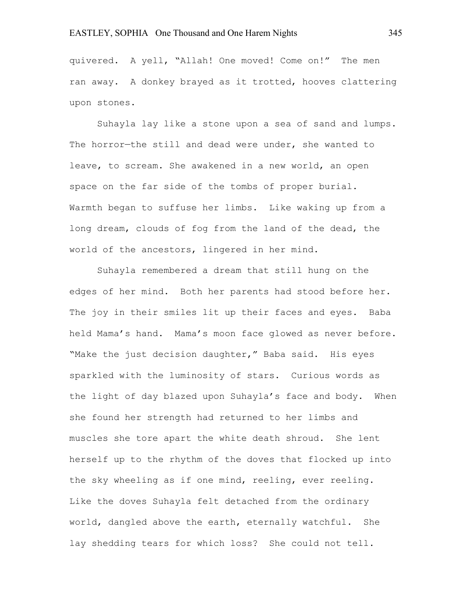quivered. A yell, "Allah! One moved! Come on!" The men ran away. A donkey brayed as it trotted, hooves clattering upon stones.

Suhayla lay like a stone upon a sea of sand and lumps. The horror—the still and dead were under, she wanted to leave, to scream. She awakened in a new world, an open space on the far side of the tombs of proper burial. Warmth began to suffuse her limbs. Like waking up from a long dream, clouds of fog from the land of the dead, the world of the ancestors, lingered in her mind.

Suhayla remembered a dream that still hung on the edges of her mind. Both her parents had stood before her. The joy in their smiles lit up their faces and eyes. Baba held Mama's hand. Mama's moon face glowed as never before. "Make the just decision daughter," Baba said. His eyes sparkled with the luminosity of stars. Curious words as the light of day blazed upon Suhayla's face and body. When she found her strength had returned to her limbs and muscles she tore apart the white death shroud. She lent herself up to the rhythm of the doves that flocked up into the sky wheeling as if one mind, reeling, ever reeling. Like the doves Suhayla felt detached from the ordinary world, dangled above the earth, eternally watchful. She lay shedding tears for which loss? She could not tell.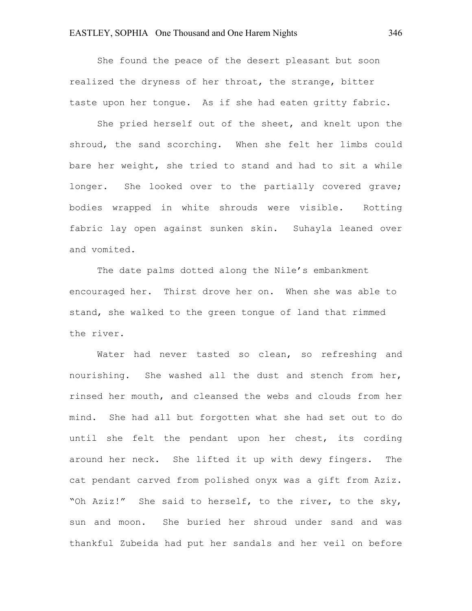She found the peace of the desert pleasant but soon realized the dryness of her throat, the strange, bitter taste upon her tongue. As if she had eaten gritty fabric.

She pried herself out of the sheet, and knelt upon the shroud, the sand scorching. When she felt her limbs could bare her weight, she tried to stand and had to sit a while longer. She looked over to the partially covered grave; bodies wrapped in white shrouds were visible. Rotting fabric lay open against sunken skin. Suhayla leaned over and vomited.

The date palms dotted along the Nile's embankment encouraged her. Thirst drove her on. When she was able to stand, she walked to the green tongue of land that rimmed the river.

Water had never tasted so clean, so refreshing and nourishing. She washed all the dust and stench from her, rinsed her mouth, and cleansed the webs and clouds from her mind. She had all but forgotten what she had set out to do until she felt the pendant upon her chest, its cording around her neck. She lifted it up with dewy fingers. The cat pendant carved from polished onyx was a gift from Aziz. "Oh Aziz!" She said to herself, to the river, to the sky, sun and moon. She buried her shroud under sand and was thankful Zubeida had put her sandals and her veil on before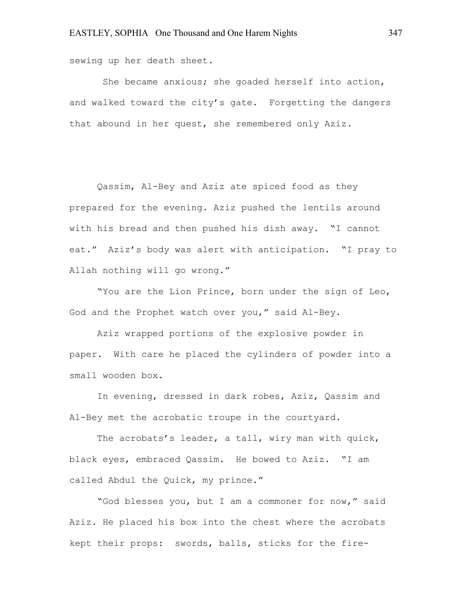sewing up her death sheet.

She became anxious; she goaded herself into action, and walked toward the city's gate. Forgetting the dangers that abound in her quest, she remembered only Aziz.

Qassim, Al-Bey and Aziz ate spiced food as they prepared for the evening. Aziz pushed the lentils around with his bread and then pushed his dish away. "I cannot eat." Aziz's body was alert with anticipation. "I pray to Allah nothing will go wrong."

"You are the Lion Prince, born under the sign of Leo, God and the Prophet watch over you," said Al-Bey.

Aziz wrapped portions of the explosive powder in paper. With care he placed the cylinders of powder into a small wooden box.

In evening, dressed in dark robes, Aziz, Qassim and Al-Bey met the acrobatic troupe in the courtyard.

The acrobats's leader, a tall, wiry man with quick, black eyes, embraced Qassim. He bowed to Aziz. "I am called Abdul the Quick, my prince."

"God blesses you, but I am a commoner for now," said Aziz. He placed his box into the chest where the acrobats kept their props: swords, balls, sticks for the fire-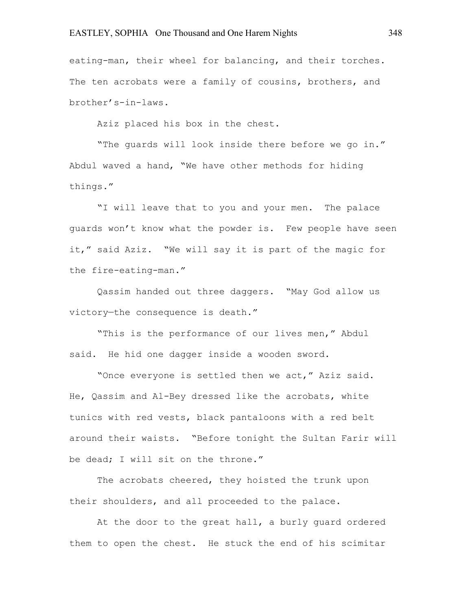eating-man, their wheel for balancing, and their torches. The ten acrobats were a family of cousins, brothers, and brother's-in-laws.

Aziz placed his box in the chest.

"The guards will look inside there before we go in." Abdul waved a hand, "We have other methods for hiding things."

"I will leave that to you and your men. The palace guards won't know what the powder is. Few people have seen it," said Aziz. "We will say it is part of the magic for the fire-eating-man."

Qassim handed out three daggers. "May God allow us victory—the consequence is death."

"This is the performance of our lives men," Abdul said. He hid one dagger inside a wooden sword.

"Once everyone is settled then we act," Aziz said. He, Qassim and Al-Bey dressed like the acrobats, white tunics with red vests, black pantaloons with a red belt around their waists. "Before tonight the Sultan Farir will be dead; I will sit on the throne."

The acrobats cheered, they hoisted the trunk upon their shoulders, and all proceeded to the palace.

At the door to the great hall, a burly guard ordered them to open the chest. He stuck the end of his scimitar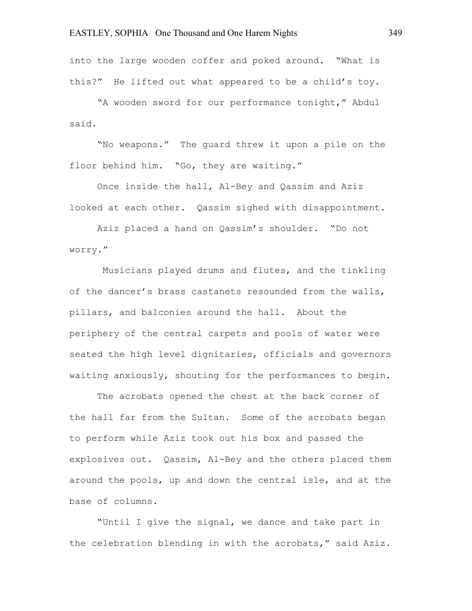into the large wooden coffer and poked around. "What is this?" He lifted out what appeared to be a child's toy.

"A wooden sword for our performance tonight," Abdul said.

"No weapons." The guard threw it upon a pile on the floor behind him. "Go, they are waiting."

Once inside the hall, Al-Bey and Qassim and Aziz looked at each other. Qassim sighed with disappointment.

Aziz placed a hand on Qassim's shoulder. "Do not worry."

Musicians played drums and flutes, and the tinkling of the dancer's brass castanets resounded from the walls, pillars, and balconies around the hall. About the periphery of the central carpets and pools of water were seated the high level dignitaries, officials and governors waiting anxiously, shouting for the performances to begin.

The acrobats opened the chest at the back corner of the hall far from the Sultan. Some of the acrobats began to perform while Aziz took out his box and passed the explosives out. Qassim, Al-Bey and the others placed them around the pools, up and down the central isle, and at the base of columns.

"Until I give the signal, we dance and take part in the celebration blending in with the acrobats," said Aziz.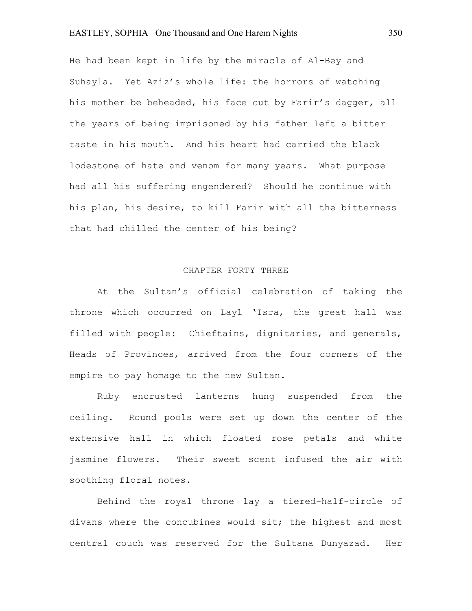He had been kept in life by the miracle of Al-Bey and Suhayla. Yet Aziz's whole life: the horrors of watching his mother be beheaded, his face cut by Farir's dagger, all the years of being imprisoned by his father left a bitter taste in his mouth. And his heart had carried the black lodestone of hate and venom for many years. What purpose had all his suffering engendered? Should he continue with his plan, his desire, to kill Farir with all the bitterness that had chilled the center of his being?

#### CHAPTER FORTY THREE

At the Sultan's official celebration of taking the throne which occurred on Layl 'Isra, the great hall was filled with people: Chieftains, dignitaries, and generals, Heads of Provinces, arrived from the four corners of the empire to pay homage to the new Sultan.

Ruby encrusted lanterns hung suspended from the ceiling. Round pools were set up down the center of the extensive hall in which floated rose petals and white jasmine flowers. Their sweet scent infused the air with soothing floral notes.

Behind the royal throne lay a tiered-half-circle of divans where the concubines would sit; the highest and most central couch was reserved for the Sultana Dunyazad. Her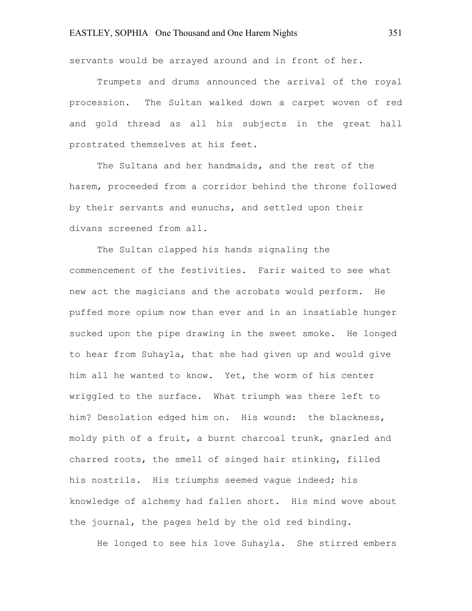servants would be arrayed around and in front of her.

Trumpets and drums announced the arrival of the royal procession. The Sultan walked down a carpet woven of red and gold thread as all his subjects in the great hall prostrated themselves at his feet.

The Sultana and her handmaids, and the rest of the harem, proceeded from a corridor behind the throne followed by their servants and eunuchs, and settled upon their divans screened from all.

The Sultan clapped his hands signaling the commencement of the festivities. Farir waited to see what new act the magicians and the acrobats would perform. He puffed more opium now than ever and in an insatiable hunger sucked upon the pipe drawing in the sweet smoke. He longed to hear from Suhayla, that she had given up and would give him all he wanted to know. Yet, the worm of his center wriggled to the surface. What triumph was there left to him? Desolation edged him on. His wound: the blackness, moldy pith of a fruit, a burnt charcoal trunk, gnarled and charred roots, the smell of singed hair stinking, filled his nostrils. His triumphs seemed vague indeed; his knowledge of alchemy had fallen short. His mind wove about the journal, the pages held by the old red binding.

He longed to see his love Suhayla. She stirred embers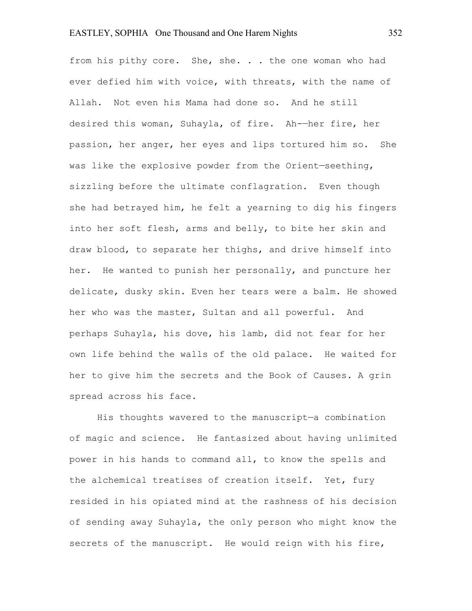from his pithy core. She, she. . . the one woman who had ever defied him with voice, with threats, with the name of Allah. Not even his Mama had done so. And he still desired this woman, Suhayla, of fire. Ah-—her fire, her passion, her anger, her eyes and lips tortured him so. She was like the explosive powder from the Orient—seething, sizzling before the ultimate conflagration. Even though she had betrayed him, he felt a yearning to dig his fingers into her soft flesh, arms and belly, to bite her skin and draw blood, to separate her thighs, and drive himself into her. He wanted to punish her personally, and puncture her delicate, dusky skin. Even her tears were a balm. He showed her who was the master, Sultan and all powerful. And perhaps Suhayla, his dove, his lamb, did not fear for her own life behind the walls of the old palace. He waited for her to give him the secrets and the Book of Causes. A grin spread across his face.

His thoughts wavered to the manuscript—a combination of magic and science. He fantasized about having unlimited power in his hands to command all, to know the spells and the alchemical treatises of creation itself. Yet, fury resided in his opiated mind at the rashness of his decision of sending away Suhayla, the only person who might know the secrets of the manuscript. He would reign with his fire,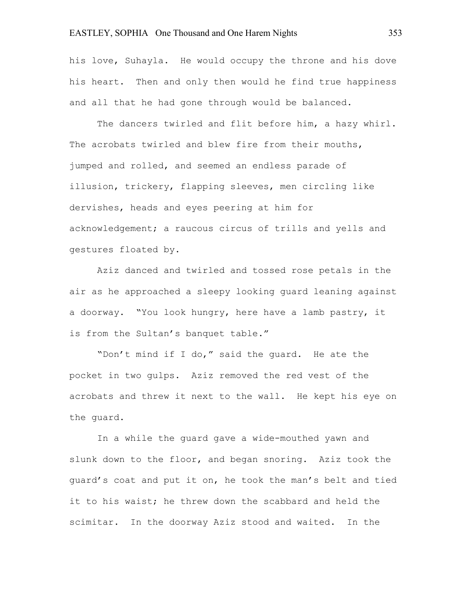his love, Suhayla. He would occupy the throne and his dove his heart. Then and only then would he find true happiness and all that he had gone through would be balanced.

The dancers twirled and flit before him, a hazy whirl. The acrobats twirled and blew fire from their mouths, jumped and rolled, and seemed an endless parade of illusion, trickery, flapping sleeves, men circling like dervishes, heads and eyes peering at him for acknowledgement; a raucous circus of trills and yells and gestures floated by.

Aziz danced and twirled and tossed rose petals in the air as he approached a sleepy looking guard leaning against a doorway. "You look hungry, here have a lamb pastry, it is from the Sultan's banquet table."

"Don't mind if I do," said the guard. He ate the pocket in two gulps. Aziz removed the red vest of the acrobats and threw it next to the wall. He kept his eye on the guard.

In a while the guard gave a wide-mouthed yawn and slunk down to the floor, and began snoring. Aziz took the guard's coat and put it on, he took the man's belt and tied it to his waist; he threw down the scabbard and held the scimitar. In the doorway Aziz stood and waited. In the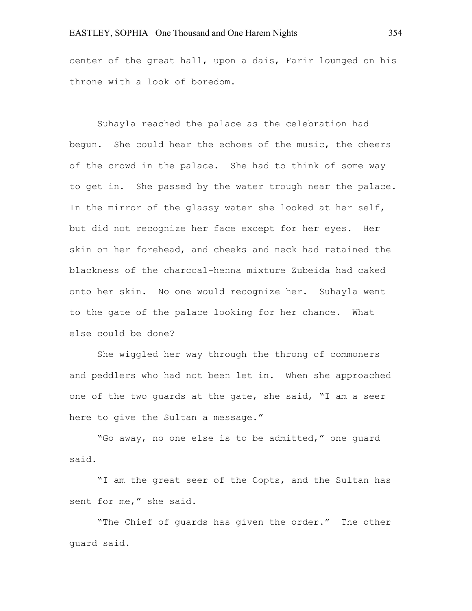center of the great hall, upon a dais, Farir lounged on his throne with a look of boredom.

Suhayla reached the palace as the celebration had begun. She could hear the echoes of the music, the cheers of the crowd in the palace. She had to think of some way to get in. She passed by the water trough near the palace. In the mirror of the glassy water she looked at her self, but did not recognize her face except for her eyes. Her skin on her forehead, and cheeks and neck had retained the blackness of the charcoal-henna mixture Zubeida had caked onto her skin. No one would recognize her. Suhayla went to the gate of the palace looking for her chance. What else could be done?

She wiggled her way through the throng of commoners and peddlers who had not been let in. When she approached one of the two guards at the gate, she said, "I am a seer here to give the Sultan a message."

"Go away, no one else is to be admitted," one guard said.

"I am the great seer of the Copts, and the Sultan has sent for me," she said.

"The Chief of guards has given the order." The other guard said.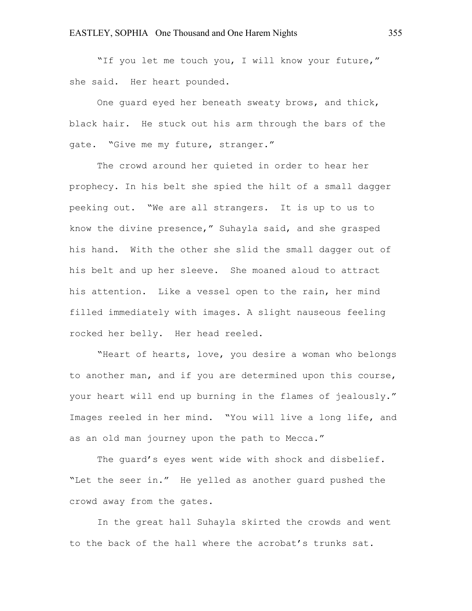"If you let me touch you, I will know your future," she said. Her heart pounded.

One guard eyed her beneath sweaty brows, and thick, black hair. He stuck out his arm through the bars of the gate. "Give me my future, stranger."

The crowd around her quieted in order to hear her prophecy. In his belt she spied the hilt of a small dagger peeking out. "We are all strangers. It is up to us to know the divine presence," Suhayla said, and she grasped his hand. With the other she slid the small dagger out of his belt and up her sleeve. She moaned aloud to attract his attention. Like a vessel open to the rain, her mind filled immediately with images. A slight nauseous feeling rocked her belly. Her head reeled.

"Heart of hearts, love, you desire a woman who belongs to another man, and if you are determined upon this course, your heart will end up burning in the flames of jealously." Images reeled in her mind. "You will live a long life, and as an old man journey upon the path to Mecca."

The guard's eyes went wide with shock and disbelief. "Let the seer in." He yelled as another guard pushed the crowd away from the gates.

In the great hall Suhayla skirted the crowds and went to the back of the hall where the acrobat's trunks sat.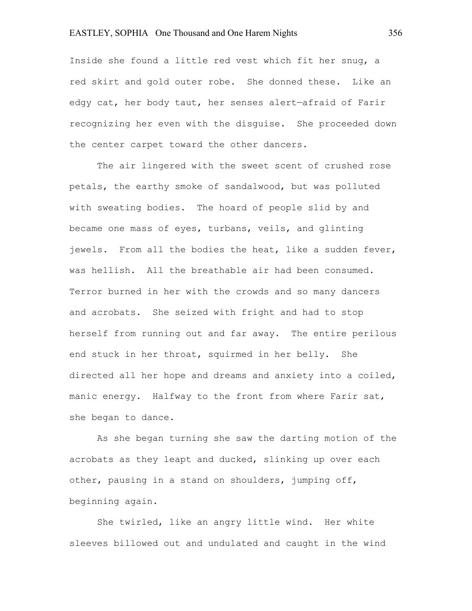Inside she found a little red vest which fit her snug, a red skirt and gold outer robe. She donned these. Like an edgy cat, her body taut, her senses alert—afraid of Farir recognizing her even with the disguise. She proceeded down the center carpet toward the other dancers.

The air lingered with the sweet scent of crushed rose petals, the earthy smoke of sandalwood, but was polluted with sweating bodies. The hoard of people slid by and became one mass of eyes, turbans, veils, and glinting jewels. From all the bodies the heat, like a sudden fever, was hellish. All the breathable air had been consumed. Terror burned in her with the crowds and so many dancers and acrobats. She seized with fright and had to stop herself from running out and far away. The entire perilous end stuck in her throat, squirmed in her belly. She directed all her hope and dreams and anxiety into a coiled, manic energy. Halfway to the front from where Farir sat, she began to dance.

As she began turning she saw the darting motion of the acrobats as they leapt and ducked, slinking up over each other, pausing in a stand on shoulders, jumping off, beginning again.

She twirled, like an angry little wind. Her white sleeves billowed out and undulated and caught in the wind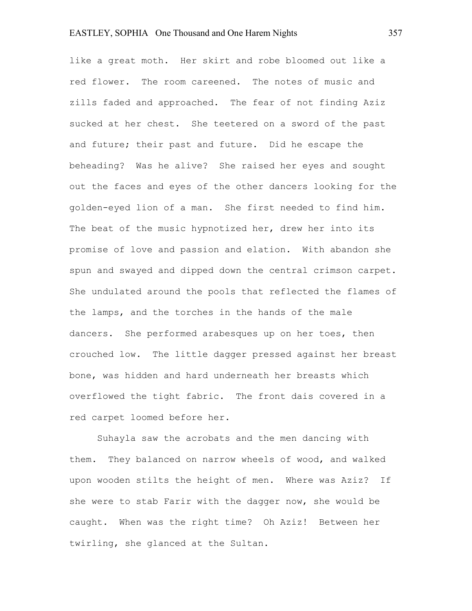like a great moth. Her skirt and robe bloomed out like a red flower. The room careened. The notes of music and zills faded and approached. The fear of not finding Aziz sucked at her chest. She teetered on a sword of the past and future; their past and future. Did he escape the beheading? Was he alive? She raised her eyes and sought out the faces and eyes of the other dancers looking for the golden-eyed lion of a man. She first needed to find him. The beat of the music hypnotized her, drew her into its promise of love and passion and elation. With abandon she spun and swayed and dipped down the central crimson carpet. She undulated around the pools that reflected the flames of the lamps, and the torches in the hands of the male dancers. She performed arabesques up on her toes, then crouched low. The little dagger pressed against her breast bone, was hidden and hard underneath her breasts which overflowed the tight fabric. The front dais covered in a red carpet loomed before her.

Suhayla saw the acrobats and the men dancing with them. They balanced on narrow wheels of wood, and walked upon wooden stilts the height of men. Where was Aziz? If she were to stab Farir with the dagger now, she would be caught. When was the right time? Oh Aziz! Between her twirling, she glanced at the Sultan.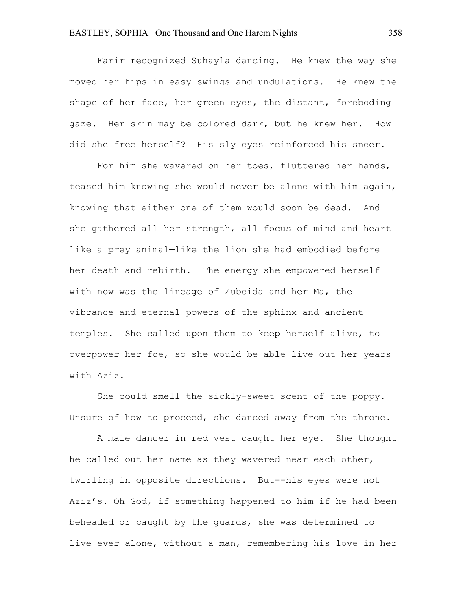Farir recognized Suhayla dancing. He knew the way she moved her hips in easy swings and undulations. He knew the shape of her face, her green eyes, the distant, foreboding gaze. Her skin may be colored dark, but he knew her. How did she free herself? His sly eyes reinforced his sneer.

For him she wavered on her toes, fluttered her hands, teased him knowing she would never be alone with him again, knowing that either one of them would soon be dead. And she gathered all her strength, all focus of mind and heart like a prey animal—like the lion she had embodied before her death and rebirth. The energy she empowered herself with now was the lineage of Zubeida and her Ma, the vibrance and eternal powers of the sphinx and ancient temples. She called upon them to keep herself alive, to overpower her foe, so she would be able live out her years with Aziz.

She could smell the sickly-sweet scent of the poppy. Unsure of how to proceed, she danced away from the throne.

A male dancer in red vest caught her eye. She thought he called out her name as they wavered near each other, twirling in opposite directions. But--his eyes were not Aziz's. Oh God, if something happened to him—if he had been beheaded or caught by the guards, she was determined to live ever alone, without a man, remembering his love in her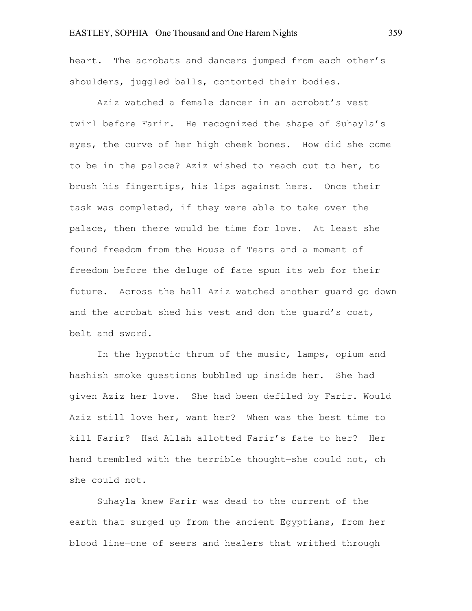heart. The acrobats and dancers jumped from each other's shoulders, juggled balls, contorted their bodies.

Aziz watched a female dancer in an acrobat's vest twirl before Farir. He recognized the shape of Suhayla's eyes, the curve of her high cheek bones. How did she come to be in the palace? Aziz wished to reach out to her, to brush his fingertips, his lips against hers. Once their task was completed, if they were able to take over the palace, then there would be time for love. At least she found freedom from the House of Tears and a moment of freedom before the deluge of fate spun its web for their future. Across the hall Aziz watched another guard go down and the acrobat shed his vest and don the guard's coat, belt and sword.

In the hypnotic thrum of the music, lamps, opium and hashish smoke questions bubbled up inside her. She had given Aziz her love. She had been defiled by Farir. Would Aziz still love her, want her? When was the best time to kill Farir? Had Allah allotted Farir's fate to her? Her hand trembled with the terrible thought—she could not, oh she could not.

Suhayla knew Farir was dead to the current of the earth that surged up from the ancient Egyptians, from her blood line—one of seers and healers that writhed through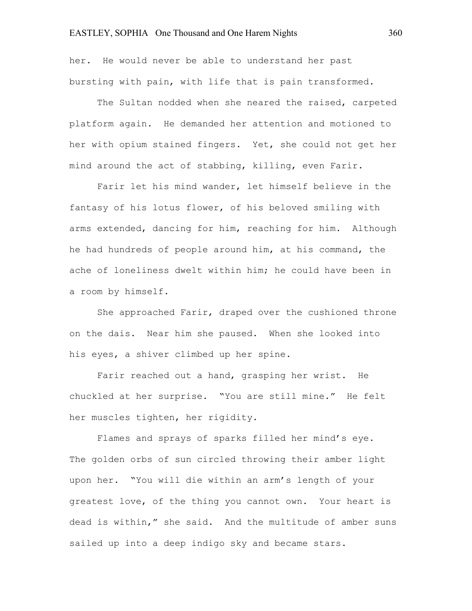her. He would never be able to understand her past bursting with pain, with life that is pain transformed.

The Sultan nodded when she neared the raised, carpeted platform again. He demanded her attention and motioned to her with opium stained fingers. Yet, she could not get her mind around the act of stabbing, killing, even Farir.

Farir let his mind wander, let himself believe in the fantasy of his lotus flower, of his beloved smiling with arms extended, dancing for him, reaching for him. Although he had hundreds of people around him, at his command, the ache of loneliness dwelt within him; he could have been in a room by himself.

She approached Farir, draped over the cushioned throne on the dais. Near him she paused. When she looked into his eyes, a shiver climbed up her spine.

Farir reached out a hand, grasping her wrist. He chuckled at her surprise. "You are still mine." He felt her muscles tighten, her rigidity.

Flames and sprays of sparks filled her mind's eye. The golden orbs of sun circled throwing their amber light upon her. "You will die within an arm's length of your greatest love, of the thing you cannot own. Your heart is dead is within," she said. And the multitude of amber suns sailed up into a deep indigo sky and became stars.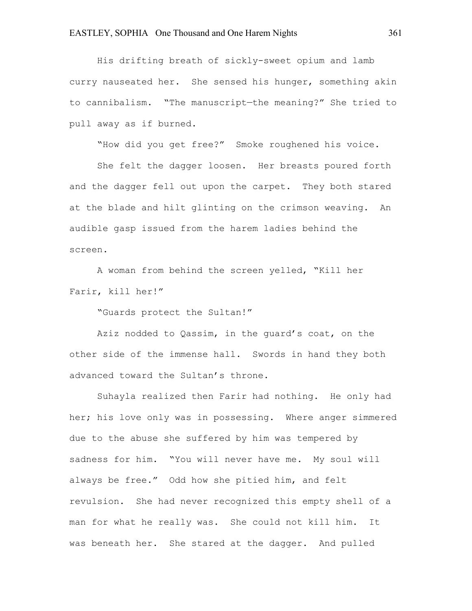His drifting breath of sickly-sweet opium and lamb curry nauseated her. She sensed his hunger, something akin to cannibalism. "The manuscript—the meaning?" She tried to pull away as if burned.

"How did you get free?" Smoke roughened his voice.

She felt the dagger loosen. Her breasts poured forth and the dagger fell out upon the carpet. They both stared at the blade and hilt glinting on the crimson weaving. An audible gasp issued from the harem ladies behind the screen.

A woman from behind the screen yelled, "Kill her Farir, kill her!"

"Guards protect the Sultan!"

Aziz nodded to Qassim, in the guard's coat, on the other side of the immense hall. Swords in hand they both advanced toward the Sultan's throne.

Suhayla realized then Farir had nothing. He only had her; his love only was in possessing. Where anger simmered due to the abuse she suffered by him was tempered by sadness for him. "You will never have me. My soul will always be free." Odd how she pitied him, and felt revulsion. She had never recognized this empty shell of a man for what he really was. She could not kill him. It was beneath her. She stared at the dagger. And pulled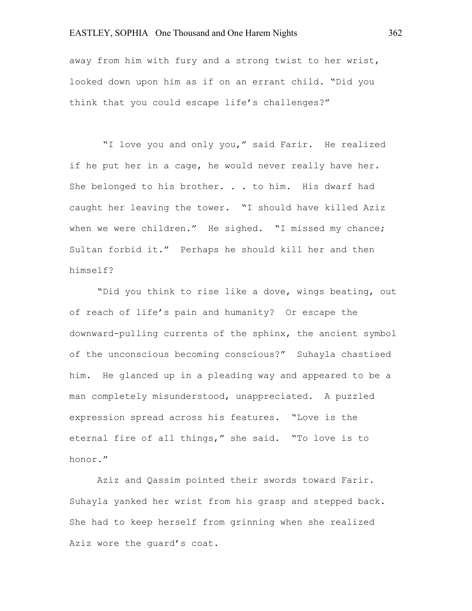## EASTLEY, SOPHIA One Thousand and One Harem Nights 362

away from him with fury and a strong twist to her wrist, looked down upon him as if on an errant child. "Did you think that you could escape life's challenges?"

"I love you and only you," said Farir. He realized if he put her in a cage, he would never really have her. She belonged to his brother. . . to him. His dwarf had caught her leaving the tower. "I should have killed Aziz when we were children." He sighed. "I missed my chance; Sultan forbid it." Perhaps he should kill her and then himself?

"Did you think to rise like a dove, wings beating, out of reach of life's pain and humanity? Or escape the downward-pulling currents of the sphinx, the ancient symbol of the unconscious becoming conscious?" Suhayla chastised him. He glanced up in a pleading way and appeared to be a man completely misunderstood, unappreciated. A puzzled expression spread across his features. "Love is the eternal fire of all things," she said. "To love is to honor."

Aziz and Qassim pointed their swords toward Farir. Suhayla yanked her wrist from his grasp and stepped back. She had to keep herself from grinning when she realized Aziz wore the guard's coat.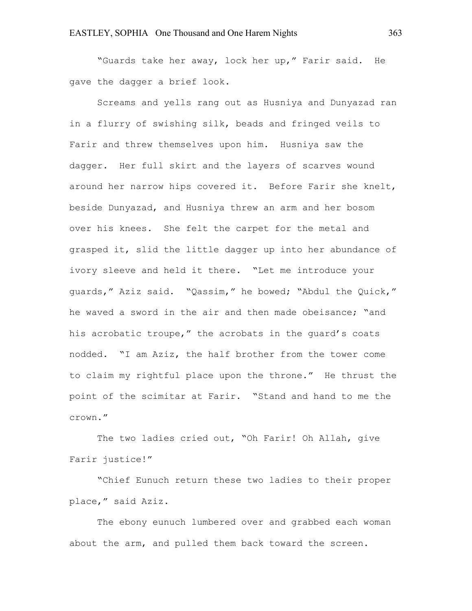"Guards take her away, lock her up," Farir said. He gave the dagger a brief look.

Screams and yells rang out as Husniya and Dunyazad ran in a flurry of swishing silk, beads and fringed veils to Farir and threw themselves upon him. Husniya saw the dagger. Her full skirt and the layers of scarves wound around her narrow hips covered it. Before Farir she knelt, beside Dunyazad, and Husniya threw an arm and her bosom over his knees. She felt the carpet for the metal and grasped it, slid the little dagger up into her abundance of ivory sleeve and held it there. "Let me introduce your guards," Aziz said. "Qassim," he bowed; "Abdul the Quick," he waved a sword in the air and then made obeisance; "and his acrobatic troupe," the acrobats in the quard's coats nodded. "I am Aziz, the half brother from the tower come to claim my rightful place upon the throne." He thrust the point of the scimitar at Farir. "Stand and hand to me the crown."

The two ladies cried out, "Oh Farir! Oh Allah, give Farir justice!"

"Chief Eunuch return these two ladies to their proper place," said Aziz.

The ebony eunuch lumbered over and grabbed each woman about the arm, and pulled them back toward the screen.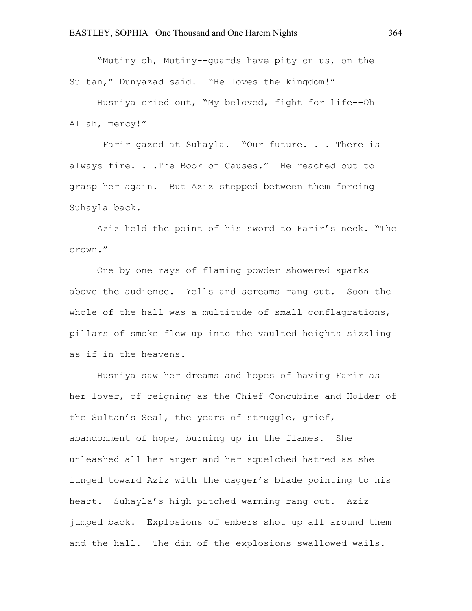"Mutiny oh, Mutiny--guards have pity on us, on the Sultan," Dunyazad said. "He loves the kingdom!"

Husniya cried out, "My beloved, fight for life--Oh Allah, mercy!"

Farir gazed at Suhayla. "Our future. . . There is always fire. . . The Book of Causes." He reached out to grasp her again. But Aziz stepped between them forcing Suhayla back.

Aziz held the point of his sword to Farir's neck. "The crown."

One by one rays of flaming powder showered sparks above the audience. Yells and screams rang out. Soon the whole of the hall was a multitude of small conflagrations, pillars of smoke flew up into the vaulted heights sizzling as if in the heavens.

Husniya saw her dreams and hopes of having Farir as her lover, of reigning as the Chief Concubine and Holder of the Sultan's Seal, the years of struggle, grief, abandonment of hope, burning up in the flames. She unleashed all her anger and her squelched hatred as she lunged toward Aziz with the dagger's blade pointing to his heart. Suhayla's high pitched warning rang out. Aziz jumped back. Explosions of embers shot up all around them and the hall. The din of the explosions swallowed wails.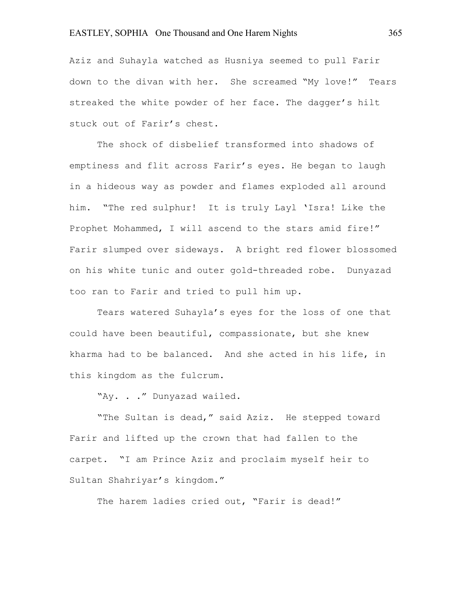Aziz and Suhayla watched as Husniya seemed to pull Farir down to the divan with her. She screamed "My love!" Tears streaked the white powder of her face. The dagger's hilt stuck out of Farir's chest.

The shock of disbelief transformed into shadows of emptiness and flit across Farir's eyes. He began to laugh in a hideous way as powder and flames exploded all around him. "The red sulphur! It is truly Layl 'Isra! Like the Prophet Mohammed, I will ascend to the stars amid fire!" Farir slumped over sideways. A bright red flower blossomed on his white tunic and outer gold-threaded robe. Dunyazad too ran to Farir and tried to pull him up.

Tears watered Suhayla's eyes for the loss of one that could have been beautiful, compassionate, but she knew kharma had to be balanced. And she acted in his life, in this kingdom as the fulcrum.

"Ay. . ." Dunyazad wailed.

"The Sultan is dead," said Aziz. He stepped toward Farir and lifted up the crown that had fallen to the carpet. "I am Prince Aziz and proclaim myself heir to Sultan Shahriyar's kingdom."

The harem ladies cried out, "Farir is dead!"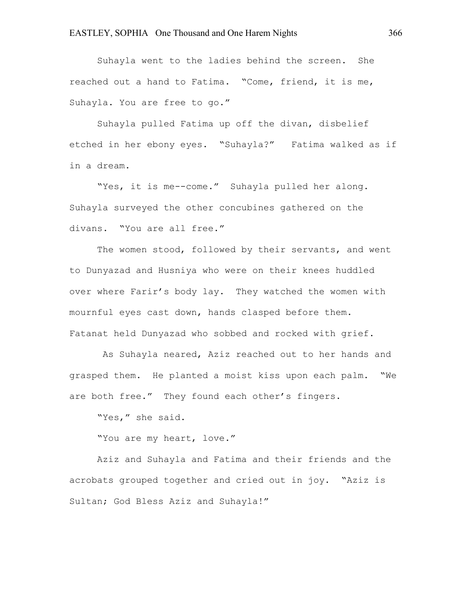Suhayla went to the ladies behind the screen. She reached out a hand to Fatima. "Come, friend, it is me, Suhayla. You are free to go."

Suhayla pulled Fatima up off the divan, disbelief etched in her ebony eyes. "Suhayla?" Fatima walked as if in a dream.

"Yes, it is me--come." Suhayla pulled her along. Suhayla surveyed the other concubines gathered on the divans. "You are all free."

The women stood, followed by their servants, and went to Dunyazad and Husniya who were on their knees huddled over where Farir's body lay. They watched the women with mournful eyes cast down, hands clasped before them. Fatanat held Dunyazad who sobbed and rocked with grief.

As Suhayla neared, Aziz reached out to her hands and grasped them. He planted a moist kiss upon each palm. "We are both free." They found each other's fingers.

"Yes," she said.

"You are my heart, love."

Aziz and Suhayla and Fatima and their friends and the acrobats grouped together and cried out in joy. "Aziz is Sultan; God Bless Aziz and Suhayla!"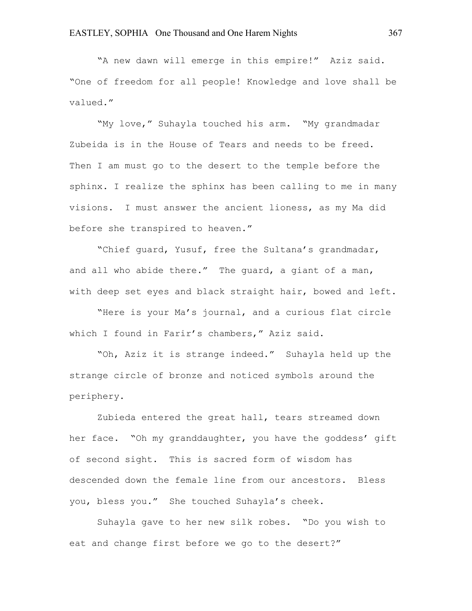"A new dawn will emerge in this empire!" Aziz said. "One of freedom for all people! Knowledge and love shall be valued."

"My love," Suhayla touched his arm. "My grandmadar Zubeida is in the House of Tears and needs to be freed. Then I am must go to the desert to the temple before the sphinx. I realize the sphinx has been calling to me in many visions. I must answer the ancient lioness, as my Ma did before she transpired to heaven."

"Chief guard, Yusuf, free the Sultana's grandmadar, and all who abide there." The guard, a giant of a man, with deep set eyes and black straight hair, bowed and left.

"Here is your Ma's journal, and a curious flat circle which I found in Farir's chambers," Aziz said.

"Oh, Aziz it is strange indeed." Suhayla held up the strange circle of bronze and noticed symbols around the periphery.

Zubieda entered the great hall, tears streamed down her face. "Oh my granddaughter, you have the goddess' gift of second sight. This is sacred form of wisdom has descended down the female line from our ancestors. Bless you, bless you." She touched Suhayla's cheek.

Suhayla gave to her new silk robes. "Do you wish to eat and change first before we go to the desert?"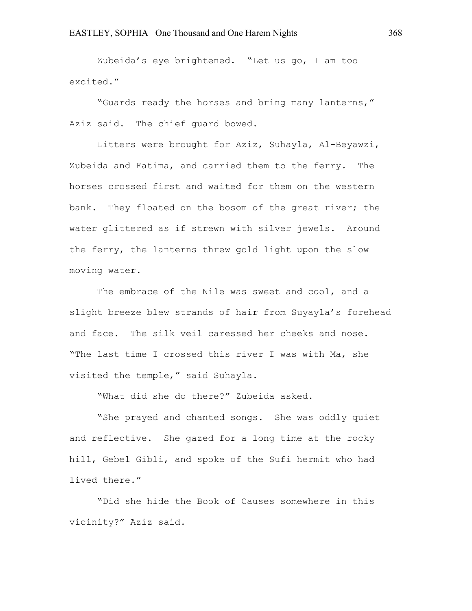Zubeida's eye brightened. "Let us go, I am too excited."

"Guards ready the horses and bring many lanterns," Aziz said. The chief guard bowed.

Litters were brought for Aziz, Suhayla, Al-Beyawzi, Zubeida and Fatima, and carried them to the ferry. The horses crossed first and waited for them on the western bank. They floated on the bosom of the great river; the water glittered as if strewn with silver jewels. Around the ferry, the lanterns threw gold light upon the slow moving water.

The embrace of the Nile was sweet and cool, and a slight breeze blew strands of hair from Suyayla's forehead and face. The silk veil caressed her cheeks and nose. "The last time I crossed this river I was with Ma, she visited the temple," said Suhayla.

"What did she do there?" Zubeida asked.

"She prayed and chanted songs. She was oddly quiet and reflective. She gazed for a long time at the rocky hill, Gebel Gibli, and spoke of the Sufi hermit who had lived there."

"Did she hide the Book of Causes somewhere in this vicinity?" Aziz said.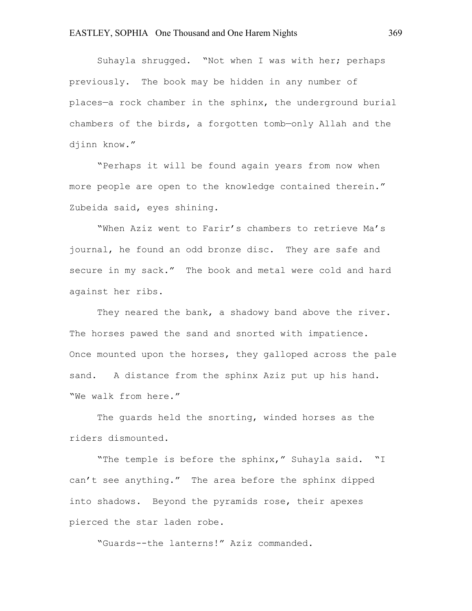Suhayla shrugged. "Not when I was with her; perhaps previously. The book may be hidden in any number of places—a rock chamber in the sphinx, the underground burial chambers of the birds, a forgotten tomb—only Allah and the djinn know."

"Perhaps it will be found again years from now when more people are open to the knowledge contained therein." Zubeida said, eyes shining.

"When Aziz went to Farir's chambers to retrieve Ma's journal, he found an odd bronze disc. They are safe and secure in my sack." The book and metal were cold and hard against her ribs.

They neared the bank, a shadowy band above the river. The horses pawed the sand and snorted with impatience. Once mounted upon the horses, they galloped across the pale sand. A distance from the sphinx Aziz put up his hand. "We walk from here."

The guards held the snorting, winded horses as the riders dismounted.

"The temple is before the sphinx," Suhayla said. "I can't see anything." The area before the sphinx dipped into shadows. Beyond the pyramids rose, their apexes pierced the star laden robe.

"Guards--the lanterns!" Aziz commanded.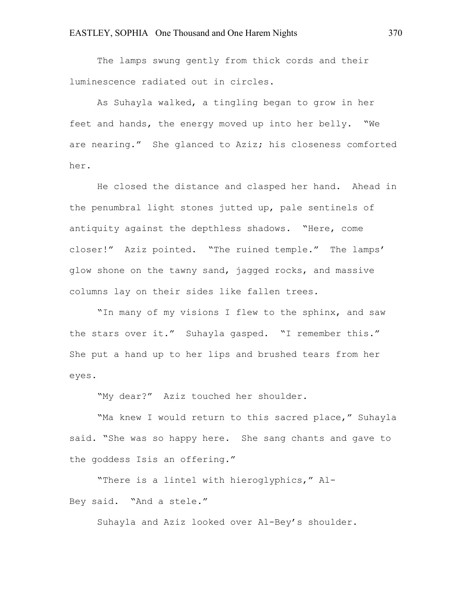The lamps swung gently from thick cords and their luminescence radiated out in circles.

As Suhayla walked, a tingling began to grow in her feet and hands, the energy moved up into her belly. "We are nearing." She glanced to Aziz; his closeness comforted her.

He closed the distance and clasped her hand. Ahead in the penumbral light stones jutted up, pale sentinels of antiquity against the depthless shadows. "Here, come closer!" Aziz pointed. "The ruined temple." The lamps' glow shone on the tawny sand, jagged rocks, and massive columns lay on their sides like fallen trees.

"In many of my visions I flew to the sphinx, and saw the stars over it." Suhayla gasped. "I remember this." She put a hand up to her lips and brushed tears from her eyes.

"My dear?" Aziz touched her shoulder.

"Ma knew I would return to this sacred place," Suhayla said. "She was so happy here. She sang chants and gave to the goddess Isis an offering."

"There is a lintel with hieroglyphics," Al-Bey said. "And a stele."

Suhayla and Aziz looked over Al-Bey's shoulder.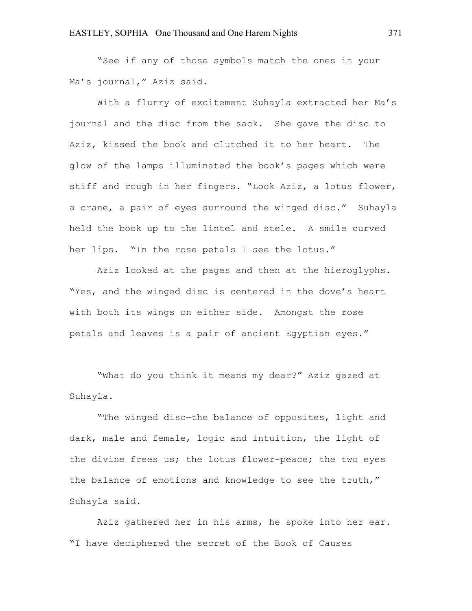"See if any of those symbols match the ones in your Ma's journal," Aziz said.

With a flurry of excitement Suhayla extracted her Ma's journal and the disc from the sack. She gave the disc to Aziz, kissed the book and clutched it to her heart. The glow of the lamps illuminated the book's pages which were stiff and rough in her fingers. "Look Aziz, a lotus flower, a crane, a pair of eyes surround the winged disc." Suhayla held the book up to the lintel and stele. A smile curved her lips. "In the rose petals I see the lotus."

Aziz looked at the pages and then at the hieroglyphs. "Yes, and the winged disc is centered in the dove's heart with both its wings on either side. Amongst the rose petals and leaves is a pair of ancient Egyptian eyes."

"What do you think it means my dear?" Aziz gazed at Suhayla.

"The winged disc—the balance of opposites, light and dark, male and female, logic and intuition, the light of the divine frees us; the lotus flower-peace; the two eyes the balance of emotions and knowledge to see the truth," Suhayla said.

Aziz gathered her in his arms, he spoke into her ear. "I have deciphered the secret of the Book of Causes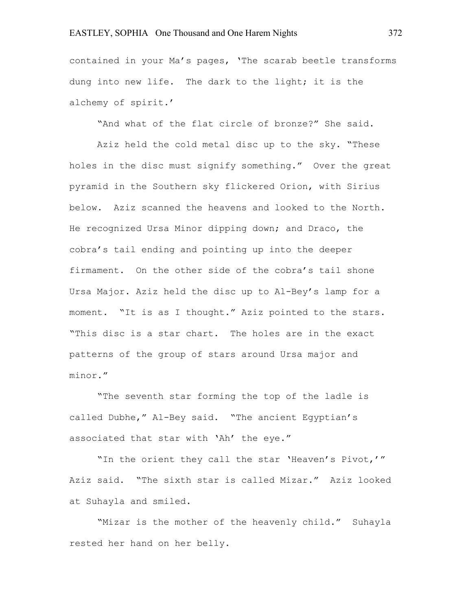## EASTLEY, SOPHIA One Thousand and One Harem Nights 372

contained in your Ma's pages, 'The scarab beetle transforms dung into new life. The dark to the light; it is the alchemy of spirit.'

"And what of the flat circle of bronze?" She said.

Aziz held the cold metal disc up to the sky. "These holes in the disc must signify something." Over the great pyramid in the Southern sky flickered Orion, with Sirius below. Aziz scanned the heavens and looked to the North. He recognized Ursa Minor dipping down; and Draco, the cobra's tail ending and pointing up into the deeper firmament. On the other side of the cobra's tail shone Ursa Major. Aziz held the disc up to Al-Bey's lamp for a moment. "It is as I thought." Aziz pointed to the stars. "This disc is a star chart. The holes are in the exact patterns of the group of stars around Ursa major and minor."

"The seventh star forming the top of the ladle is called Dubhe," Al-Bey said. "The ancient Egyptian's associated that star with 'Ah' the eye."

"In the orient they call the star 'Heaven's Pivot,'" Aziz said. "The sixth star is called Mizar." Aziz looked at Suhayla and smiled.

"Mizar is the mother of the heavenly child." Suhayla rested her hand on her belly.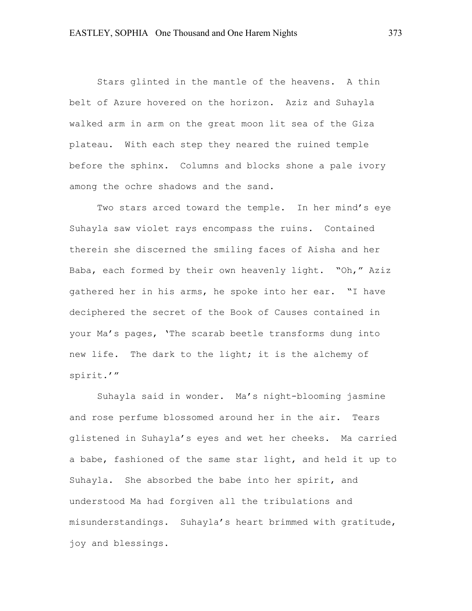Stars glinted in the mantle of the heavens. A thin belt of Azure hovered on the horizon. Aziz and Suhayla walked arm in arm on the great moon lit sea of the Giza plateau. With each step they neared the ruined temple before the sphinx. Columns and blocks shone a pale ivory among the ochre shadows and the sand.

Two stars arced toward the temple. In her mind's eye Suhayla saw violet rays encompass the ruins. Contained therein she discerned the smiling faces of Aisha and her Baba, each formed by their own heavenly light. "Oh," Aziz gathered her in his arms, he spoke into her ear. "I have deciphered the secret of the Book of Causes contained in your Ma's pages, 'The scarab beetle transforms dung into new life. The dark to the light; it is the alchemy of spirit.'"

Suhayla said in wonder. Ma's night-blooming jasmine and rose perfume blossomed around her in the air. Tears glistened in Suhayla's eyes and wet her cheeks. Ma carried a babe, fashioned of the same star light, and held it up to Suhayla. She absorbed the babe into her spirit, and understood Ma had forgiven all the tribulations and misunderstandings. Suhayla's heart brimmed with gratitude, joy and blessings.